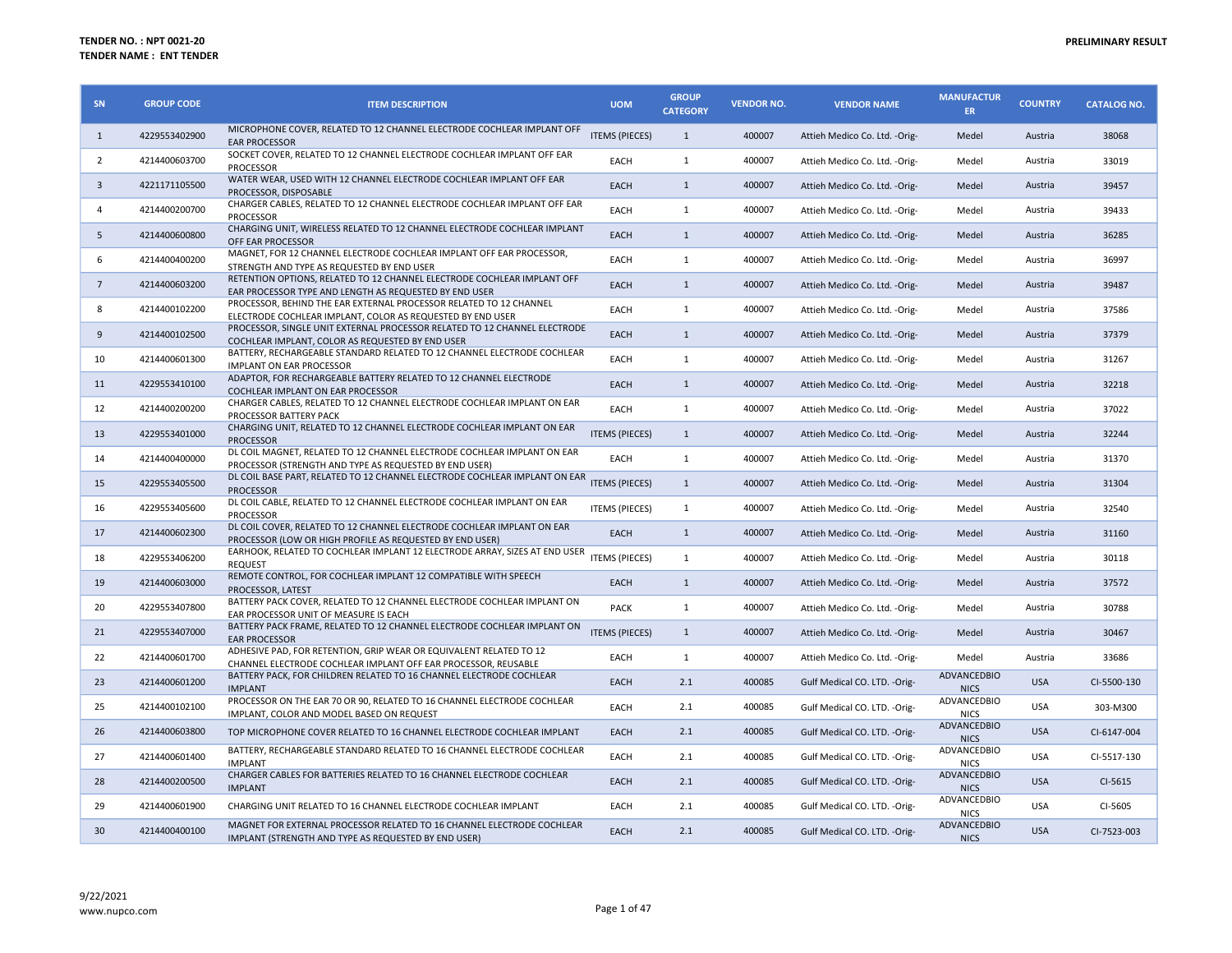| SN             | <b>GROUP CODE</b> | <b>ITEM DESCRIPTION</b>                                                                                                              | <b>UOM</b>            | <b>GROUP</b><br><b>CATEGORY</b> | <b>VENDOR NO.</b> | <b>VENDOR NAME</b>             | <b>MANUFACTUR</b><br>ER.          | <b>COUNTRY</b> | <b>CATALOG NO.</b> |
|----------------|-------------------|--------------------------------------------------------------------------------------------------------------------------------------|-----------------------|---------------------------------|-------------------|--------------------------------|-----------------------------------|----------------|--------------------|
| 1              | 4229553402900     | MICROPHONE COVER, RELATED TO 12 CHANNEL ELECTRODE COCHLEAR IMPLANT OFF<br><b>EAR PROCESSOR</b>                                       | <b>ITEMS (PIECES)</b> | $\mathbf{1}$                    | 400007            | Attieh Medico Co. Ltd. - Orig- | Medel                             | Austria        | 38068              |
| 2              | 4214400603700     | SOCKET COVER, RELATED TO 12 CHANNEL ELECTRODE COCHLEAR IMPLANT OFF EAR<br><b>PROCESSOR</b>                                           | EACH                  | $\mathbf{1}$                    | 400007            | Attieh Medico Co. Ltd. - Orig- | Medel                             | Austria        | 33019              |
| $\overline{3}$ | 4221171105500     | WATER WEAR, USED WITH 12 CHANNEL ELECTRODE COCHLEAR IMPLANT OFF EAR<br>PROCESSOR, DISPOSABLE                                         | EACH                  | $\mathbf{1}$                    | 400007            | Attieh Medico Co. Ltd. - Orig- | Medel                             | Austria        | 39457              |
| $\overline{4}$ | 4214400200700     | CHARGER CABLES, RELATED TO 12 CHANNEL ELECTRODE COCHLEAR IMPLANT OFF EAR<br><b>PROCESSOR</b>                                         | EACH                  | $\mathbf{1}$                    | 400007            | Attieh Medico Co. Ltd. - Orig- | Medel                             | Austria        | 39433              |
| 5              | 4214400600800     | CHARGING UNIT, WIRELESS RELATED TO 12 CHANNEL ELECTRODE COCHLEAR IMPLANT<br>OFF EAR PROCESSOR                                        | EACH                  | $\mathbf{1}$                    | 400007            | Attieh Medico Co. Ltd. - Orig- | Medel                             | Austria        | 36285              |
| 6              | 4214400400200     | MAGNET, FOR 12 CHANNEL ELECTRODE COCHLEAR IMPLANT OFF EAR PROCESSOR,<br>STRENGTH AND TYPE AS REQUESTED BY END USER                   | EACH                  | $\mathbf{1}$                    | 400007            | Attieh Medico Co. Ltd. - Orig- | Medel                             | Austria        | 36997              |
| $\overline{7}$ | 4214400603200     | RETENTION OPTIONS, RELATED TO 12 CHANNEL ELECTRODE COCHLEAR IMPLANT OFF<br>EAR PROCESSOR TYPE AND LENGTH AS REQUESTED BY END USER    | EACH                  | $\mathbf{1}$                    | 400007            | Attieh Medico Co. Ltd. - Orig- | Medel                             | Austria        | 39487              |
| 8              | 4214400102200     | PROCESSOR, BEHIND THE EAR EXTERNAL PROCESSOR RELATED TO 12 CHANNEL<br>ELECTRODE COCHLEAR IMPLANT, COLOR AS REQUESTED BY END USER     | EACH                  | $\mathbf{1}$                    | 400007            | Attieh Medico Co. Ltd. - Orig- | Medel                             | Austria        | 37586              |
| 9              | 4214400102500     | PROCESSOR, SINGLE UNIT EXTERNAL PROCESSOR RELATED TO 12 CHANNEL ELECTRODE<br>COCHLEAR IMPLANT, COLOR AS REQUESTED BY END USER        | EACH                  | $\mathbf{1}$                    | 400007            | Attieh Medico Co. Ltd. - Orig- | Medel                             | Austria        | 37379              |
| 10             | 4214400601300     | BATTERY, RECHARGEABLE STANDARD RELATED TO 12 CHANNEL ELECTRODE COCHLEAR<br><b>IMPLANT ON EAR PROCESSOR</b>                           | EACH                  | $\mathbf{1}$                    | 400007            | Attieh Medico Co. Ltd. - Orig- | Medel                             | Austria        | 31267              |
| 11             | 4229553410100     | ADAPTOR, FOR RECHARGEABLE BATTERY RELATED TO 12 CHANNEL ELECTRODE<br>COCHLEAR IMPLANT ON EAR PROCESSOR                               | EACH                  | $\mathbf{1}$                    | 400007            | Attieh Medico Co. Ltd. - Orig- | Medel                             | Austria        | 32218              |
| 12             | 4214400200200     | CHARGER CABLES, RELATED TO 12 CHANNEL ELECTRODE COCHLEAR IMPLANT ON EAR<br>PROCESSOR BATTERY PACK                                    | EACH                  | $\mathbf{1}$                    | 400007            | Attieh Medico Co. Ltd. - Orig- | Medel                             | Austria        | 37022              |
| 13             | 4229553401000     | CHARGING UNIT, RELATED TO 12 CHANNEL ELECTRODE COCHLEAR IMPLANT ON EAR<br><b>PROCESSOR</b>                                           | <b>ITEMS (PIECES)</b> | $\mathbf{1}$                    | 400007            | Attieh Medico Co. Ltd. - Orig- | Medel                             | Austria        | 32244              |
| 14             | 4214400400000     | DL COIL MAGNET, RELATED TO 12 CHANNEL ELECTRODE COCHLEAR IMPLANT ON EAR<br>PROCESSOR (STRENGTH AND TYPE AS REQUESTED BY END USER)    | EACH                  | $\mathbf{1}$                    | 400007            | Attieh Medico Co. Ltd. - Orig- | Medel                             | Austria        | 31370              |
| 15             | 4229553405500     | DL COIL BASE PART, RELATED TO 12 CHANNEL ELECTRODE COCHLEAR IMPLANT ON EAR<br><b>PROCESSOR</b>                                       | <b>ITEMS (PIECES)</b> | $\mathbf{1}$                    | 400007            | Attieh Medico Co. Ltd. - Orig- | Medel                             | Austria        | 31304              |
| 16             | 4229553405600     | DL COIL CABLE, RELATED TO 12 CHANNEL ELECTRODE COCHLEAR IMPLANT ON EAR<br><b>PROCESSOR</b>                                           | <b>ITEMS (PIECES)</b> | $\mathbf{1}$                    | 400007            | Attieh Medico Co. Ltd. - Orig- | Medel                             | Austria        | 32540              |
| 17             | 4214400602300     | DL COIL COVER, RELATED TO 12 CHANNEL ELECTRODE COCHLEAR IMPLANT ON EAR<br>PROCESSOR (LOW OR HIGH PROFILE AS REQUESTED BY END USER)   | EACH                  | $\mathbf{1}$                    | 400007            | Attieh Medico Co. Ltd. - Orig- | Medel                             | Austria        | 31160              |
| 18             | 4229553406200     | EARHOOK, RELATED TO COCHLEAR IMPLANT 12 ELECTRODE ARRAY, SIZES AT END USER<br><b>REQUEST</b>                                         | <b>ITEMS (PIECES)</b> | $\mathbf{1}$                    | 400007            | Attieh Medico Co. Ltd. - Orig- | Medel                             | Austria        | 30118              |
| 19             | 4214400603000     | REMOTE CONTROL, FOR COCHLEAR IMPLANT 12 COMPATIBLE WITH SPEECH<br>PROCESSOR, LATEST                                                  | EACH                  | $\mathbf{1}$                    | 400007            | Attieh Medico Co. Ltd. - Orig- | Medel                             | Austria        | 37572              |
| 20             | 4229553407800     | BATTERY PACK COVER, RELATED TO 12 CHANNEL ELECTRODE COCHLEAR IMPLANT ON<br>EAR PROCESSOR UNIT OF MEASURE IS EACH                     | <b>PACK</b>           | $\mathbf{1}$                    | 400007            | Attieh Medico Co. Ltd. - Orig- | Medel                             | Austria        | 30788              |
| 21             | 4229553407000     | BATTERY PACK FRAME, RELATED TO 12 CHANNEL ELECTRODE COCHLEAR IMPLANT ON<br><b>EAR PROCESSOR</b>                                      | <b>ITEMS (PIECES)</b> | $\mathbf{1}$                    | 400007            | Attieh Medico Co. Ltd. - Orig- | Medel                             | Austria        | 30467              |
| 22             | 4214400601700     | ADHESIVE PAD, FOR RETENTION, GRIP WEAR OR EQUIVALENT RELATED TO 12<br>CHANNEL ELECTRODE COCHLEAR IMPLANT OFF EAR PROCESSOR, REUSABLE | EACH                  | $\mathbf{1}$                    | 400007            | Attieh Medico Co. Ltd. - Orig- | Medel                             | Austria        | 33686              |
| 23             | 4214400601200     | BATTERY PACK, FOR CHILDREN RELATED TO 16 CHANNEL ELECTRODE COCHLEAR<br><b>IMPLANT</b>                                                | EACH                  | 2.1                             | 400085            | Gulf Medical CO. LTD. - Orig-  | ADVANCEDBIO<br><b>NICS</b>        | <b>USA</b>     | CI-5500-130        |
| 25             | 4214400102100     | PROCESSOR ON THE EAR 70 OR 90, RELATED TO 16 CHANNEL ELECTRODE COCHLEAR<br>IMPLANT, COLOR AND MODEL BASED ON REQUEST                 | EACH                  | 2.1                             | 400085            | Gulf Medical CO. LTD. - Orig-  | ADVANCEDBIO<br><b>NICS</b>        | USA            | 303-M300           |
| 26             | 4214400603800     | TOP MICROPHONE COVER RELATED TO 16 CHANNEL ELECTRODE COCHLEAR IMPLANT                                                                | EACH                  | 2.1                             | 400085            | Gulf Medical CO. LTD. -Orig-   | ADVANCEDBIO<br><b>NICS</b>        | <b>USA</b>     | CI-6147-004        |
| 27             | 4214400601400     | BATTERY, RECHARGEABLE STANDARD RELATED TO 16 CHANNEL ELECTRODE COCHLEAR<br><b>IMPLANT</b>                                            | EACH                  | 2.1                             | 400085            | Gulf Medical CO. LTD. - Orig-  | ADVANCEDBIO<br><b>NICS</b>        | USA            | CI-5517-130        |
| 28             | 4214400200500     | CHARGER CABLES FOR BATTERIES RELATED TO 16 CHANNEL ELECTRODE COCHLEAR<br><b>IMPLANT</b>                                              | EACH                  | 2.1                             | 400085            | Gulf Medical CO. LTD. - Orig-  | <b>ADVANCEDBIO</b><br><b>NICS</b> | <b>USA</b>     | CI-5615            |
| 29             | 4214400601900     | CHARGING UNIT RELATED TO 16 CHANNEL ELECTRODE COCHLEAR IMPLANT                                                                       | EACH                  | 2.1                             | 400085            | Gulf Medical CO. LTD. -Orig-   | ADVANCEDBIO<br><b>NICS</b>        | USA            | CI-5605            |
| 30             | 4214400400100     | MAGNET FOR EXTERNAL PROCESSOR RELATED TO 16 CHANNEL ELECTRODE COCHLEAR<br>IMPLANT (STRENGTH AND TYPE AS REQUESTED BY END USER)       | <b>EACH</b>           | 2.1                             | 400085            | Gulf Medical CO. LTD. - Orig-  | <b>ADVANCEDBIO</b><br><b>NICS</b> | <b>USA</b>     | CI-7523-003        |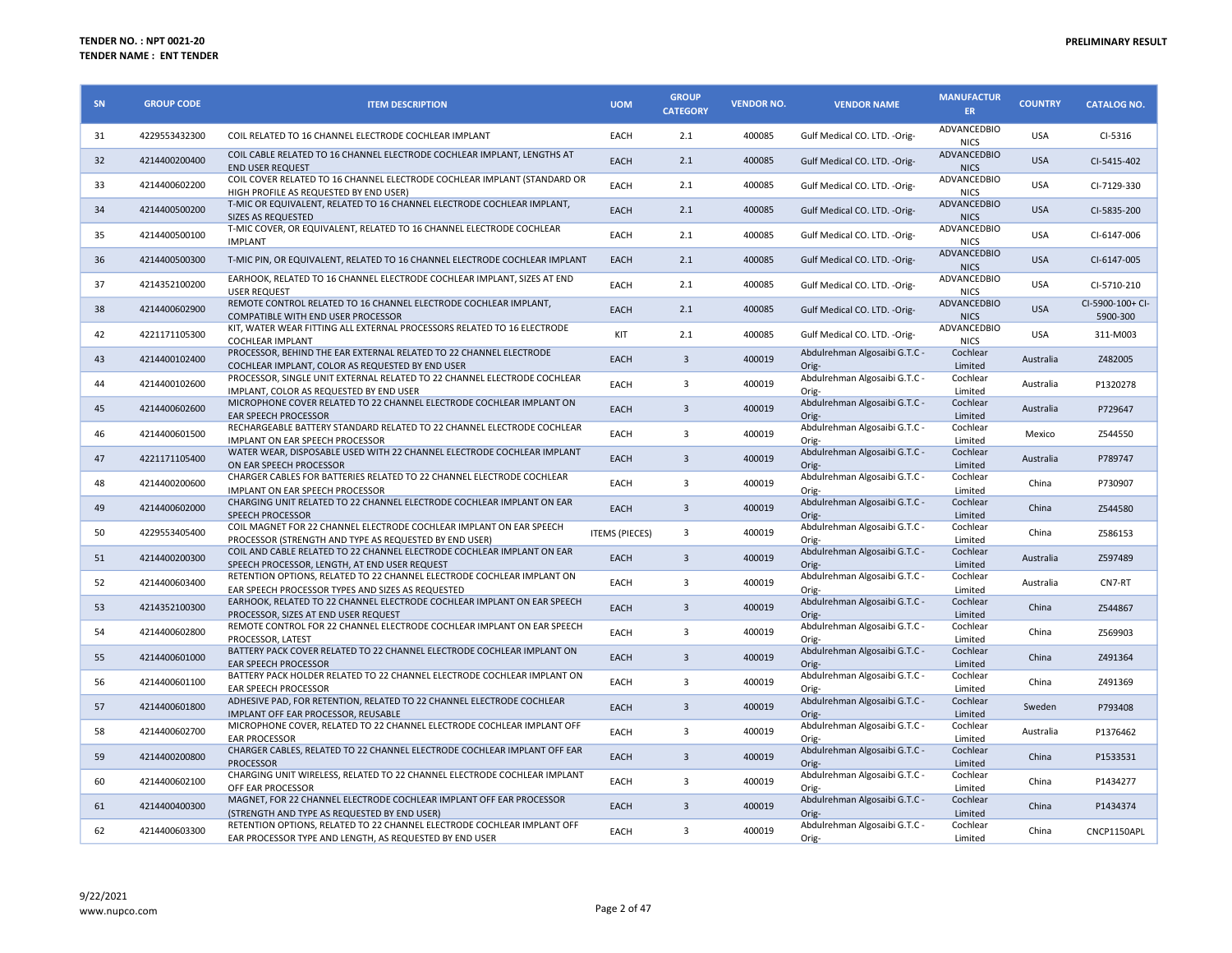| <b>SN</b> | <b>GROUP CODE</b> | <b>ITEM DESCRIPTION</b>                                                                                                                                                            | <b>UOM</b>            | <b>GROUP</b><br><b>CATEGORY</b> | <b>VENDOR NO.</b> | <b>VENDOR NAME</b>                              | <b>MANUFACTUR</b><br>ER.       | <b>COUNTRY</b> | <b>CATALOG NO.</b>           |
|-----------|-------------------|------------------------------------------------------------------------------------------------------------------------------------------------------------------------------------|-----------------------|---------------------------------|-------------------|-------------------------------------------------|--------------------------------|----------------|------------------------------|
| 31        | 4229553432300     | COIL RELATED TO 16 CHANNEL ELECTRODE COCHLEAR IMPLANT                                                                                                                              | EACH                  | 2.1                             | 400085            | Gulf Medical CO. LTD. - Orig-                   | ADVANCEDBIO<br><b>NICS</b>     | <b>USA</b>     | $CI-5316$                    |
| 32        | 4214400200400     | COIL CABLE RELATED TO 16 CHANNEL ELECTRODE COCHLEAR IMPLANT, LENGTHS AT<br><b>END USER REQUEST</b>                                                                                 | EACH                  | 2.1                             | 400085            | Gulf Medical CO. LTD. - Orig-                   | ADVANCEDBIO<br><b>NICS</b>     | <b>USA</b>     | CI-5415-402                  |
| 33        | 4214400602200     | COIL COVER RELATED TO 16 CHANNEL ELECTRODE COCHLEAR IMPLANT (STANDARD OR<br>HIGH PROFILE AS REQUESTED BY END USER)                                                                 | EACH                  | 2.1                             | 400085            | Gulf Medical CO. LTD. - Orig-                   | ADVANCEDBIO<br><b>NICS</b>     | <b>USA</b>     | CI-7129-330                  |
| 34        | 4214400500200     | T-MIC OR EQUIVALENT, RELATED TO 16 CHANNEL ELECTRODE COCHLEAR IMPLANT,<br>SIZES AS REQUESTED                                                                                       | EACH                  | 2.1                             | 400085            | Gulf Medical CO. LTD. - Orig-                   | ADVANCEDBIO<br><b>NICS</b>     | <b>USA</b>     | CI-5835-200                  |
| 35        | 4214400500100     | T-MIC COVER, OR EQUIVALENT, RELATED TO 16 CHANNEL ELECTRODE COCHLEAR<br><b>IMPLANT</b>                                                                                             | EACH                  | 2.1                             | 400085            | Gulf Medical CO. LTD. - Orig-                   | ADVANCEDBIO<br><b>NICS</b>     | <b>USA</b>     | CI-6147-006                  |
| 36        | 4214400500300     | T-MIC PIN, OR EQUIVALENT, RELATED TO 16 CHANNEL ELECTRODE COCHLEAR IMPLANT                                                                                                         | EACH                  | 2.1                             | 400085            | Gulf Medical CO. LTD. - Orig-                   | ADVANCEDBIO<br><b>NICS</b>     | <b>USA</b>     | CI-6147-005                  |
| 37        | 4214352100200     | EARHOOK, RELATED TO 16 CHANNEL ELECTRODE COCHLEAR IMPLANT, SIZES AT END<br><b>USER REQUEST</b>                                                                                     | EACH                  | 2.1                             | 400085            | Gulf Medical CO. LTD. - Orig-                   | ADVANCEDBIO<br><b>NICS</b>     | <b>USA</b>     | CI-5710-210                  |
| 38        | 4214400602900     | REMOTE CONTROL RELATED TO 16 CHANNEL ELECTRODE COCHLEAR IMPLANT,<br><b>COMPATIBLE WITH END USER PROCESSOR</b>                                                                      | EACH                  | 2.1                             | 400085            | Gulf Medical CO. LTD. - Orig-                   | ADVANCEDBIO<br><b>NICS</b>     | <b>USA</b>     | CI-5900-100+ CI-<br>5900-300 |
| 42        | 4221171105300     | KIT, WATER WEAR FITTING ALL EXTERNAL PROCESSORS RELATED TO 16 ELECTRODE<br><b>COCHLEAR IMPLANT</b>                                                                                 | KIT                   | 2.1                             | 400085            | Gulf Medical CO. LTD. - Orig-                   | ADVANCEDBIO<br><b>NICS</b>     | <b>USA</b>     | 311-M003                     |
| 43        | 4214400102400     | PROCESSOR, BEHIND THE EAR EXTERNAL RELATED TO 22 CHANNEL ELECTRODE<br>COCHLEAR IMPLANT, COLOR AS REQUESTED BY END USER                                                             | EACH                  | $\overline{3}$                  | 400019            | Abdulrehman Algosaibi G.T.C -<br>Orig-          | Cochlear<br>Limited            | Australia      | Z482005                      |
| 44        | 4214400102600     | PROCESSOR, SINGLE UNIT EXTERNAL RELATED TO 22 CHANNEL ELECTRODE COCHLEAR<br>IMPLANT. COLOR AS REQUESTED BY END USER                                                                | EACH                  | 3                               | 400019            | Abdulrehman Algosaibi G.T.C -<br>Orig-          | Cochlear<br>Limited            | Australia      | P1320278                     |
| 45        | 4214400602600     | MICROPHONE COVER RELATED TO 22 CHANNEL ELECTRODE COCHLEAR IMPLANT ON<br><b>EAR SPEECH PROCESSOR</b>                                                                                | EACH                  | 3                               | 400019            | Abdulrehman Algosaibi G.T.C -<br>Orig-          | Cochlear<br>Limited            | Australia      | P729647                      |
| 46        | 4214400601500     | RECHARGEABLE BATTERY STANDARD RELATED TO 22 CHANNEL ELECTRODE COCHLEAR<br>IMPLANT ON EAR SPEECH PROCESSOR                                                                          | EACH                  | 3                               | 400019            | Abdulrehman Algosaibi G.T.C -<br>Orig-          | Cochlear<br>Limited            | Mexico         | Z544550                      |
| 47        | 4221171105400     | WATER WEAR, DISPOSABLE USED WITH 22 CHANNEL ELECTRODE COCHLEAR IMPLANT<br>ON EAR SPEECH PROCESSOR                                                                                  | EACH                  | $\overline{3}$                  | 400019            | Abdulrehman Algosaibi G.T.C -<br>Orig-          | Cochlear<br>Limited            | Australia      | P789747                      |
| 48        | 4214400200600     | CHARGER CABLES FOR BATTERIES RELATED TO 22 CHANNEL ELECTRODE COCHLEAR<br>IMPLANT ON EAR SPEECH PROCESSOR                                                                           | EACH                  | 3                               | 400019            | Abdulrehman Algosaibi G.T.C -<br>Orig-          | Cochlear<br>Limited            | China          | P730907                      |
| 49        | 4214400602000     | CHARGING UNIT RELATED TO 22 CHANNEL ELECTRODE COCHLEAR IMPLANT ON EAR<br><b>SPEECH PROCESSOR</b>                                                                                   | <b>EACH</b>           | $\overline{3}$                  | 400019            | Abdulrehman Algosaibi G.T.C -<br>Orig-          | Cochlear<br>Limited            | China          | Z544580                      |
| 50        | 4229553405400     | COIL MAGNET FOR 22 CHANNEL ELECTRODE COCHLEAR IMPLANT ON EAR SPEECH<br>PROCESSOR (STRENGTH AND TYPE AS REQUESTED BY END USER)                                                      | <b>ITEMS (PIECES)</b> | 3                               | 400019            | Abdulrehman Algosaibi G.T.C -<br>Orig-          | Cochlear<br>Limited            | China          | Z586153                      |
| 51        | 4214400200300     | COIL AND CABLE RELATED TO 22 CHANNEL ELECTRODE COCHLEAR IMPLANT ON EAR<br>SPEECH PROCESSOR, LENGTH, AT END USER REQUEST                                                            | <b>EACH</b>           | $\overline{3}$                  | 400019            | Abdulrehman Algosaibi G.T.C -<br>Orig-          | Cochlear<br>Limited            | Australia      | Z597489                      |
| 52        | 4214400603400     | RETENTION OPTIONS, RELATED TO 22 CHANNEL ELECTRODE COCHLEAR IMPLANT ON<br>EAR SPEECH PROCESSOR TYPES AND SIZES AS REQUESTED                                                        | EACH                  | 3                               | 400019            | Abdulrehman Algosaibi G.T.C -<br>Orig-          | Cochlear<br>Limited            | Australia      | CN7-RT                       |
| 53        | 4214352100300     | EARHOOK, RELATED TO 22 CHANNEL ELECTRODE COCHLEAR IMPLANT ON EAR SPEECH<br>PROCESSOR. SIZES AT END USER REQUEST                                                                    | EACH                  | $\overline{3}$                  | 400019            | Abdulrehman Algosaibi G.T.C -<br>Orig-          | Cochlear<br>Limited            | China          | Z544867                      |
| 54        | 4214400602800     | REMOTE CONTROL FOR 22 CHANNEL ELECTRODE COCHLEAR IMPLANT ON EAR SPEECH<br>PROCESSOR, LATEST                                                                                        | EACH                  | 3                               | 400019            | Abdulrehman Algosaibi G.T.C -<br>Orig-          | Cochlear<br>Limited            | China          | Z569903                      |
| 55        | 4214400601000     | BATTERY PACK COVER RELATED TO 22 CHANNEL ELECTRODE COCHLEAR IMPLANT ON<br><b>EAR SPEECH PROCESSOR</b>                                                                              | EACH                  | $\overline{3}$                  | 400019            | Abdulrehman Algosaibi G.T.C -<br>Orig-          | Cochlear<br>Limited            | China          | Z491364                      |
| 56        | 4214400601100     | BATTERY PACK HOLDER RELATED TO 22 CHANNEL ELECTRODE COCHLEAR IMPLANT ON<br>EAR SPEECH PROCESSOR                                                                                    | EACH                  | 3                               | 400019            | Abdulrehman Algosaibi G.T.C -                   | Cochlear<br>Limited            | China          | Z491369                      |
| 57        | 4214400601800     | ADHESIVE PAD, FOR RETENTION, RELATED TO 22 CHANNEL ELECTRODE COCHLEAR<br>IMPLANT OFF EAR PROCESSOR, REUSABLE                                                                       | EACH                  | $\overline{3}$                  | 400019            | Orig-<br>Abdulrehman Algosaibi G.T.C -<br>Orig- | Cochlear<br>Limited            | Sweden         | P793408                      |
| 58        | 4214400602700     | MICROPHONE COVER, RELATED TO 22 CHANNEL ELECTRODE COCHLEAR IMPLANT OFF<br><b>EAR PROCESSOR</b>                                                                                     | EACH                  | 3                               | 400019            | Abdulrehman Algosaibi G.T.C -<br>Orig-          | Cochlear<br>Limited            | Australia      | P1376462                     |
| 59        | 4214400200800     | CHARGER CABLES, RELATED TO 22 CHANNEL ELECTRODE COCHLEAR IMPLANT OFF EAR                                                                                                           | <b>EACH</b>           | $\overline{3}$                  | 400019            | Abdulrehman Algosaibi G.T.C -                   | Cochlear                       | China          | P1533531                     |
| 60        | 4214400602100     | <b>PROCESSOR</b><br>CHARGING UNIT WIRELESS, RELATED TO 22 CHANNEL ELECTRODE COCHLEAR IMPLANT<br>OFF EAR PROCESSOR                                                                  | EACH                  | 3                               | 400019            | Orig-<br>Abdulrehman Algosaibi G.T.C -          | Limited<br>Cochlear<br>Limited | China          | P1434277                     |
| 61        | 4214400400300     | MAGNET, FOR 22 CHANNEL ELECTRODE COCHLEAR IMPLANT OFF EAR PROCESSOR                                                                                                                | EACH                  | 3                               | 400019            | Orig-<br>Abdulrehman Algosaibi G.T.C -          | Cochlear                       | China          | P1434374                     |
| 62        | 4214400603300     | (STRENGTH AND TYPE AS REQUESTED BY END USER)<br>RETENTION OPTIONS, RELATED TO 22 CHANNEL ELECTRODE COCHLEAR IMPLANT OFF<br>EAR PROCESSOR TYPE AND LENGTH, AS REQUESTED BY END USER | EACH                  | 3                               | 400019            | Orig-<br>Abdulrehman Algosaibi G.T.C -<br>Orig- | Limited<br>Cochlear<br>Limited | China          | CNCP1150APL                  |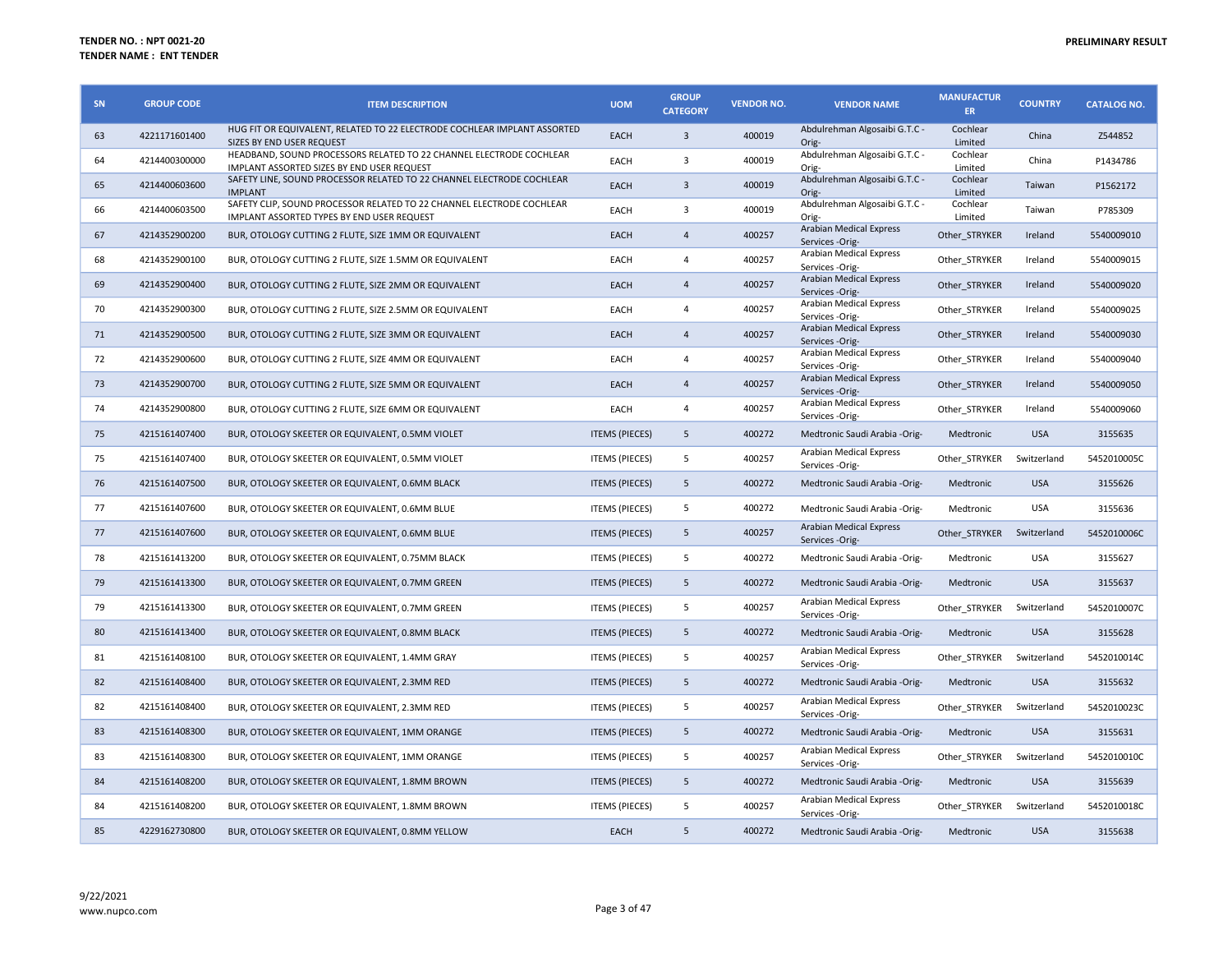| <b>SN</b> | <b>GROUP CODE</b> | <b>ITEM DESCRIPTION</b>                                                                                             | <b>UOM</b>            | <b>GROUP</b><br><b>CATEGORY</b> | <b>VENDOR NO.</b> | <b>VENDOR NAME</b>                                | <b>MANUFACTUR</b><br>ER | <b>COUNTRY</b> | <b>CATALOG NO.</b> |
|-----------|-------------------|---------------------------------------------------------------------------------------------------------------------|-----------------------|---------------------------------|-------------------|---------------------------------------------------|-------------------------|----------------|--------------------|
| 63        | 4221171601400     | HUG FIT OR EQUIVALENT, RELATED TO 22 ELECTRODE COCHLEAR IMPLANT ASSORTED<br>SIZES BY END USER REQUEST               | <b>EACH</b>           | $\overline{3}$                  | 400019            | Abdulrehman Algosaibi G.T.C -<br>Orig-            | Cochlear<br>Limited     | China          | Z544852            |
| 64        | 4214400300000     | HEADBAND, SOUND PROCESSORS RELATED TO 22 CHANNEL ELECTRODE COCHLEAR<br>IMPLANT ASSORTED SIZES BY END USER REQUEST   | EACH                  | 3                               | 400019            | Abdulrehman Algosaibi G.T.C -<br>Orig-            | Cochlear<br>Limited     | China          | P1434786           |
| 65        | 4214400603600     | SAFETY LINE, SOUND PROCESSOR RELATED TO 22 CHANNEL ELECTRODE COCHLEAR<br><b>IMPLANT</b>                             | <b>EACH</b>           | $\overline{3}$                  | 400019            | Abdulrehman Algosaibi G.T.C -<br>Orig-            | Cochlear<br>Limited     | Taiwan         | P1562172           |
| 66        | 4214400603500     | SAFETY CLIP, SOUND PROCESSOR RELATED TO 22 CHANNEL ELECTRODE COCHLEAR<br>IMPLANT ASSORTED TYPES BY END USER REQUEST | EACH                  | $\overline{3}$                  | 400019            | Abdulrehman Algosaibi G.T.C -<br>Orig-            | Cochlear<br>Limited     | Taiwan         | P785309            |
| 67        | 4214352900200     | BUR, OTOLOGY CUTTING 2 FLUTE, SIZE 1MM OR EQUIVALENT                                                                | EACH                  | $\overline{A}$                  | 400257            | <b>Arabian Medical Express</b><br>Services -Orig- | Other STRYKER           | Ireland        | 5540009010         |
| 68        | 4214352900100     | BUR, OTOLOGY CUTTING 2 FLUTE, SIZE 1.5MM OR EQUIVALENT                                                              | EACH                  | $\overline{4}$                  | 400257            | Arabian Medical Express<br>Services -Orig-        | Other STRYKER           | Ireland        | 5540009015         |
| 69        | 4214352900400     | BUR, OTOLOGY CUTTING 2 FLUTE, SIZE 2MM OR EQUIVALENT                                                                | EACH                  | $\overline{4}$                  | 400257            | Arabian Medical Express<br>Services -Orig-        | Other_STRYKER           | Ireland        | 5540009020         |
| 70        | 4214352900300     | BUR, OTOLOGY CUTTING 2 FLUTE, SIZE 2.5MM OR EQUIVALENT                                                              | EACH                  | $\overline{4}$                  | 400257            | Arabian Medical Express<br>Services -Orig-        | Other STRYKER           | Ireland        | 5540009025         |
| 71        | 4214352900500     | BUR, OTOLOGY CUTTING 2 FLUTE, SIZE 3MM OR EQUIVALENT                                                                | EACH                  | $\overline{4}$                  | 400257            | Arabian Medical Express<br>Services -Orig-        | Other STRYKER           | Ireland        | 5540009030         |
| 72        | 4214352900600     | BUR, OTOLOGY CUTTING 2 FLUTE, SIZE 4MM OR EQUIVALENT                                                                | EACH                  | $\overline{4}$                  | 400257            | Arabian Medical Express<br>Services -Orig-        | Other STRYKER           | Ireland        | 5540009040         |
| 73        | 4214352900700     | BUR, OTOLOGY CUTTING 2 FLUTE, SIZE 5MM OR EQUIVALENT                                                                | EACH                  | $\overline{4}$                  | 400257            | Arabian Medical Express<br>Services -Orig-        | Other_STRYKER           | Ireland        | 5540009050         |
| 74        | 4214352900800     | BUR, OTOLOGY CUTTING 2 FLUTE, SIZE 6MM OR EQUIVALENT                                                                | EACH                  | 4                               | 400257            | Arabian Medical Express<br>Services -Orig-        | Other STRYKER           | Ireland        | 5540009060         |
| 75        | 4215161407400     | BUR, OTOLOGY SKEETER OR EQUIVALENT, 0.5MM VIOLET                                                                    | <b>ITEMS (PIECES)</b> | 5                               | 400272            | Medtronic Saudi Arabia -Orig-                     | Medtronic               | <b>USA</b>     | 3155635            |
| 75        | 4215161407400     | BUR, OTOLOGY SKEETER OR EQUIVALENT, 0.5MM VIOLET                                                                    | <b>ITEMS (PIECES)</b> | 5                               | 400257            | Arabian Medical Express<br>Services -Orig-        | Other STRYKER           | Switzerland    | 5452010005C        |
| 76        | 4215161407500     | BUR, OTOLOGY SKEETER OR EQUIVALENT, 0.6MM BLACK                                                                     | <b>ITEMS (PIECES)</b> | 5                               | 400272            | Medtronic Saudi Arabia -Orig-                     | Medtronic               | <b>USA</b>     | 3155626            |
| 77        | 4215161407600     | BUR, OTOLOGY SKEETER OR EQUIVALENT, 0.6MM BLUE                                                                      | <b>ITEMS (PIECES)</b> | 5                               | 400272            | Medtronic Saudi Arabia - Orig-                    | Medtronic               | <b>USA</b>     | 3155636            |
| 77        | 4215161407600     | BUR, OTOLOGY SKEETER OR EQUIVALENT, 0.6MM BLUE                                                                      | <b>ITEMS (PIECES)</b> | 5                               | 400257            | Arabian Medical Express<br>Services -Orig-        | Other STRYKER           | Switzerland    | 5452010006C        |
| 78        | 4215161413200     | BUR, OTOLOGY SKEETER OR EQUIVALENT, 0.75MM BLACK                                                                    | <b>ITEMS (PIECES)</b> | 5                               | 400272            | Medtronic Saudi Arabia - Orig-                    | Medtronic               | <b>USA</b>     | 3155627            |
| 79        | 4215161413300     | BUR, OTOLOGY SKEETER OR EQUIVALENT, 0.7MM GREEN                                                                     | <b>ITEMS (PIECES)</b> | 5                               | 400272            | Medtronic Saudi Arabia -Orig-                     | Medtronic               | <b>USA</b>     | 3155637            |
| 79        | 4215161413300     | BUR, OTOLOGY SKEETER OR EQUIVALENT, 0.7MM GREEN                                                                     | <b>ITEMS (PIECES)</b> | 5                               | 400257            | Arabian Medical Express<br>Services -Orig-        | Other STRYKER           | Switzerland    | 5452010007C        |
| 80        | 4215161413400     | BUR, OTOLOGY SKEETER OR EQUIVALENT, 0.8MM BLACK                                                                     | <b>ITEMS (PIECES)</b> | 5                               | 400272            | Medtronic Saudi Arabia -Orig-                     | Medtronic               | <b>USA</b>     | 3155628            |
| 81        | 4215161408100     | BUR, OTOLOGY SKEETER OR EQUIVALENT, 1.4MM GRAY                                                                      | <b>ITEMS (PIECES)</b> | 5                               | 400257            | Arabian Medical Express<br>Services -Orig-        | Other_STRYKER           | Switzerland    | 5452010014C        |
| 82        | 4215161408400     | BUR, OTOLOGY SKEETER OR EQUIVALENT, 2.3MM RED                                                                       | <b>ITEMS (PIECES)</b> | 5                               | 400272            | Medtronic Saudi Arabia -Orig-                     | Medtronic               | <b>USA</b>     | 3155632            |
| 82        | 4215161408400     | BUR, OTOLOGY SKEETER OR EQUIVALENT, 2.3MM RED                                                                       | <b>ITEMS (PIECES)</b> | 5                               | 400257            | Arabian Medical Express<br>Services -Orig-        | Other STRYKER           | Switzerland    | 5452010023C        |
| 83        | 4215161408300     | BUR, OTOLOGY SKEETER OR EQUIVALENT, 1MM ORANGE                                                                      | <b>ITEMS (PIECES)</b> | 5                               | 400272            | Medtronic Saudi Arabia -Orig-                     | Medtronic               | <b>USA</b>     | 3155631            |
| 83        | 4215161408300     | BUR, OTOLOGY SKEETER OR EQUIVALENT, 1MM ORANGE                                                                      | <b>ITEMS (PIECES)</b> | 5                               | 400257            | Arabian Medical Express<br>Services -Orig-        | Other STRYKER           | Switzerland    | 5452010010C        |
| 84        | 4215161408200     | BUR, OTOLOGY SKEETER OR EQUIVALENT, 1.8MM BROWN                                                                     | <b>ITEMS (PIECES)</b> | 5                               | 400272            | Medtronic Saudi Arabia -Orig-                     | Medtronic               | <b>USA</b>     | 3155639            |
| 84        | 4215161408200     | BUR, OTOLOGY SKEETER OR EQUIVALENT, 1.8MM BROWN                                                                     | <b>ITEMS (PIECES)</b> | 5                               | 400257            | Arabian Medical Express<br>Services -Orig-        | Other STRYKER           | Switzerland    | 5452010018C        |
| 85        | 4229162730800     | BUR, OTOLOGY SKEETER OR EQUIVALENT, 0.8MM YELLOW                                                                    | EACH                  | 5                               | 400272            | Medtronic Saudi Arabia -Orig-                     | Medtronic               | <b>USA</b>     | 3155638            |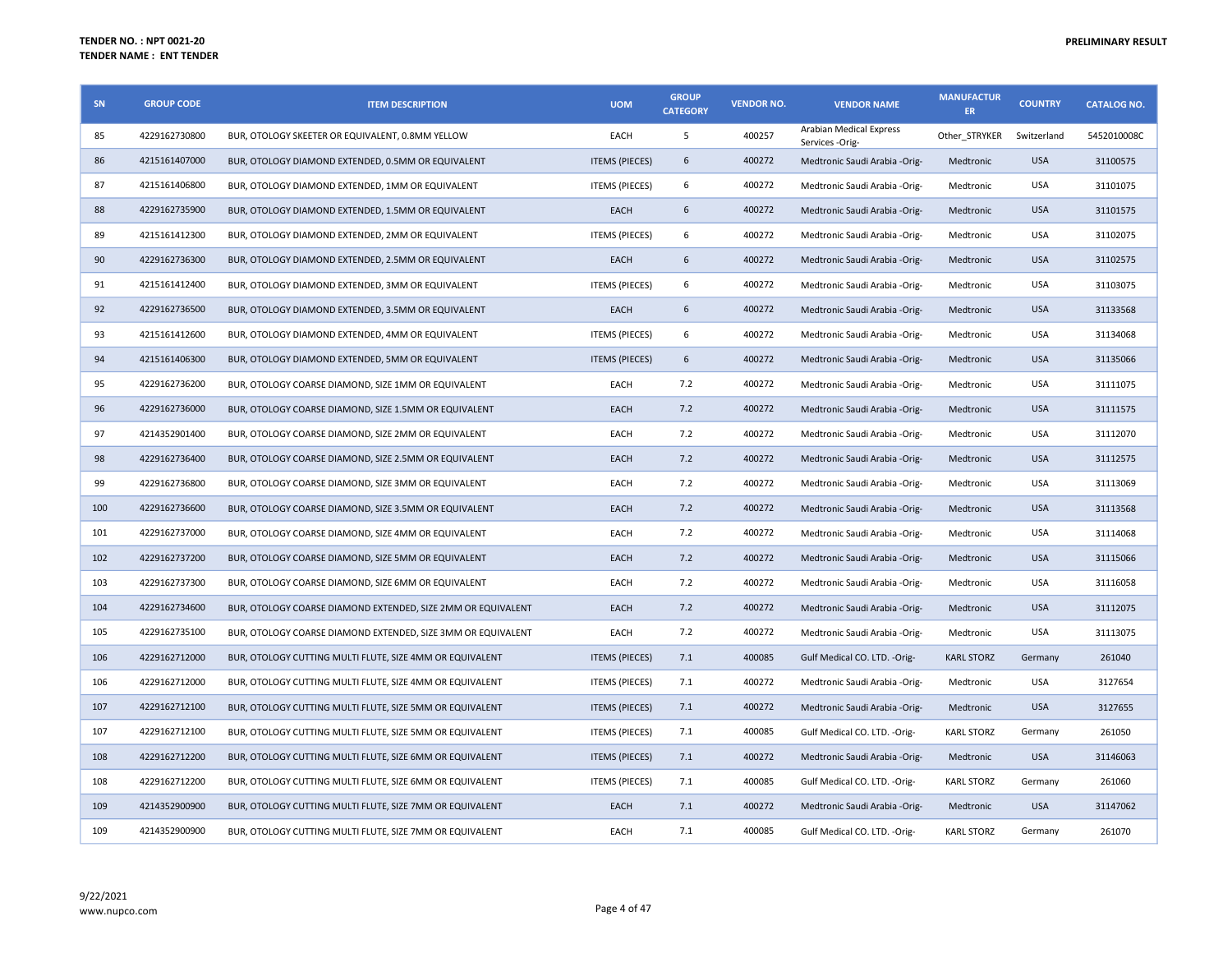| SN  | <b>GROUP CODE</b> | <b>ITEM DESCRIPTION</b>                                      | <b>UOM</b>            | <b>GROUP</b><br><b>CATEGORY</b> | <b>VENDOR NO.</b> | <b>VENDOR NAME</b>                         | <b>MANUFACTUR</b><br>ER. | <b>COUNTRY</b> | <b>CATALOG NO.</b> |
|-----|-------------------|--------------------------------------------------------------|-----------------------|---------------------------------|-------------------|--------------------------------------------|--------------------------|----------------|--------------------|
| 85  | 4229162730800     | BUR, OTOLOGY SKEETER OR EQUIVALENT, 0.8MM YELLOW             | EACH                  | 5                               | 400257            | Arabian Medical Express<br>Services -Orig- | Other STRYKER            | Switzerland    | 5452010008C        |
| 86  | 4215161407000     | BUR, OTOLOGY DIAMOND EXTENDED, 0.5MM OR EQUIVALENT           | <b>ITEMS (PIECES)</b> | 6                               | 400272            | Medtronic Saudi Arabia -Orig-              | Medtronic                | <b>USA</b>     | 31100575           |
| 87  | 4215161406800     | BUR, OTOLOGY DIAMOND EXTENDED, 1MM OR EQUIVALENT             | <b>ITEMS (PIECES)</b> | 6                               | 400272            | Medtronic Saudi Arabia -Orig-              | Medtronic                | USA            | 31101075           |
| 88  | 4229162735900     | BUR, OTOLOGY DIAMOND EXTENDED, 1.5MM OR EQUIVALENT           | EACH                  | 6                               | 400272            | Medtronic Saudi Arabia -Orig-              | Medtronic                | <b>USA</b>     | 31101575           |
| 89  | 4215161412300     | BUR, OTOLOGY DIAMOND EXTENDED, 2MM OR EQUIVALENT             | <b>ITEMS (PIECES)</b> | 6                               | 400272            | Medtronic Saudi Arabia -Orig-              | Medtronic                | <b>USA</b>     | 31102075           |
| 90  | 4229162736300     | BUR, OTOLOGY DIAMOND EXTENDED, 2.5MM OR EQUIVALENT           | EACH                  | 6                               | 400272            | Medtronic Saudi Arabia - Orig-             | Medtronic                | <b>USA</b>     | 31102575           |
| 91  | 4215161412400     | BUR, OTOLOGY DIAMOND EXTENDED, 3MM OR EQUIVALENT             | <b>ITEMS (PIECES)</b> | 6                               | 400272            | Medtronic Saudi Arabia -Orig-              | Medtronic                | USA            | 31103075           |
| 92  | 4229162736500     | BUR, OTOLOGY DIAMOND EXTENDED, 3.5MM OR EQUIVALENT           | EACH                  | 6                               | 400272            | Medtronic Saudi Arabia - Orig-             | Medtronic                | <b>USA</b>     | 31133568           |
| 93  | 4215161412600     | BUR, OTOLOGY DIAMOND EXTENDED, 4MM OR EQUIVALENT             | <b>ITEMS (PIECES)</b> | 6                               | 400272            | Medtronic Saudi Arabia -Orig-              | Medtronic                | <b>USA</b>     | 31134068           |
| 94  | 4215161406300     | BUR, OTOLOGY DIAMOND EXTENDED, 5MM OR EQUIVALENT             | <b>ITEMS (PIECES)</b> | 6                               | 400272            | Medtronic Saudi Arabia - Orig-             | Medtronic                | <b>USA</b>     | 31135066           |
| 95  | 4229162736200     | BUR, OTOLOGY COARSE DIAMOND, SIZE 1MM OR EQUIVALENT          | EACH                  | 7.2                             | 400272            | Medtronic Saudi Arabia -Orig-              | Medtronic                | USA            | 31111075           |
| 96  | 4229162736000     | BUR, OTOLOGY COARSE DIAMOND, SIZE 1.5MM OR EQUIVALENT        | EACH                  | 7.2                             | 400272            | Medtronic Saudi Arabia -Orig-              | Medtronic                | <b>USA</b>     | 31111575           |
| 97  | 4214352901400     | BUR, OTOLOGY COARSE DIAMOND, SIZE 2MM OR EQUIVALENT          | EACH                  | 7.2                             | 400272            | Medtronic Saudi Arabia -Orig-              | Medtronic                | USA            | 31112070           |
| 98  | 4229162736400     | BUR, OTOLOGY COARSE DIAMOND, SIZE 2.5MM OR EQUIVALENT        | EACH                  | 7.2                             | 400272            | Medtronic Saudi Arabia -Orig-              | Medtronic                | <b>USA</b>     | 31112575           |
| 99  | 4229162736800     | BUR, OTOLOGY COARSE DIAMOND, SIZE 3MM OR EQUIVALENT          | EACH                  | 7.2                             | 400272            | Medtronic Saudi Arabia -Orig-              | Medtronic                | <b>USA</b>     | 31113069           |
| 100 | 4229162736600     | BUR, OTOLOGY COARSE DIAMOND, SIZE 3.5MM OR EQUIVALENT        | <b>EACH</b>           | 7.2                             | 400272            | Medtronic Saudi Arabia - Orig-             | Medtronic                | <b>USA</b>     | 31113568           |
| 101 | 4229162737000     | BUR, OTOLOGY COARSE DIAMOND, SIZE 4MM OR EQUIVALENT          | EACH                  | 7.2                             | 400272            | Medtronic Saudi Arabia -Orig-              | Medtronic                | USA            | 31114068           |
| 102 | 4229162737200     | BUR, OTOLOGY COARSE DIAMOND, SIZE 5MM OR EQUIVALENT          | EACH                  | 7.2                             | 400272            | Medtronic Saudi Arabia -Orig-              | Medtronic                | <b>USA</b>     | 31115066           |
| 103 | 4229162737300     | BUR, OTOLOGY COARSE DIAMOND, SIZE 6MM OR EQUIVALENT          | EACH                  | 7.2                             | 400272            | Medtronic Saudi Arabia -Orig-              | Medtronic                | <b>USA</b>     | 31116058           |
| 104 | 4229162734600     | BUR, OTOLOGY COARSE DIAMOND EXTENDED, SIZE 2MM OR EQUIVALENT | EACH                  | 7.2                             | 400272            | Medtronic Saudi Arabia - Orig-             | Medtronic                | <b>USA</b>     | 31112075           |
| 105 | 4229162735100     | BUR, OTOLOGY COARSE DIAMOND EXTENDED, SIZE 3MM OR EQUIVALENT | EACH                  | 7.2                             | 400272            | Medtronic Saudi Arabia -Orig-              | Medtronic                | <b>USA</b>     | 31113075           |
| 106 | 4229162712000     | BUR, OTOLOGY CUTTING MULTI FLUTE, SIZE 4MM OR EQUIVALENT     | <b>ITEMS (PIECES)</b> | 7.1                             | 400085            | Gulf Medical CO. LTD. - Orig-              | <b>KARL STORZ</b>        | Germany        | 261040             |
| 106 | 4229162712000     | BUR, OTOLOGY CUTTING MULTI FLUTE, SIZE 4MM OR EQUIVALENT     | <b>ITEMS (PIECES)</b> | 7.1                             | 400272            | Medtronic Saudi Arabia -Orig-              | Medtronic                | USA            | 3127654            |
| 107 | 4229162712100     | BUR, OTOLOGY CUTTING MULTI FLUTE, SIZE 5MM OR EQUIVALENT     | <b>ITEMS (PIECES)</b> | 7.1                             | 400272            | Medtronic Saudi Arabia - Orig-             | Medtronic                | <b>USA</b>     | 3127655            |
| 107 | 4229162712100     | BUR, OTOLOGY CUTTING MULTI FLUTE, SIZE 5MM OR EQUIVALENT     | <b>ITEMS (PIECES)</b> | 7.1                             | 400085            | Gulf Medical CO. LTD. -Orig-               | <b>KARL STORZ</b>        | Germany        | 261050             |
| 108 | 4229162712200     | BUR, OTOLOGY CUTTING MULTI FLUTE, SIZE 6MM OR EQUIVALENT     | <b>ITEMS (PIECES)</b> | 7.1                             | 400272            | Medtronic Saudi Arabia -Orig-              | Medtronic                | <b>USA</b>     | 31146063           |
| 108 | 4229162712200     | BUR, OTOLOGY CUTTING MULTI FLUTE, SIZE 6MM OR EQUIVALENT     | <b>ITEMS (PIECES)</b> | 7.1                             | 400085            | Gulf Medical CO. LTD. - Orig-              | <b>KARL STORZ</b>        | Germany        | 261060             |
| 109 | 4214352900900     | BUR, OTOLOGY CUTTING MULTI FLUTE, SIZE 7MM OR EQUIVALENT     | <b>EACH</b>           | 7.1                             | 400272            | Medtronic Saudi Arabia -Orig-              | Medtronic                | <b>USA</b>     | 31147062           |
| 109 | 4214352900900     | BUR, OTOLOGY CUTTING MULTI FLUTE, SIZE 7MM OR EQUIVALENT     | EACH                  | 7.1                             | 400085            | Gulf Medical CO. LTD. - Orig-              | <b>KARL STORZ</b>        | Germany        | 261070             |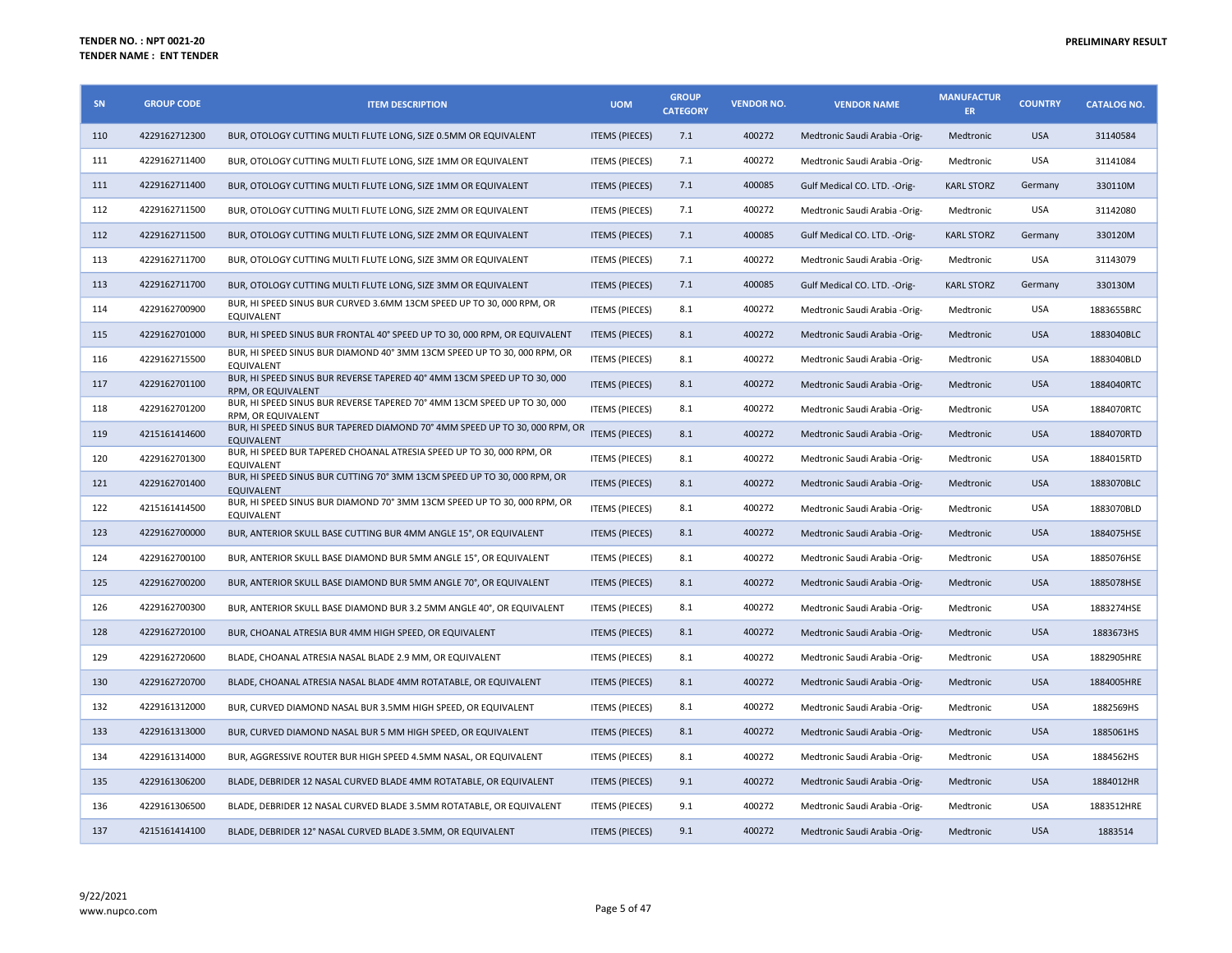| SN  | <b>GROUP CODE</b> | <b>ITEM DESCRIPTION</b>                                                                               | <b>UOM</b>            | <b>GROUP</b><br><b>CATEGORY</b> | <b>VENDOR NO.</b> | <b>VENDOR NAME</b>             | <b>MANUFACTUR</b><br>ER. | <b>COUNTRY</b> | <b>CATALOG NO.</b> |
|-----|-------------------|-------------------------------------------------------------------------------------------------------|-----------------------|---------------------------------|-------------------|--------------------------------|--------------------------|----------------|--------------------|
| 110 | 4229162712300     | BUR, OTOLOGY CUTTING MULTI FLUTE LONG, SIZE 0.5MM OR EQUIVALENT                                       | <b>ITEMS (PIECES)</b> | 7.1                             | 400272            | Medtronic Saudi Arabia -Orig-  | Medtronic                | <b>USA</b>     | 31140584           |
| 111 | 4229162711400     | BUR, OTOLOGY CUTTING MULTI FLUTE LONG, SIZE 1MM OR EQUIVALENT                                         | <b>ITEMS (PIECES)</b> | 7.1                             | 400272            | Medtronic Saudi Arabia -Orig-  | Medtronic                | USA            | 31141084           |
| 111 | 4229162711400     | BUR, OTOLOGY CUTTING MULTI FLUTE LONG, SIZE 1MM OR EQUIVALENT                                         | <b>ITEMS (PIECES)</b> | 7.1                             | 400085            | Gulf Medical CO. LTD. - Orig-  | <b>KARL STORZ</b>        | Germany        | 330110M            |
| 112 | 4229162711500     | BUR, OTOLOGY CUTTING MULTI FLUTE LONG, SIZE 2MM OR EQUIVALENT                                         | <b>ITEMS (PIECES)</b> | 7.1                             | 400272            | Medtronic Saudi Arabia -Orig-  | Medtronic                | USA            | 31142080           |
| 112 | 4229162711500     | BUR, OTOLOGY CUTTING MULTI FLUTE LONG, SIZE 2MM OR EQUIVALENT                                         | <b>ITEMS (PIECES)</b> | 7.1                             | 400085            | Gulf Medical CO. LTD. - Orig-  | <b>KARL STORZ</b>        | Germany        | 330120M            |
| 113 | 4229162711700     | BUR, OTOLOGY CUTTING MULTI FLUTE LONG, SIZE 3MM OR EQUIVALENT                                         | <b>ITEMS (PIECES)</b> | 7.1                             | 400272            | Medtronic Saudi Arabia -Orig-  | Medtronic                | USA            | 31143079           |
| 113 | 4229162711700     | BUR, OTOLOGY CUTTING MULTI FLUTE LONG, SIZE 3MM OR EQUIVALENT                                         | <b>ITEMS (PIECES)</b> | 7.1                             | 400085            | Gulf Medical CO. LTD. - Orig-  | <b>KARL STORZ</b>        | Germany        | 330130M            |
| 114 | 4229162700900     | BUR, HI SPEED SINUS BUR CURVED 3.6MM 13CM SPEED UP TO 30, 000 RPM, OR<br>EQUIVALENT                   | <b>ITEMS (PIECES)</b> | 8.1                             | 400272            | Medtronic Saudi Arabia -Orig-  | Medtronic                | USA            | 1883655BRC         |
| 115 | 4229162701000     | BUR, HI SPEED SINUS BUR FRONTAL 40° SPEED UP TO 30, 000 RPM, OR EQUIVALENT                            | <b>ITEMS (PIECES)</b> | 8.1                             | 400272            | Medtronic Saudi Arabia -Orig-  | Medtronic                | <b>USA</b>     | 1883040BLC         |
| 116 | 4229162715500     | BUR, HI SPEED SINUS BUR DIAMOND 40° 3MM 13CM SPEED UP TO 30, 000 RPM, OR<br><b>EQUIVALENT</b>         | <b>ITEMS (PIECES)</b> | 8.1                             | 400272            | Medtronic Saudi Arabia -Orig-  | Medtronic                | USA            | 1883040BLD         |
| 117 | 4229162701100     | BUR, HI SPEED SINUS BUR REVERSE TAPERED 40° 4MM 13CM SPEED UP TO 30, 000<br>RPM, OR EQUIVALENT        | <b>ITEMS (PIECES)</b> | 8.1                             | 400272            | Medtronic Saudi Arabia -Orig-  | Medtronic                | <b>USA</b>     | 1884040RTC         |
| 118 | 4229162701200     | BUR, HI SPEED SINUS BUR REVERSE TAPERED 70° 4MM 13CM SPEED UP TO 30, 000<br><b>RPM. OR EQUIVALENT</b> | <b>ITEMS (PIECES)</b> | 8.1                             | 400272            | Medtronic Saudi Arabia -Orig-  | Medtronic                | <b>USA</b>     | 1884070RTC         |
| 119 | 4215161414600     | BUR, HI SPEED SINUS BUR TAPERED DIAMOND 70° 4MM SPEED UP TO 30, 000 RPM, OR<br><b>EQUIVALENT</b>      | <b>ITEMS (PIECES)</b> | 8.1                             | 400272            | Medtronic Saudi Arabia -Orig-  | Medtronic                | <b>USA</b>     | 1884070RTD         |
| 120 | 4229162701300     | BUR, HI SPEED BUR TAPERED CHOANAL ATRESIA SPEED UP TO 30, 000 RPM, OR<br><b>EQUIVALENT</b>            | <b>ITEMS (PIECES)</b> | 8.1                             | 400272            | Medtronic Saudi Arabia -Orig-  | Medtronic                | USA            | 1884015RTD         |
| 121 | 4229162701400     | BUR, HI SPEED SINUS BUR CUTTING 70° 3MM 13CM SPEED UP TO 30, 000 RPM, OR<br><b>EQUIVALENT</b>         | <b>ITEMS (PIECES)</b> | 8.1                             | 400272            | Medtronic Saudi Arabia -Orig-  | Medtronic                | <b>USA</b>     | 1883070BLC         |
| 122 | 4215161414500     | BUR, HI SPEED SINUS BUR DIAMOND 70° 3MM 13CM SPEED UP TO 30, 000 RPM, OR<br>EQUIVALENT                | <b>ITEMS (PIECES)</b> | 8.1                             | 400272            | Medtronic Saudi Arabia - Orig- | Medtronic                | <b>USA</b>     | 1883070BLD         |
| 123 | 4229162700000     | BUR, ANTERIOR SKULL BASE CUTTING BUR 4MM ANGLE 15°, OR EQUIVALENT                                     | <b>ITEMS (PIECES)</b> | 8.1                             | 400272            | Medtronic Saudi Arabia -Orig-  | Medtronic                | <b>USA</b>     | 1884075HSE         |
| 124 | 4229162700100     | BUR, ANTERIOR SKULL BASE DIAMOND BUR 5MM ANGLE 15°, OR EQUIVALENT                                     | <b>ITEMS (PIECES)</b> | 8.1                             | 400272            | Medtronic Saudi Arabia -Orig-  | Medtronic                | USA            | 1885076HSE         |
| 125 | 4229162700200     | BUR, ANTERIOR SKULL BASE DIAMOND BUR 5MM ANGLE 70°, OR EQUIVALENT                                     | <b>ITEMS (PIECES)</b> | 8.1                             | 400272            | Medtronic Saudi Arabia -Orig-  | Medtronic                | <b>USA</b>     | 1885078HSE         |
| 126 | 4229162700300     | BUR, ANTERIOR SKULL BASE DIAMOND BUR 3.2 5MM ANGLE 40°, OR EQUIVALENT                                 | <b>ITEMS (PIECES)</b> | 8.1                             | 400272            | Medtronic Saudi Arabia -Orig-  | Medtronic                | USA            | 1883274HSE         |
| 128 | 4229162720100     | BUR, CHOANAL ATRESIA BUR 4MM HIGH SPEED, OR EQUIVALENT                                                | <b>ITEMS (PIECES)</b> | 8.1                             | 400272            | Medtronic Saudi Arabia -Orig-  | Medtronic                | <b>USA</b>     | 1883673HS          |
| 129 | 4229162720600     | BLADE, CHOANAL ATRESIA NASAL BLADE 2.9 MM, OR EQUIVALENT                                              | <b>ITEMS (PIECES)</b> | 8.1                             | 400272            | Medtronic Saudi Arabia -Orig-  | Medtronic                | <b>USA</b>     | 1882905HRE         |
| 130 | 4229162720700     | BLADE, CHOANAL ATRESIA NASAL BLADE 4MM ROTATABLE, OR EQUIVALENT                                       | <b>ITEMS (PIECES)</b> | 8.1                             | 400272            | Medtronic Saudi Arabia -Orig-  | Medtronic                | <b>USA</b>     | 1884005HRE         |
| 132 | 4229161312000     | BUR, CURVED DIAMOND NASAL BUR 3.5MM HIGH SPEED, OR EQUIVALENT                                         | <b>ITEMS (PIECES)</b> | 8.1                             | 400272            | Medtronic Saudi Arabia -Orig-  | Medtronic                | USA            | 1882569HS          |
| 133 | 4229161313000     | BUR, CURVED DIAMOND NASAL BUR 5 MM HIGH SPEED, OR EQUIVALENT                                          | <b>ITEMS (PIECES)</b> | 8.1                             | 400272            | Medtronic Saudi Arabia -Orig-  | Medtronic                | <b>USA</b>     | 1885061HS          |
| 134 | 4229161314000     | BUR, AGGRESSIVE ROUTER BUR HIGH SPEED 4.5MM NASAL, OR EQUIVALENT                                      | <b>ITEMS (PIECES)</b> | 8.1                             | 400272            | Medtronic Saudi Arabia -Orig-  | Medtronic                | <b>USA</b>     | 1884562HS          |
| 135 | 4229161306200     | BLADE, DEBRIDER 12 NASAL CURVED BLADE 4MM ROTATABLE, OR EQUIVALENT                                    | <b>ITEMS (PIECES)</b> | 9.1                             | 400272            | Medtronic Saudi Arabia -Orig-  | Medtronic                | <b>USA</b>     | 1884012HR          |
| 136 | 4229161306500     | BLADE, DEBRIDER 12 NASAL CURVED BLADE 3.5MM ROTATABLE, OR EQUIVALENT                                  | <b>ITEMS (PIECES)</b> | 9.1                             | 400272            | Medtronic Saudi Arabia -Orig-  | Medtronic                | <b>USA</b>     | 1883512HRE         |
| 137 | 4215161414100     | BLADE, DEBRIDER 12° NASAL CURVED BLADE 3.5MM, OR EQUIVALENT                                           | <b>ITEMS (PIECES)</b> | 9.1                             | 400272            | Medtronic Saudi Arabia -Orig-  | Medtronic                | <b>USA</b>     | 1883514            |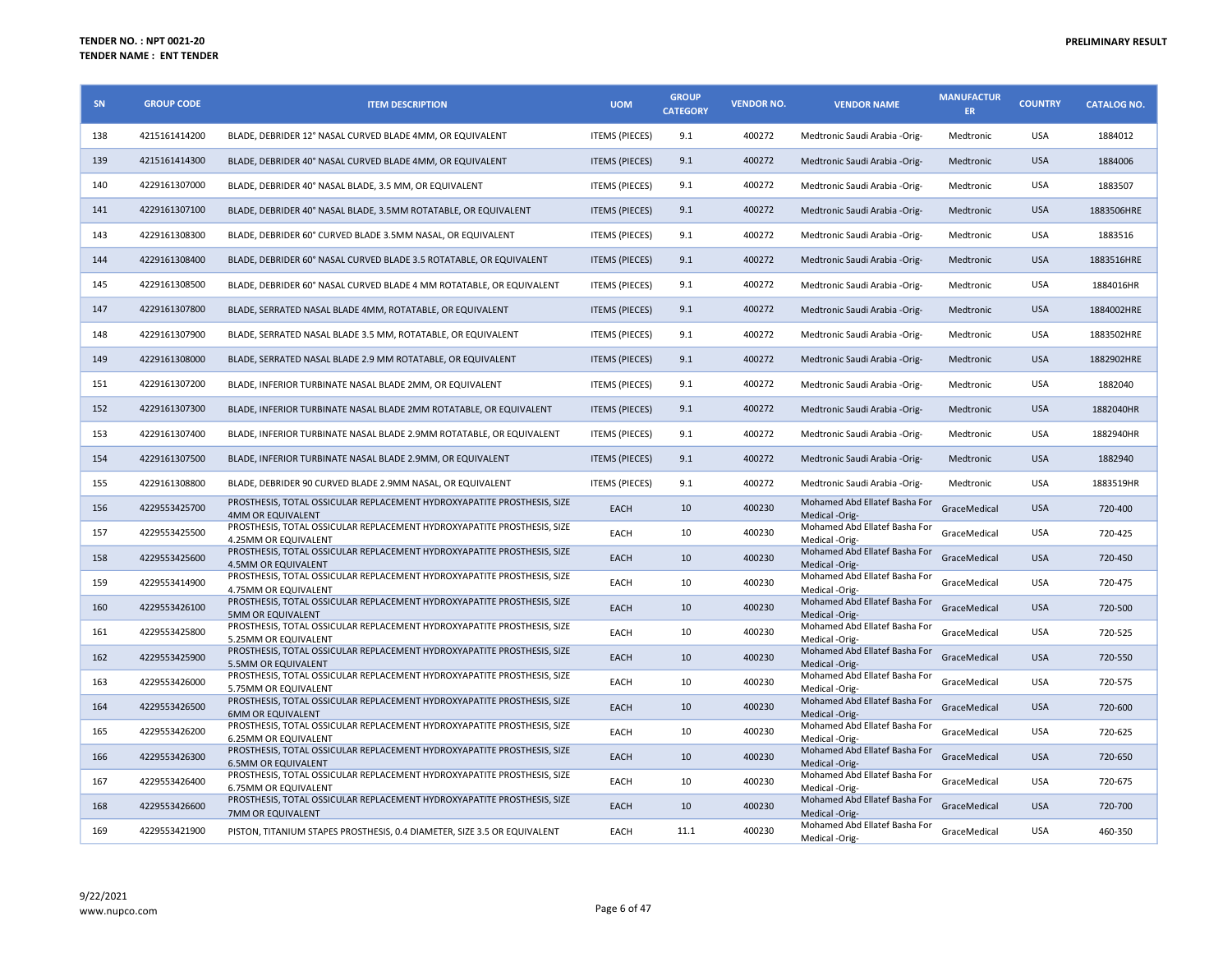| <b>SN</b> | <b>GROUP CODE</b> | <b>ITEM DESCRIPTION</b>                                                                                | <b>UOM</b>            | <b>GROUP</b><br><b>CATEGORY</b> | <b>VENDOR NO.</b> | <b>VENDOR NAME</b>                              | <b>MANUFACTUR</b><br><b>ER</b> | <b>COUNTRY</b> | <b>CATALOG NO.</b> |
|-----------|-------------------|--------------------------------------------------------------------------------------------------------|-----------------------|---------------------------------|-------------------|-------------------------------------------------|--------------------------------|----------------|--------------------|
| 138       | 4215161414200     | BLADE, DEBRIDER 12° NASAL CURVED BLADE 4MM, OR EQUIVALENT                                              | <b>ITEMS (PIECES)</b> | 9.1                             | 400272            | Medtronic Saudi Arabia - Orig-                  | Medtronic                      | <b>USA</b>     | 1884012            |
| 139       | 4215161414300     | BLADE, DEBRIDER 40° NASAL CURVED BLADE 4MM, OR EQUIVALENT                                              | <b>ITEMS (PIECES)</b> | 9.1                             | 400272            | Medtronic Saudi Arabia -Orig-                   | Medtronic                      | <b>USA</b>     | 1884006            |
| 140       | 4229161307000     | BLADE, DEBRIDER 40° NASAL BLADE, 3.5 MM, OR EQUIVALENT                                                 | <b>ITEMS (PIECES)</b> | 9.1                             | 400272            | Medtronic Saudi Arabia -Orig-                   | Medtronic                      | <b>USA</b>     | 1883507            |
| 141       | 4229161307100     | BLADE, DEBRIDER 40° NASAL BLADE, 3.5MM ROTATABLE, OR EQUIVALENT                                        | <b>ITEMS (PIECES)</b> | 9.1                             | 400272            | Medtronic Saudi Arabia -Orig-                   | Medtronic                      | <b>USA</b>     | 1883506HRE         |
| 143       | 4229161308300     | BLADE, DEBRIDER 60° CURVED BLADE 3.5MM NASAL, OR EQUIVALENT                                            | <b>ITEMS (PIECES)</b> | 9.1                             | 400272            | Medtronic Saudi Arabia -Orig-                   | Medtronic                      | USA            | 1883516            |
| 144       | 4229161308400     | BLADE, DEBRIDER 60° NASAL CURVED BLADE 3.5 ROTATABLE, OR EQUIVALENT                                    | <b>ITEMS (PIECES)</b> | 9.1                             | 400272            | Medtronic Saudi Arabia -Orig-                   | Medtronic                      | <b>USA</b>     | 1883516HRE         |
| 145       | 4229161308500     | BLADE, DEBRIDER 60° NASAL CURVED BLADE 4 MM ROTATABLE, OR EQUIVALENT                                   | <b>ITEMS (PIECES)</b> | 9.1                             | 400272            | Medtronic Saudi Arabia -Orig-                   | Medtronic                      | <b>USA</b>     | 1884016HR          |
| 147       | 4229161307800     | BLADE, SERRATED NASAL BLADE 4MM, ROTATABLE, OR EQUIVALENT                                              | <b>ITEMS (PIECES)</b> | 9.1                             | 400272            | Medtronic Saudi Arabia -Orig-                   | Medtronic                      | <b>USA</b>     | 1884002HRE         |
| 148       | 4229161307900     | BLADE, SERRATED NASAL BLADE 3.5 MM, ROTATABLE, OR EQUIVALENT                                           | <b>ITEMS (PIECES)</b> | 9.1                             | 400272            | Medtronic Saudi Arabia -Orig-                   | Medtronic                      | <b>USA</b>     | 1883502HRE         |
| 149       | 4229161308000     | BLADE, SERRATED NASAL BLADE 2.9 MM ROTATABLE, OR EQUIVALENT                                            | <b>ITEMS (PIECES)</b> | 9.1                             | 400272            | Medtronic Saudi Arabia -Orig-                   | Medtronic                      | <b>USA</b>     | 1882902HRE         |
| 151       | 4229161307200     | BLADE, INFERIOR TURBINATE NASAL BLADE 2MM, OR EQUIVALENT                                               | <b>ITEMS (PIECES)</b> | 9.1                             | 400272            | Medtronic Saudi Arabia -Orig-                   | Medtronic                      | <b>USA</b>     | 1882040            |
| 152       | 4229161307300     | BLADE, INFERIOR TURBINATE NASAL BLADE 2MM ROTATABLE, OR EQUIVALENT                                     | <b>ITEMS (PIECES)</b> | 9.1                             | 400272            | Medtronic Saudi Arabia -Orig-                   | Medtronic                      | <b>USA</b>     | 1882040HR          |
| 153       | 4229161307400     | BLADE, INFERIOR TURBINATE NASAL BLADE 2.9MM ROTATABLE, OR EQUIVALENT                                   | <b>ITEMS (PIECES)</b> | 9.1                             | 400272            | Medtronic Saudi Arabia -Orig-                   | Medtronic                      | <b>USA</b>     | 1882940HR          |
| 154       | 4229161307500     | BLADE, INFERIOR TURBINATE NASAL BLADE 2.9MM, OR EQUIVALENT                                             | <b>ITEMS (PIECES)</b> | 9.1                             | 400272            | Medtronic Saudi Arabia -Orig-                   | Medtronic                      | <b>USA</b>     | 1882940            |
| 155       | 4229161308800     | BLADE, DEBRIDER 90 CURVED BLADE 2.9MM NASAL, OR EQUIVALENT                                             | <b>ITEMS (PIECES)</b> | 9.1                             | 400272            | Medtronic Saudi Arabia -Orig-                   | Medtronic                      | <b>USA</b>     | 1883519HR          |
| 156       | 4229553425700     | PROSTHESIS, TOTAL OSSICULAR REPLACEMENT HYDROXYAPATITE PROSTHESIS, SIZE<br>4MM OR EQUIVALENT           | EACH                  | 10                              | 400230            | Mohamed Abd Ellatef Basha For<br>Medical -Orig- | GraceMedical                   | <b>USA</b>     | 720-400            |
| 157       | 4229553425500     | PROSTHESIS, TOTAL OSSICULAR REPLACEMENT HYDROXYAPATITE PROSTHESIS, SIZE<br>4.25MM OR EQUIVALENT        | EACH                  | 10                              | 400230            | Mohamed Abd Ellatef Basha For<br>Medical -Orig- | GraceMedical                   | <b>USA</b>     | 720-425            |
| 158       | 4229553425600     | PROSTHESIS, TOTAL OSSICULAR REPLACEMENT HYDROXYAPATITE PROSTHESIS, SIZE<br><b>4.5MM OR EQUIVALENT</b>  | EACH                  | 10                              | 400230            | Mohamed Abd Ellatef Basha For<br>Medical -Orig- | GraceMedical                   | <b>USA</b>     | 720-450            |
| 159       | 4229553414900     | PROSTHESIS, TOTAL OSSICULAR REPLACEMENT HYDROXYAPATITE PROSTHESIS, SIZE<br>4.75MM OR EQUIVALENT        | EACH                  | 10                              | 400230            | Mohamed Abd Ellatef Basha For<br>Medical -Orig- | GraceMedical                   | USA            | 720-475            |
| 160       | 4229553426100     | PROSTHESIS, TOTAL OSSICULAR REPLACEMENT HYDROXYAPATITE PROSTHESIS, SIZE<br><b>5MM OR EQUIVALENT</b>    | <b>EACH</b>           | 10                              | 400230            | Mohamed Abd Ellatef Basha For<br>Medical -Orig- | GraceMedical                   | <b>USA</b>     | 720-500            |
| 161       | 4229553425800     | PROSTHESIS, TOTAL OSSICULAR REPLACEMENT HYDROXYAPATITE PROSTHESIS, SIZE<br>5.25MM OR EQUIVALENT        | EACH                  | 10                              | 400230            | Mohamed Abd Ellatef Basha For<br>Medical -Orig- | GraceMedical                   | <b>USA</b>     | 720-525            |
| 162       | 4229553425900     | PROSTHESIS, TOTAL OSSICULAR REPLACEMENT HYDROXYAPATITE PROSTHESIS, SIZE<br>5.5MM OR EQUIVALENT         | EACH                  | 10                              | 400230            | Mohamed Abd Ellatef Basha For<br>Medical -Orig- | GraceMedical                   | <b>USA</b>     | 720-550            |
| 163       | 4229553426000     | PROSTHESIS, TOTAL OSSICULAR REPLACEMENT HYDROXYAPATITE PROSTHESIS, SIZE<br>5.75MM OR EQUIVALENT        | EACH                  | 10                              | 400230            | Mohamed Abd Ellatef Basha For<br>Medical -Orig- | GraceMedical                   | <b>USA</b>     | 720-575            |
| 164       | 4229553426500     | PROSTHESIS, TOTAL OSSICULAR REPLACEMENT HYDROXYAPATITE PROSTHESIS, SIZE<br><b>6MM OR EQUIVALENT</b>    | EACH                  | 10                              | 400230            | Mohamed Abd Ellatef Basha For<br>Medical -Orig- | GraceMedical                   | <b>USA</b>     | 720-600            |
| 165       | 4229553426200     | PROSTHESIS, TOTAL OSSICULAR REPLACEMENT HYDROXYAPATITE PROSTHESIS, SIZE<br><b>6.25MM OR EQUIVALENT</b> | EACH                  | 10                              | 400230            | Mohamed Abd Ellatef Basha For<br>Medical -Orig- | GraceMedical                   | <b>USA</b>     | 720-625            |
| 166       | 4229553426300     | PROSTHESIS, TOTAL OSSICULAR REPLACEMENT HYDROXYAPATITE PROSTHESIS, SIZE<br><b>6.5MM OR EQUIVALENT</b>  | EACH                  | 10                              | 400230            | Mohamed Abd Ellatef Basha For<br>Medical -Orig- | GraceMedical                   | <b>USA</b>     | 720-650            |
| 167       | 4229553426400     | PROSTHESIS, TOTAL OSSICULAR REPLACEMENT HYDROXYAPATITE PROSTHESIS, SIZE<br>6.75MM OR EQUIVALENT        | EACH                  | 10                              | 400230            | Mohamed Abd Ellatef Basha For<br>Medical -Orig- | GraceMedical                   | <b>USA</b>     | 720-675            |
| 168       | 4229553426600     | PROSTHESIS, TOTAL OSSICULAR REPLACEMENT HYDROXYAPATITE PROSTHESIS, SIZE<br>7MM OR EQUIVALENT           | <b>EACH</b>           | 10                              | 400230            | Mohamed Abd Ellatef Basha For<br>Medical -Orig- | GraceMedical                   | <b>USA</b>     | 720-700            |
| 169       | 4229553421900     | PISTON, TITANIUM STAPES PROSTHESIS, 0.4 DIAMETER, SIZE 3.5 OR EQUIVALENT                               | EACH                  | 11.1                            | 400230            | Mohamed Abd Ellatef Basha For<br>Medical -Orig- | GraceMedical                   | <b>USA</b>     | 460-350            |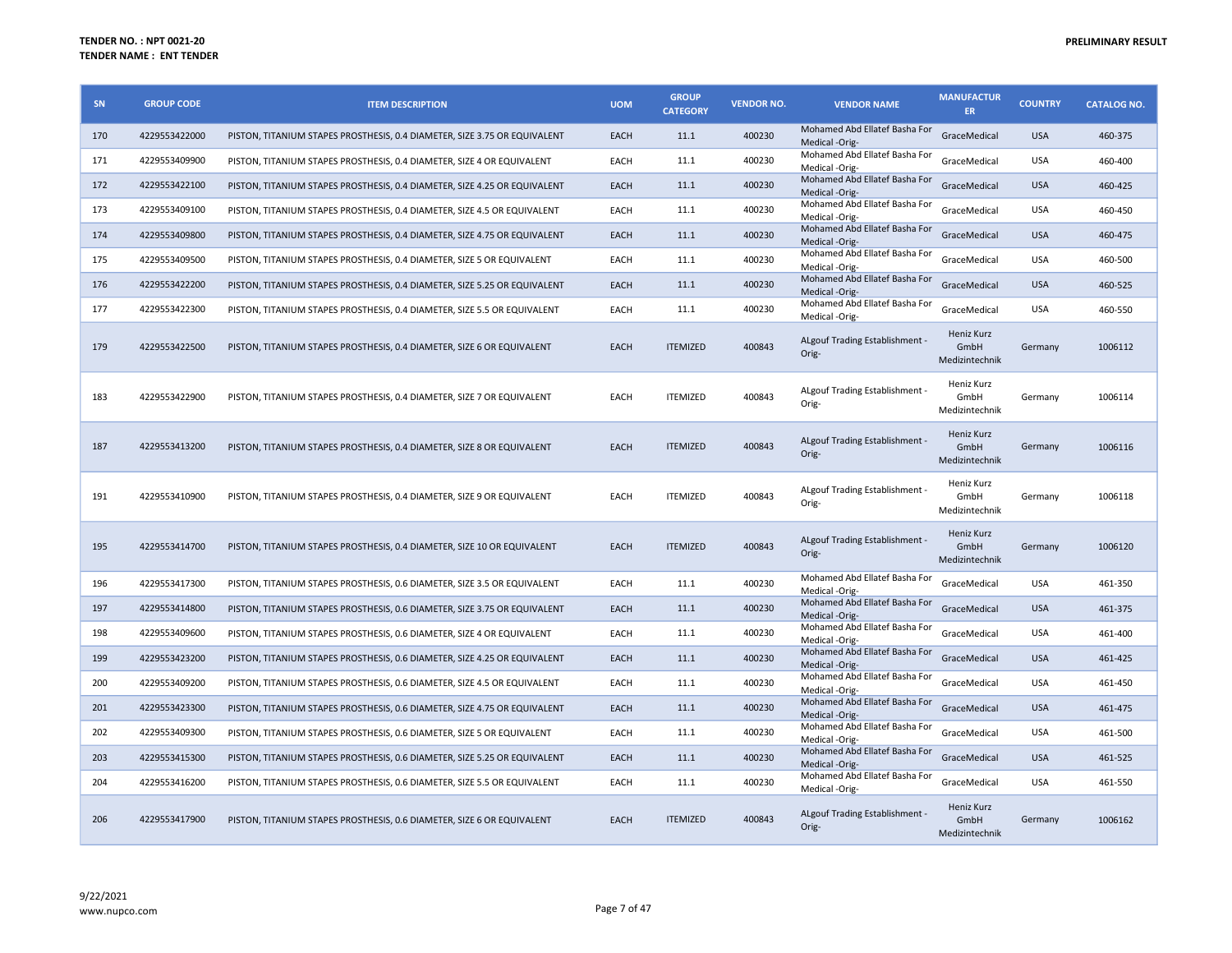| SN  | <b>GROUP CODE</b> | <b>ITEM DESCRIPTION</b>                                                   | <b>UOM</b> | <b>GROUP</b><br><b>CATEGORY</b> | <b>VENDOR NO.</b> | <b>VENDOR NAME</b>                              | <b>MANUFACTUR</b><br>ER.             | <b>COUNTRY</b> | <b>CATALOG NO.</b> |
|-----|-------------------|---------------------------------------------------------------------------|------------|---------------------------------|-------------------|-------------------------------------------------|--------------------------------------|----------------|--------------------|
| 170 | 4229553422000     | PISTON, TITANIUM STAPES PROSTHESIS, 0.4 DIAMETER, SIZE 3.75 OR EQUIVALENT | EACH       | 11.1                            | 400230            | Mohamed Abd Ellatef Basha For<br>Medical -Orig- | GraceMedical                         | <b>USA</b>     | 460-375            |
| 171 | 4229553409900     | PISTON, TITANIUM STAPES PROSTHESIS, 0.4 DIAMETER, SIZE 4 OR EQUIVALENT    | EACH       | 11.1                            | 400230            | Mohamed Abd Ellatef Basha For<br>Medical -Orig- | GraceMedical                         | <b>USA</b>     | 460-400            |
| 172 | 4229553422100     | PISTON, TITANIUM STAPES PROSTHESIS, 0.4 DIAMETER, SIZE 4.25 OR EQUIVALENT | EACH       | 11.1                            | 400230            | Mohamed Abd Ellatef Basha For<br>Medical -Orig- | GraceMedical                         | <b>USA</b>     | 460-425            |
| 173 | 4229553409100     | PISTON, TITANIUM STAPES PROSTHESIS, 0.4 DIAMETER, SIZE 4.5 OR EQUIVALENT  | EACH       | 11.1                            | 400230            | Mohamed Abd Ellatef Basha For<br>Medical -Orig- | GraceMedical                         | <b>USA</b>     | 460-450            |
| 174 | 4229553409800     | PISTON, TITANIUM STAPES PROSTHESIS, 0.4 DIAMETER, SIZE 4.75 OR EQUIVALENT | EACH       | 11.1                            | 400230            | Mohamed Abd Ellatef Basha For<br>Medical -Orig- | GraceMedical                         | <b>USA</b>     | 460-475            |
| 175 | 4229553409500     | PISTON, TITANIUM STAPES PROSTHESIS, 0.4 DIAMETER, SIZE 5 OR EQUIVALENT    | EACH       | 11.1                            | 400230            | Mohamed Abd Ellatef Basha For<br>Medical -Orig- | GraceMedical                         | <b>USA</b>     | 460-500            |
| 176 | 4229553422200     | PISTON, TITANIUM STAPES PROSTHESIS, 0.4 DIAMETER, SIZE 5.25 OR EQUIVALENT | EACH       | 11.1                            | 400230            | Mohamed Abd Ellatef Basha For<br>Medical -Orig- | GraceMedical                         | <b>USA</b>     | 460-525            |
| 177 | 4229553422300     | PISTON, TITANIUM STAPES PROSTHESIS, 0.4 DIAMETER, SIZE 5.5 OR EQUIVALENT  | EACH       | 11.1                            | 400230            | Mohamed Abd Ellatef Basha For<br>Medical -Orig- | GraceMedical                         | <b>USA</b>     | 460-550            |
| 179 | 4229553422500     | PISTON, TITANIUM STAPES PROSTHESIS, 0.4 DIAMETER, SIZE 6 OR EQUIVALENT    | EACH       | <b>ITEMIZED</b>                 | 400843            | ALgouf Trading Establishment -<br>Orig-         | Heniz Kurz<br>GmbH<br>Medizintechnik | Germany        | 1006112            |
| 183 | 4229553422900     | PISTON, TITANIUM STAPES PROSTHESIS, 0.4 DIAMETER, SIZE 7 OR EQUIVALENT    | EACH       | <b>ITEMIZED</b>                 | 400843            | ALgouf Trading Establishment -<br>Orig-         | Heniz Kurz<br>GmbH<br>Medizintechnik | Germany        | 1006114            |
| 187 | 4229553413200     | PISTON, TITANIUM STAPES PROSTHESIS, 0.4 DIAMETER, SIZE 8 OR EQUIVALENT    | EACH       | <b>ITEMIZED</b>                 | 400843            | ALgouf Trading Establishment -<br>Orig-         | Heniz Kurz<br>GmbH<br>Medizintechnik | Germany        | 1006116            |
| 191 | 4229553410900     | PISTON, TITANIUM STAPES PROSTHESIS, 0.4 DIAMETER, SIZE 9 OR EQUIVALENT    | EACH       | <b>ITEMIZED</b>                 | 400843            | ALgouf Trading Establishment -<br>Orig-         | Heniz Kurz<br>GmbH<br>Medizintechnik | Germany        | 1006118            |
| 195 | 4229553414700     | PISTON, TITANIUM STAPES PROSTHESIS, 0.4 DIAMETER, SIZE 10 OR EQUIVALENT   | EACH       | <b>ITEMIZED</b>                 | 400843            | ALgouf Trading Establishment -<br>Orig-         | Heniz Kurz<br>GmbH<br>Medizintechnik | Germany        | 1006120            |
| 196 | 4229553417300     | PISTON, TITANIUM STAPES PROSTHESIS, 0.6 DIAMETER, SIZE 3.5 OR EQUIVALENT  | EACH       | 11.1                            | 400230            | Mohamed Abd Ellatef Basha For<br>Medical -Orig- | GraceMedical                         | <b>USA</b>     | 461-350            |
| 197 | 4229553414800     | PISTON, TITANIUM STAPES PROSTHESIS, 0.6 DIAMETER, SIZE 3.75 OR EQUIVALENT | EACH       | 11.1                            | 400230            | Mohamed Abd Ellatef Basha For<br>Medical -Orig- | GraceMedical                         | <b>USA</b>     | 461-375            |
| 198 | 4229553409600     | PISTON, TITANIUM STAPES PROSTHESIS, 0.6 DIAMETER, SIZE 4 OR EQUIVALENT    | EACH       | 11.1                            | 400230            | Mohamed Abd Ellatef Basha For<br>Medical -Orig- | GraceMedical                         | <b>USA</b>     | 461-400            |
| 199 | 4229553423200     | PISTON, TITANIUM STAPES PROSTHESIS, 0.6 DIAMETER, SIZE 4.25 OR EQUIVALENT | EACH       | 11.1                            | 400230            | Mohamed Abd Ellatef Basha For<br>Medical -Orig- | GraceMedical                         | <b>USA</b>     | 461-425            |
| 200 | 4229553409200     | PISTON, TITANIUM STAPES PROSTHESIS, 0.6 DIAMETER, SIZE 4.5 OR EQUIVALENT  | EACH       | 11.1                            | 400230            | Mohamed Abd Ellatef Basha For<br>Medical -Orig- | GraceMedical                         | <b>USA</b>     | 461-450            |
| 201 | 4229553423300     | PISTON, TITANIUM STAPES PROSTHESIS, 0.6 DIAMETER, SIZE 4.75 OR EQUIVALENT | EACH       | 11.1                            | 400230            | Mohamed Abd Ellatef Basha For<br>Medical -Orig- | GraceMedical                         | <b>USA</b>     | 461-475            |
| 202 | 4229553409300     | PISTON, TITANIUM STAPES PROSTHESIS, 0.6 DIAMETER, SIZE 5 OR EQUIVALENT    | EACH       | 11.1                            | 400230            | Mohamed Abd Ellatef Basha For<br>Medical -Orig- | GraceMedical                         | <b>USA</b>     | 461-500            |
| 203 | 4229553415300     | PISTON, TITANIUM STAPES PROSTHESIS, 0.6 DIAMETER, SIZE 5.25 OR EQUIVALENT | EACH       | 11.1                            | 400230            | Mohamed Abd Ellatef Basha For<br>Medical -Orig- | GraceMedical                         | <b>USA</b>     | 461-525            |
| 204 | 4229553416200     | PISTON, TITANIUM STAPES PROSTHESIS, 0.6 DIAMETER, SIZE 5.5 OR EQUIVALENT  | EACH       | 11.1                            | 400230            | Mohamed Abd Ellatef Basha For<br>Medical -Orig- | GraceMedical                         | <b>USA</b>     | 461-550            |
| 206 | 4229553417900     | PISTON, TITANIUM STAPES PROSTHESIS, 0.6 DIAMETER, SIZE 6 OR EQUIVALENT    | EACH       | <b>ITEMIZED</b>                 | 400843            | ALgouf Trading Establishment -<br>Orig-         | Heniz Kurz<br>GmbH<br>Medizintechnik | Germany        | 1006162            |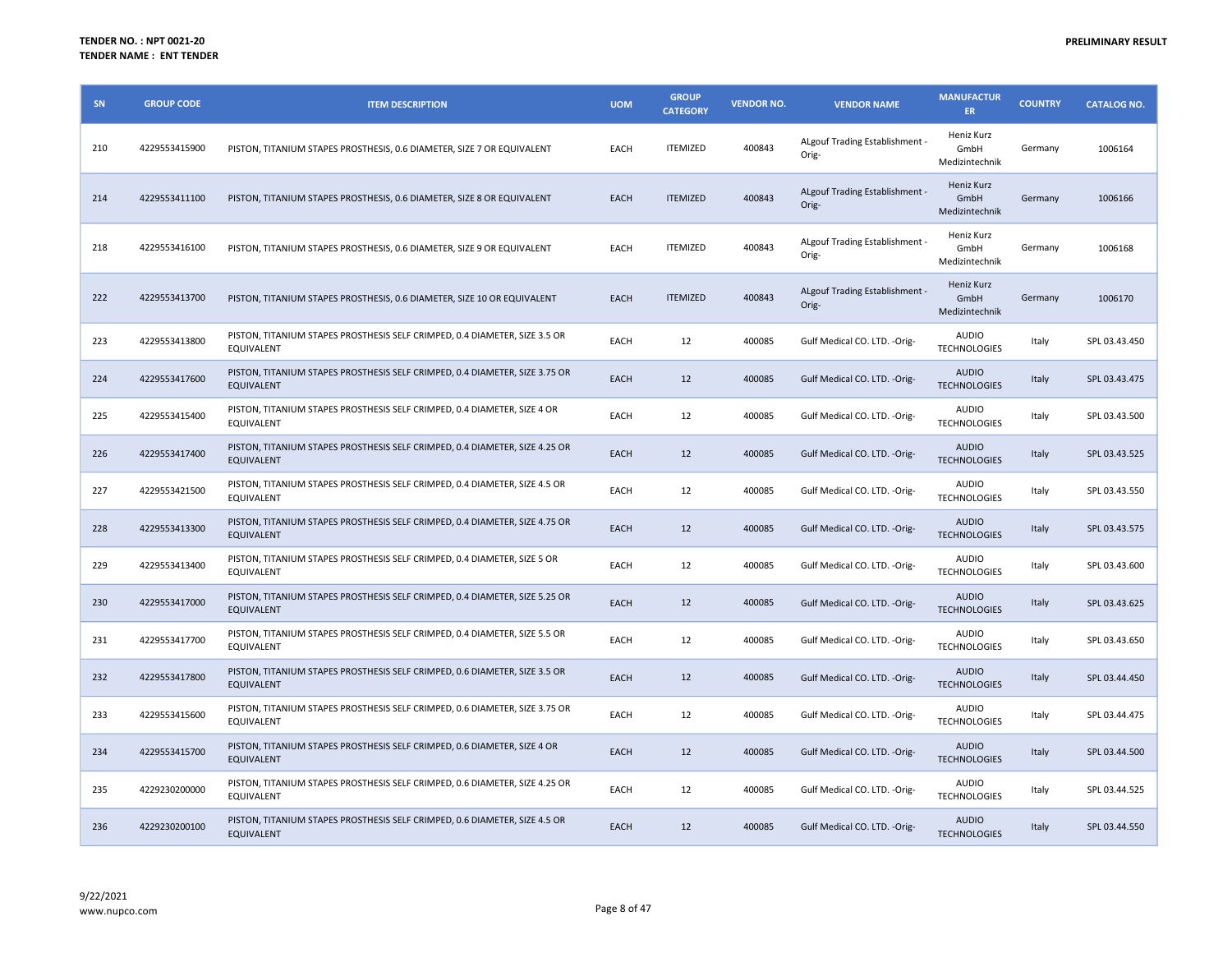| SN  | <b>GROUP CODE</b> | <b>ITEM DESCRIPTION</b>                                                                          | <b>UOM</b>  | <b>GROUP</b><br><b>CATEGORY</b> | <b>VENDOR NO.</b> | <b>VENDOR NAME</b>                      | <b>MANUFACTUR</b><br><b>ER</b>       | <b>COUNTRY</b> | <b>CATALOG NO.</b> |
|-----|-------------------|--------------------------------------------------------------------------------------------------|-------------|---------------------------------|-------------------|-----------------------------------------|--------------------------------------|----------------|--------------------|
| 210 | 4229553415900     | PISTON, TITANIUM STAPES PROSTHESIS, 0.6 DIAMETER, SIZE 7 OR EQUIVALENT                           | EACH        | <b>ITEMIZED</b>                 | 400843            | ALgouf Trading Establishment -<br>Orig- | Heniz Kurz<br>GmbH<br>Medizintechnik | Germany        | 1006164            |
| 214 | 4229553411100     | PISTON, TITANIUM STAPES PROSTHESIS, 0.6 DIAMETER, SIZE 8 OR EQUIVALENT                           | EACH        | <b>ITEMIZED</b>                 | 400843            | ALgouf Trading Establishment -<br>Orig- | Heniz Kurz<br>GmbH<br>Medizintechnik | Germany        | 1006166            |
| 218 | 4229553416100     | PISTON, TITANIUM STAPES PROSTHESIS, 0.6 DIAMETER, SIZE 9 OR EQUIVALENT                           | EACH        | <b>ITEMIZED</b>                 | 400843            | ALgouf Trading Establishment -<br>Orig- | Heniz Kurz<br>GmbH<br>Medizintechnik | Germany        | 1006168            |
| 222 | 4229553413700     | PISTON, TITANIUM STAPES PROSTHESIS, 0.6 DIAMETER, SIZE 10 OR EQUIVALENT                          | EACH        | <b>ITEMIZED</b>                 | 400843            | ALgouf Trading Establishment -<br>Orig- | Heniz Kurz<br>GmbH<br>Medizintechnik | Germany        | 1006170            |
| 223 | 4229553413800     | PISTON, TITANIUM STAPES PROSTHESIS SELF CRIMPED, 0.4 DIAMETER, SIZE 3.5 OR<br>EQUIVALENT         | EACH        | 12                              | 400085            | Gulf Medical CO. LTD. - Orig-           | <b>AUDIO</b><br><b>TECHNOLOGIES</b>  | Italy          | SPL 03.43.450      |
| 224 | 4229553417600     | PISTON, TITANIUM STAPES PROSTHESIS SELF CRIMPED, 0.4 DIAMETER, SIZE 3.75 OR<br><b>EQUIVALENT</b> | EACH        | 12                              | 400085            | Gulf Medical CO. LTD. - Orig-           | <b>AUDIO</b><br><b>TECHNOLOGIES</b>  | Italy          | SPL 03.43.475      |
| 225 | 4229553415400     | PISTON, TITANIUM STAPES PROSTHESIS SELF CRIMPED, 0.4 DIAMETER, SIZE 4 OR<br>EQUIVALENT           | EACH        | 12                              | 400085            | Gulf Medical CO. LTD. - Orig-           | AUDIO<br><b>TECHNOLOGIES</b>         | Italy          | SPL 03.43.500      |
| 226 | 4229553417400     | PISTON, TITANIUM STAPES PROSTHESIS SELF CRIMPED, 0.4 DIAMETER, SIZE 4.25 OR<br>EQUIVALENT        | EACH        | 12                              | 400085            | Gulf Medical CO. LTD. - Orig-           | <b>AUDIO</b><br><b>TECHNOLOGIES</b>  | Italy          | SPL 03.43.525      |
| 227 | 4229553421500     | PISTON, TITANIUM STAPES PROSTHESIS SELF CRIMPED, 0.4 DIAMETER, SIZE 4.5 OR<br>EQUIVALENT         | EACH        | 12                              | 400085            | Gulf Medical CO. LTD. - Orig-           | AUDIO<br><b>TECHNOLOGIES</b>         | Italy          | SPL 03.43.550      |
| 228 | 4229553413300     | PISTON, TITANIUM STAPES PROSTHESIS SELF CRIMPED, 0.4 DIAMETER, SIZE 4.75 OR<br><b>EQUIVALENT</b> | EACH        | 12                              | 400085            | Gulf Medical CO. LTD. - Orig-           | <b>AUDIO</b><br><b>TECHNOLOGIES</b>  | Italy          | SPL 03.43.575      |
| 229 | 4229553413400     | PISTON, TITANIUM STAPES PROSTHESIS SELF CRIMPED, 0.4 DIAMETER, SIZE 5 OR<br>EQUIVALENT           | EACH        | 12                              | 400085            | Gulf Medical CO. LTD. - Orig-           | <b>AUDIO</b><br><b>TECHNOLOGIES</b>  | Italy          | SPL 03.43.600      |
| 230 | 4229553417000     | PISTON, TITANIUM STAPES PROSTHESIS SELF CRIMPED, 0.4 DIAMETER, SIZE 5.25 OR<br>EQUIVALENT        | EACH        | 12                              | 400085            | Gulf Medical CO. LTD. - Orig-           | <b>AUDIO</b><br><b>TECHNOLOGIES</b>  | Italy          | SPL 03.43.625      |
| 231 | 4229553417700     | PISTON, TITANIUM STAPES PROSTHESIS SELF CRIMPED, 0.4 DIAMETER, SIZE 5.5 OR<br>EQUIVALENT         | EACH        | 12                              | 400085            | Gulf Medical CO. LTD. - Orig-           | <b>AUDIO</b><br><b>TECHNOLOGIES</b>  | Italy          | SPL 03.43.650      |
| 232 | 4229553417800     | PISTON, TITANIUM STAPES PROSTHESIS SELF CRIMPED, 0.6 DIAMETER, SIZE 3.5 OR<br>EQUIVALENT         | EACH        | 12                              | 400085            | Gulf Medical CO. LTD. - Orig-           | <b>AUDIO</b><br><b>TECHNOLOGIES</b>  | Italy          | SPL 03.44.450      |
| 233 | 4229553415600     | PISTON, TITANIUM STAPES PROSTHESIS SELF CRIMPED, 0.6 DIAMETER, SIZE 3.75 OR<br>EQUIVALENT        | EACH        | 12                              | 400085            | Gulf Medical CO. LTD. - Orig-           | AUDIO<br><b>TECHNOLOGIES</b>         | Italy          | SPL 03.44.475      |
| 234 | 4229553415700     | PISTON, TITANIUM STAPES PROSTHESIS SELF CRIMPED, 0.6 DIAMETER, SIZE 4 OR<br><b>EQUIVALENT</b>    | <b>EACH</b> | 12                              | 400085            | Gulf Medical CO. LTD. - Orig-           | <b>AUDIO</b><br><b>TECHNOLOGIES</b>  | Italy          | SPL 03.44.500      |
| 235 | 4229230200000     | PISTON, TITANIUM STAPES PROSTHESIS SELF CRIMPED, 0.6 DIAMETER, SIZE 4.25 OR<br>EQUIVALENT        | EACH        | 12                              | 400085            | Gulf Medical CO. LTD. - Orig-           | AUDIO<br><b>TECHNOLOGIES</b>         | Italy          | SPL 03.44.525      |
| 236 | 4229230200100     | PISTON, TITANIUM STAPES PROSTHESIS SELF CRIMPED, 0.6 DIAMETER, SIZE 4.5 OR<br><b>EQUIVALENT</b>  | EACH        | 12                              | 400085            | Gulf Medical CO. LTD. - Orig-           | <b>AUDIO</b><br><b>TECHNOLOGIES</b>  | Italy          | SPL 03.44.550      |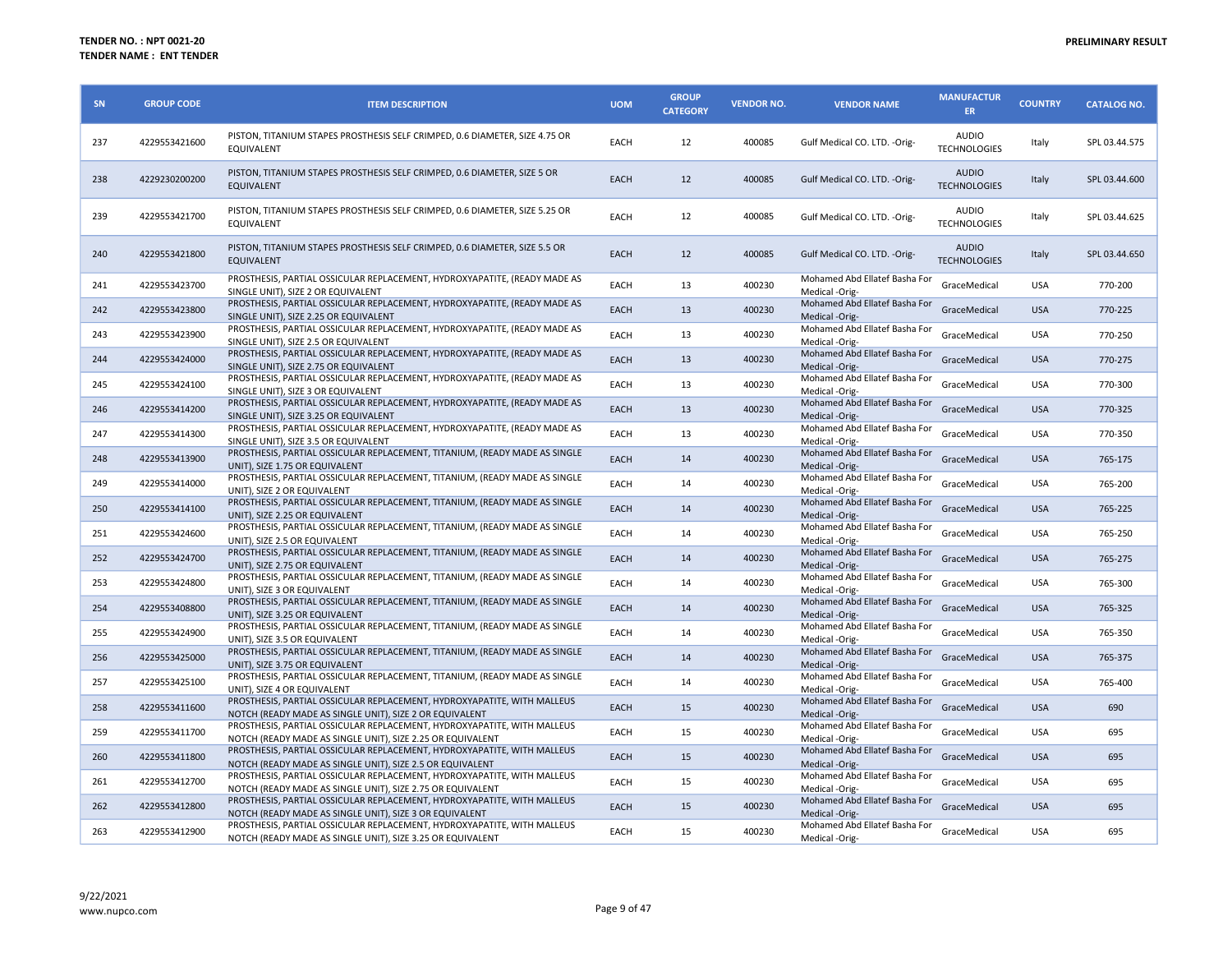| SN  | <b>GROUP CODE</b> | <b>ITEM DESCRIPTION</b>                                                                                                               | <b>UOM</b>  | <b>GROUP</b><br><b>CATEGORY</b> | <b>VENDOR NO.</b> | <b>VENDOR NAME</b>                              | <b>MANUFACTUR</b><br><b>ER</b>      | <b>COUNTRY</b> | <b>CATALOG NO.</b> |
|-----|-------------------|---------------------------------------------------------------------------------------------------------------------------------------|-------------|---------------------------------|-------------------|-------------------------------------------------|-------------------------------------|----------------|--------------------|
| 237 | 4229553421600     | PISTON, TITANIUM STAPES PROSTHESIS SELF CRIMPED, 0.6 DIAMETER, SIZE 4.75 OR<br>EQUIVALENT                                             | EACH        | 12                              | 400085            | Gulf Medical CO. LTD. -Orig-                    | <b>AUDIO</b><br><b>TECHNOLOGIES</b> | Italy          | SPL 03.44.575      |
| 238 | 4229230200200     | PISTON, TITANIUM STAPES PROSTHESIS SELF CRIMPED, 0.6 DIAMETER, SIZE 5 OR<br><b>EQUIVALENT</b>                                         | EACH        | 12                              | 400085            | Gulf Medical CO. LTD. - Orig-                   | <b>AUDIO</b><br><b>TECHNOLOGIES</b> | Italy          | SPL 03.44.600      |
| 239 | 4229553421700     | PISTON, TITANIUM STAPES PROSTHESIS SELF CRIMPED, 0.6 DIAMETER, SIZE 5.25 OR<br><b>EQUIVALENT</b>                                      | EACH        | 12                              | 400085            | Gulf Medical CO. LTD. - Orig-                   | <b>AUDIO</b><br><b>TECHNOLOGIES</b> | Italy          | SPL 03.44.625      |
| 240 | 4229553421800     | PISTON, TITANIUM STAPES PROSTHESIS SELF CRIMPED, 0.6 DIAMETER, SIZE 5.5 OR<br>EQUIVALENT                                              | <b>EACH</b> | 12                              | 400085            | Gulf Medical CO. LTD. - Orig-                   | <b>AUDIO</b><br><b>TECHNOLOGIES</b> | Italy          | SPL 03.44.650      |
| 241 | 4229553423700     | PROSTHESIS, PARTIAL OSSICULAR REPLACEMENT, HYDROXYAPATITE, (READY MADE AS<br>SINGLE UNIT), SIZE 2 OR EQUIVALENT                       | EACH        | 13                              | 400230            | Mohamed Abd Ellatef Basha For<br>Medical -Orig- | GraceMedical                        | <b>USA</b>     | 770-200            |
| 242 | 4229553423800     | PROSTHESIS, PARTIAL OSSICULAR REPLACEMENT, HYDROXYAPATITE, (READY MADE AS<br>SINGLE UNIT), SIZE 2.25 OR EQUIVALENT                    | <b>EACH</b> | 13                              | 400230            | Mohamed Abd Ellatef Basha For<br>Medical -Orig- | GraceMedical                        | <b>USA</b>     | 770-225            |
| 243 | 4229553423900     | PROSTHESIS, PARTIAL OSSICULAR REPLACEMENT, HYDROXYAPATITE, (READY MADE AS<br>SINGLE UNIT), SIZE 2.5 OR EQUIVALENT                     | EACH        | 13                              | 400230            | Mohamed Abd Ellatef Basha For<br>Medical -Orig- | GraceMedical                        | <b>USA</b>     | 770-250            |
| 244 | 4229553424000     | PROSTHESIS, PARTIAL OSSICULAR REPLACEMENT, HYDROXYAPATITE, (READY MADE AS<br>SINGLE UNIT), SIZE 2.75 OR EQUIVALENT                    | <b>EACH</b> | 13                              | 400230            | Mohamed Abd Ellatef Basha For<br>Medical -Orig- | GraceMedical                        | <b>USA</b>     | 770-275            |
| 245 | 4229553424100     | PROSTHESIS, PARTIAL OSSICULAR REPLACEMENT, HYDROXYAPATITE, (READY MADE AS<br>SINGLE UNIT), SIZE 3 OR EQUIVALENT                       | EACH        | 13                              | 400230            | Mohamed Abd Ellatef Basha For<br>Medical -Orig- | GraceMedical                        | <b>USA</b>     | 770-300            |
| 246 | 4229553414200     | PROSTHESIS, PARTIAL OSSICULAR REPLACEMENT, HYDROXYAPATITE, (READY MADE AS<br>SINGLE UNIT), SIZE 3.25 OR EQUIVALENT                    | <b>EACH</b> | 13                              | 400230            | Mohamed Abd Ellatef Basha For<br>Medical -Orig- | GraceMedical                        | <b>USA</b>     | 770-325            |
| 247 | 4229553414300     | PROSTHESIS, PARTIAL OSSICULAR REPLACEMENT, HYDROXYAPATITE, (READY MADE AS<br>SINGLE UNIT), SIZE 3.5 OR EQUIVALENT                     | EACH        | 13                              | 400230            | Mohamed Abd Ellatef Basha For<br>Medical -Orig- | GraceMedical                        | <b>USA</b>     | 770-350            |
| 248 | 4229553413900     | PROSTHESIS, PARTIAL OSSICULAR REPLACEMENT, TITANIUM, (READY MADE AS SINGLE<br>UNIT), SIZE 1.75 OR EQUIVALENT                          | <b>EACH</b> | 14                              | 400230            | Mohamed Abd Ellatef Basha For<br>Medical -Orig- | GraceMedical                        | <b>USA</b>     | 765-175            |
| 249 | 4229553414000     | PROSTHESIS, PARTIAL OSSICULAR REPLACEMENT, TITANIUM, (READY MADE AS SINGLE<br>UNIT), SIZE 2 OR EQUIVALENT                             | EACH        | 14                              | 400230            | Mohamed Abd Ellatef Basha For<br>Medical -Orig- | GraceMedical                        | <b>USA</b>     | 765-200            |
| 250 | 4229553414100     | PROSTHESIS, PARTIAL OSSICULAR REPLACEMENT, TITANIUM, (READY MADE AS SINGLE<br>UNIT), SIZE 2.25 OR EQUIVALENT                          | EACH        | 14                              | 400230            | Mohamed Abd Ellatef Basha For<br>Medical -Orig- | GraceMedical                        | <b>USA</b>     | 765-225            |
| 251 | 4229553424600     | PROSTHESIS, PARTIAL OSSICULAR REPLACEMENT, TITANIUM, (READY MADE AS SINGLE<br>UNIT), SIZE 2.5 OR EQUIVALENT                           | EACH        | 14                              | 400230            | Mohamed Abd Ellatef Basha For                   | GraceMedical                        | <b>USA</b>     | 765-250            |
| 252 | 4229553424700     | PROSTHESIS, PARTIAL OSSICULAR REPLACEMENT, TITANIUM, (READY MADE AS SINGLE                                                            | <b>EACH</b> | 14                              | 400230            | Medical -Orig-<br>Mohamed Abd Ellatef Basha For | GraceMedical                        | <b>USA</b>     | 765-275            |
| 253 | 4229553424800     | UNIT), SIZE 2.75 OR EQUIVALENT<br>PROSTHESIS, PARTIAL OSSICULAR REPLACEMENT, TITANIUM, (READY MADE AS SINGLE                          | EACH        | 14                              | 400230            | Medical -Orig-<br>Mohamed Abd Ellatef Basha For | GraceMedical                        | <b>USA</b>     | 765-300            |
| 254 | 4229553408800     | UNIT), SIZE 3 OR EQUIVALENT<br>PROSTHESIS, PARTIAL OSSICULAR REPLACEMENT, TITANIUM, (READY MADE AS SINGLE                             | <b>EACH</b> | 14                              | 400230            | Medical -Orig-<br>Mohamed Abd Ellatef Basha For | GraceMedical                        | <b>USA</b>     | 765-325            |
| 255 | 4229553424900     | UNIT), SIZE 3.25 OR EQUIVALENT<br>PROSTHESIS, PARTIAL OSSICULAR REPLACEMENT, TITANIUM, (READY MADE AS SINGLE                          | EACH        | 14                              | 400230            | Medical -Orig-<br>Mohamed Abd Ellatef Basha For | GraceMedical                        | <b>USA</b>     | 765-350            |
| 256 | 4229553425000     | UNIT), SIZE 3.5 OR EQUIVALENT<br>PROSTHESIS, PARTIAL OSSICULAR REPLACEMENT, TITANIUM, (READY MADE AS SINGLE                           | <b>EACH</b> | 14                              | 400230            | Medical -Orig-<br>Mohamed Abd Ellatef Basha For | GraceMedical                        | <b>USA</b>     | 765-375            |
| 257 | 4229553425100     | UNIT). SIZE 3.75 OR EQUIVALENT<br>PROSTHESIS, PARTIAL OSSICULAR REPLACEMENT, TITANIUM, (READY MADE AS SINGLE                          | EACH        | 14                              | 400230            | Medical -Orig-<br>Mohamed Abd Ellatef Basha For | GraceMedical                        | <b>USA</b>     | 765-400            |
| 258 | 4229553411600     | UNIT). SIZE 4 OR EQUIVALENT<br>PROSTHESIS, PARTIAL OSSICULAR REPLACEMENT, HYDROXYAPATITE, WITH MALLEUS                                | EACH        | 15                              | 400230            | Medical -Orig-<br>Mohamed Abd Ellatef Basha For | GraceMedical                        | <b>USA</b>     | 690                |
| 259 | 4229553411700     | NOTCH (READY MADE AS SINGLE UNIT), SIZE 2 OR EQUIVALENT<br>PROSTHESIS, PARTIAL OSSICULAR REPLACEMENT, HYDROXYAPATITE, WITH MALLEUS    | EACH        | 15                              | 400230            | Medical -Orig-<br>Mohamed Abd Ellatef Basha For | GraceMedical                        | <b>USA</b>     | 695                |
| 260 | 4229553411800     | NOTCH (READY MADE AS SINGLE UNIT), SIZE 2.25 OR EQUIVALENT<br>PROSTHESIS, PARTIAL OSSICULAR REPLACEMENT, HYDROXYAPATITE, WITH MALLEUS | EACH        | 15                              | 400230            | Medical -Orig-<br>Mohamed Abd Ellatef Basha For | GraceMedical                        | <b>USA</b>     | 695                |
| 261 | 4229553412700     | NOTCH (READY MADE AS SINGLE UNIT), SIZE 2.5 OR EQUIVALENT<br>PROSTHESIS, PARTIAL OSSICULAR REPLACEMENT, HYDROXYAPATITE, WITH MALLEUS  | EACH        | 15                              | 400230            | Medical -Orig-<br>Mohamed Abd Ellatef Basha For | GraceMedical                        | <b>USA</b>     | 695                |
| 262 | 4229553412800     | NOTCH (READY MADE AS SINGLE UNIT), SIZE 2.75 OR EQUIVALENT<br>PROSTHESIS, PARTIAL OSSICULAR REPLACEMENT, HYDROXYAPATITE, WITH MALLEUS | <b>EACH</b> | 15                              | 400230            | Medical -Orig-<br>Mohamed Abd Ellatef Basha For | GraceMedical                        | <b>USA</b>     | 695                |
| 263 | 4229553412900     | NOTCH (READY MADE AS SINGLE UNIT), SIZE 3 OR EQUIVALENT<br>PROSTHESIS, PARTIAL OSSICULAR REPLACEMENT, HYDROXYAPATITE, WITH MALLEUS    | EACH        | 15                              | 400230            | Medical -Orig-<br>Mohamed Abd Ellatef Basha For | GraceMedical                        | <b>USA</b>     | 695                |
|     |                   | NOTCH (READY MADE AS SINGLE UNIT), SIZE 3.25 OR EQUIVALENT                                                                            |             |                                 |                   | Medical -Orig-                                  |                                     |                |                    |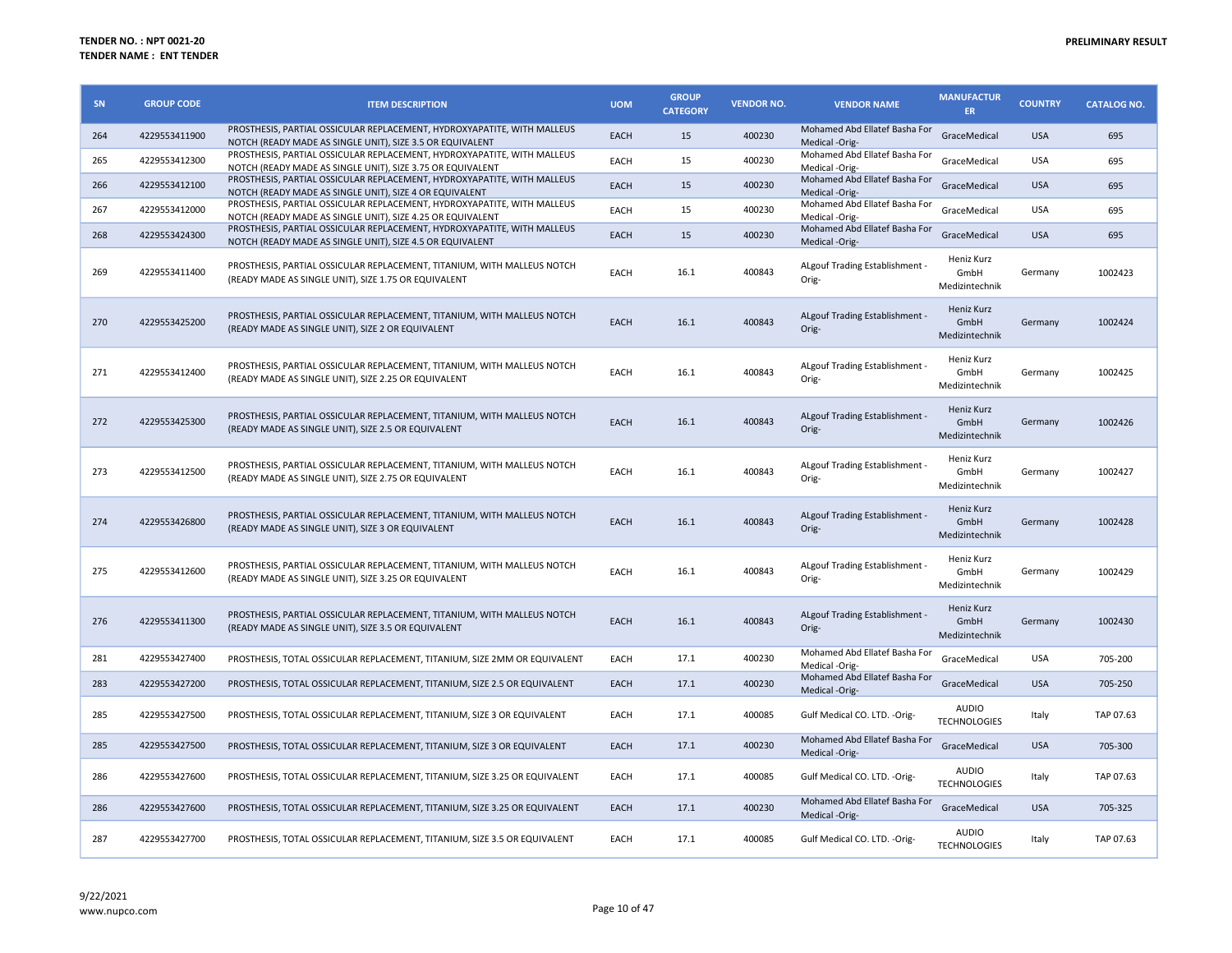| SN  | <b>GROUP CODE</b> | <b>ITEM DESCRIPTION</b>                                                                                                               | <b>UOM</b>  | <b>GROUP</b><br><b>CATEGORY</b> | <b>VENDOR NO.</b> | <b>VENDOR NAME</b>                              | <b>MANUFACTUR</b><br>ER.                    | <b>COUNTRY</b> | <b>CATALOG NO.</b> |
|-----|-------------------|---------------------------------------------------------------------------------------------------------------------------------------|-------------|---------------------------------|-------------------|-------------------------------------------------|---------------------------------------------|----------------|--------------------|
| 264 | 4229553411900     | PROSTHESIS, PARTIAL OSSICULAR REPLACEMENT, HYDROXYAPATITE, WITH MALLEUS<br>NOTCH (READY MADE AS SINGLE UNIT), SIZE 3.5 OR EQUIVALENT  | <b>EACH</b> | 15                              | 400230            | Mohamed Abd Ellatef Basha For<br>Medical -Orig- | GraceMedical                                | <b>USA</b>     | 695                |
| 265 | 4229553412300     | PROSTHESIS, PARTIAL OSSICULAR REPLACEMENT, HYDROXYAPATITE, WITH MALLEUS<br>NOTCH (READY MADE AS SINGLE UNIT), SIZE 3.75 OR EQUIVALENT | EACH        | 15                              | 400230            | Mohamed Abd Ellatef Basha For<br>Medical -Orig- | GraceMedical                                | <b>USA</b>     | 695                |
| 266 | 4229553412100     | PROSTHESIS, PARTIAL OSSICULAR REPLACEMENT, HYDROXYAPATITE, WITH MALLEUS<br>NOTCH (READY MADE AS SINGLE UNIT), SIZE 4 OR EQUIVALENT    | <b>EACH</b> | 15                              | 400230            | Mohamed Abd Ellatef Basha For<br>Medical -Orig- | GraceMedical                                | <b>USA</b>     | 695                |
| 267 | 4229553412000     | PROSTHESIS, PARTIAL OSSICULAR REPLACEMENT, HYDROXYAPATITE, WITH MALLEUS<br>NOTCH (READY MADE AS SINGLE UNIT), SIZE 4.25 OR EQUIVALENT | EACH        | 15                              | 400230            | Mohamed Abd Ellatef Basha For<br>Medical -Orig- | GraceMedical                                | <b>USA</b>     | 695                |
| 268 | 4229553424300     | PROSTHESIS, PARTIAL OSSICULAR REPLACEMENT, HYDROXYAPATITE, WITH MALLEUS<br>NOTCH (READY MADE AS SINGLE UNIT). SIZE 4.5 OR EQUIVALENT  | <b>EACH</b> | 15                              | 400230            | Mohamed Abd Ellatef Basha For<br>Medical -Orig- | GraceMedical                                | <b>USA</b>     | 695                |
| 269 | 4229553411400     | PROSTHESIS, PARTIAL OSSICULAR REPLACEMENT, TITANIUM, WITH MALLEUS NOTCH<br>(READY MADE AS SINGLE UNIT), SIZE 1.75 OR EQUIVALENT       | EACH        | 16.1                            | 400843            | ALgouf Trading Establishment -<br>Orig-         | Heniz Kurz<br>GmbH<br>Medizintechnik        | Germany        | 1002423            |
| 270 | 4229553425200     | PROSTHESIS, PARTIAL OSSICULAR REPLACEMENT, TITANIUM, WITH MALLEUS NOTCH<br>(READY MADE AS SINGLE UNIT), SIZE 2 OR EQUIVALENT          | <b>EACH</b> | 16.1                            | 400843            | ALgouf Trading Establishment -<br>Orig-         | Heniz Kurz<br>GmbH<br>Medizintechnik        | Germany        | 1002424            |
| 271 | 4229553412400     | PROSTHESIS, PARTIAL OSSICULAR REPLACEMENT, TITANIUM, WITH MALLEUS NOTCH<br>(READY MADE AS SINGLE UNIT), SIZE 2.25 OR EQUIVALENT       | EACH        | 16.1                            | 400843            | ALgouf Trading Establishment -<br>Orig-         | <b>Heniz Kurz</b><br>GmbH<br>Medizintechnik | Germany        | 1002425            |
| 272 | 4229553425300     | PROSTHESIS, PARTIAL OSSICULAR REPLACEMENT, TITANIUM, WITH MALLEUS NOTCH<br>(READY MADE AS SINGLE UNIT), SIZE 2.5 OR EQUIVALENT        | EACH        | 16.1                            | 400843            | ALgouf Trading Establishment -<br>Orig-         | Heniz Kurz<br>GmbH<br>Medizintechnik        | Germany        | 1002426            |
| 273 | 4229553412500     | PROSTHESIS, PARTIAL OSSICULAR REPLACEMENT, TITANIUM, WITH MALLEUS NOTCH<br>(READY MADE AS SINGLE UNIT), SIZE 2.75 OR EQUIVALENT       | EACH        | 16.1                            | 400843            | ALgouf Trading Establishment -<br>Orig-         | Heniz Kurz<br>GmbH<br>Medizintechnik        | Germany        | 1002427            |
| 274 | 4229553426800     | PROSTHESIS, PARTIAL OSSICULAR REPLACEMENT, TITANIUM, WITH MALLEUS NOTCH<br>(READY MADE AS SINGLE UNIT), SIZE 3 OR EQUIVALENT          | <b>EACH</b> | 16.1                            | 400843            | ALgouf Trading Establishment -<br>Orig-         | Heniz Kurz<br>GmbH<br>Medizintechnik        | Germany        | 1002428            |
| 275 | 4229553412600     | PROSTHESIS, PARTIAL OSSICULAR REPLACEMENT, TITANIUM, WITH MALLEUS NOTCH<br>(READY MADE AS SINGLE UNIT), SIZE 3.25 OR EQUIVALENT       | EACH        | 16.1                            | 400843            | ALgouf Trading Establishment -<br>Orig-         | Heniz Kurz<br>GmbH<br>Medizintechnik        | Germany        | 1002429            |
| 276 | 4229553411300     | PROSTHESIS, PARTIAL OSSICULAR REPLACEMENT, TITANIUM, WITH MALLEUS NOTCH<br>(READY MADE AS SINGLE UNIT), SIZE 3.5 OR EQUIVALENT        | <b>EACH</b> | 16.1                            | 400843            | ALgouf Trading Establishment -<br>Orig-         | Heniz Kurz<br>GmhH<br>Medizintechnik        | Germany        | 1002430            |
| 281 | 4229553427400     | PROSTHESIS, TOTAL OSSICULAR REPLACEMENT, TITANIUM, SIZE 2MM OR EQUIVALENT                                                             | EACH        | 17.1                            | 400230            | Mohamed Abd Ellatef Basha For<br>Medical -Orig- | GraceMedical                                | <b>USA</b>     | 705-200            |
| 283 | 4229553427200     | PROSTHESIS, TOTAL OSSICULAR REPLACEMENT, TITANIUM, SIZE 2.5 OR EQUIVALENT                                                             | <b>EACH</b> | 17.1                            | 400230            | Mohamed Abd Ellatef Basha For<br>Medical -Orig- | GraceMedical                                | <b>USA</b>     | 705-250            |
| 285 | 4229553427500     | PROSTHESIS, TOTAL OSSICULAR REPLACEMENT, TITANIUM, SIZE 3 OR EQUIVALENT                                                               | EACH        | 17.1                            | 400085            | Gulf Medical CO. LTD. - Orig-                   | <b>AUDIO</b><br><b>TECHNOLOGIES</b>         | Italy          | TAP 07.63          |
| 285 | 4229553427500     | PROSTHESIS, TOTAL OSSICULAR REPLACEMENT, TITANIUM, SIZE 3 OR EQUIVALENT                                                               | <b>EACH</b> | 17.1                            | 400230            | Mohamed Abd Ellatef Basha For<br>Medical -Orig- | GraceMedical                                | <b>USA</b>     | 705-300            |
| 286 | 4229553427600     | PROSTHESIS, TOTAL OSSICULAR REPLACEMENT, TITANIUM, SIZE 3.25 OR EQUIVALENT                                                            | EACH        | 17.1                            | 400085            | Gulf Medical CO. LTD. - Orig-                   | <b>AUDIO</b><br><b>TECHNOLOGIES</b>         | Italy          | TAP 07.63          |
| 286 | 4229553427600     | PROSTHESIS, TOTAL OSSICULAR REPLACEMENT, TITANIUM, SIZE 3.25 OR EQUIVALENT                                                            | <b>EACH</b> | 17.1                            | 400230            | Mohamed Abd Ellatef Basha For<br>Medical -Orig- | GraceMedical                                | <b>USA</b>     | 705-325            |
| 287 | 4229553427700     | PROSTHESIS, TOTAL OSSICULAR REPLACEMENT, TITANIUM, SIZE 3.5 OR EQUIVALENT                                                             | EACH        | 17.1                            | 400085            | Gulf Medical CO. LTD. -Orig-                    | <b>AUDIO</b><br><b>TECHNOLOGIES</b>         | Italy          | TAP 07.63          |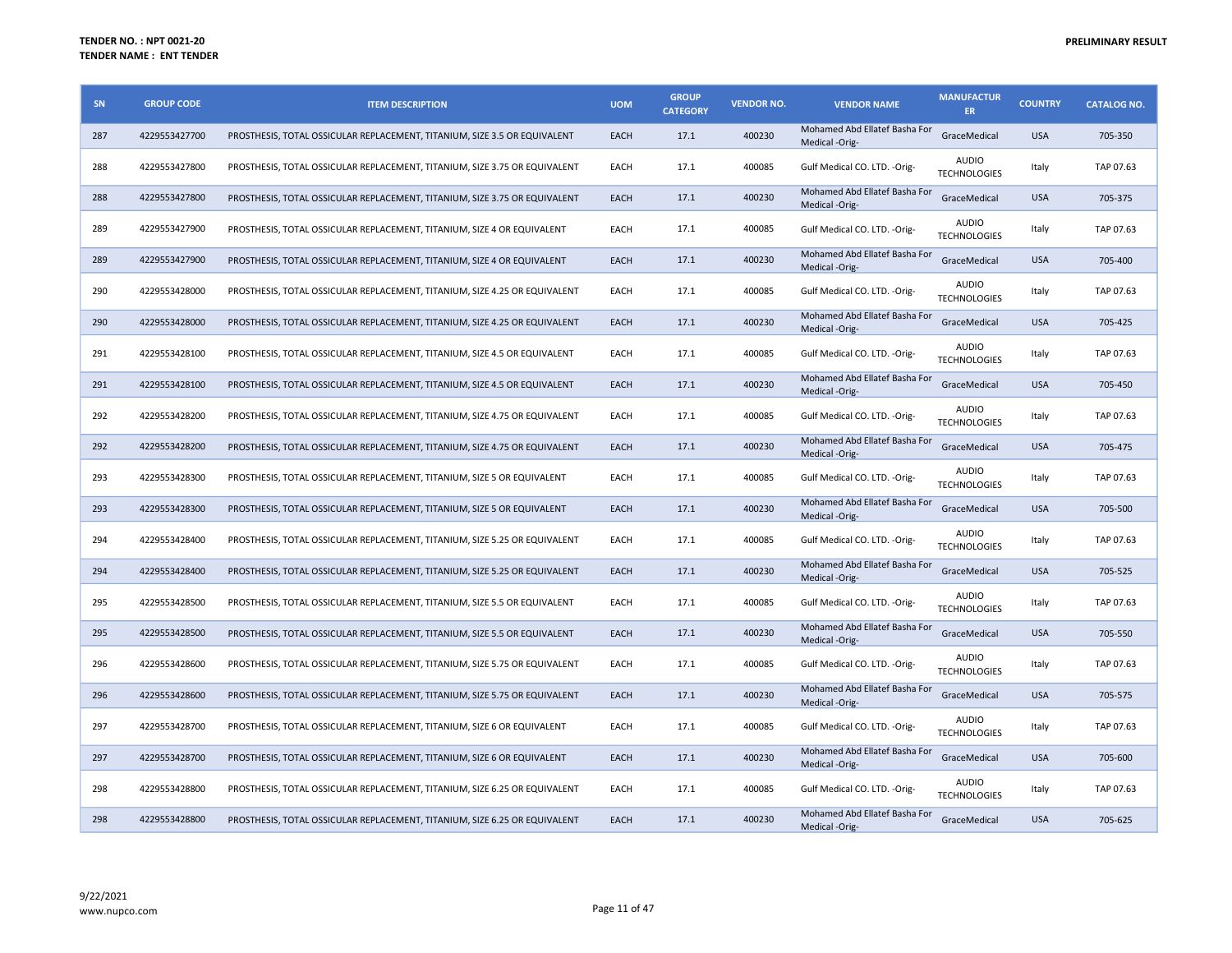| SN  | <b>GROUP CODE</b> | <b>ITEM DESCRIPTION</b>                                                    | <b>UOM</b>  | <b>GROUP</b><br><b>CATEGORY</b> | <b>VENDOR NO.</b> | <b>VENDOR NAME</b>                              | <b>MANUFACTUR</b><br><b>ER</b>      | <b>COUNTRY</b> | <b>CATALOG NO.</b> |
|-----|-------------------|----------------------------------------------------------------------------|-------------|---------------------------------|-------------------|-------------------------------------------------|-------------------------------------|----------------|--------------------|
| 287 | 4229553427700     | PROSTHESIS, TOTAL OSSICULAR REPLACEMENT, TITANIUM, SIZE 3.5 OR EQUIVALENT  | EACH        | 17.1                            | 400230            | Mohamed Abd Ellatef Basha For<br>Medical -Orig- | GraceMedical                        | <b>USA</b>     | 705-350            |
| 288 | 4229553427800     | PROSTHESIS, TOTAL OSSICULAR REPLACEMENT, TITANIUM, SIZE 3.75 OR EQUIVALENT | EACH        | 17.1                            | 400085            | Gulf Medical CO. LTD. - Orig-                   | <b>AUDIO</b><br><b>TECHNOLOGIES</b> | Italy          | TAP 07.63          |
| 288 | 4229553427800     | PROSTHESIS, TOTAL OSSICULAR REPLACEMENT, TITANIUM, SIZE 3.75 OR EQUIVALENT | <b>EACH</b> | 17.1                            | 400230            | Mohamed Abd Ellatef Basha For<br>Medical -Orig- | GraceMedical                        | <b>USA</b>     | 705-375            |
| 289 | 4229553427900     | PROSTHESIS, TOTAL OSSICULAR REPLACEMENT, TITANIUM, SIZE 4 OR EQUIVALENT    | EACH        | 17.1                            | 400085            | Gulf Medical CO. LTD. - Orig-                   | <b>AUDIO</b><br><b>TECHNOLOGIES</b> | Italy          | TAP 07.63          |
| 289 | 4229553427900     | PROSTHESIS, TOTAL OSSICULAR REPLACEMENT, TITANIUM, SIZE 4 OR EQUIVALENT    | <b>EACH</b> | 17.1                            | 400230            | Mohamed Abd Ellatef Basha For<br>Medical -Orig- | GraceMedical                        | <b>USA</b>     | 705-400            |
| 290 | 4229553428000     | PROSTHESIS, TOTAL OSSICULAR REPLACEMENT, TITANIUM, SIZE 4.25 OR EQUIVALENT | EACH        | 17.1                            | 400085            | Gulf Medical CO. LTD. - Orig-                   | <b>AUDIO</b><br><b>TECHNOLOGIES</b> | Italy          | TAP 07.63          |
| 290 | 4229553428000     | PROSTHESIS, TOTAL OSSICULAR REPLACEMENT, TITANIUM, SIZE 4.25 OR EQUIVALENT | <b>EACH</b> | 17.1                            | 400230            | Mohamed Abd Ellatef Basha For<br>Medical -Orig- | GraceMedical                        | <b>USA</b>     | 705-425            |
| 291 | 4229553428100     | PROSTHESIS, TOTAL OSSICULAR REPLACEMENT, TITANIUM, SIZE 4.5 OR EQUIVALENT  | EACH        | 17.1                            | 400085            | Gulf Medical CO. LTD. - Orig-                   | <b>AUDIO</b><br><b>TECHNOLOGIES</b> | Italy          | TAP 07.63          |
| 291 | 4229553428100     | PROSTHESIS, TOTAL OSSICULAR REPLACEMENT, TITANIUM, SIZE 4.5 OR EQUIVALENT  | <b>EACH</b> | 17.1                            | 400230            | Mohamed Abd Ellatef Basha For<br>Medical -Orig- | GraceMedical                        | <b>USA</b>     | 705-450            |
| 292 | 4229553428200     | PROSTHESIS, TOTAL OSSICULAR REPLACEMENT, TITANIUM, SIZE 4.75 OR EQUIVALENT | EACH        | 17.1                            | 400085            | Gulf Medical CO. LTD. - Orig-                   | AUDIO<br><b>TECHNOLOGIES</b>        | Italy          | TAP 07.63          |
| 292 | 4229553428200     | PROSTHESIS, TOTAL OSSICULAR REPLACEMENT, TITANIUM, SIZE 4.75 OR EQUIVALENT | <b>EACH</b> | 17.1                            | 400230            | Mohamed Abd Ellatef Basha For<br>Medical -Orig- | GraceMedical                        | <b>USA</b>     | 705-475            |
| 293 | 4229553428300     | PROSTHESIS, TOTAL OSSICULAR REPLACEMENT, TITANIUM, SIZE 5 OR EQUIVALENT    | EACH        | 17.1                            | 400085            | Gulf Medical CO. LTD. - Orig-                   | AUDIO<br><b>TECHNOLOGIES</b>        | Italy          | TAP 07.63          |
| 293 | 4229553428300     | PROSTHESIS, TOTAL OSSICULAR REPLACEMENT, TITANIUM, SIZE 5 OR EQUIVALENT    | EACH        | 17.1                            | 400230            | Mohamed Abd Ellatef Basha For<br>Medical -Orig- | GraceMedical                        | <b>USA</b>     | 705-500            |
| 294 | 4229553428400     | PROSTHESIS, TOTAL OSSICULAR REPLACEMENT, TITANIUM, SIZE 5.25 OR EQUIVALENT | EACH        | 17.1                            | 400085            | Gulf Medical CO. LTD. - Orig-                   | <b>AUDIO</b><br><b>TECHNOLOGIES</b> | Italy          | TAP 07.63          |
| 294 | 4229553428400     | PROSTHESIS, TOTAL OSSICULAR REPLACEMENT, TITANIUM, SIZE 5.25 OR EQUIVALENT | <b>EACH</b> | 17.1                            | 400230            | Mohamed Abd Ellatef Basha For<br>Medical -Orig- | GraceMedical                        | <b>USA</b>     | 705-525            |
| 295 | 4229553428500     | PROSTHESIS, TOTAL OSSICULAR REPLACEMENT, TITANIUM, SIZE 5.5 OR EQUIVALENT  | EACH        | 17.1                            | 400085            | Gulf Medical CO. LTD. - Orig-                   | <b>AUDIO</b><br><b>TECHNOLOGIES</b> | Italy          | TAP 07.63          |
| 295 | 4229553428500     | PROSTHESIS, TOTAL OSSICULAR REPLACEMENT, TITANIUM, SIZE 5.5 OR EQUIVALENT  | <b>EACH</b> | 17.1                            | 400230            | Mohamed Abd Ellatef Basha For<br>Medical -Orig- | GraceMedical                        | <b>USA</b>     | 705-550            |
| 296 | 4229553428600     | PROSTHESIS, TOTAL OSSICULAR REPLACEMENT, TITANIUM, SIZE 5.75 OR EQUIVALENT | EACH        | 17.1                            | 400085            | Gulf Medical CO. LTD. - Orig-                   | <b>AUDIO</b><br><b>TECHNOLOGIES</b> | Italy          | TAP 07.63          |
| 296 | 4229553428600     | PROSTHESIS, TOTAL OSSICULAR REPLACEMENT, TITANIUM, SIZE 5.75 OR EQUIVALENT | <b>EACH</b> | 17.1                            | 400230            | Mohamed Abd Ellatef Basha For<br>Medical -Orig- | GraceMedical                        | <b>USA</b>     | 705-575            |
| 297 | 4229553428700     | PROSTHESIS, TOTAL OSSICULAR REPLACEMENT, TITANIUM, SIZE 6 OR EQUIVALENT    | EACH        | 17.1                            | 400085            | Gulf Medical CO. LTD. - Orig-                   | <b>AUDIO</b><br><b>TECHNOLOGIES</b> | Italy          | TAP 07.63          |
| 297 | 4229553428700     | PROSTHESIS, TOTAL OSSICULAR REPLACEMENT, TITANIUM, SIZE 6 OR EQUIVALENT    | <b>EACH</b> | 17.1                            | 400230            | Mohamed Abd Ellatef Basha For<br>Medical -Orig- | GraceMedical                        | <b>USA</b>     | 705-600            |
| 298 | 4229553428800     | PROSTHESIS, TOTAL OSSICULAR REPLACEMENT, TITANIUM, SIZE 6.25 OR EQUIVALENT | EACH        | 17.1                            | 400085            | Gulf Medical CO. LTD. - Orig-                   | <b>AUDIO</b><br><b>TECHNOLOGIES</b> | Italy          | TAP 07.63          |
| 298 | 4229553428800     | PROSTHESIS, TOTAL OSSICULAR REPLACEMENT, TITANIUM, SIZE 6.25 OR EQUIVALENT | <b>EACH</b> | 17.1                            | 400230            | Mohamed Abd Ellatef Basha For<br>Medical -Orig- | GraceMedical                        | <b>USA</b>     | 705-625            |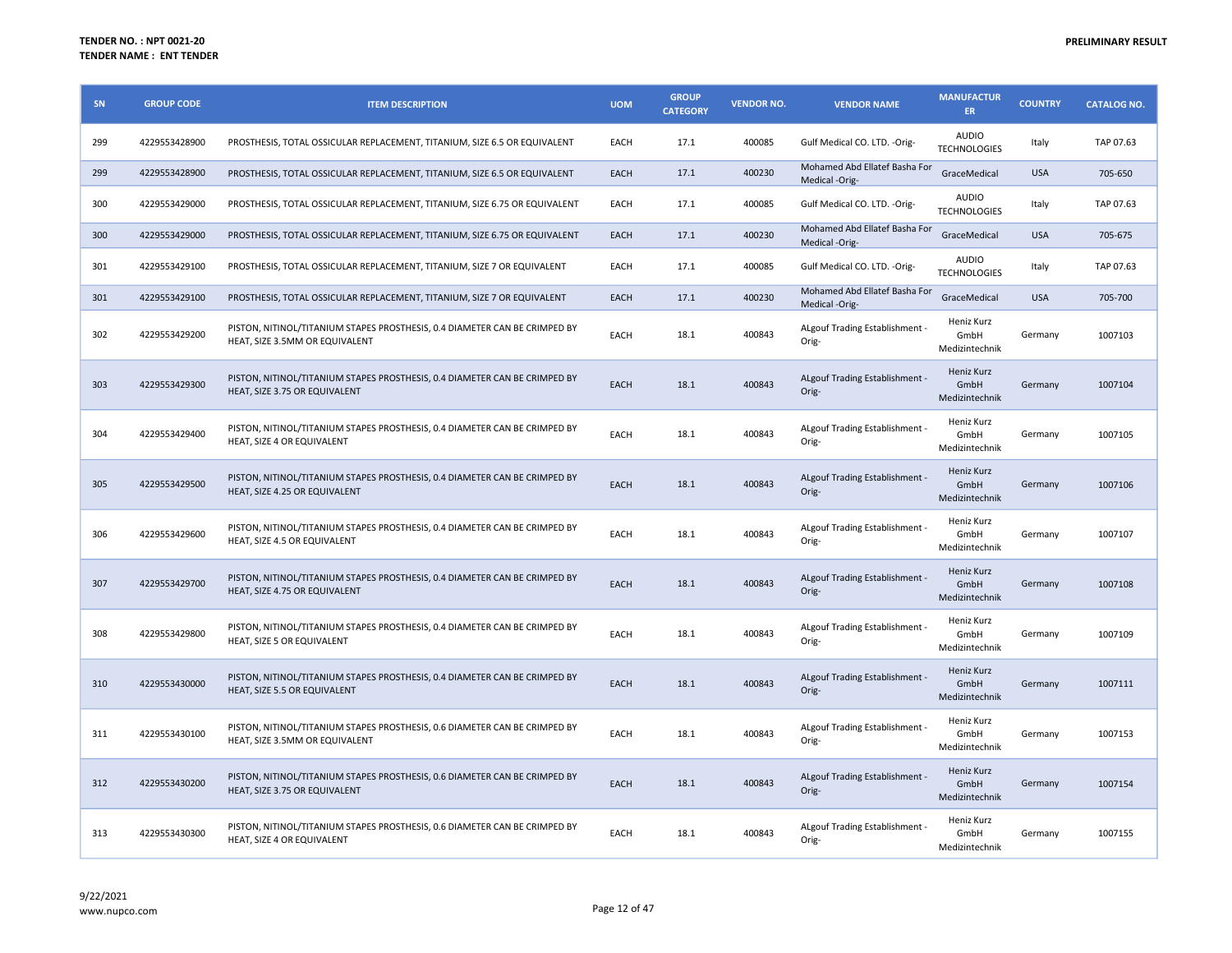| SN  | <b>GROUP CODE</b> | <b>ITEM DESCRIPTION</b>                                                                                      | <b>UOM</b>  | <b>GROUP</b><br><b>CATEGORY</b> | <b>VENDOR NO.</b> | <b>VENDOR NAME</b>                              | <b>MANUFACTUR</b><br><b>ER</b>       | <b>COUNTRY</b> | <b>CATALOG NO.</b> |
|-----|-------------------|--------------------------------------------------------------------------------------------------------------|-------------|---------------------------------|-------------------|-------------------------------------------------|--------------------------------------|----------------|--------------------|
| 299 | 4229553428900     | PROSTHESIS, TOTAL OSSICULAR REPLACEMENT, TITANIUM, SIZE 6.5 OR EQUIVALENT                                    | EACH        | 17.1                            | 400085            | Gulf Medical CO. LTD. - Orig-                   | <b>AUDIO</b><br><b>TECHNOLOGIES</b>  | Italy          | TAP 07.63          |
| 299 | 4229553428900     | PROSTHESIS, TOTAL OSSICULAR REPLACEMENT, TITANIUM, SIZE 6.5 OR EQUIVALENT                                    | EACH        | 17.1                            | 400230            | Mohamed Abd Ellatef Basha For<br>Medical -Orig- | GraceMedical                         | <b>USA</b>     | 705-650            |
| 300 | 4229553429000     | PROSTHESIS, TOTAL OSSICULAR REPLACEMENT, TITANIUM, SIZE 6.75 OR EQUIVALENT                                   | EACH        | 17.1                            | 400085            | Gulf Medical CO. LTD. - Orig-                   | <b>AUDIO</b><br><b>TECHNOLOGIES</b>  | Italy          | TAP 07.63          |
| 300 | 4229553429000     | PROSTHESIS, TOTAL OSSICULAR REPLACEMENT, TITANIUM, SIZE 6.75 OR EQUIVALENT                                   | <b>EACH</b> | 17.1                            | 400230            | Mohamed Abd Ellatef Basha For<br>Medical -Orig- | GraceMedical                         | <b>USA</b>     | 705-675            |
| 301 | 4229553429100     | PROSTHESIS, TOTAL OSSICULAR REPLACEMENT, TITANIUM, SIZE 7 OR EQUIVALENT                                      | EACH        | 17.1                            | 400085            | Gulf Medical CO. LTD. - Orig-                   | <b>AUDIO</b><br><b>TECHNOLOGIES</b>  | Italy          | TAP 07.63          |
| 301 | 4229553429100     | PROSTHESIS, TOTAL OSSICULAR REPLACEMENT, TITANIUM, SIZE 7 OR EQUIVALENT                                      | <b>EACH</b> | 17.1                            | 400230            | Mohamed Abd Ellatef Basha For<br>Medical -Orig- | GraceMedical                         | <b>USA</b>     | 705-700            |
| 302 | 4229553429200     | PISTON, NITINOL/TITANIUM STAPES PROSTHESIS, 0.4 DIAMETER CAN BE CRIMPED BY<br>HEAT, SIZE 3.5MM OR EQUIVALENT | EACH        | 18.1                            | 400843            | ALgouf Trading Establishment -<br>Orig-         | Heniz Kurz<br>GmbH<br>Medizintechnik | Germany        | 1007103            |
| 303 | 4229553429300     | PISTON, NITINOL/TITANIUM STAPES PROSTHESIS, 0.4 DIAMETER CAN BE CRIMPED BY<br>HEAT, SIZE 3.75 OR EQUIVALENT  | EACH        | 18.1                            | 400843            | ALgouf Trading Establishment -<br>Orig-         | Heniz Kurz<br>GmbH<br>Medizintechnik | Germany        | 1007104            |
| 304 | 4229553429400     | PISTON, NITINOL/TITANIUM STAPES PROSTHESIS, 0.4 DIAMETER CAN BE CRIMPED BY<br>HEAT, SIZE 4 OR EQUIVALENT     | EACH        | 18.1                            | 400843            | ALgouf Trading Establishment -<br>Orig-         | Heniz Kurz<br>GmbH<br>Medizintechnik | Germany        | 1007105            |
| 305 | 4229553429500     | PISTON, NITINOL/TITANIUM STAPES PROSTHESIS, 0.4 DIAMETER CAN BE CRIMPED BY<br>HEAT, SIZE 4.25 OR EQUIVALENT  | EACH        | 18.1                            | 400843            | ALgouf Trading Establishment -<br>Orig-         | Heniz Kurz<br>GmbH<br>Medizintechnik | Germany        | 1007106            |
| 306 | 4229553429600     | PISTON, NITINOL/TITANIUM STAPES PROSTHESIS, 0.4 DIAMETER CAN BE CRIMPED BY<br>HEAT, SIZE 4.5 OR EQUIVALENT   | EACH        | 18.1                            | 400843            | ALgouf Trading Establishment -<br>Orig-         | Heniz Kurz<br>GmbH<br>Medizintechnik | Germany        | 1007107            |
| 307 | 4229553429700     | PISTON, NITINOL/TITANIUM STAPES PROSTHESIS, 0.4 DIAMETER CAN BE CRIMPED BY<br>HEAT, SIZE 4.75 OR EQUIVALENT  | EACH        | 18.1                            | 400843            | ALgouf Trading Establishment -<br>Orig-         | Heniz Kurz<br>GmbH<br>Medizintechnik | Germany        | 1007108            |
| 308 | 4229553429800     | PISTON, NITINOL/TITANIUM STAPES PROSTHESIS, 0.4 DIAMETER CAN BE CRIMPED BY<br>HEAT, SIZE 5 OR EQUIVALENT     | EACH        | 18.1                            | 400843            | ALgouf Trading Establishment -<br>Orig-         | Heniz Kurz<br>GmbH<br>Medizintechnik | Germany        | 1007109            |
| 310 | 4229553430000     | PISTON, NITINOL/TITANIUM STAPES PROSTHESIS, 0.4 DIAMETER CAN BE CRIMPED BY<br>HEAT, SIZE 5.5 OR EQUIVALENT   | <b>EACH</b> | 18.1                            | 400843            | ALgouf Trading Establishment -<br>Orig-         | Heniz Kurz<br>GmbH<br>Medizintechnik | Germany        | 1007111            |
| 311 | 4229553430100     | PISTON, NITINOL/TITANIUM STAPES PROSTHESIS, 0.6 DIAMETER CAN BE CRIMPED BY<br>HEAT, SIZE 3.5MM OR EQUIVALENT | EACH        | 18.1                            | 400843            | ALgouf Trading Establishment -<br>Orig-         | Heniz Kurz<br>GmbH<br>Medizintechnik | Germany        | 1007153            |
| 312 | 4229553430200     | PISTON, NITINOL/TITANIUM STAPES PROSTHESIS, 0.6 DIAMETER CAN BE CRIMPED BY<br>HEAT, SIZE 3.75 OR EQUIVALENT  | EACH        | 18.1                            | 400843            | ALgouf Trading Establishment -<br>Orig-         | Heniz Kurz<br>GmbH<br>Medizintechnik | Germany        | 1007154            |
| 313 | 4229553430300     | PISTON, NITINOL/TITANIUM STAPES PROSTHESIS, 0.6 DIAMETER CAN BE CRIMPED BY<br>HEAT, SIZE 4 OR EQUIVALENT     | EACH        | 18.1                            | 400843            | ALgouf Trading Establishment -<br>Orig-         | Heniz Kurz<br>GmbH<br>Medizintechnik | Germany        | 1007155            |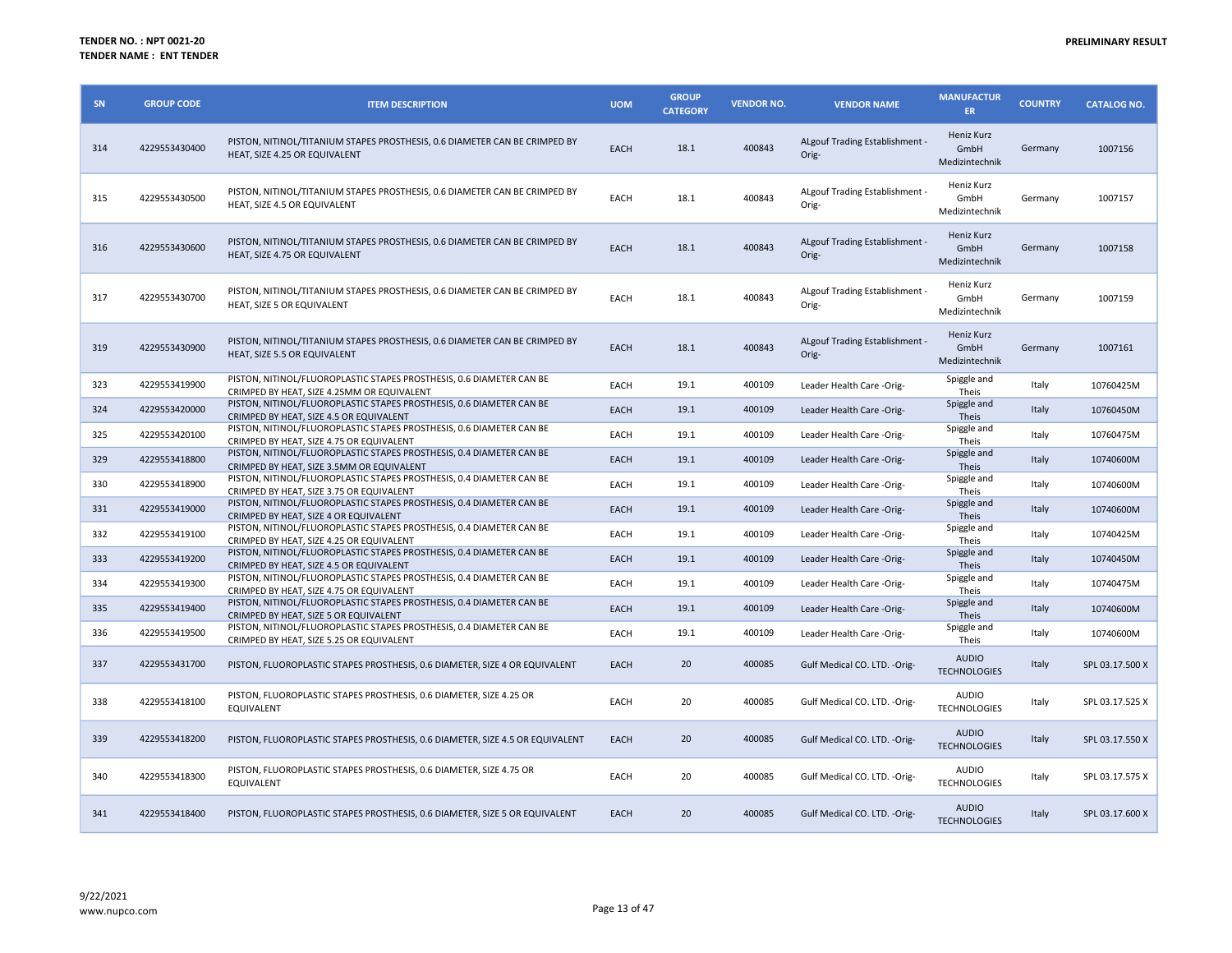| SN  | <b>GROUP CODE</b> | <b>ITEM DESCRIPTION</b>                                                                                            | <b>UOM</b> | <b>GROUP</b><br><b>CATEGORY</b> | <b>VENDOR NO.</b> | <b>VENDOR NAME</b>                      | <b>MANUFACTUR</b><br>ER.             | <b>COUNTRY</b> | <b>CATALOG NO.</b> |
|-----|-------------------|--------------------------------------------------------------------------------------------------------------------|------------|---------------------------------|-------------------|-----------------------------------------|--------------------------------------|----------------|--------------------|
| 314 | 4229553430400     | PISTON, NITINOL/TITANIUM STAPES PROSTHESIS, 0.6 DIAMETER CAN BE CRIMPED BY<br>HEAT, SIZE 4.25 OR EQUIVALENT        | EACH       | 18.1                            | 400843            | ALgouf Trading Establishment -<br>Orig- | Heniz Kurz<br>GmbH<br>Medizintechnik | Germany        | 1007156            |
| 315 | 4229553430500     | PISTON, NITINOL/TITANIUM STAPES PROSTHESIS, 0.6 DIAMETER CAN BE CRIMPED BY<br>HEAT, SIZE 4.5 OR EQUIVALENT         | EACH       | 18.1                            | 400843            | ALgouf Trading Establishment -<br>Orig- | Heniz Kurz<br>GmbH<br>Medizintechnik | Germany        | 1007157            |
| 316 | 4229553430600     | PISTON, NITINOL/TITANIUM STAPES PROSTHESIS, 0.6 DIAMETER CAN BE CRIMPED BY<br>HEAT, SIZE 4.75 OR EQUIVALENT        | EACH       | 18.1                            | 400843            | ALgouf Trading Establishment -<br>Orig- | Heniz Kurz<br>GmbH<br>Medizintechnik | Germany        | 1007158            |
| 317 | 4229553430700     | PISTON, NITINOL/TITANIUM STAPES PROSTHESIS, 0.6 DIAMETER CAN BE CRIMPED BY<br>HEAT, SIZE 5 OR EQUIVALENT           | EACH       | 18.1                            | 400843            | ALgouf Trading Establishment -<br>Orig- | Heniz Kurz<br>GmbH<br>Medizintechnik | Germany        | 1007159            |
| 319 | 4229553430900     | PISTON, NITINOL/TITANIUM STAPES PROSTHESIS, 0.6 DIAMETER CAN BE CRIMPED BY<br>HEAT, SIZE 5.5 OR EQUIVALENT         | EACH       | 18.1                            | 400843            | ALgouf Trading Establishment -<br>Orig- | Heniz Kurz<br>GmbH<br>Medizintechnik | Germany        | 1007161            |
| 323 | 4229553419900     | PISTON, NITINOL/FLUOROPLASTIC STAPES PROSTHESIS, 0.6 DIAMETER CAN BE<br>CRIMPED BY HEAT, SIZE 4.25MM OR EQUIVALENT | EACH       | 19.1                            | 400109            | Leader Health Care -Orig-               | Spiggle and<br>Theis                 | Italy          | 10760425M          |
| 324 | 4229553420000     | PISTON, NITINOL/FLUOROPLASTIC STAPES PROSTHESIS, 0.6 DIAMETER CAN BE<br>CRIMPED BY HEAT, SIZE 4.5 OR EQUIVALENT    | EACH       | 19.1                            | 400109            | Leader Health Care -Orig-               | Spiggle and<br>Theis                 | Italy          | 10760450M          |
| 325 | 4229553420100     | PISTON, NITINOL/FLUOROPLASTIC STAPES PROSTHESIS, 0.6 DIAMETER CAN BE<br>CRIMPED BY HEAT, SIZE 4.75 OR EQUIVALENT   | EACH       | 19.1                            | 400109            | Leader Health Care -Orig-               | Spiggle and<br>Theis                 | Italy          | 10760475M          |
| 329 | 4229553418800     | PISTON, NITINOL/FLUOROPLASTIC STAPES PROSTHESIS, 0.4 DIAMETER CAN BE<br>CRIMPED BY HEAT, SIZE 3.5MM OR EQUIVALENT  | EACH       | 19.1                            | 400109            | Leader Health Care -Orig-               | Spiggle and<br>Theis                 | Italy          | 10740600M          |
| 330 | 4229553418900     | PISTON, NITINOL/FLUOROPLASTIC STAPES PROSTHESIS, 0.4 DIAMETER CAN BE<br>CRIMPED BY HEAT, SIZE 3.75 OR EQUIVALENT   | EACH       | 19.1                            | 400109            | Leader Health Care -Orig-               | Spiggle and<br>Theis                 | Italy          | 10740600M          |
| 331 | 4229553419000     | PISTON, NITINOL/FLUOROPLASTIC STAPES PROSTHESIS, 0.4 DIAMETER CAN BE<br>CRIMPED BY HEAT. SIZE 4 OR EQUIVALENT      | EACH       | 19.1                            | 400109            | Leader Health Care -Orig-               | Spiggle and<br>Theis                 | Italy          | 10740600M          |
| 332 | 4229553419100     | PISTON, NITINOL/FLUOROPLASTIC STAPES PROSTHESIS, 0.4 DIAMETER CAN BE<br>CRIMPED BY HEAT, SIZE 4.25 OR EQUIVALENT   | EACH       | 19.1                            | 400109            | Leader Health Care -Orig-               | Spiggle and<br>Theis                 | Italy          | 10740425M          |
| 333 | 4229553419200     | PISTON, NITINOL/FLUOROPLASTIC STAPES PROSTHESIS, 0.4 DIAMETER CAN BE<br>CRIMPED BY HEAT, SIZE 4.5 OR EQUIVALENT    | EACH       | 19.1                            | 400109            | Leader Health Care -Orig-               | Spiggle and<br><b>Theis</b>          | Italy          | 10740450M          |
| 334 | 4229553419300     | PISTON, NITINOL/FLUOROPLASTIC STAPES PROSTHESIS, 0.4 DIAMETER CAN BE<br>CRIMPED BY HEAT, SIZE 4.75 OR EQUIVALENT   | EACH       | 19.1                            | 400109            | Leader Health Care -Orig-               | Spiggle and<br>Theis                 | Italy          | 10740475M          |
| 335 | 4229553419400     | PISTON, NITINOL/FLUOROPLASTIC STAPES PROSTHESIS, 0.4 DIAMETER CAN BE<br>CRIMPED BY HEAT, SIZE 5 OR EQUIVALENT      | EACH       | 19.1                            | 400109            | Leader Health Care -Orig-               | Spiggle and<br>Theis                 | Italy          | 10740600M          |
| 336 | 4229553419500     | PISTON, NITINOL/FLUOROPLASTIC STAPES PROSTHESIS, 0.4 DIAMETER CAN BE<br>CRIMPED BY HEAT, SIZE 5.25 OR EQUIVALENT   | EACH       | 19.1                            | 400109            | Leader Health Care -Orig-               | Spiggle and<br>Theis                 | Italy          | 10740600M          |
| 337 | 4229553431700     | PISTON, FLUOROPLASTIC STAPES PROSTHESIS, 0.6 DIAMETER, SIZE 4 OR EQUIVALENT                                        | EACH       | 20                              | 400085            | Gulf Medical CO. LTD. - Orig-           | <b>AUDIO</b><br><b>TECHNOLOGIES</b>  | Italy          | SPL 03.17.500 X    |
| 338 | 4229553418100     | PISTON, FLUOROPLASTIC STAPES PROSTHESIS, 0.6 DIAMETER, SIZE 4.25 OR<br>EQUIVALENT                                  | EACH       | 20                              | 400085            | Gulf Medical CO. LTD. - Orig-           | <b>AUDIO</b><br><b>TECHNOLOGIES</b>  | Italy          | SPL 03.17.525 X    |
| 339 | 4229553418200     | PISTON, FLUOROPLASTIC STAPES PROSTHESIS, 0.6 DIAMETER, SIZE 4.5 OR EQUIVALENT                                      | EACH       | 20                              | 400085            | Gulf Medical CO. LTD. - Orig-           | <b>AUDIO</b><br><b>TECHNOLOGIES</b>  | Italy          | SPL 03.17.550 X    |
| 340 | 4229553418300     | PISTON, FLUOROPLASTIC STAPES PROSTHESIS, 0.6 DIAMETER, SIZE 4.75 OR<br>EQUIVALENT                                  | EACH       | 20                              | 400085            | Gulf Medical CO. LTD. - Orig-           | <b>AUDIO</b><br><b>TECHNOLOGIES</b>  | Italy          | SPL 03.17.575 X    |
| 341 | 4229553418400     | PISTON, FLUOROPLASTIC STAPES PROSTHESIS, 0.6 DIAMETER, SIZE 5 OR EQUIVALENT                                        | EACH       | 20                              | 400085            | Gulf Medical CO. LTD. - Orig-           | <b>AUDIO</b><br><b>TECHNOLOGIES</b>  | Italy          | SPL 03.17.600 X    |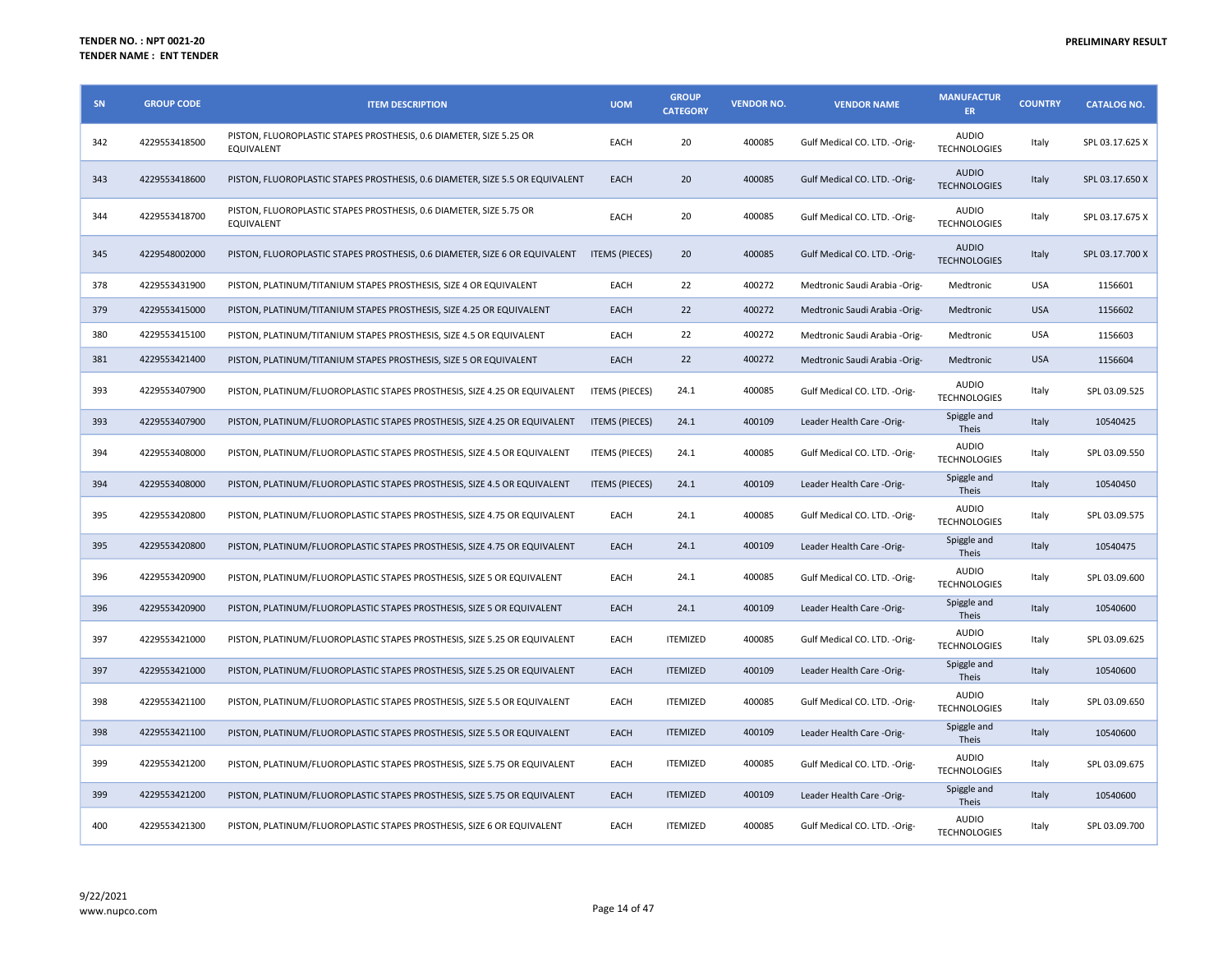## PRELIMINARY RESULT

| SN  | <b>GROUP CODE</b> | <b>ITEM DESCRIPTION</b>                                                                  | <b>UOM</b>            | <b>GROUP</b><br><b>CATEGORY</b> | <b>VENDOR NO.</b> | <b>VENDOR NAME</b>            | <b>MANUFACTUR</b><br><b>ER</b>      | <b>COUNTRY</b> | <b>CATALOG NO.</b> |
|-----|-------------------|------------------------------------------------------------------------------------------|-----------------------|---------------------------------|-------------------|-------------------------------|-------------------------------------|----------------|--------------------|
| 342 | 4229553418500     | PISTON, FLUOROPLASTIC STAPES PROSTHESIS, 0.6 DIAMETER, SIZE 5.25 OR<br><b>EQUIVALENT</b> | EACH                  | 20                              | 400085            | Gulf Medical CO. LTD. - Orig- | <b>AUDIO</b><br><b>TECHNOLOGIES</b> | Italy          | SPL 03.17.625 X    |
| 343 | 4229553418600     | PISTON, FLUOROPLASTIC STAPES PROSTHESIS, 0.6 DIAMETER, SIZE 5.5 OR EQUIVALENT            | EACH                  | 20                              | 400085            | Gulf Medical CO. LTD. - Orig- | <b>AUDIO</b><br><b>TECHNOLOGIES</b> | Italy          | SPL 03.17.650 X    |
| 344 | 4229553418700     | PISTON, FLUOROPLASTIC STAPES PROSTHESIS, 0.6 DIAMETER, SIZE 5.75 OR<br>EQUIVALENT        | EACH                  | 20                              | 400085            | Gulf Medical CO. LTD. - Orig- | <b>AUDIO</b><br><b>TECHNOLOGIES</b> | Italy          | SPL 03.17.675 X    |
| 345 | 4229548002000     | PISTON, FLUOROPLASTIC STAPES PROSTHESIS, 0.6 DIAMETER, SIZE 6 OR EQUIVALENT              | <b>ITEMS (PIECES)</b> | 20                              | 400085            | Gulf Medical CO. LTD. - Orig- | <b>AUDIO</b><br><b>TECHNOLOGIES</b> | Italy          | SPL 03.17.700 X    |
| 378 | 4229553431900     | PISTON, PLATINUM/TITANIUM STAPES PROSTHESIS, SIZE 4 OR EQUIVALENT                        | EACH                  | 22                              | 400272            | Medtronic Saudi Arabia -Orig- | Medtronic                           | <b>USA</b>     | 1156601            |
| 379 | 4229553415000     | PISTON, PLATINUM/TITANIUM STAPES PROSTHESIS, SIZE 4.25 OR EQUIVALENT                     | EACH                  | 22                              | 400272            | Medtronic Saudi Arabia -Orig- | Medtronic                           | <b>USA</b>     | 1156602            |
| 380 | 4229553415100     | PISTON, PLATINUM/TITANIUM STAPES PROSTHESIS, SIZE 4.5 OR EQUIVALENT                      | EACH                  | 22                              | 400272            | Medtronic Saudi Arabia -Orig- | Medtronic                           | <b>USA</b>     | 1156603            |
| 381 | 4229553421400     | PISTON, PLATINUM/TITANIUM STAPES PROSTHESIS, SIZE 5 OR EQUIVALENT                        | EACH                  | 22                              | 400272            | Medtronic Saudi Arabia -Orig- | Medtronic                           | <b>USA</b>     | 1156604            |
| 393 | 4229553407900     | PISTON, PLATINUM/FLUOROPLASTIC STAPES PROSTHESIS, SIZE 4.25 OR EQUIVALENT                | <b>ITEMS (PIECES)</b> | 24.1                            | 400085            | Gulf Medical CO. LTD. - Orig- | <b>AUDIO</b><br><b>TECHNOLOGIES</b> | Italy          | SPL 03.09.525      |
| 393 | 4229553407900     | PISTON, PLATINUM/FLUOROPLASTIC STAPES PROSTHESIS, SIZE 4.25 OR EQUIVALENT                | <b>ITEMS (PIECES)</b> | 24.1                            | 400109            | Leader Health Care -Orig-     | Spiggle and<br><b>Theis</b>         | Italy          | 10540425           |
| 394 | 4229553408000     | PISTON, PLATINUM/FLUOROPLASTIC STAPES PROSTHESIS, SIZE 4.5 OR EQUIVALENT                 | <b>ITEMS (PIECES)</b> | 24.1                            | 400085            | Gulf Medical CO. LTD. - Orig- | <b>AUDIO</b><br><b>TECHNOLOGIES</b> | Italy          | SPL 03.09.550      |
| 394 | 4229553408000     | PISTON, PLATINUM/FLUOROPLASTIC STAPES PROSTHESIS, SIZE 4.5 OR EQUIVALENT                 | <b>ITEMS (PIECES)</b> | 24.1                            | 400109            | Leader Health Care -Orig-     | Spiggle and<br>Theis                | Italy          | 10540450           |
| 395 | 4229553420800     | PISTON, PLATINUM/FLUOROPLASTIC STAPES PROSTHESIS, SIZE 4.75 OR EQUIVALENT                | EACH                  | 24.1                            | 400085            | Gulf Medical CO. LTD. - Orig- | <b>AUDIO</b><br><b>TECHNOLOGIES</b> | Italy          | SPL 03.09.575      |
| 395 | 4229553420800     | PISTON, PLATINUM/FLUOROPLASTIC STAPES PROSTHESIS, SIZE 4.75 OR EQUIVALENT                | EACH                  | 24.1                            | 400109            | Leader Health Care -Orig-     | Spiggle and<br><b>Theis</b>         | Italy          | 10540475           |
| 396 | 4229553420900     | PISTON, PLATINUM/FLUOROPLASTIC STAPES PROSTHESIS, SIZE 5 OR EQUIVALENT                   | EACH                  | 24.1                            | 400085            | Gulf Medical CO. LTD. - Orig- | <b>AUDIO</b><br><b>TECHNOLOGIES</b> | Italy          | SPL 03.09.600      |
| 396 | 4229553420900     | PISTON, PLATINUM/FLUOROPLASTIC STAPES PROSTHESIS, SIZE 5 OR EQUIVALENT                   | EACH                  | 24.1                            | 400109            | Leader Health Care -Orig-     | Spiggle and<br><b>Theis</b>         | Italy          | 10540600           |
| 397 | 4229553421000     | PISTON, PLATINUM/FLUOROPLASTIC STAPES PROSTHESIS, SIZE 5.25 OR EQUIVALENT                | EACH                  | <b>ITEMIZED</b>                 | 400085            | Gulf Medical CO. LTD. - Orig- | <b>AUDIO</b><br><b>TECHNOLOGIES</b> | Italy          | SPL 03.09.625      |
| 397 | 4229553421000     | PISTON, PLATINUM/FLUOROPLASTIC STAPES PROSTHESIS, SIZE 5.25 OR EQUIVALENT                | EACH                  | <b>ITEMIZED</b>                 | 400109            | Leader Health Care -Orig-     | Spiggle and<br>Theis                | Italy          | 10540600           |
| 398 | 4229553421100     | PISTON, PLATINUM/FLUOROPLASTIC STAPES PROSTHESIS, SIZE 5.5 OR EQUIVALENT                 | EACH                  | <b>ITEMIZED</b>                 | 400085            | Gulf Medical CO. LTD. - Orig- | <b>AUDIO</b><br><b>TECHNOLOGIES</b> | Italy          | SPL 03.09.650      |
| 398 | 4229553421100     | PISTON, PLATINUM/FLUOROPLASTIC STAPES PROSTHESIS, SIZE 5.5 OR EQUIVALENT                 | EACH                  | <b>ITEMIZED</b>                 | 400109            | Leader Health Care -Orig-     | Spiggle and<br>Theis                | Italy          | 10540600           |
| 399 | 4229553421200     | PISTON, PLATINUM/FLUOROPLASTIC STAPES PROSTHESIS, SIZE 5.75 OR EQUIVALENT                | EACH                  | <b>ITEMIZED</b>                 | 400085            | Gulf Medical CO. LTD. - Orig- | <b>AUDIO</b><br><b>TECHNOLOGIES</b> | Italy          | SPL 03.09.675      |
| 399 | 4229553421200     | PISTON, PLATINUM/FLUOROPLASTIC STAPES PROSTHESIS, SIZE 5.75 OR EQUIVALENT                | EACH                  | <b>ITEMIZED</b>                 | 400109            | Leader Health Care -Orig-     | Spiggle and<br><b>Theis</b>         | Italy          | 10540600           |
| 400 | 4229553421300     | PISTON, PLATINUM/FLUOROPLASTIC STAPES PROSTHESIS, SIZE 6 OR EQUIVALENT                   | EACH                  | <b>ITEMIZED</b>                 | 400085            | Gulf Medical CO. LTD. - Orig- | <b>AUDIO</b><br><b>TECHNOLOGIES</b> | Italy          | SPL 03.09.700      |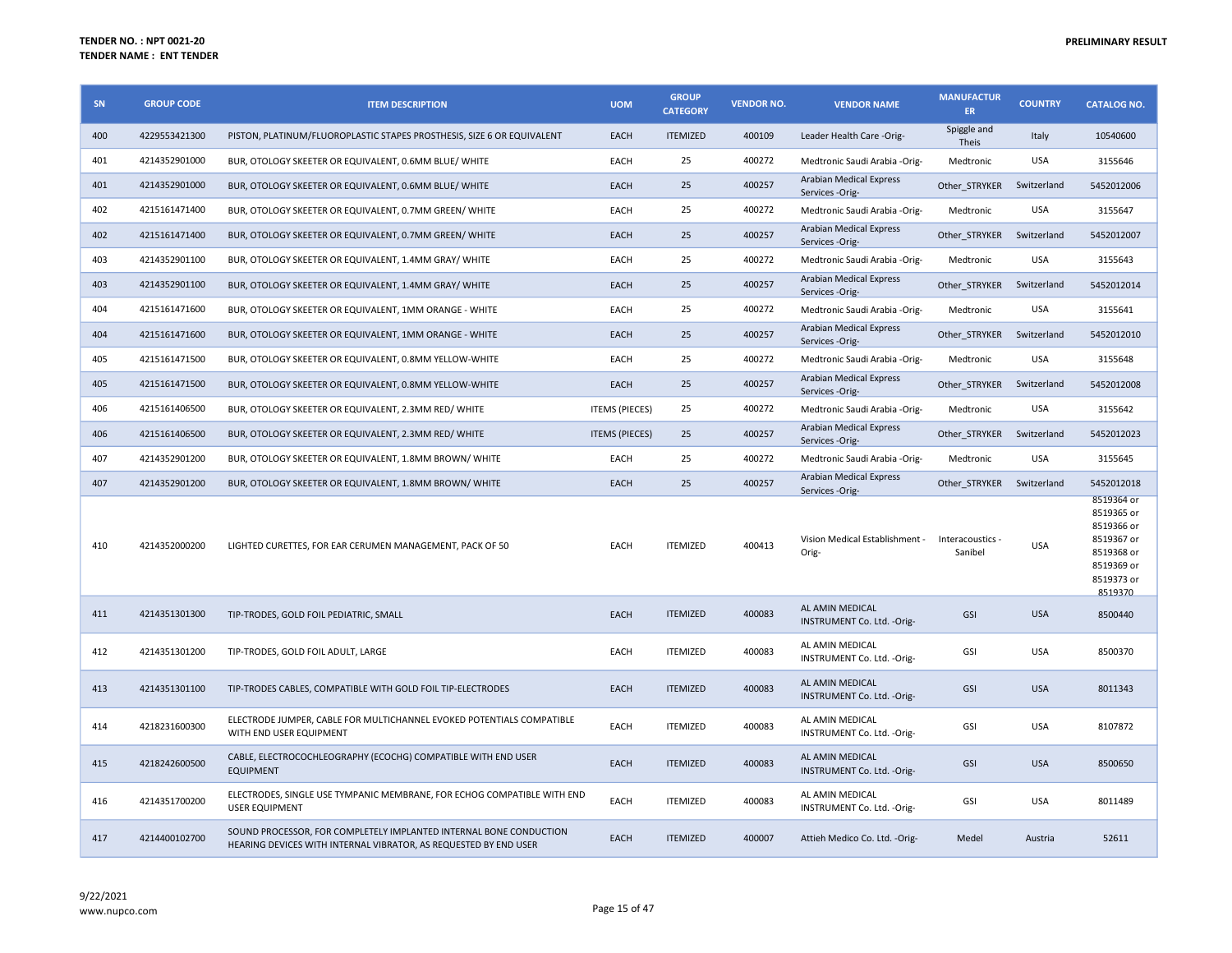| SN  | <b>GROUP CODE</b> | <b>ITEM DESCRIPTION</b>                                                                                                                | <b>UOM</b>            | <b>GROUP</b><br><b>CATEGORY</b> | <b>VENDOR NO.</b> | <b>VENDOR NAME</b>                                | <b>MANUFACTUR</b><br>ER.    | <b>COUNTRY</b> | <b>CATALOG NO.</b>                                                                                        |
|-----|-------------------|----------------------------------------------------------------------------------------------------------------------------------------|-----------------------|---------------------------------|-------------------|---------------------------------------------------|-----------------------------|----------------|-----------------------------------------------------------------------------------------------------------|
| 400 | 4229553421300     | PISTON, PLATINUM/FLUOROPLASTIC STAPES PROSTHESIS, SIZE 6 OR EQUIVALENT                                                                 | <b>EACH</b>           | <b>ITEMIZED</b>                 | 400109            | Leader Health Care -Orig-                         | Spiggle and<br>Theis        | Italy          | 10540600                                                                                                  |
| 401 | 4214352901000     | BUR, OTOLOGY SKEETER OR EQUIVALENT, 0.6MM BLUE/ WHITE                                                                                  | EACH                  | 25                              | 400272            | Medtronic Saudi Arabia -Orig-                     | Medtronic                   | <b>USA</b>     | 3155646                                                                                                   |
| 401 | 4214352901000     | BUR, OTOLOGY SKEETER OR EQUIVALENT, 0.6MM BLUE/ WHITE                                                                                  | <b>EACH</b>           | 25                              | 400257            | Arabian Medical Express<br>Services -Orig-        | Other STRYKER               | Switzerland    | 5452012006                                                                                                |
| 402 | 4215161471400     | BUR, OTOLOGY SKEETER OR EQUIVALENT, 0.7MM GREEN/ WHITE                                                                                 | EACH                  | 25                              | 400272            | Medtronic Saudi Arabia -Orig-                     | Medtronic                   | <b>USA</b>     | 3155647                                                                                                   |
| 402 | 4215161471400     | BUR, OTOLOGY SKEETER OR EQUIVALENT, 0.7MM GREEN/ WHITE                                                                                 | <b>EACH</b>           | 25                              | 400257            | Arabian Medical Express<br>Services -Orig-        | Other STRYKER               | Switzerland    | 5452012007                                                                                                |
| 403 | 4214352901100     | BUR, OTOLOGY SKEETER OR EQUIVALENT, 1.4MM GRAY/ WHITE                                                                                  | EACH                  | 25                              | 400272            | Medtronic Saudi Arabia -Orig-                     | Medtronic                   | <b>USA</b>     | 3155643                                                                                                   |
| 403 | 4214352901100     | BUR, OTOLOGY SKEETER OR EQUIVALENT, 1.4MM GRAY/ WHITE                                                                                  | <b>EACH</b>           | 25                              | 400257            | Arabian Medical Express<br>Services -Orig-        | Other STRYKER               | Switzerland    | 5452012014                                                                                                |
| 404 | 4215161471600     | BUR, OTOLOGY SKEETER OR EQUIVALENT, 1MM ORANGE - WHITE                                                                                 | EACH                  | 25                              | 400272            | Medtronic Saudi Arabia -Orig-                     | Medtronic                   | <b>USA</b>     | 3155641                                                                                                   |
| 404 | 4215161471600     | BUR, OTOLOGY SKEETER OR EQUIVALENT, 1MM ORANGE - WHITE                                                                                 | <b>EACH</b>           | 25                              | 400257            | Arabian Medical Express<br>Services -Orig-        | Other_STRYKER               | Switzerland    | 5452012010                                                                                                |
| 405 | 4215161471500     | BUR, OTOLOGY SKEETER OR EQUIVALENT, 0.8MM YELLOW-WHITE                                                                                 | EACH                  | 25                              | 400272            | Medtronic Saudi Arabia - Orig-                    | Medtronic                   | <b>USA</b>     | 3155648                                                                                                   |
| 405 | 4215161471500     | BUR, OTOLOGY SKEETER OR EQUIVALENT, 0.8MM YELLOW-WHITE                                                                                 | EACH                  | 25                              | 400257            | <b>Arabian Medical Express</b><br>Services -Orig- | Other_STRYKER               | Switzerland    | 5452012008                                                                                                |
| 406 | 4215161406500     | BUR, OTOLOGY SKEETER OR EQUIVALENT, 2.3MM RED/ WHITE                                                                                   | <b>ITEMS (PIECES)</b> | 25                              | 400272            | Medtronic Saudi Arabia -Orig-                     | Medtronic                   | <b>USA</b>     | 3155642                                                                                                   |
| 406 | 4215161406500     | BUR, OTOLOGY SKEETER OR EQUIVALENT, 2.3MM RED/ WHITE                                                                                   | <b>ITEMS (PIECES)</b> | 25                              | 400257            | <b>Arabian Medical Express</b><br>Services -Orig- | Other STRYKER               | Switzerland    | 5452012023                                                                                                |
| 407 | 4214352901200     | BUR, OTOLOGY SKEETER OR EQUIVALENT, 1.8MM BROWN/WHITE                                                                                  | EACH                  | 25                              | 400272            | Medtronic Saudi Arabia -Orig-                     | Medtronic                   | <b>USA</b>     | 3155645                                                                                                   |
| 407 | 4214352901200     | BUR, OTOLOGY SKEETER OR EQUIVALENT, 1.8MM BROWN/WHITE                                                                                  | <b>EACH</b>           | 25                              | 400257            | <b>Arabian Medical Express</b><br>Services -Orig- | Other STRYKER               | Switzerland    | 5452012018                                                                                                |
| 410 | 4214352000200     | LIGHTED CURETTES, FOR EAR CERUMEN MANAGEMENT, PACK OF 50                                                                               | EACH                  | <b>ITEMIZED</b>                 | 400413            | Vision Medical Establishment -<br>Orig-           | Interacoustics -<br>Sanibel | <b>USA</b>     | 8519364 or<br>8519365 or<br>8519366 or<br>8519367 or<br>8519368 or<br>8519369 or<br>8519373 or<br>8519370 |
| 411 | 4214351301300     | TIP-TRODES, GOLD FOIL PEDIATRIC, SMALL                                                                                                 | EACH                  | <b>ITEMIZED</b>                 | 400083            | AL AMIN MEDICAL<br>INSTRUMENT Co. Ltd. - Orig-    | GSI                         | <b>USA</b>     | 8500440                                                                                                   |
| 412 | 4214351301200     | TIP-TRODES, GOLD FOIL ADULT, LARGE                                                                                                     | EACH                  | <b>ITEMIZED</b>                 | 400083            | AL AMIN MEDICAL<br>INSTRUMENT Co. Ltd. - Orig-    | GSI                         | <b>USA</b>     | 8500370                                                                                                   |
| 413 | 4214351301100     | TIP-TRODES CABLES, COMPATIBLE WITH GOLD FOIL TIP-ELECTRODES                                                                            | <b>EACH</b>           | <b>ITEMIZED</b>                 | 400083            | AL AMIN MEDICAL<br>INSTRUMENT Co. Ltd. - Orig-    | GSI                         | <b>USA</b>     | 8011343                                                                                                   |
| 414 | 4218231600300     | ELECTRODE JUMPER, CABLE FOR MULTICHANNEL EVOKED POTENTIALS COMPATIBLE<br>WITH END USER EQUIPMENT                                       | EACH                  | <b>ITEMIZED</b>                 | 400083            | AL AMIN MEDICAL<br>INSTRUMENT Co. Ltd. - Orig-    | GSI                         | <b>USA</b>     | 8107872                                                                                                   |
| 415 | 4218242600500     | CABLE, ELECTROCOCHLEOGRAPHY (ECOCHG) COMPATIBLE WITH END USER<br><b>EQUIPMENT</b>                                                      | EACH                  | <b>ITEMIZED</b>                 | 400083            | AL AMIN MEDICAL<br>INSTRUMENT Co. Ltd. - Orig-    | GSI                         | <b>USA</b>     | 8500650                                                                                                   |
| 416 | 4214351700200     | ELECTRODES, SINGLE USE TYMPANIC MEMBRANE, FOR ECHOG COMPATIBLE WITH END<br><b>USER EQUIPMENT</b>                                       | EACH                  | <b>ITEMIZED</b>                 | 400083            | AL AMIN MEDICAL<br>INSTRUMENT Co. Ltd. - Orig-    | GSI                         | <b>USA</b>     | 8011489                                                                                                   |
| 417 | 4214400102700     | SOUND PROCESSOR. FOR COMPLETELY IMPLANTED INTERNAL BONE CONDUCTION<br>HEARING DEVICES WITH INTERNAL VIBRATOR, AS REQUESTED BY END USER | EACH                  | <b>ITEMIZED</b>                 | 400007            | Attieh Medico Co. Ltd. - Orig-                    | Medel                       | Austria        | 52611                                                                                                     |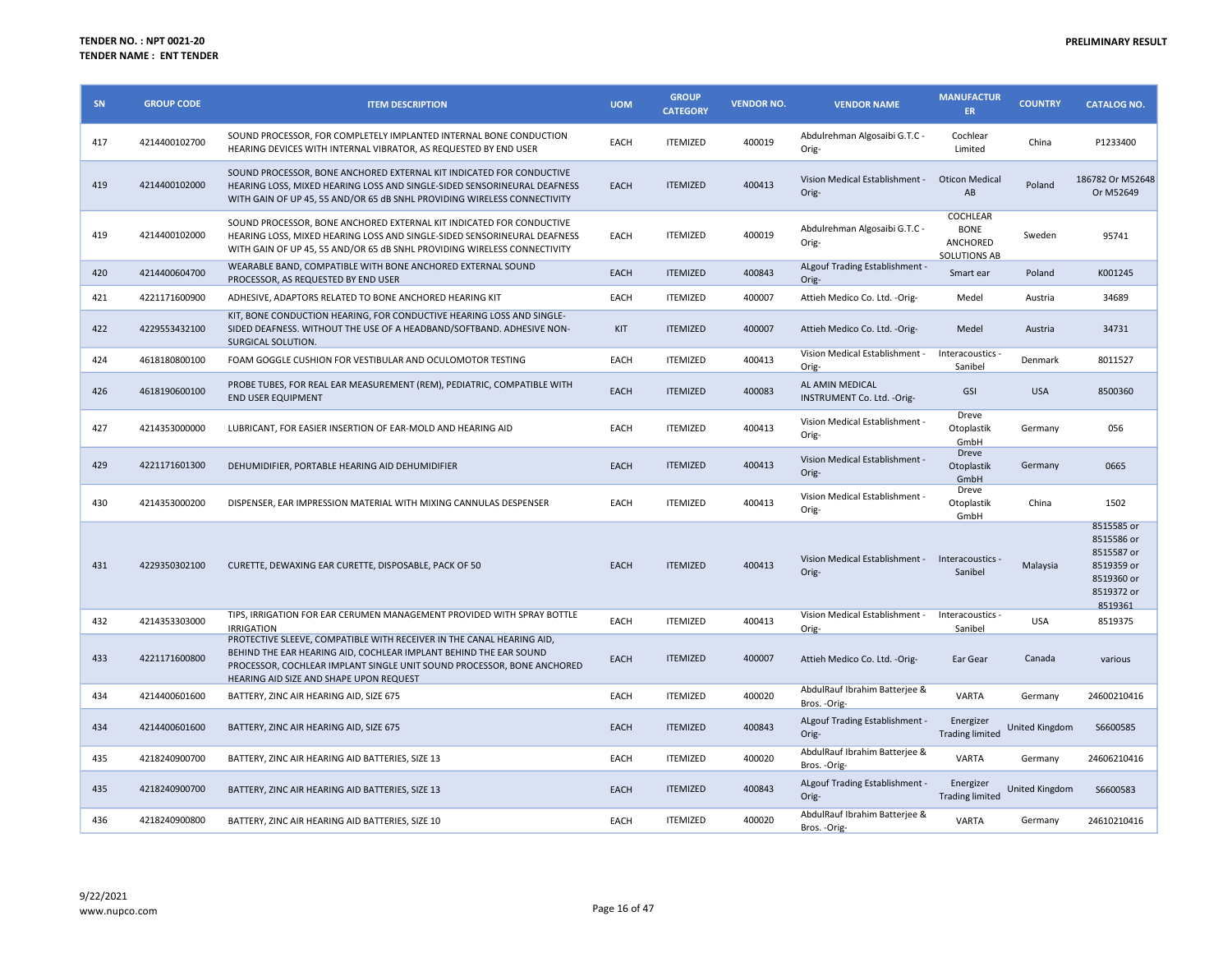| SN  | <b>GROUP CODE</b> | <b>ITEM DESCRIPTION</b>                                                                                                                                                                                                                                         | <b>UOM</b> | <b>GROUP</b><br><b>CATEGORY</b> | <b>VENDOR NO.</b> | <b>VENDOR NAME</b>                                       | <b>MANUFACTUR</b><br>ER.                            | <b>COUNTRY</b> | <b>CATALOG NO.</b>                                                                          |
|-----|-------------------|-----------------------------------------------------------------------------------------------------------------------------------------------------------------------------------------------------------------------------------------------------------------|------------|---------------------------------|-------------------|----------------------------------------------------------|-----------------------------------------------------|----------------|---------------------------------------------------------------------------------------------|
| 417 | 4214400102700     | SOUND PROCESSOR, FOR COMPLETELY IMPLANTED INTERNAL BONE CONDUCTION<br>HEARING DEVICES WITH INTERNAL VIBRATOR, AS REQUESTED BY END USER                                                                                                                          | EACH       | <b>ITEMIZED</b>                 | 400019            | Abdulrehman Algosaibi G.T.C -<br>Orig-                   | Cochlear<br>Limited                                 | China          | P1233400                                                                                    |
| 419 | 4214400102000     | SOUND PROCESSOR, BONE ANCHORED EXTERNAL KIT INDICATED FOR CONDUCTIVE<br>HEARING LOSS, MIXED HEARING LOSS AND SINGLE-SIDED SENSORINEURAL DEAFNESS<br>WITH GAIN OF UP 45, 55 AND/OR 65 dB SNHL PROVIDING WIRELESS CONNECTIVITY                                    | EACH       | <b>ITEMIZED</b>                 | 400413            | Vision Medical Establishment -<br>Orig-                  | <b>Oticon Medical</b><br>AB                         | Poland         | 186782 Or M52648<br>Or M52649                                                               |
| 419 | 4214400102000     | SOUND PROCESSOR, BONE ANCHORED EXTERNAL KIT INDICATED FOR CONDUCTIVE<br>HEARING LOSS, MIXED HEARING LOSS AND SINGLE-SIDED SENSORINEURAL DEAFNESS<br>WITH GAIN OF UP 45, 55 AND/OR 65 dB SNHL PROVIDING WIRELESS CONNECTIVITY                                    | EACH       | <b>ITEMIZED</b>                 | 400019            | Abdulrehman Algosaibi G.T.C -<br>Orig-                   | COCHLEAR<br><b>BONE</b><br>ANCHORED<br>SOLUTIONS AB | Sweden         | 95741                                                                                       |
| 420 | 4214400604700     | WEARABLE BAND, COMPATIBLE WITH BONE ANCHORED EXTERNAL SOUND<br>PROCESSOR, AS REQUESTED BY END USER                                                                                                                                                              | EACH       | <b>ITEMIZED</b>                 | 400843            | ALgouf Trading Establishment -<br>Orig-                  | Smart ear                                           | Poland         | K001245                                                                                     |
| 421 | 4221171600900     | ADHESIVE, ADAPTORS RELATED TO BONE ANCHORED HEARING KIT                                                                                                                                                                                                         | EACH       | <b>ITEMIZED</b>                 | 400007            | Attieh Medico Co. Ltd. - Orig-                           | Medel                                               | Austria        | 34689                                                                                       |
| 422 | 4229553432100     | KIT, BONE CONDUCTION HEARING, FOR CONDUCTIVE HEARING LOSS AND SINGLE-<br>SIDED DEAFNESS. WITHOUT THE USE OF A HEADBAND/SOFTBAND. ADHESIVE NON-<br>SURGICAL SOLUTION.                                                                                            | <b>KIT</b> | <b>ITEMIZED</b>                 | 400007            | Attieh Medico Co. Ltd. - Orig-                           | Medel                                               | Austria        | 34731                                                                                       |
| 424 | 4618180800100     | FOAM GOGGLE CUSHION FOR VESTIBULAR AND OCULOMOTOR TESTING                                                                                                                                                                                                       | EACH       | <b>ITEMIZED</b>                 | 400413            | Vision Medical Establishment -<br>Orig-                  | Interacoustics -<br>Sanibel                         | Denmark        | 8011527                                                                                     |
| 426 | 4618190600100     | PROBE TUBES, FOR REAL EAR MEASUREMENT (REM), PEDIATRIC, COMPATIBLE WITH<br><b>END USER EQUIPMENT</b>                                                                                                                                                            | EACH       | <b>ITEMIZED</b>                 | 400083            | AL AMIN MEDICAL<br>INSTRUMENT Co. Ltd. - Orig-           | GSI                                                 | <b>USA</b>     | 8500360                                                                                     |
| 427 | 4214353000000     | LUBRICANT, FOR EASIER INSERTION OF EAR-MOLD AND HEARING AID                                                                                                                                                                                                     | EACH       | <b>ITEMIZED</b>                 | 400413            | Vision Medical Establishment -<br>Orig-                  | Dreve<br>Otoplastik<br>GmbH                         | Germany        | 056                                                                                         |
| 429 | 4221171601300     | DEHUMIDIFIER, PORTABLE HEARING AID DEHUMIDIFIER                                                                                                                                                                                                                 | EACH       | <b>ITEMIZED</b>                 | 400413            | Vision Medical Establishment -<br>Orig-                  | Dreve<br>Otoplastik<br>GmbH                         | Germany        | 0665                                                                                        |
| 430 | 4214353000200     | DISPENSER, EAR IMPRESSION MATERIAL WITH MIXING CANNULAS DESPENSER                                                                                                                                                                                               | EACH       | <b>ITEMIZED</b>                 | 400413            | Vision Medical Establishment -<br>Orig-                  | Dreve<br>Otoplastik<br>GmbH                         | China          | 1502                                                                                        |
| 431 | 4229350302100     | CURETTE, DEWAXING EAR CURETTE, DISPOSABLE, PACK OF 50                                                                                                                                                                                                           | EACH       | <b>ITEMIZED</b>                 | 400413            | Vision Medical Establishment - Interacoustics -<br>Orig- | Sanibel                                             | Malaysia       | 8515585 or<br>8515586 or<br>8515587 or<br>8519359 or<br>8519360 or<br>8519372 or<br>8519361 |
| 432 | 4214353303000     | TIPS, IRRIGATION FOR EAR CERUMEN MANAGEMENT PROVIDED WITH SPRAY BOTTLE<br><b>IRRIGATION</b>                                                                                                                                                                     | EACH       | <b>ITEMIZED</b>                 | 400413            | Vision Medical Establishment -<br>Orig-                  | Interacoustics -<br>Sanibel                         | <b>USA</b>     | 8519375                                                                                     |
| 433 | 4221171600800     | PROTECTIVE SLEEVE, COMPATIBLE WITH RECEIVER IN THE CANAL HEARING AID,<br>BEHIND THE EAR HEARING AID, COCHLEAR IMPLANT BEHIND THE EAR SOUND<br>PROCESSOR, COCHLEAR IMPLANT SINGLE UNIT SOUND PROCESSOR, BONE ANCHORED<br>HEARING AID SIZE AND SHAPE UPON REQUEST | EACH       | <b>ITEMIZED</b>                 | 400007            | Attieh Medico Co. Ltd. - Orig-                           | Ear Gear                                            | Canada         | various                                                                                     |
| 434 | 4214400601600     | BATTERY, ZINC AIR HEARING AID, SIZE 675                                                                                                                                                                                                                         | EACH       | <b>ITEMIZED</b>                 | 400020            | AbdulRauf Ibrahim Batterjee &<br>Bros. - Orig-           | VARTA                                               | Germany        | 24600210416                                                                                 |
| 434 | 4214400601600     | BATTERY, ZINC AIR HEARING AID, SIZE 675                                                                                                                                                                                                                         | EACH       | <b>ITEMIZED</b>                 | 400843            | ALgouf Trading Establishment -<br>Orig-                  | Energizer<br><b>Trading limited</b>                 | United Kingdom | S6600585                                                                                    |
| 435 | 4218240900700     | BATTERY, ZINC AIR HEARING AID BATTERIES, SIZE 13                                                                                                                                                                                                                | EACH       | <b>ITEMIZED</b>                 | 400020            | AbdulRauf Ibrahim Batterjee &<br>Bros. - Orig-           | <b>VARTA</b>                                        | Germany        | 24606210416                                                                                 |
| 435 | 4218240900700     | BATTERY, ZINC AIR HEARING AID BATTERIES, SIZE 13                                                                                                                                                                                                                | EACH       | <b>ITEMIZED</b>                 | 400843            | ALgouf Trading Establishment -<br>Orig-                  | Energizer<br><b>Trading limited</b>                 | United Kingdom | S6600583                                                                                    |
| 436 | 4218240900800     | BATTERY, ZINC AIR HEARING AID BATTERIES, SIZE 10                                                                                                                                                                                                                | EACH       | <b>ITEMIZED</b>                 | 400020            | AbdulRauf Ibrahim Batterjee &<br>Bros. - Orig-           | <b>VARTA</b>                                        | Germany        | 24610210416                                                                                 |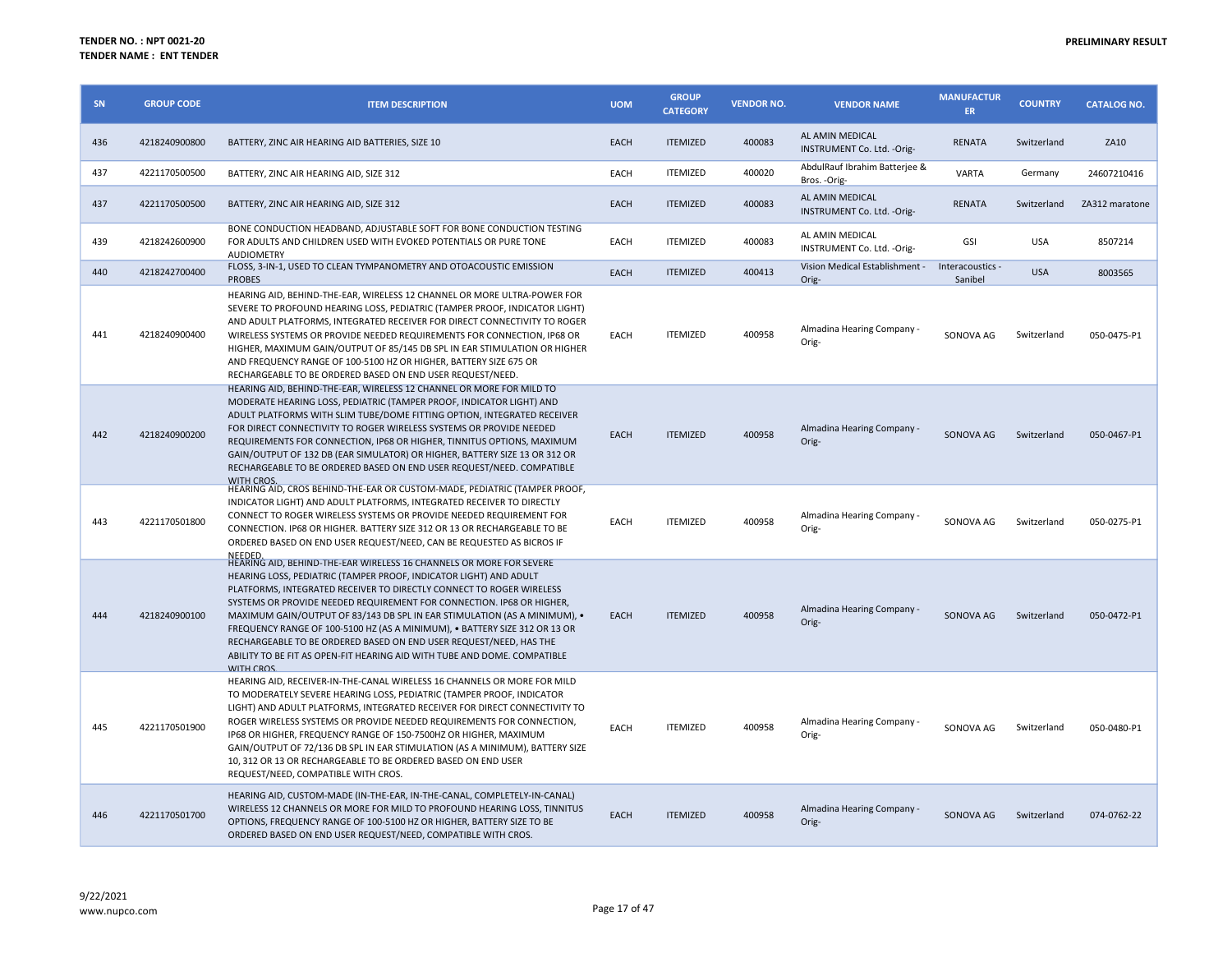| <b>SN</b> | <b>GROUP CODE</b> | <b>ITEM DESCRIPTION</b>                                                                                                                                                                                                                                                                                                                                                                                                                                                                                                                                                                                                               | <b>UOM</b>  | <b>GROUP</b><br><b>CATEGORY</b> | <b>VENDOR NO.</b> | <b>VENDOR NAME</b>                             | <b>MANUFACTUR</b><br><b>ER</b> | <b>COUNTRY</b> | <b>CATALOG NO.</b> |
|-----------|-------------------|---------------------------------------------------------------------------------------------------------------------------------------------------------------------------------------------------------------------------------------------------------------------------------------------------------------------------------------------------------------------------------------------------------------------------------------------------------------------------------------------------------------------------------------------------------------------------------------------------------------------------------------|-------------|---------------------------------|-------------------|------------------------------------------------|--------------------------------|----------------|--------------------|
| 436       | 4218240900800     | BATTERY, ZINC AIR HEARING AID BATTERIES, SIZE 10                                                                                                                                                                                                                                                                                                                                                                                                                                                                                                                                                                                      | <b>EACH</b> | <b>ITEMIZED</b>                 | 400083            | AL AMIN MEDICAL<br>INSTRUMENT Co. Ltd. - Orig- | <b>RENATA</b>                  | Switzerland    | ZA10               |
| 437       | 4221170500500     | BATTERY, ZINC AIR HEARING AID, SIZE 312                                                                                                                                                                                                                                                                                                                                                                                                                                                                                                                                                                                               | EACH        | <b>ITEMIZED</b>                 | 400020            | AbdulRauf Ibrahim Batterjee &<br>Bros. - Orig- | <b>VARTA</b>                   | Germany        | 24607210416        |
| 437       | 4221170500500     | BATTERY, ZINC AIR HEARING AID, SIZE 312                                                                                                                                                                                                                                                                                                                                                                                                                                                                                                                                                                                               | EACH        | <b>ITEMIZED</b>                 | 400083            | AL AMIN MEDICAL<br>INSTRUMENT Co. Ltd. - Orig- | <b>RENATA</b>                  | Switzerland    | ZA312 maratone     |
| 439       | 4218242600900     | BONE CONDUCTION HEADBAND, ADJUSTABLE SOFT FOR BONE CONDUCTION TESTING<br>FOR ADULTS AND CHILDREN USED WITH EVOKED POTENTIALS OR PURE TONE<br><b>AUDIOMETRY</b>                                                                                                                                                                                                                                                                                                                                                                                                                                                                        | EACH        | <b>ITEMIZED</b>                 | 400083            | AL AMIN MEDICAL<br>INSTRUMENT Co. Ltd. - Orig- | GSI                            | <b>USA</b>     | 8507214            |
| 440       | 4218242700400     | FLOSS, 3-IN-1, USED TO CLEAN TYMPANOMETRY AND OTOACOUSTIC EMISSION<br><b>PROBES</b>                                                                                                                                                                                                                                                                                                                                                                                                                                                                                                                                                   | <b>EACH</b> | <b>ITEMIZED</b>                 | 400413            | Vision Medical Establishment -<br>Orig-        | Interacoustics -<br>Sanibel    | <b>USA</b>     | 8003565            |
| 441       | 4218240900400     | HEARING AID, BEHIND-THE-EAR, WIRELESS 12 CHANNEL OR MORE ULTRA-POWER FOR<br>SEVERE TO PROFOUND HEARING LOSS, PEDIATRIC (TAMPER PROOF, INDICATOR LIGHT)<br>AND ADULT PLATFORMS, INTEGRATED RECEIVER FOR DIRECT CONNECTIVITY TO ROGER<br>WIRELESS SYSTEMS OR PROVIDE NEEDED REQUIREMENTS FOR CONNECTION, IP68 OR<br>HIGHER, MAXIMUM GAIN/OUTPUT OF 85/145 DB SPL IN EAR STIMULATION OR HIGHER<br>AND FREQUENCY RANGE OF 100-5100 HZ OR HIGHER, BATTERY SIZE 675 OR<br>RECHARGEABLE TO BE ORDERED BASED ON END USER REQUEST/NEED.                                                                                                        | EACH        | <b>ITEMIZED</b>                 | 400958            | Almadina Hearing Company -<br>Orig-            | SONOVA AG                      | Switzerland    | 050-0475-P1        |
| 442       | 4218240900200     | HEARING AID, BEHIND-THE-EAR, WIRELESS 12 CHANNEL OR MORE FOR MILD TO<br>MODERATE HEARING LOSS, PEDIATRIC (TAMPER PROOF, INDICATOR LIGHT) AND<br>ADULT PLATFORMS WITH SLIM TUBE/DOME FITTING OPTION, INTEGRATED RECEIVER<br>FOR DIRECT CONNECTIVITY TO ROGER WIRELESS SYSTEMS OR PROVIDE NEEDED<br>REQUIREMENTS FOR CONNECTION, IP68 OR HIGHER, TINNITUS OPTIONS, MAXIMUM<br>GAIN/OUTPUT OF 132 DB (EAR SIMULATOR) OR HIGHER, BATTERY SIZE 13 OR 312 OR<br>RECHARGEABLE TO BE ORDERED BASED ON END USER REQUEST/NEED. COMPATIBLE<br><b>WITH CROS</b>                                                                                   | EACH        | <b>ITEMIZED</b>                 | 400958            | Almadina Hearing Company -<br>Orig-            | SONOVA AG                      | Switzerland    | 050-0467-P1        |
| 443       | 4221170501800     | HEARING AID, CROS BEHIND-THE-EAR OR CUSTOM-MADE, PEDIATRIC (TAMPER PROOF,<br>INDICATOR LIGHT) AND ADULT PLATFORMS, INTEGRATED RECEIVER TO DIRECTLY<br>CONNECT TO ROGER WIRELESS SYSTEMS OR PROVIDE NEEDED REQUIREMENT FOR<br>CONNECTION. IP68 OR HIGHER. BATTERY SIZE 312 OR 13 OR RECHARGEABLE TO BE<br>ORDERED BASED ON END USER REQUEST/NEED, CAN BE REQUESTED AS BICROS IF                                                                                                                                                                                                                                                        | EACH        | <b>ITEMIZED</b>                 | 400958            | Almadina Hearing Company -<br>Orig-            | SONOVA AG                      | Switzerland    | 050-0275-P1        |
| 444       | 4218240900100     | NEEDED.<br>HEARING AID, BEHIND-THE-EAR WIRELESS 16 CHANNELS OR MORE FOR SEVERE<br>HEARING LOSS, PEDIATRIC (TAMPER PROOF, INDICATOR LIGHT) AND ADULT<br>PLATFORMS, INTEGRATED RECEIVER TO DIRECTLY CONNECT TO ROGER WIRELESS<br>SYSTEMS OR PROVIDE NEEDED REQUIREMENT FOR CONNECTION. IP68 OR HIGHER,<br>MAXIMUM GAIN/OUTPUT OF 83/143 DB SPL IN EAR STIMULATION (AS A MINIMUM), .<br>FREQUENCY RANGE OF 100-5100 HZ (AS A MINIMUM), . BATTERY SIZE 312 OR 13 OR<br>RECHARGEABLE TO BE ORDERED BASED ON END USER REQUEST/NEED. HAS THE<br>ABILITY TO BE FIT AS OPEN-FIT HEARING AID WITH TUBE AND DOME. COMPATIBLE<br><b>WITH CROS</b> | <b>EACH</b> | <b>ITEMIZED</b>                 | 400958            | Almadina Hearing Company -<br>Orig-            | SONOVA AG                      | Switzerland    | 050-0472-P1        |
| 445       | 4221170501900     | HEARING AID, RECEIVER-IN-THE-CANAL WIRELESS 16 CHANNELS OR MORE FOR MILD<br>TO MODERATELY SEVERE HEARING LOSS, PEDIATRIC (TAMPER PROOF, INDICATOR<br>LIGHT) AND ADULT PLATFORMS, INTEGRATED RECEIVER FOR DIRECT CONNECTIVITY TO<br>ROGER WIRELESS SYSTEMS OR PROVIDE NEEDED REQUIREMENTS FOR CONNECTION,<br>IP68 OR HIGHER, FREQUENCY RANGE OF 150-7500HZ OR HIGHER, MAXIMUM<br>GAIN/OUTPUT OF 72/136 DB SPL IN EAR STIMULATION (AS A MINIMUM), BATTERY SIZE<br>10, 312 OR 13 OR RECHARGEABLE TO BE ORDERED BASED ON END USER<br>REQUEST/NEED, COMPATIBLE WITH CROS.                                                                  | EACH        | <b>ITEMIZED</b>                 | 400958            | Almadina Hearing Company -<br>Orig-            | SONOVA AG                      | Switzerland    | 050-0480-P1        |
| 446       | 4221170501700     | HEARING AID, CUSTOM-MADE (IN-THE-EAR, IN-THE-CANAL, COMPLETELY-IN-CANAL)<br>WIRELESS 12 CHANNELS OR MORE FOR MILD TO PROFOUND HEARING LOSS, TINNITUS<br>OPTIONS, FREQUENCY RANGE OF 100-5100 HZ OR HIGHER, BATTERY SIZE TO BE<br>ORDERED BASED ON END USER REQUEST/NEED, COMPATIBLE WITH CROS.                                                                                                                                                                                                                                                                                                                                        | <b>EACH</b> | <b>ITEMIZED</b>                 | 400958            | Almadina Hearing Company -<br>Orig-            | SONOVA AG                      | Switzerland    | 074-0762-22        |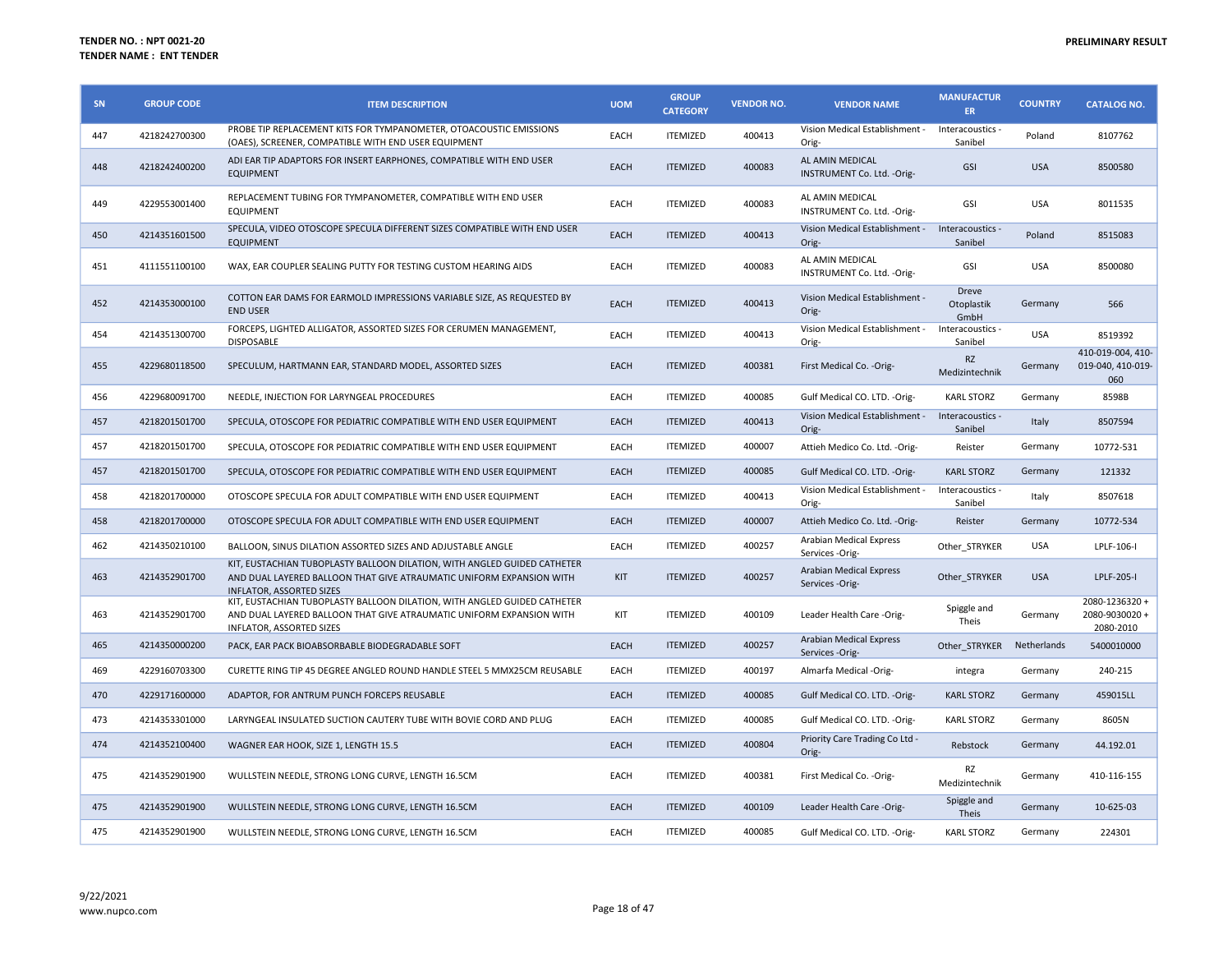| SN  | <b>GROUP CODE</b> | <b>ITEM DESCRIPTION</b>                                                                                                                                                             | <b>UOM</b>  | <b>GROUP</b><br><b>CATEGORY</b> | <b>VENDOR NO.</b> | <b>VENDOR NAME</b>                                       | <b>MANUFACTUR</b><br>ER.    | <b>COUNTRY</b> | <b>CATALOG NO.</b>                            |
|-----|-------------------|-------------------------------------------------------------------------------------------------------------------------------------------------------------------------------------|-------------|---------------------------------|-------------------|----------------------------------------------------------|-----------------------------|----------------|-----------------------------------------------|
| 447 | 4218242700300     | PROBE TIP REPLACEMENT KITS FOR TYMPANOMETER, OTOACOUSTIC EMISSIONS<br>(OAES), SCREENER, COMPATIBLE WITH END USER EQUIPMENT                                                          | EACH        | <b>ITEMIZED</b>                 | 400413            | Vision Medical Establishment -<br>Orig-                  | Interacoustics -<br>Sanibel | Poland         | 8107762                                       |
| 448 | 4218242400200     | ADI EAR TIP ADAPTORS FOR INSERT EARPHONES, COMPATIBLE WITH END USER<br><b>EQUIPMENT</b>                                                                                             | EACH        | <b>ITEMIZED</b>                 | 400083            | AL AMIN MEDICAL<br>INSTRUMENT Co. Ltd. - Orig-           | <b>GSI</b>                  | <b>USA</b>     | 8500580                                       |
| 449 | 4229553001400     | REPLACEMENT TUBING FOR TYMPANOMETER, COMPATIBLE WITH END USER<br><b>EQUIPMENT</b>                                                                                                   | EACH        | <b>ITEMIZED</b>                 | 400083            | AL AMIN MEDICAL<br>INSTRUMENT Co. Ltd. - Orig-           | GSI                         | <b>USA</b>     | 8011535                                       |
| 450 | 4214351601500     | SPECULA, VIDEO OTOSCOPE SPECULA DIFFERENT SIZES COMPATIBLE WITH END USER<br><b>EQUIPMENT</b>                                                                                        | EACH        | <b>ITEMIZED</b>                 | 400413            | Vision Medical Establishment - Interacoustics -<br>Orig- | Sanibel                     | Poland         | 8515083                                       |
| 451 | 4111551100100     | WAX, EAR COUPLER SEALING PUTTY FOR TESTING CUSTOM HEARING AIDS                                                                                                                      | <b>EACH</b> | <b>ITEMIZED</b>                 | 400083            | AL AMIN MEDICAL<br>INSTRUMENT Co. Ltd. - Orig-           | GSI                         | <b>USA</b>     | 8500080                                       |
| 452 | 4214353000100     | COTTON EAR DAMS FOR EARMOLD IMPRESSIONS VARIABLE SIZE, AS REQUESTED BY<br><b>END USER</b>                                                                                           | EACH        | <b>ITEMIZED</b>                 | 400413            | Vision Medical Establishment -<br>Orig-                  | Dreve<br>Otoplastik<br>GmbH | Germany        | 566                                           |
| 454 | 4214351300700     | FORCEPS, LIGHTED ALLIGATOR, ASSORTED SIZES FOR CERUMEN MANAGEMENT,<br><b>DISPOSABLE</b>                                                                                             | EACH        | <b>ITEMIZED</b>                 | 400413            | Vision Medical Establishment -<br>Orig-                  | Interacoustics -<br>Sanibel | <b>USA</b>     | 8519392                                       |
| 455 | 4229680118500     | SPECULUM, HARTMANN EAR, STANDARD MODEL, ASSORTED SIZES                                                                                                                              | EACH        | <b>ITEMIZED</b>                 | 400381            | First Medical Co. - Orig-                                | <b>RZ</b><br>Medizintechnik | Germany        | 410-019-004, 410-<br>019-040, 410-019-<br>060 |
| 456 | 4229680091700     | NEEDLE, INJECTION FOR LARYNGEAL PROCEDURES                                                                                                                                          | EACH        | <b>ITEMIZED</b>                 | 400085            | Gulf Medical CO. LTD. -Orig-                             | <b>KARL STORZ</b>           | Germany        | 8598B                                         |
| 457 | 4218201501700     | SPECULA, OTOSCOPE FOR PEDIATRIC COMPATIBLE WITH END USER EQUIPMENT                                                                                                                  | EACH        | <b>ITEMIZED</b>                 | 400413            | Vision Medical Establishment -<br>Orig-                  | Interacoustics -<br>Sanibel | Italy          | 8507594                                       |
| 457 | 4218201501700     | SPECULA, OTOSCOPE FOR PEDIATRIC COMPATIBLE WITH END USER EQUIPMENT                                                                                                                  | EACH        | <b>ITEMIZED</b>                 | 400007            | Attieh Medico Co. Ltd. - Orig-                           | Reister                     | Germany        | 10772-531                                     |
| 457 | 4218201501700     | SPECULA, OTOSCOPE FOR PEDIATRIC COMPATIBLE WITH END USER EQUIPMENT                                                                                                                  | EACH        | <b>ITEMIZED</b>                 | 400085            | Gulf Medical CO. LTD. - Orig-                            | <b>KARL STORZ</b>           | Germany        | 121332                                        |
| 458 | 4218201700000     | OTOSCOPE SPECULA FOR ADULT COMPATIBLE WITH END USER EQUIPMENT                                                                                                                       | EACH        | <b>ITEMIZED</b>                 | 400413            | Vision Medical Establishment -<br>Orig-                  | Interacoustics -<br>Sanibel | Italy          | 8507618                                       |
| 458 | 4218201700000     | OTOSCOPE SPECULA FOR ADULT COMPATIBLE WITH END USER EQUIPMENT                                                                                                                       | EACH        | <b>ITEMIZED</b>                 | 400007            | Attieh Medico Co. Ltd. - Orig-                           | Reister                     | Germany        | 10772-534                                     |
| 462 | 4214350210100     | BALLOON, SINUS DILATION ASSORTED SIZES AND ADJUSTABLE ANGLE                                                                                                                         | EACH        | <b>ITEMIZED</b>                 | 400257            | Arabian Medical Express<br>Services -Orig-               | Other STRYKER               | <b>USA</b>     | LPLF-106-I                                    |
| 463 | 4214352901700     | KIT, EUSTACHIAN TUBOPLASTY BALLOON DILATION, WITH ANGLED GUIDED CATHETER<br>AND DUAL LAYERED BALLOON THAT GIVE ATRAUMATIC UNIFORM EXPANSION WITH<br><b>INFLATOR, ASSORTED SIZES</b> | KIT         | <b>ITEMIZED</b>                 | 400257            | Arabian Medical Express<br>Services -Orig-               | Other STRYKER               | <b>USA</b>     | LPLF-205-I                                    |
| 463 | 4214352901700     | KIT, EUSTACHIAN TUBOPLASTY BALLOON DILATION, WITH ANGLED GUIDED CATHETER<br>AND DUAL LAYERED BALLOON THAT GIVE ATRAUMATIC UNIFORM EXPANSION WITH<br>INFLATOR, ASSORTED SIZES        | KIT         | <b>ITEMIZED</b>                 | 400109            | Leader Health Care -Orig-                                | Spiggle and<br>Theis        | Germany        | 2080-1236320+<br>2080-9030020+<br>2080-2010   |
| 465 | 4214350000200     | PACK. EAR PACK BIOABSORBABLE BIODEGRADABLE SOFT                                                                                                                                     | EACH        | <b>ITEMIZED</b>                 | 400257            | Arabian Medical Express<br>Services -Orig-               | Other STRYKER               | Netherlands    | 5400010000                                    |
| 469 | 4229160703300     | CURETTE RING TIP 45 DEGREE ANGLED ROUND HANDLE STEEL 5 MMX25CM REUSABLE                                                                                                             | EACH        | <b>ITEMIZED</b>                 | 400197            | Almarfa Medical -Orig-                                   | integra                     | Germany        | 240-215                                       |
| 470 | 4229171600000     | ADAPTOR, FOR ANTRUM PUNCH FORCEPS REUSABLE                                                                                                                                          | EACH        | <b>ITEMIZED</b>                 | 400085            | Gulf Medical CO. LTD. - Orig-                            | <b>KARL STORZ</b>           | Germany        | 459015LL                                      |
| 473 | 4214353301000     | LARYNGEAL INSULATED SUCTION CAUTERY TUBE WITH BOVIE CORD AND PLUG                                                                                                                   | EACH        | <b>ITEMIZED</b>                 | 400085            | Gulf Medical CO. LTD. - Orig-                            | <b>KARL STORZ</b>           | Germany        | 8605N                                         |
| 474 | 4214352100400     | WAGNER EAR HOOK, SIZE 1, LENGTH 15.5                                                                                                                                                | EACH        | <b>ITEMIZED</b>                 | 400804            | Priority Care Trading Co Ltd -<br>Orig-                  | Rebstock                    | Germany        | 44.192.01                                     |
| 475 | 4214352901900     | WULLSTEIN NEEDLE, STRONG LONG CURVE, LENGTH 16.5CM                                                                                                                                  | EACH        | <b>ITEMIZED</b>                 | 400381            | First Medical Co. - Orig-                                | <b>RZ</b><br>Medizintechnik | Germany        | 410-116-155                                   |
| 475 | 4214352901900     | WULLSTEIN NEEDLE, STRONG LONG CURVE, LENGTH 16.5CM                                                                                                                                  | EACH        | <b>ITEMIZED</b>                 | 400109            | Leader Health Care -Orig-                                | Spiggle and<br>Theis        | Germany        | 10-625-03                                     |
| 475 | 4214352901900     | WULLSTEIN NEEDLE, STRONG LONG CURVE, LENGTH 16.5CM                                                                                                                                  | EACH        | <b>ITEMIZED</b>                 | 400085            | Gulf Medical CO. LTD. - Orig-                            | <b>KARL STORZ</b>           | Germany        | 224301                                        |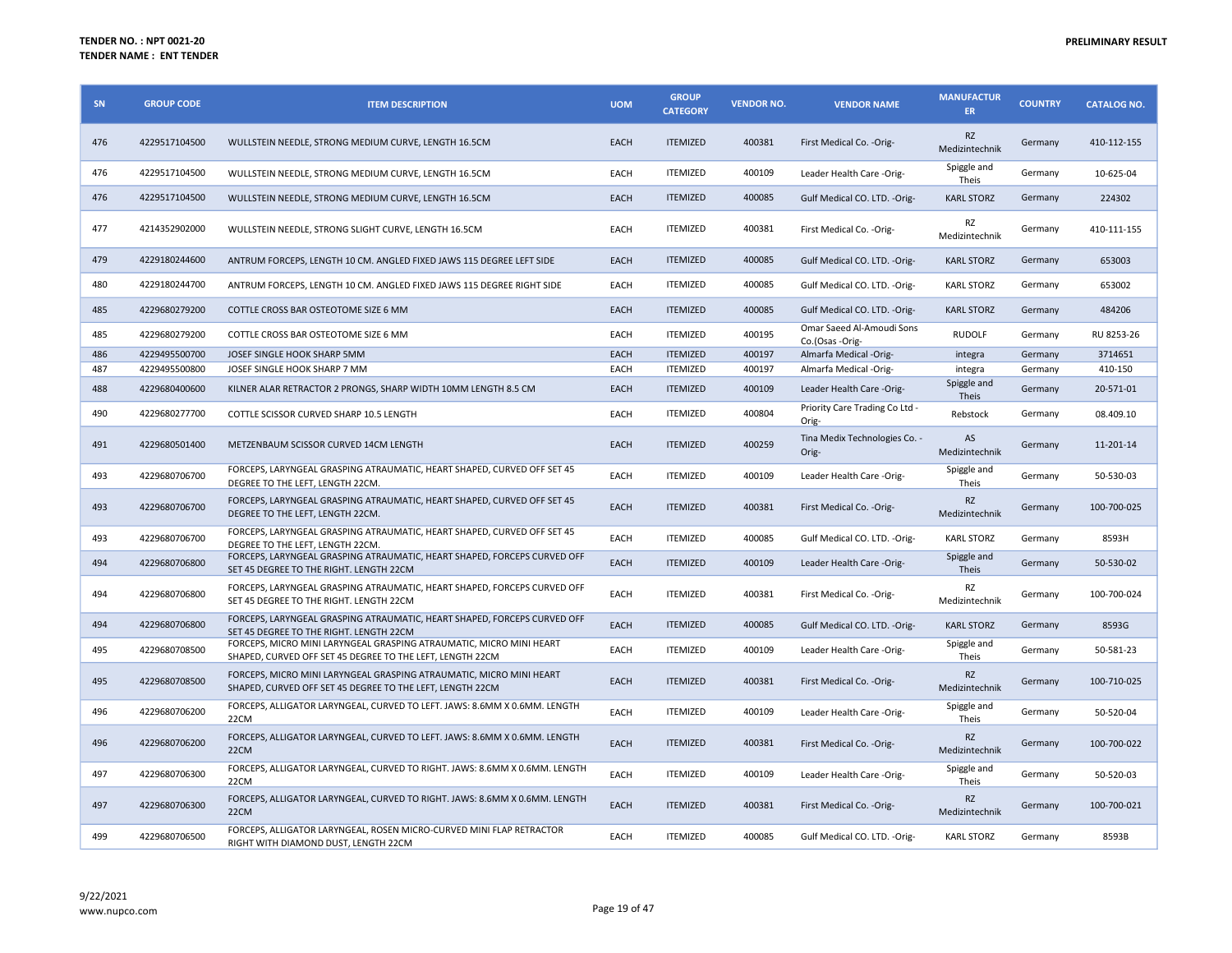| SN  | <b>GROUP CODE</b> | <b>ITEM DESCRIPTION</b>                                                                                                          | <b>UOM</b>  | <b>GROUP</b><br><b>CATEGORY</b> | <b>VENDOR NO.</b> | <b>VENDOR NAME</b>                           | <b>MANUFACTUR</b><br><b>ER</b> | <b>COUNTRY</b> | <b>CATALOG NO.</b> |
|-----|-------------------|----------------------------------------------------------------------------------------------------------------------------------|-------------|---------------------------------|-------------------|----------------------------------------------|--------------------------------|----------------|--------------------|
| 476 | 4229517104500     | WULLSTEIN NEEDLE, STRONG MEDIUM CURVE, LENGTH 16.5CM                                                                             | EACH        | <b>ITEMIZED</b>                 | 400381            | First Medical Co. - Orig-                    | <b>RZ</b><br>Medizintechnik    | Germany        | 410-112-155        |
| 476 | 4229517104500     | WULLSTEIN NEEDLE, STRONG MEDIUM CURVE, LENGTH 16.5CM                                                                             | EACH        | <b>ITEMIZED</b>                 | 400109            | Leader Health Care -Orig-                    | Spiggle and<br>Theis           | Germany        | 10-625-04          |
| 476 | 4229517104500     | WULLSTEIN NEEDLE, STRONG MEDIUM CURVE, LENGTH 16.5CM                                                                             | EACH        | <b>ITEMIZED</b>                 | 400085            | Gulf Medical CO. LTD. - Orig-                | <b>KARL STORZ</b>              | Germany        | 224302             |
| 477 | 4214352902000     | WULLSTEIN NEEDLE, STRONG SLIGHT CURVE, LENGTH 16.5CM                                                                             | EACH        | <b>ITEMIZED</b>                 | 400381            | First Medical Co. - Orig-                    | RZ<br>Medizintechnik           | Germany        | 410-111-155        |
| 479 | 4229180244600     | ANTRUM FORCEPS, LENGTH 10 CM. ANGLED FIXED JAWS 115 DEGREE LEFT SIDE                                                             | EACH        | <b>ITEMIZED</b>                 | 400085            | Gulf Medical CO. LTD. - Orig-                | <b>KARL STORZ</b>              | Germany        | 653003             |
| 480 | 4229180244700     | ANTRUM FORCEPS, LENGTH 10 CM. ANGLED FIXED JAWS 115 DEGREE RIGHT SIDE                                                            | EACH        | <b>ITEMIZED</b>                 | 400085            | Gulf Medical CO. LTD. - Orig-                | <b>KARL STORZ</b>              | Germany        | 653002             |
| 485 | 4229680279200     | COTTLE CROSS BAR OSTEOTOME SIZE 6 MM                                                                                             | EACH        | <b>ITEMIZED</b>                 | 400085            | Gulf Medical CO. LTD. - Orig-                | <b>KARL STORZ</b>              | Germany        | 484206             |
| 485 | 4229680279200     | COTTLE CROSS BAR OSTEOTOME SIZE 6 MM                                                                                             | EACH        | <b>ITEMIZED</b>                 | 400195            | Omar Saeed Al-Amoudi Sons<br>Co.(Osas -Orig- | <b>RUDOLF</b>                  | Germany        | RU 8253-26         |
| 486 | 4229495500700     | JOSEF SINGLE HOOK SHARP 5MM                                                                                                      | EACH        | <b>ITEMIZED</b>                 | 400197            | Almarfa Medical -Orig-                       | integra                        | Germany        | 3714651            |
| 487 | 4229495500800     | JOSEF SINGLE HOOK SHARP 7 MM                                                                                                     | EACH        | <b>ITEMIZED</b>                 | 400197            | Almarfa Medical -Orig-                       | integra                        | Germany        | 410-150            |
| 488 | 4229680400600     | KILNER ALAR RETRACTOR 2 PRONGS, SHARP WIDTH 10MM LENGTH 8.5 CM                                                                   | EACH        | <b>ITEMIZED</b>                 | 400109            | Leader Health Care -Orig-                    | Spiggle and<br>Theis           | Germany        | 20-571-01          |
| 490 | 4229680277700     | COTTLE SCISSOR CURVED SHARP 10.5 LENGTH                                                                                          | EACH        | <b>ITEMIZED</b>                 | 400804            | Priority Care Trading Co Ltd -<br>Orig-      | Rebstock                       | Germany        | 08.409.10          |
| 491 | 4229680501400     | METZENBAUM SCISSOR CURVED 14CM LENGTH                                                                                            | EACH        | <b>ITEMIZED</b>                 | 400259            | Tina Medix Technologies Co. -<br>Orig-       | AS<br>Medizintechnik           | Germany        | 11-201-14          |
| 493 | 4229680706700     | FORCEPS, LARYNGEAL GRASPING ATRAUMATIC, HEART SHAPED, CURVED OFF SET 45<br>DEGREE TO THE LEFT, LENGTH 22CM.                      | EACH        | <b>ITEMIZED</b>                 | 400109            | Leader Health Care -Orig-                    | Spiggle and<br>Theis           | Germany        | 50-530-03          |
| 493 | 4229680706700     | FORCEPS, LARYNGEAL GRASPING ATRAUMATIC, HEART SHAPED, CURVED OFF SET 45<br>DEGREE TO THE LEFT, LENGTH 22CM.                      | EACH        | <b>ITEMIZED</b>                 | 400381            | First Medical Co. - Orig-                    | <b>RZ</b><br>Medizintechnik    | Germany        | 100-700-025        |
| 493 | 4229680706700     | FORCEPS, LARYNGEAL GRASPING ATRAUMATIC, HEART SHAPED, CURVED OFF SET 45<br>DEGREE TO THE LEFT. LENGTH 22CM.                      | EACH        | <b>ITEMIZED</b>                 | 400085            | Gulf Medical CO. LTD. -Orig-                 | <b>KARL STORZ</b>              | Germany        | 8593H              |
| 494 | 4229680706800     | FORCEPS, LARYNGEAL GRASPING ATRAUMATIC, HEART SHAPED, FORCEPS CURVED OFF<br>SET 45 DEGREE TO THE RIGHT. LENGTH 22CM              | EACH        | <b>ITEMIZED</b>                 | 400109            | Leader Health Care -Orig-                    | Spiggle and<br>Theis           | Germany        | 50-530-02          |
| 494 | 4229680706800     | FORCEPS, LARYNGEAL GRASPING ATRAUMATIC, HEART SHAPED, FORCEPS CURVED OFF<br>SET 45 DEGREE TO THE RIGHT. LENGTH 22CM              | <b>EACH</b> | <b>ITEMIZED</b>                 | 400381            | First Medical Co. - Orig-                    | RZ<br>Medizintechnik           | Germany        | 100-700-024        |
| 494 | 4229680706800     | FORCEPS, LARYNGEAL GRASPING ATRAUMATIC, HEART SHAPED, FORCEPS CURVED OFF<br>SET 45 DEGREE TO THE RIGHT. LENGTH 22CM              | EACH        | <b>ITEMIZED</b>                 | 400085            | Gulf Medical CO. LTD. - Orig-                | <b>KARL STORZ</b>              | Germany        | 8593G              |
| 495 | 4229680708500     | FORCEPS, MICRO MINI LARYNGEAL GRASPING ATRAUMATIC, MICRO MINI HEART<br>SHAPED, CURVED OFF SET 45 DEGREE TO THE LEFT, LENGTH 22CM | EACH        | <b>ITEMIZED</b>                 | 400109            | Leader Health Care -Orig-                    | Spiggle and<br>Theis           | Germany        | 50-581-23          |
| 495 | 4229680708500     | FORCEPS, MICRO MINI LARYNGEAL GRASPING ATRAUMATIC, MICRO MINI HEART<br>SHAPED, CURVED OFF SET 45 DEGREE TO THE LEFT, LENGTH 22CM | <b>EACH</b> | <b>ITEMIZED</b>                 | 400381            | First Medical Co. - Orig-                    | <b>RZ</b><br>Medizintechnik    | Germany        | 100-710-025        |
| 496 | 4229680706200     | FORCEPS, ALLIGATOR LARYNGEAL, CURVED TO LEFT. JAWS: 8.6MM X 0.6MM. LENGTH<br>22CM                                                | EACH        | <b>ITEMIZED</b>                 | 400109            | Leader Health Care -Orig-                    | Spiggle and<br>Theis           | Germany        | 50-520-04          |
| 496 | 4229680706200     | FORCEPS, ALLIGATOR LARYNGEAL, CURVED TO LEFT. JAWS: 8.6MM X 0.6MM. LENGTH<br>22CM                                                | EACH        | <b>ITEMIZED</b>                 | 400381            | First Medical Co. - Orig-                    | <b>RZ</b><br>Medizintechnik    | Germany        | 100-700-022        |
| 497 | 4229680706300     | FORCEPS, ALLIGATOR LARYNGEAL, CURVED TO RIGHT. JAWS: 8.6MM X 0.6MM. LENGTH<br>22CM                                               | EACH        | <b>ITEMIZED</b>                 | 400109            | Leader Health Care -Orig-                    | Spiggle and<br>Theis           | Germany        | 50-520-03          |
| 497 | 4229680706300     | FORCEPS, ALLIGATOR LARYNGEAL, CURVED TO RIGHT. JAWS: 8.6MM X 0.6MM. LENGTH<br>22CM                                               | EACH        | <b>ITEMIZED</b>                 | 400381            | First Medical Co. - Orig-                    | <b>RZ</b><br>Medizintechnik    | Germany        | 100-700-021        |
| 499 | 4229680706500     | FORCEPS, ALLIGATOR LARYNGEAL, ROSEN MICRO-CURVED MINI FLAP RETRACTOR<br>RIGHT WITH DIAMOND DUST, LENGTH 22CM                     | EACH        | <b>ITEMIZED</b>                 | 400085            | Gulf Medical CO. LTD. - Orig-                | <b>KARL STORZ</b>              | Germany        | 8593B              |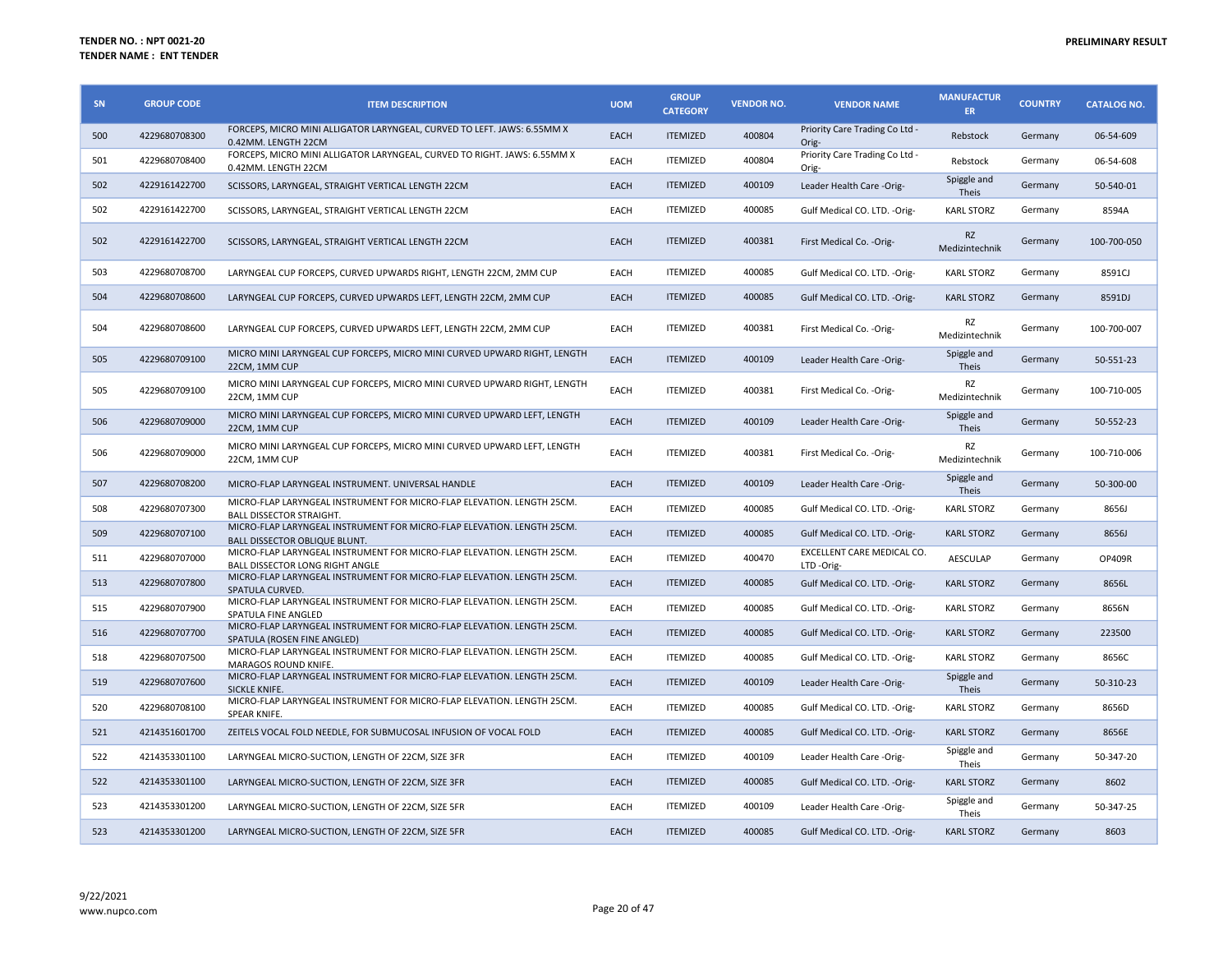| <b>SN</b> | <b>GROUP CODE</b> | <b>ITEM DESCRIPTION</b>                                                                                        | <b>UOM</b>  | <b>GROUP</b><br><b>CATEGORY</b> | <b>VENDOR NO.</b> | <b>VENDOR NAME</b>                      | <b>MANUFACTUR</b><br><b>ER</b> | <b>COUNTRY</b> | <b>CATALOG NO.</b> |
|-----------|-------------------|----------------------------------------------------------------------------------------------------------------|-------------|---------------------------------|-------------------|-----------------------------------------|--------------------------------|----------------|--------------------|
| 500       | 4229680708300     | FORCEPS, MICRO MINI ALLIGATOR LARYNGEAL, CURVED TO LEFT. JAWS: 6.55MM X<br>0.42MM. LENGTH 22CM                 | EACH        | <b>ITEMIZED</b>                 | 400804            | Priority Care Trading Co Ltd -<br>Orig- | Rebstock                       | Germany        | 06-54-609          |
| 501       | 4229680708400     | FORCEPS, MICRO MINI ALLIGATOR LARYNGEAL, CURVED TO RIGHT. JAWS: 6.55MM X<br>0.42MM. LENGTH 22CM                | EACH        | <b>ITEMIZED</b>                 | 400804            | Priority Care Trading Co Ltd -<br>Orig- | Rebstock                       | Germany        | 06-54-608          |
| 502       | 4229161422700     | SCISSORS, LARYNGEAL, STRAIGHT VERTICAL LENGTH 22CM                                                             | EACH        | <b>ITEMIZED</b>                 | 400109            | Leader Health Care -Orig-               | Spiggle and<br>Theis           | Germany        | 50-540-01          |
| 502       | 4229161422700     | SCISSORS, LARYNGEAL, STRAIGHT VERTICAL LENGTH 22CM                                                             | EACH        | <b>ITEMIZED</b>                 | 400085            | Gulf Medical CO. LTD. - Orig-           | <b>KARL STORZ</b>              | Germany        | 8594A              |
| 502       | 4229161422700     | SCISSORS, LARYNGEAL, STRAIGHT VERTICAL LENGTH 22CM                                                             | EACH        | <b>ITEMIZED</b>                 | 400381            | First Medical Co. - Orig-               | <b>RZ</b><br>Medizintechnik    | Germany        | 100-700-050        |
| 503       | 4229680708700     | LARYNGEAL CUP FORCEPS, CURVED UPWARDS RIGHT, LENGTH 22CM, 2MM CUP                                              | EACH        | <b>ITEMIZED</b>                 | 400085            | Gulf Medical CO. LTD. -Orig-            | <b>KARL STORZ</b>              | Germany        | 8591CJ             |
| 504       | 4229680708600     | LARYNGEAL CUP FORCEPS, CURVED UPWARDS LEFT, LENGTH 22CM, 2MM CUP                                               | EACH        | <b>ITEMIZED</b>                 | 400085            | Gulf Medical CO. LTD. - Orig-           | <b>KARL STORZ</b>              | Germany        | 8591DJ             |
| 504       | 4229680708600     | LARYNGEAL CUP FORCEPS, CURVED UPWARDS LEFT, LENGTH 22CM, 2MM CUP                                               | EACH        | <b>ITEMIZED</b>                 | 400381            | First Medical Co. - Orig-               | RZ<br>Medizintechnik           | Germany        | 100-700-007        |
| 505       | 4229680709100     | MICRO MINI LARYNGEAL CUP FORCEPS, MICRO MINI CURVED UPWARD RIGHT, LENGTH<br>22CM, 1MM CUP                      | <b>EACH</b> | <b>ITEMIZED</b>                 | 400109            | Leader Health Care -Orig-               | Spiggle and<br>Theis           | Germany        | 50-551-23          |
| 505       | 4229680709100     | MICRO MINI LARYNGEAL CUP FORCEPS, MICRO MINI CURVED UPWARD RIGHT, LENGTH<br>22CM. 1MM CUP                      | EACH        | <b>ITEMIZED</b>                 | 400381            | First Medical Co. - Orig-               | RZ<br>Medizintechnik           | Germany        | 100-710-005        |
| 506       | 4229680709000     | MICRO MINI LARYNGEAL CUP FORCEPS, MICRO MINI CURVED UPWARD LEFT, LENGTH<br>22CM, 1MM CUP                       | EACH        | <b>ITEMIZED</b>                 | 400109            | Leader Health Care -Orig-               | Spiggle and<br>Theis           | Germany        | 50-552-23          |
| 506       | 4229680709000     | MICRO MINI LARYNGEAL CUP FORCEPS, MICRO MINI CURVED UPWARD LEFT, LENGTH<br>22CM, 1MM CUP                       | EACH        | <b>ITEMIZED</b>                 | 400381            | First Medical Co. - Orig-               | RZ<br>Medizintechnik           | Germany        | 100-710-006        |
| 507       | 4229680708200     | MICRO-FLAP LARYNGEAL INSTRUMENT. UNIVERSAL HANDLE                                                              | EACH        | <b>ITEMIZED</b>                 | 400109            | Leader Health Care -Orig-               | Spiggle and<br>Theis           | Germany        | 50-300-00          |
| 508       | 4229680707300     | MICRO-FLAP LARYNGEAL INSTRUMENT FOR MICRO-FLAP ELEVATION. LENGTH 25CM.<br><b>BALL DISSECTOR STRAIGHT.</b>      | EACH        | <b>ITEMIZED</b>                 | 400085            | Gulf Medical CO. LTD. -Orig-            | <b>KARL STORZ</b>              | Germany        | 8656J              |
| 509       | 4229680707100     | MICRO-FLAP LARYNGEAL INSTRUMENT FOR MICRO-FLAP ELEVATION. LENGTH 25CM.<br><b>BALL DISSECTOR OBLIQUE BLUNT.</b> | EACH        | <b>ITEMIZED</b>                 | 400085            | Gulf Medical CO. LTD. -Orig-            | <b>KARL STORZ</b>              | Germany        | 8656J              |
| 511       | 4229680707000     | MICRO-FLAP LARYNGEAL INSTRUMENT FOR MICRO-FLAP ELEVATION. LENGTH 25CM.<br>BALL DISSECTOR LONG RIGHT ANGLE      | EACH        | <b>ITEMIZED</b>                 | 400470            | EXCELLENT CARE MEDICAL CO.<br>LTD-Orig- | <b>AESCULAP</b>                | Germany        | OP409R             |
| 513       | 4229680707800     | MICRO-FLAP LARYNGEAL INSTRUMENT FOR MICRO-FLAP ELEVATION. LENGTH 25CM.<br>SPATULA CURVED.                      | EACH        | <b>ITEMIZED</b>                 | 400085            | Gulf Medical CO. LTD. - Orig-           | <b>KARL STORZ</b>              | Germany        | 8656L              |
| 515       | 4229680707900     | MICRO-FLAP LARYNGEAL INSTRUMENT FOR MICRO-FLAP ELEVATION. LENGTH 25CM.<br>SPATULA FINE ANGLED                  | EACH        | <b>ITEMIZED</b>                 | 400085            | Gulf Medical CO. LTD. -Orig-            | <b>KARL STORZ</b>              | Germany        | 8656N              |
| 516       | 4229680707700     | MICRO-FLAP LARYNGEAL INSTRUMENT FOR MICRO-FLAP ELEVATION. LENGTH 25CM.<br>SPATULA (ROSEN FINE ANGLED)          | EACH        | <b>ITEMIZED</b>                 | 400085            | Gulf Medical CO. LTD. -Orig-            | <b>KARL STORZ</b>              | Germany        | 223500             |
| 518       | 4229680707500     | MICRO-FLAP LARYNGEAL INSTRUMENT FOR MICRO-FLAP ELEVATION. LENGTH 25CM.<br><b>MARAGOS ROUND KNIFE.</b>          | EACH        | <b>ITEMIZED</b>                 | 400085            | Gulf Medical CO. LTD. - Orig-           | <b>KARL STORZ</b>              | Germany        | 8656C              |
| 519       | 4229680707600     | MICRO-FLAP LARYNGEAL INSTRUMENT FOR MICRO-FLAP ELEVATION. LENGTH 25CM.<br>SICKLE KNIFE.                        | EACH        | <b>ITEMIZED</b>                 | 400109            | Leader Health Care -Orig-               | Spiggle and<br>Theis           | Germany        | 50-310-23          |
| 520       | 4229680708100     | MICRO-FLAP LARYNGEAL INSTRUMENT FOR MICRO-FLAP ELEVATION. LENGTH 25CM.<br>SPEAR KNIFE.                         | EACH        | <b>ITEMIZED</b>                 | 400085            | Gulf Medical CO. LTD. - Orig-           | <b>KARL STORZ</b>              | Germany        | 8656D              |
| 521       | 4214351601700     | ZEITELS VOCAL FOLD NEEDLE, FOR SUBMUCOSAL INFUSION OF VOCAL FOLD                                               | EACH        | <b>ITEMIZED</b>                 | 400085            | Gulf Medical CO. LTD. -Orig-            | <b>KARL STORZ</b>              | Germany        | 8656E              |
| 522       | 4214353301100     | LARYNGEAL MICRO-SUCTION, LENGTH OF 22CM, SIZE 3FR                                                              | EACH        | <b>ITEMIZED</b>                 | 400109            | Leader Health Care -Orig-               | Spiggle and<br>Theis           | Germany        | 50-347-20          |
| 522       | 4214353301100     | LARYNGEAL MICRO-SUCTION, LENGTH OF 22CM, SIZE 3FR                                                              | EACH        | <b>ITEMIZED</b>                 | 400085            | Gulf Medical CO. LTD. - Orig-           | <b>KARL STORZ</b>              | Germany        | 8602               |
| 523       | 4214353301200     | LARYNGEAL MICRO-SUCTION, LENGTH OF 22CM, SIZE 5FR                                                              | EACH        | <b>ITEMIZED</b>                 | 400109            | Leader Health Care -Orig-               | Spiggle and<br><b>Theis</b>    | Germany        | 50-347-25          |
| 523       | 4214353301200     | LARYNGEAL MICRO-SUCTION, LENGTH OF 22CM, SIZE 5FR                                                              | EACH        | <b>ITEMIZED</b>                 | 400085            | Gulf Medical CO. LTD. -Orig-            | <b>KARL STORZ</b>              | Germany        | 8603               |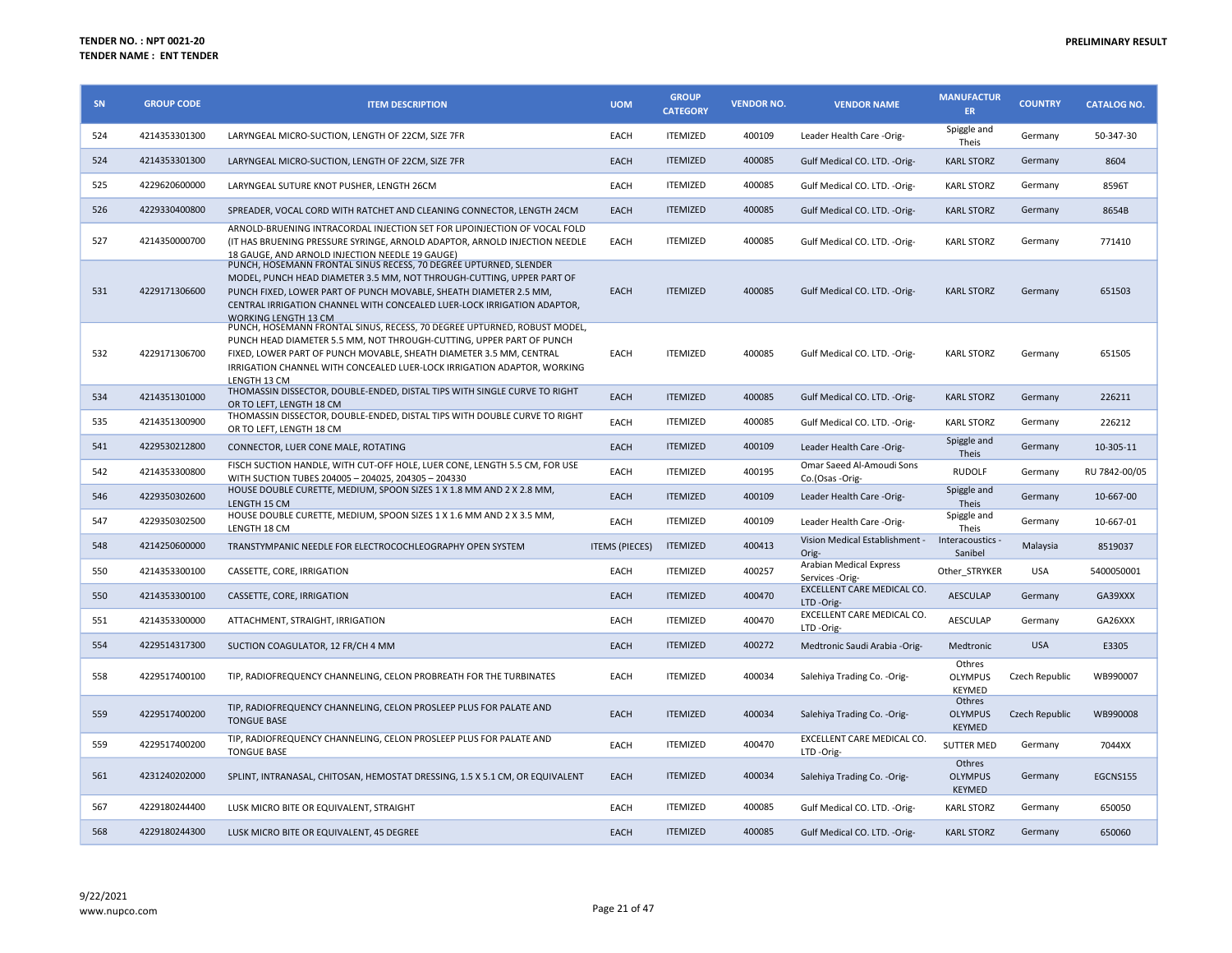| SN  | <b>GROUP CODE</b> | <b>ITEM DESCRIPTION</b>                                                                                                                                                                                                                                                                                                   | <b>UOM</b>            | <b>GROUP</b><br><b>CATEGORY</b> | <b>VENDOR NO.</b> | <b>VENDOR NAME</b>                           | <b>MANUFACTUR</b><br>ER.                  | <b>COUNTRY</b> | <b>CATALOG NO.</b> |
|-----|-------------------|---------------------------------------------------------------------------------------------------------------------------------------------------------------------------------------------------------------------------------------------------------------------------------------------------------------------------|-----------------------|---------------------------------|-------------------|----------------------------------------------|-------------------------------------------|----------------|--------------------|
| 524 | 4214353301300     | LARYNGEAL MICRO-SUCTION, LENGTH OF 22CM, SIZE 7FR                                                                                                                                                                                                                                                                         | EACH                  | <b>ITEMIZED</b>                 | 400109            | Leader Health Care -Orig-                    | Spiggle and<br>Theis                      | Germany        | 50-347-30          |
| 524 | 4214353301300     | LARYNGEAL MICRO-SUCTION, LENGTH OF 22CM, SIZE 7FR                                                                                                                                                                                                                                                                         | EACH                  | <b>ITEMIZED</b>                 | 400085            | Gulf Medical CO. LTD. -Orig-                 | <b>KARL STORZ</b>                         | Germany        | 8604               |
| 525 | 4229620600000     | LARYNGEAL SUTURE KNOT PUSHER, LENGTH 26CM                                                                                                                                                                                                                                                                                 | EACH                  | <b>ITEMIZED</b>                 | 400085            | Gulf Medical CO. LTD. - Orig-                | <b>KARL STORZ</b>                         | Germany        | 8596T              |
| 526 | 4229330400800     | SPREADER, VOCAL CORD WITH RATCHET AND CLEANING CONNECTOR, LENGTH 24CM                                                                                                                                                                                                                                                     | EACH                  | <b>ITEMIZED</b>                 | 400085            | Gulf Medical CO. LTD. -Orig-                 | <b>KARL STORZ</b>                         | Germany        | 8654B              |
| 527 | 4214350000700     | ARNOLD-BRUENING INTRACORDAL INJECTION SET FOR LIPOINJECTION OF VOCAL FOLD<br>(IT HAS BRUENING PRESSURE SYRINGE, ARNOLD ADAPTOR, ARNOLD INJECTION NEEDLE<br>18 GAUGE, AND ARNOLD INJECTION NEEDLE 19 GAUGE)                                                                                                                | EACH                  | <b>ITEMIZED</b>                 | 400085            | Gulf Medical CO. LTD. - Orig-                | <b>KARL STORZ</b>                         | Germany        | 771410             |
| 531 | 4229171306600     | PUNCH, HOSEMANN FRONTAL SINUS RECESS, 70 DEGREE UPTURNED, SLENDER<br>MODEL, PUNCH HEAD DIAMETER 3.5 MM, NOT THROUGH-CUTTING, UPPER PART OF<br>PUNCH FIXED, LOWER PART OF PUNCH MOVABLE, SHEATH DIAMETER 2.5 MM,<br>CENTRAL IRRIGATION CHANNEL WITH CONCEALED LUER-LOCK IRRIGATION ADAPTOR,<br><b>WORKING LENGTH 13 CM</b> | EACH                  | <b>ITEMIZED</b>                 | 400085            | Gulf Medical CO. LTD. - Orig-                | <b>KARL STORZ</b>                         | Germany        | 651503             |
| 532 | 4229171306700     | PUNCH, HOSEMANN FRONTAL SINUS, RECESS, 70 DEGREE UPTURNED, ROBUST MODEL,<br>PUNCH HEAD DIAMETER 5.5 MM, NOT THROUGH-CUTTING, UPPER PART OF PUNCH<br>FIXED, LOWER PART OF PUNCH MOVABLE, SHEATH DIAMETER 3.5 MM, CENTRAL<br>IRRIGATION CHANNEL WITH CONCEALED LUER-LOCK IRRIGATION ADAPTOR, WORKING<br>LENGTH 13 CM        | EACH                  | <b>ITEMIZED</b>                 | 400085            | Gulf Medical CO. LTD. - Orig-                | <b>KARL STORZ</b>                         | Germany        | 651505             |
| 534 | 4214351301000     | THOMASSIN DISSECTOR, DOUBLE-ENDED, DISTAL TIPS WITH SINGLE CURVE TO RIGHT<br>OR TO LEFT, LENGTH 18 CM                                                                                                                                                                                                                     | EACH                  | <b>ITEMIZED</b>                 | 400085            | Gulf Medical CO. LTD. - Orig-                | <b>KARL STORZ</b>                         | Germany        | 226211             |
| 535 | 4214351300900     | THOMASSIN DISSECTOR, DOUBLE-ENDED, DISTAL TIPS WITH DOUBLE CURVE TO RIGHT<br>OR TO LEFT, LENGTH 18 CM                                                                                                                                                                                                                     | EACH                  | <b>ITEMIZED</b>                 | 400085            | Gulf Medical CO. LTD. - Orig-                | <b>KARL STORZ</b>                         | Germany        | 226212             |
| 541 | 4229530212800     | CONNECTOR, LUER CONE MALE, ROTATING                                                                                                                                                                                                                                                                                       | EACH                  | <b>ITEMIZED</b>                 | 400109            | Leader Health Care -Orig-                    | Spiggle and<br>Theis                      | Germany        | 10-305-11          |
| 542 | 4214353300800     | FISCH SUCTION HANDLE, WITH CUT-OFF HOLE, LUER CONE, LENGTH 5.5 CM, FOR USE<br>WITH SUCTION TUBES 204005 - 204025, 204305 - 204330                                                                                                                                                                                         | EACH                  | <b>ITEMIZED</b>                 | 400195            | Omar Saeed Al-Amoudi Sons<br>Co.(Osas -Orig- | <b>RUDOLF</b>                             | Germany        | RU 7842-00/05      |
| 546 | 4229350302600     | HOUSE DOUBLE CURETTE, MEDIUM, SPOON SIZES 1 X 1.8 MM AND 2 X 2.8 MM,<br>LENGTH 15 CM                                                                                                                                                                                                                                      | EACH                  | <b>ITEMIZED</b>                 | 400109            | Leader Health Care -Orig-                    | Spiggle and<br>Theis                      | Germany        | 10-667-00          |
| 547 | 4229350302500     | HOUSE DOUBLE CURETTE, MEDIUM, SPOON SIZES 1 X 1.6 MM AND 2 X 3.5 MM,<br>LENGTH 18 CM                                                                                                                                                                                                                                      | EACH                  | <b>ITEMIZED</b>                 | 400109            | Leader Health Care -Orig-                    | Spiggle and<br>Theis                      | Germany        | 10-667-01          |
| 548 | 4214250600000     | TRANSTYMPANIC NEEDLE FOR ELECTROCOCHLEOGRAPHY OPEN SYSTEM                                                                                                                                                                                                                                                                 | <b>ITEMS (PIECES)</b> | <b>ITEMIZED</b>                 | 400413            | Vision Medical Establishment -<br>Orig-      | Interacoustics -<br>Sanibel               | Malaysia       | 8519037            |
| 550 | 4214353300100     | CASSETTE, CORE, IRRIGATION                                                                                                                                                                                                                                                                                                | EACH                  | <b>ITEMIZED</b>                 | 400257            | Arabian Medical Express<br>Services -Orig-   | Other STRYKER                             | <b>USA</b>     | 5400050001         |
| 550 | 4214353300100     | CASSETTE, CORE, IRRIGATION                                                                                                                                                                                                                                                                                                | EACH                  | <b>ITEMIZED</b>                 | 400470            | EXCELLENT CARE MEDICAL CO.<br>LTD-Orig-      | <b>AESCULAP</b>                           | Germany        | GA39XXX            |
| 551 | 4214353300000     | ATTACHMENT, STRAIGHT, IRRIGATION                                                                                                                                                                                                                                                                                          | EACH                  | <b>ITEMIZED</b>                 | 400470            | EXCELLENT CARE MEDICAL CO.<br>LTD-Orig-      | AESCULAP                                  | Germany        | GA26XXX            |
| 554 | 4229514317300     | SUCTION COAGULATOR, 12 FR/CH 4 MM                                                                                                                                                                                                                                                                                         | EACH                  | <b>ITEMIZED</b>                 | 400272            | Medtronic Saudi Arabia -Orig-                | Medtronic                                 | <b>USA</b>     | E3305              |
| 558 | 4229517400100     | TIP, RADIOFREQUENCY CHANNELING, CELON PROBREATH FOR THE TURBINATES                                                                                                                                                                                                                                                        | EACH                  | <b>ITEMIZED</b>                 | 400034            | Salehiya Trading Co. - Orig-                 | Othres<br>OLYMPUS<br><b>KEYMED</b>        | Czech Republic | WB990007           |
| 559 | 4229517400200     | TIP, RADIOFREQUENCY CHANNELING, CELON PROSLEEP PLUS FOR PALATE AND<br><b>TONGUE BASE</b>                                                                                                                                                                                                                                  | EACH                  | <b>ITEMIZED</b>                 | 400034            | Salehiya Trading Co. - Orig-                 | Othres<br><b>OLYMPUS</b><br><b>KEYMED</b> | Czech Republic | WB990008           |
| 559 | 4229517400200     | TIP, RADIOFREQUENCY CHANNELING, CELON PROSLEEP PLUS FOR PALATE AND<br><b>TONGUE BASE</b>                                                                                                                                                                                                                                  | EACH                  | <b>ITEMIZED</b>                 | 400470            | EXCELLENT CARE MEDICAL CO.<br>LTD-Orig-      | <b>SUTTER MED</b>                         | Germany        | 7044XX             |
| 561 | 4231240202000     | SPLINT, INTRANASAL, CHITOSAN, HEMOSTAT DRESSING, 1.5 X 5.1 CM, OR EQUIVALENT                                                                                                                                                                                                                                              | EACH                  | <b>ITEMIZED</b>                 | 400034            | Salehiya Trading Co. - Orig-                 | Othres<br><b>OLYMPUS</b><br>KEYMED        | Germany        | EGCNS155           |
| 567 | 4229180244400     | LUSK MICRO BITE OR EQUIVALENT, STRAIGHT                                                                                                                                                                                                                                                                                   | EACH                  | <b>ITEMIZED</b>                 | 400085            | Gulf Medical CO. LTD. - Orig-                | <b>KARL STORZ</b>                         | Germany        | 650050             |
| 568 | 4229180244300     | LUSK MICRO BITE OR EQUIVALENT, 45 DEGREE                                                                                                                                                                                                                                                                                  | EACH                  | <b>ITEMIZED</b>                 | 400085            | Gulf Medical CO. LTD. -Orig-                 | <b>KARL STORZ</b>                         | Germany        | 650060             |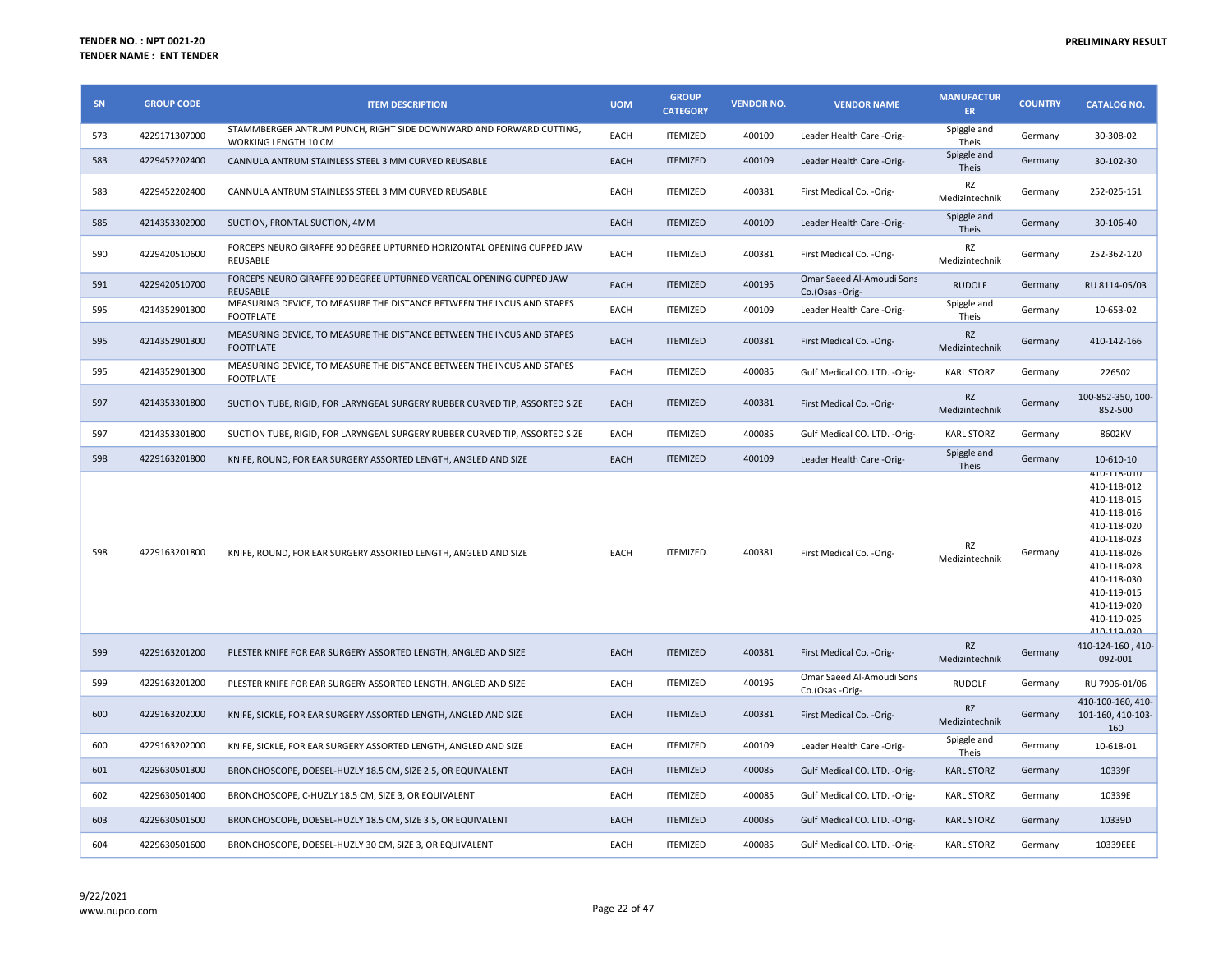| SN  | <b>GROUP CODE</b> | <b>ITEM DESCRIPTION</b>                                                                    | <b>UOM</b>  | <b>GROUP</b><br><b>CATEGORY</b> | <b>VENDOR NO.</b> | <b>VENDOR NAME</b>                           | <b>MANUFACTUR</b><br>ER     | <b>COUNTRY</b> | <b>CATALOG NO.</b>                                                                                                                                                                      |
|-----|-------------------|--------------------------------------------------------------------------------------------|-------------|---------------------------------|-------------------|----------------------------------------------|-----------------------------|----------------|-----------------------------------------------------------------------------------------------------------------------------------------------------------------------------------------|
| 573 | 4229171307000     | STAMMBERGER ANTRUM PUNCH, RIGHT SIDE DOWNWARD AND FORWARD CUTTING,<br>WORKING LENGTH 10 CM | EACH        | <b>ITEMIZED</b>                 | 400109            | Leader Health Care -Orig-                    | Spiggle and<br>Theis        | Germany        | 30-308-02                                                                                                                                                                               |
| 583 | 4229452202400     | CANNULA ANTRUM STAINLESS STEEL 3 MM CURVED REUSABLE                                        | <b>EACH</b> | <b>ITEMIZED</b>                 | 400109            | Leader Health Care -Orig-                    | Spiggle and<br>Theis        | Germany        | 30-102-30                                                                                                                                                                               |
| 583 | 4229452202400     | CANNULA ANTRUM STAINLESS STEEL 3 MM CURVED REUSABLE                                        | EACH        | <b>ITEMIZED</b>                 | 400381            | First Medical Co. - Orig-                    | RZ<br>Medizintechnik        | Germany        | 252-025-151                                                                                                                                                                             |
| 585 | 4214353302900     | SUCTION, FRONTAL SUCTION, 4MM                                                              | EACH        | <b>ITEMIZED</b>                 | 400109            | Leader Health Care -Orig-                    | Spiggle and<br><b>Theis</b> | Germany        | 30-106-40                                                                                                                                                                               |
| 590 | 4229420510600     | FORCEPS NEURO GIRAFFE 90 DEGREE UPTURNED HORIZONTAL OPENING CUPPED JAW<br>REUSABLE         | EACH        | <b>ITEMIZED</b>                 | 400381            | First Medical Co. - Orig-                    | RZ<br>Medizintechnik        | Germany        | 252-362-120                                                                                                                                                                             |
| 591 | 4229420510700     | FORCEPS NEURO GIRAFFE 90 DEGREE UPTURNED VERTICAL OPENING CUPPED JAW<br><b>REUSABLE</b>    | EACH        | <b>ITEMIZED</b>                 | 400195            | Omar Saeed Al-Amoudi Sons<br>Co.(Osas -Orig- | <b>RUDOLF</b>               | Germany        | RU 8114-05/03                                                                                                                                                                           |
| 595 | 4214352901300     | MEASURING DEVICE, TO MEASURE THE DISTANCE BETWEEN THE INCUS AND STAPES<br><b>FOOTPLATE</b> | EACH        | <b>ITEMIZED</b>                 | 400109            | Leader Health Care -Orig-                    | Spiggle and<br>Theis        | Germany        | 10-653-02                                                                                                                                                                               |
| 595 | 4214352901300     | MEASURING DEVICE, TO MEASURE THE DISTANCE BETWEEN THE INCUS AND STAPES<br><b>FOOTPLATE</b> | <b>EACH</b> | <b>ITEMIZED</b>                 | 400381            | First Medical Co. - Orig-                    | <b>RZ</b><br>Medizintechnik | Germany        | 410-142-166                                                                                                                                                                             |
| 595 | 4214352901300     | MEASURING DEVICE, TO MEASURE THE DISTANCE BETWEEN THE INCUS AND STAPES<br><b>FOOTPLATE</b> | EACH        | <b>ITEMIZED</b>                 | 400085            | Gulf Medical CO. LTD. - Orig-                | <b>KARL STORZ</b>           | Germany        | 226502                                                                                                                                                                                  |
| 597 | 4214353301800     | SUCTION TUBE, RIGID, FOR LARYNGEAL SURGERY RUBBER CURVED TIP, ASSORTED SIZE                | <b>EACH</b> | <b>ITEMIZED</b>                 | 400381            | First Medical Co. - Orig-                    | <b>RZ</b><br>Medizintechnik | Germany        | 100-852-350, 100-<br>852-500                                                                                                                                                            |
| 597 | 4214353301800     | SUCTION TUBE, RIGID, FOR LARYNGEAL SURGERY RUBBER CURVED TIP, ASSORTED SIZE                | EACH        | <b>ITEMIZED</b>                 | 400085            | Gulf Medical CO. LTD. -Orig-                 | <b>KARL STORZ</b>           | Germany        | 8602KV                                                                                                                                                                                  |
| 598 | 4229163201800     | KNIFE, ROUND, FOR EAR SURGERY ASSORTED LENGTH, ANGLED AND SIZE                             | EACH        | <b>ITEMIZED</b>                 | 400109            | Leader Health Care -Orig-                    | Spiggle and<br>Theis        | Germany        | 10-610-10<br>410-118-010                                                                                                                                                                |
| 598 | 4229163201800     | KNIFE, ROUND, FOR EAR SURGERY ASSORTED LENGTH, ANGLED AND SIZE                             | EACH        | <b>ITEMIZED</b>                 | 400381            | First Medical Co. - Orig-                    | RZ<br>Medizintechnik        | Germany        | 410-118-012<br>410-118-015<br>410-118-016<br>410-118-020<br>410-118-023<br>410-118-026<br>410-118-028<br>410-118-030<br>410-119-015<br>410-119-020<br>410-119-025<br><u>חכח חדר חדו</u> |
| 599 | 4229163201200     | PLESTER KNIFE FOR EAR SURGERY ASSORTED LENGTH, ANGLED AND SIZE                             | <b>EACH</b> | <b>ITEMIZED</b>                 | 400381            | First Medical Co. - Orig-                    | <b>RZ</b><br>Medizintechnik | Germany        | 410-124-160, 410-<br>092-001                                                                                                                                                            |
| 599 | 4229163201200     | PLESTER KNIFE FOR EAR SURGERY ASSORTED LENGTH, ANGLED AND SIZE                             | EACH        | <b>ITEMIZED</b>                 | 400195            | Omar Saeed Al-Amoudi Sons<br>Co.(Osas -Orig- | <b>RUDOLF</b>               | Germany        | RU 7906-01/06                                                                                                                                                                           |
| 600 | 4229163202000     | KNIFE, SICKLE, FOR EAR SURGERY ASSORTED LENGTH, ANGLED AND SIZE                            | <b>EACH</b> | <b>ITEMIZED</b>                 | 400381            | First Medical Co. - Orig-                    | <b>RZ</b><br>Medizintechnik | Germany        | 410-100-160, 410-<br>101-160, 410-103-<br>160                                                                                                                                           |
| 600 | 4229163202000     | KNIFE, SICKLE, FOR EAR SURGERY ASSORTED LENGTH, ANGLED AND SIZE                            | EACH        | <b>ITEMIZED</b>                 | 400109            | Leader Health Care -Orig-                    | Spiggle and<br>Theis        | Germany        | 10-618-01                                                                                                                                                                               |
| 601 | 4229630501300     | BRONCHOSCOPE, DOESEL-HUZLY 18.5 CM, SIZE 2.5, OR EQUIVALENT                                | EACH        | <b>ITEMIZED</b>                 | 400085            | Gulf Medical CO. LTD. - Orig-                | <b>KARL STORZ</b>           | Germany        | 10339F                                                                                                                                                                                  |
| 602 | 4229630501400     | BRONCHOSCOPE, C-HUZLY 18.5 CM, SIZE 3, OR EQUIVALENT                                       | EACH        | <b>ITEMIZED</b>                 | 400085            | Gulf Medical CO. LTD. -Orig-                 | <b>KARL STORZ</b>           | Germany        | 10339E                                                                                                                                                                                  |
| 603 | 4229630501500     | BRONCHOSCOPE, DOESEL-HUZLY 18.5 CM, SIZE 3.5, OR EQUIVALENT                                | EACH        | <b>ITEMIZED</b>                 | 400085            | Gulf Medical CO. LTD. - Orig-                | <b>KARL STORZ</b>           | Germany        | 10339D                                                                                                                                                                                  |
| 604 | 4229630501600     | BRONCHOSCOPE, DOESEL-HUZLY 30 CM, SIZE 3, OR EQUIVALENT                                    | EACH        | <b>ITEMIZED</b>                 | 400085            | Gulf Medical CO. LTD. - Orig-                | <b>KARL STORZ</b>           | Germany        | 10339EEE                                                                                                                                                                                |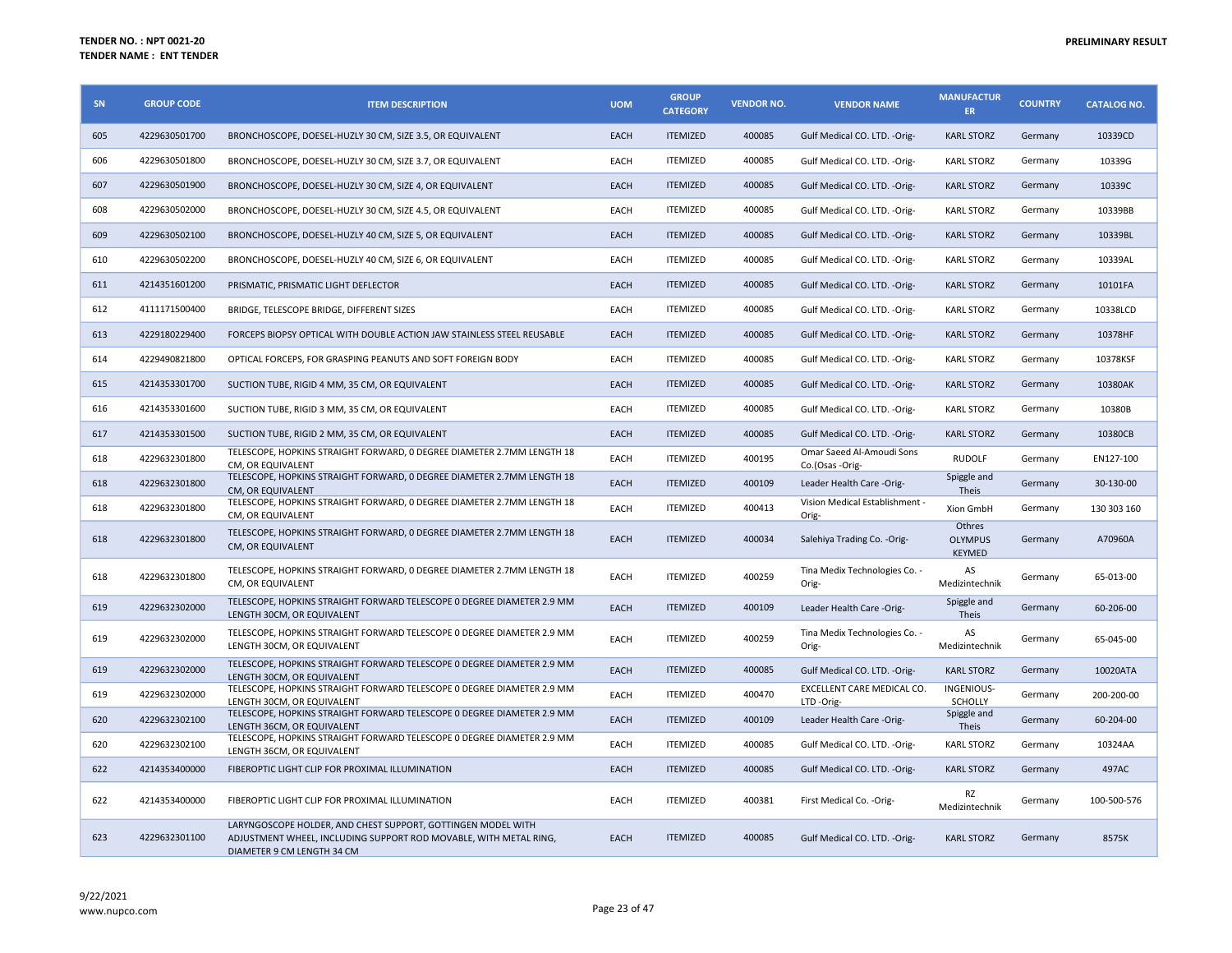| SN  | <b>GROUP CODE</b> | <b>ITEM DESCRIPTION</b>                                                                                                                                         | <b>UOM</b>  | <b>GROUP</b><br><b>CATEGORY</b> | <b>VENDOR NO.</b> | <b>VENDOR NAME</b>                           | <b>MANUFACTUR</b><br><b>ER</b>            | <b>COUNTRY</b> | <b>CATALOG NO.</b> |
|-----|-------------------|-----------------------------------------------------------------------------------------------------------------------------------------------------------------|-------------|---------------------------------|-------------------|----------------------------------------------|-------------------------------------------|----------------|--------------------|
| 605 | 4229630501700     | BRONCHOSCOPE, DOESEL-HUZLY 30 CM, SIZE 3.5, OR EQUIVALENT                                                                                                       | EACH        | <b>ITEMIZED</b>                 | 400085            | Gulf Medical CO. LTD. -Orig-                 | <b>KARL STORZ</b>                         | Germany        | 10339CD            |
| 606 | 4229630501800     | BRONCHOSCOPE, DOESEL-HUZLY 30 CM, SIZE 3.7, OR EQUIVALENT                                                                                                       | EACH        | <b>ITEMIZED</b>                 | 400085            | Gulf Medical CO. LTD. -Orig-                 | <b>KARL STORZ</b>                         | Germany        | 10339G             |
| 607 | 4229630501900     | BRONCHOSCOPE, DOESEL-HUZLY 30 CM, SIZE 4, OR EQUIVALENT                                                                                                         | EACH        | <b>ITEMIZED</b>                 | 400085            | Gulf Medical CO. LTD. - Orig-                | <b>KARL STORZ</b>                         | Germany        | 10339C             |
| 608 | 4229630502000     | BRONCHOSCOPE, DOESEL-HUZLY 30 CM, SIZE 4.5, OR EQUIVALENT                                                                                                       | EACH        | <b>ITEMIZED</b>                 | 400085            | Gulf Medical CO. LTD. -Orig-                 | <b>KARL STORZ</b>                         | Germany        | 10339BB            |
| 609 | 4229630502100     | BRONCHOSCOPE, DOESEL-HUZLY 40 CM, SIZE 5, OR EQUIVALENT                                                                                                         | EACH        | <b>ITEMIZED</b>                 | 400085            | Gulf Medical CO. LTD. - Orig-                | <b>KARL STORZ</b>                         | Germany        | 10339BL            |
| 610 | 4229630502200     | BRONCHOSCOPE, DOESEL-HUZLY 40 CM, SIZE 6, OR EQUIVALENT                                                                                                         | EACH        | <b>ITEMIZED</b>                 | 400085            | Gulf Medical CO. LTD. - Orig-                | <b>KARL STORZ</b>                         | Germany        | 10339AL            |
| 611 | 4214351601200     | PRISMATIC, PRISMATIC LIGHT DEFLECTOR                                                                                                                            | EACH        | <b>ITEMIZED</b>                 | 400085            | Gulf Medical CO. LTD. - Orig-                | <b>KARL STORZ</b>                         | Germany        | 10101FA            |
| 612 | 4111171500400     | BRIDGE, TELESCOPE BRIDGE, DIFFERENT SIZES                                                                                                                       | EACH        | <b>ITEMIZED</b>                 | 400085            | Gulf Medical CO. LTD. -Orig-                 | <b>KARL STORZ</b>                         | Germany        | 10338LCD           |
| 613 | 4229180229400     | FORCEPS BIOPSY OPTICAL WITH DOUBLE ACTION JAW STAINLESS STEEL REUSABLE                                                                                          | EACH        | <b>ITEMIZED</b>                 | 400085            | Gulf Medical CO. LTD. - Orig-                | <b>KARL STORZ</b>                         | Germany        | 10378HF            |
| 614 | 4229490821800     | OPTICAL FORCEPS, FOR GRASPING PEANUTS AND SOFT FOREIGN BODY                                                                                                     | EACH        | <b>ITEMIZED</b>                 | 400085            | Gulf Medical CO. LTD. - Orig-                | <b>KARL STORZ</b>                         | Germany        | 10378KSF           |
| 615 | 4214353301700     | SUCTION TUBE, RIGID 4 MM, 35 CM, OR EQUIVALENT                                                                                                                  | EACH        | <b>ITEMIZED</b>                 | 400085            | Gulf Medical CO. LTD. - Orig-                | <b>KARL STORZ</b>                         | Germany        | 10380AK            |
| 616 | 4214353301600     | SUCTION TUBE, RIGID 3 MM, 35 CM, OR EQUIVALENT                                                                                                                  | EACH        | <b>ITEMIZED</b>                 | 400085            | Gulf Medical CO. LTD. -Orig-                 | <b>KARL STORZ</b>                         | Germany        | 10380B             |
| 617 | 4214353301500     | SUCTION TUBE, RIGID 2 MM, 35 CM, OR EQUIVALENT                                                                                                                  | EACH        | <b>ITEMIZED</b>                 | 400085            | Gulf Medical CO. LTD. -Orig-                 | <b>KARL STORZ</b>                         | Germany        | 10380CB            |
| 618 | 4229632301800     | TELESCOPE, HOPKINS STRAIGHT FORWARD, 0 DEGREE DIAMETER 2.7MM LENGTH 18<br>CM, OR EQUIVALENT                                                                     | EACH        | <b>ITEMIZED</b>                 | 400195            | Omar Saeed Al-Amoudi Sons<br>Co.(Osas -Orig- | <b>RUDOLF</b>                             | Germany        | EN127-100          |
| 618 | 4229632301800     | TELESCOPE. HOPKINS STRAIGHT FORWARD. 0 DEGREE DIAMETER 2.7MM LENGTH 18<br>CM, OR EQUIVALENT                                                                     | EACH        | <b>ITEMIZED</b>                 | 400109            | Leader Health Care -Orig-                    | Spiggle and<br>Theis                      | Germany        | 30-130-00          |
| 618 | 4229632301800     | TELESCOPE, HOPKINS STRAIGHT FORWARD, 0 DEGREE DIAMETER 2.7MM LENGTH 18<br>CM, OR EQUIVALENT                                                                     | EACH        | <b>ITEMIZED</b>                 | 400413            | Vision Medical Establishment -<br>Orig-      | Xion GmbH                                 | Germany        | 130 303 160        |
| 618 | 4229632301800     | TELESCOPE, HOPKINS STRAIGHT FORWARD, O DEGREE DIAMETER 2.7MM LENGTH 18<br>CM, OR EQUIVALENT                                                                     | EACH        | <b>ITEMIZED</b>                 | 400034            | Salehiya Trading Co. - Orig-                 | Othres<br><b>OLYMPUS</b><br><b>KEYMED</b> | Germany        | A70960A            |
| 618 | 4229632301800     | TELESCOPE, HOPKINS STRAIGHT FORWARD, 0 DEGREE DIAMETER 2.7MM LENGTH 18<br>CM, OR EQUIVALENT                                                                     | EACH        | <b>ITEMIZED</b>                 | 400259            | Tina Medix Technologies Co. -<br>Orig-       | AS<br>Medizintechnik                      | Germany        | 65-013-00          |
| 619 | 4229632302000     | TELESCOPE, HOPKINS STRAIGHT FORWARD TELESCOPE 0 DEGREE DIAMETER 2.9 MM<br>LENGTH 30CM, OR EQUIVALENT                                                            | EACH        | <b>ITEMIZED</b>                 | 400109            | Leader Health Care -Orig-                    | Spiggle and<br>Theis                      | Germany        | 60-206-00          |
| 619 | 4229632302000     | TELESCOPE, HOPKINS STRAIGHT FORWARD TELESCOPE 0 DEGREE DIAMETER 2.9 MM<br>LENGTH 30CM, OR EQUIVALENT                                                            | EACH        | <b>ITEMIZED</b>                 | 400259            | Tina Medix Technologies Co. -<br>Orig-       | AS<br>Medizintechnik                      | Germany        | 65-045-00          |
| 619 | 4229632302000     | TELESCOPE, HOPKINS STRAIGHT FORWARD TELESCOPE 0 DEGREE DIAMETER 2.9 MM<br>LENGTH 30CM. OR EQUIVALENT                                                            | EACH        | <b>ITEMIZED</b>                 | 400085            | Gulf Medical CO. LTD. - Orig-                | <b>KARL STORZ</b>                         | Germany        | 10020ATA           |
| 619 | 4229632302000     | TELESCOPE, HOPKINS STRAIGHT FORWARD TELESCOPE 0 DEGREE DIAMETER 2.9 MM<br>LENGTH 30CM, OR EQUIVALENT                                                            | <b>EACH</b> | <b>ITEMIZED</b>                 | 400470            | EXCELLENT CARE MEDICAL CO.<br>LTD-Orig-      | INGENIOUS-<br>SCHOLLY                     | Germany        | 200-200-00         |
| 620 | 4229632302100     | TELESCOPE, HOPKINS STRAIGHT FORWARD TELESCOPE 0 DEGREE DIAMETER 2.9 MM<br>LENGTH 36CM, OR EQUIVALENT                                                            | EACH        | <b>ITEMIZED</b>                 | 400109            | Leader Health Care -Orig-                    | Spiggle and<br>Theis                      | Germany        | 60-204-00          |
| 620 | 4229632302100     | TELESCOPE, HOPKINS STRAIGHT FORWARD TELESCOPE 0 DEGREE DIAMETER 2.9 MM<br>LENGTH 36CM, OR EQUIVALENT                                                            | EACH        | <b>ITEMIZED</b>                 | 400085            | Gulf Medical CO. LTD. - Orig-                | <b>KARL STORZ</b>                         | Germany        | 10324AA            |
| 622 | 4214353400000     | FIBEROPTIC LIGHT CLIP FOR PROXIMAL ILLUMINATION                                                                                                                 | EACH        | <b>ITEMIZED</b>                 | 400085            | Gulf Medical CO. LTD. - Orig-                | <b>KARL STORZ</b>                         | Germany        | 497AC              |
| 622 | 4214353400000     | FIBEROPTIC LIGHT CLIP FOR PROXIMAL ILLUMINATION                                                                                                                 | EACH        | <b>ITEMIZED</b>                 | 400381            | First Medical Co. - Orig-                    | RZ<br>Medizintechnik                      | Germany        | 100-500-576        |
| 623 | 4229632301100     | LARYNGOSCOPE HOLDER, AND CHEST SUPPORT, GOTTINGEN MODEL WITH<br>ADJUSTMENT WHEEL, INCLUDING SUPPORT ROD MOVABLE, WITH METAL RING,<br>DIAMETER 9 CM LENGTH 34 CM | EACH        | <b>ITEMIZED</b>                 | 400085            | Gulf Medical CO. LTD. -Orig-                 | <b>KARL STORZ</b>                         | Germany        | 8575K              |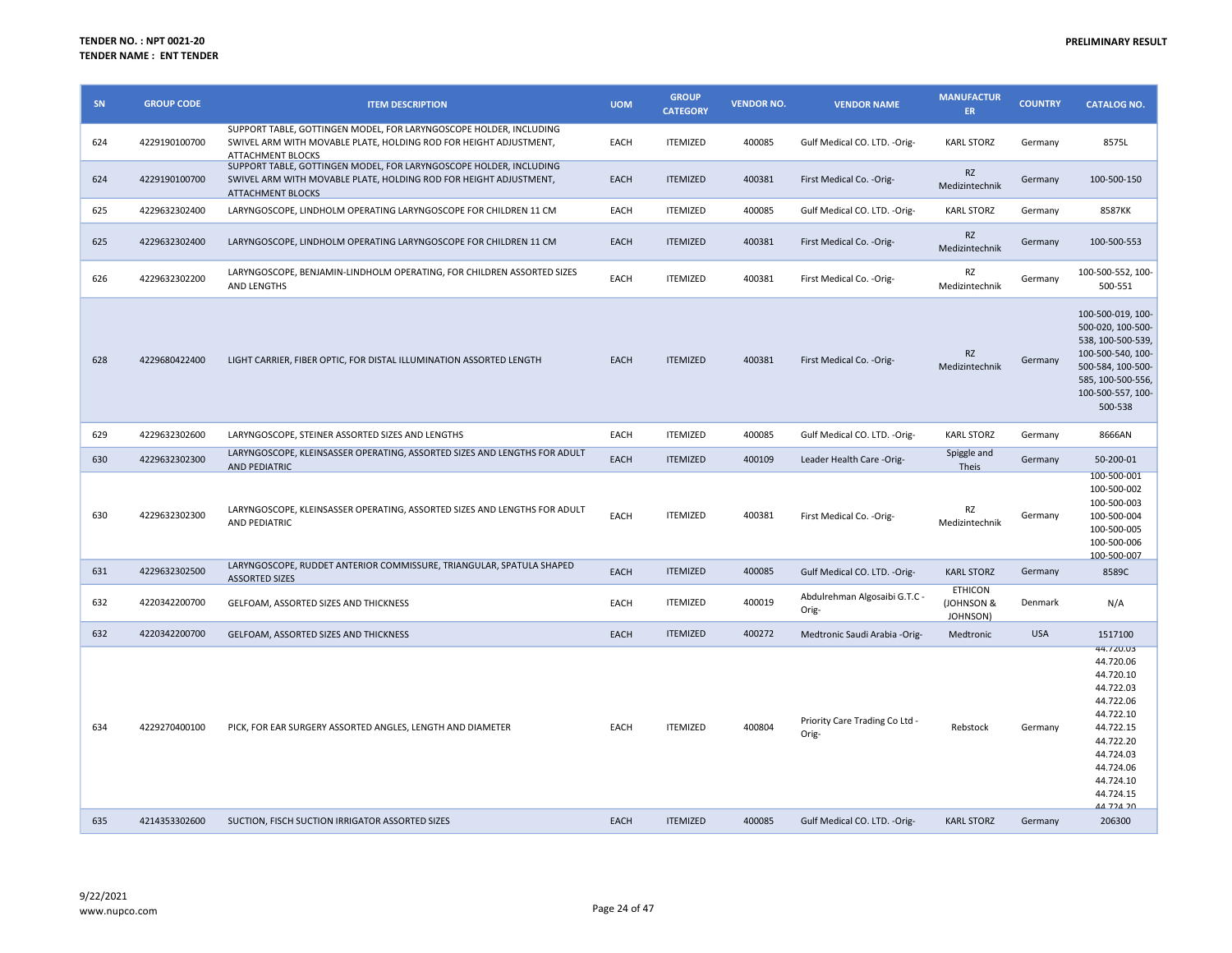| SN  | <b>GROUP CODE</b> | <b>ITEM DESCRIPTION</b>                                                                                                                                             | <b>UOM</b> | <b>GROUP</b><br><b>CATEGORY</b> | <b>VENDOR NO.</b> | <b>VENDOR NAME</b>                      | <b>MANUFACTUR</b><br>ER                            | <b>COUNTRY</b> | <b>CATALOG NO.</b>                                                                                                                                                           |
|-----|-------------------|---------------------------------------------------------------------------------------------------------------------------------------------------------------------|------------|---------------------------------|-------------------|-----------------------------------------|----------------------------------------------------|----------------|------------------------------------------------------------------------------------------------------------------------------------------------------------------------------|
| 624 | 4229190100700     | SUPPORT TABLE, GOTTINGEN MODEL, FOR LARYNGOSCOPE HOLDER, INCLUDING<br>SWIVEL ARM WITH MOVABLE PLATE, HOLDING ROD FOR HEIGHT ADJUSTMENT,<br><b>ATTACHMENT BLOCKS</b> | EACH       | <b>ITEMIZED</b>                 | 400085            | Gulf Medical CO. LTD. - Orig-           | <b>KARL STORZ</b>                                  | Germany        | 8575L                                                                                                                                                                        |
| 624 | 4229190100700     | SUPPORT TABLE, GOTTINGEN MODEL, FOR LARYNGOSCOPE HOLDER, INCLUDING<br>SWIVEL ARM WITH MOVABLE PLATE, HOLDING ROD FOR HEIGHT ADJUSTMENT,<br><b>ATTACHMENT BLOCKS</b> | EACH       | <b>ITEMIZED</b>                 | 400381            | First Medical Co. - Orig-               | <b>RZ</b><br>Medizintechnik                        | Germany        | 100-500-150                                                                                                                                                                  |
| 625 | 4229632302400     | LARYNGOSCOPE, LINDHOLM OPERATING LARYNGOSCOPE FOR CHILDREN 11 CM                                                                                                    | EACH       | <b>ITEMIZED</b>                 | 400085            | Gulf Medical CO. LTD. -Orig-            | <b>KARL STORZ</b>                                  | Germany        | 8587KK                                                                                                                                                                       |
| 625 | 4229632302400     | LARYNGOSCOPE, LINDHOLM OPERATING LARYNGOSCOPE FOR CHILDREN 11 CM                                                                                                    | EACH       | <b>ITEMIZED</b>                 | 400381            | First Medical Co. - Orig-               | RZ<br>Medizintechnik                               | Germany        | 100-500-553                                                                                                                                                                  |
| 626 | 4229632302200     | LARYNGOSCOPE, BENJAMIN-LINDHOLM OPERATING, FOR CHILDREN ASSORTED SIZES<br>AND LENGTHS                                                                               | EACH       | <b>ITEMIZED</b>                 | 400381            | First Medical Co. - Orig-               | RZ<br>Medizintechnik                               | Germany        | 100-500-552, 100-<br>500-551                                                                                                                                                 |
| 628 | 4229680422400     | LIGHT CARRIER, FIBER OPTIC, FOR DISTAL ILLUMINATION ASSORTED LENGTH                                                                                                 | EACH       | <b>ITEMIZED</b>                 | 400381            | First Medical Co. - Orig-               | <b>RZ</b><br>Medizintechnik                        | Germany        | 100-500-019, 100-<br>500-020, 100-500-<br>538, 100-500-539,<br>100-500-540, 100-<br>500-584, 100-500-<br>585, 100-500-556,<br>100-500-557, 100-<br>500-538                   |
| 629 | 4229632302600     | LARYNGOSCOPE, STEINER ASSORTED SIZES AND LENGTHS                                                                                                                    | EACH       | <b>ITEMIZED</b>                 | 400085            | Gulf Medical CO. LTD. - Orig-           | <b>KARL STORZ</b>                                  | Germany        | 8666AN                                                                                                                                                                       |
| 630 | 4229632302300     | LARYNGOSCOPE, KLEINSASSER OPERATING, ASSORTED SIZES AND LENGTHS FOR ADULT<br><b>AND PEDIATRIC</b>                                                                   | EACH       | <b>ITEMIZED</b>                 | 400109            | Leader Health Care -Orig-               | Spiggle and<br>Theis                               | Germany        | 50-200-01                                                                                                                                                                    |
| 630 | 4229632302300     | LARYNGOSCOPE, KLEINSASSER OPERATING, ASSORTED SIZES AND LENGTHS FOR ADULT<br>AND PEDIATRIC                                                                          | EACH       | <b>ITEMIZED</b>                 | 400381            | First Medical Co. - Orig-               | RZ<br>Medizintechnik                               | Germany        | 100-500-001<br>100-500-002<br>100-500-003<br>100-500-004<br>100-500-005<br>100-500-006<br>100-500-007                                                                        |
| 631 | 4229632302500     | LARYNGOSCOPE, RUDDET ANTERIOR COMMISSURE, TRIANGULAR, SPATULA SHAPED<br><b>ASSORTED SIZES</b>                                                                       | EACH       | <b>ITEMIZED</b>                 | 400085            | Gulf Medical CO. LTD. - Orig-           | <b>KARL STORZ</b>                                  | Germany        | 8589C                                                                                                                                                                        |
| 632 | 4220342200700     | GELFOAM, ASSORTED SIZES AND THICKNESS                                                                                                                               | EACH       | <b>ITEMIZED</b>                 | 400019            | Abdulrehman Algosaibi G.T.C -<br>Orig-  | <b>ETHICON</b><br><b>JOHNSON &amp;</b><br>JOHNSON) | Denmark        | N/A                                                                                                                                                                          |
| 632 | 4220342200700     | GELFOAM, ASSORTED SIZES AND THICKNESS                                                                                                                               | EACH       | <b>ITEMIZED</b>                 | 400272            | Medtronic Saudi Arabia -Orig-           | Medtronic                                          | <b>USA</b>     | 1517100                                                                                                                                                                      |
| 634 | 4229270400100     | PICK, FOR EAR SURGERY ASSORTED ANGLES, LENGTH AND DIAMETER                                                                                                          | EACH       | <b>ITEMIZED</b>                 | 400804            | Priority Care Trading Co Ltd -<br>Orig- | Rebstock                                           | Germany        | 44.720.03<br>44.720.06<br>44.720.10<br>44.722.03<br>44.722.06<br>44.722.10<br>44.722.15<br>44.722.20<br>44.724.03<br>44.724.06<br>44.724.10<br>44.724.15<br><u>AA 72A 20</u> |
| 635 | 4214353302600     | SUCTION, FISCH SUCTION IRRIGATOR ASSORTED SIZES                                                                                                                     | EACH       | <b>ITEMIZED</b>                 | 400085            | Gulf Medical CO. LTD. - Orig-           | <b>KARL STORZ</b>                                  | Germany        | 206300                                                                                                                                                                       |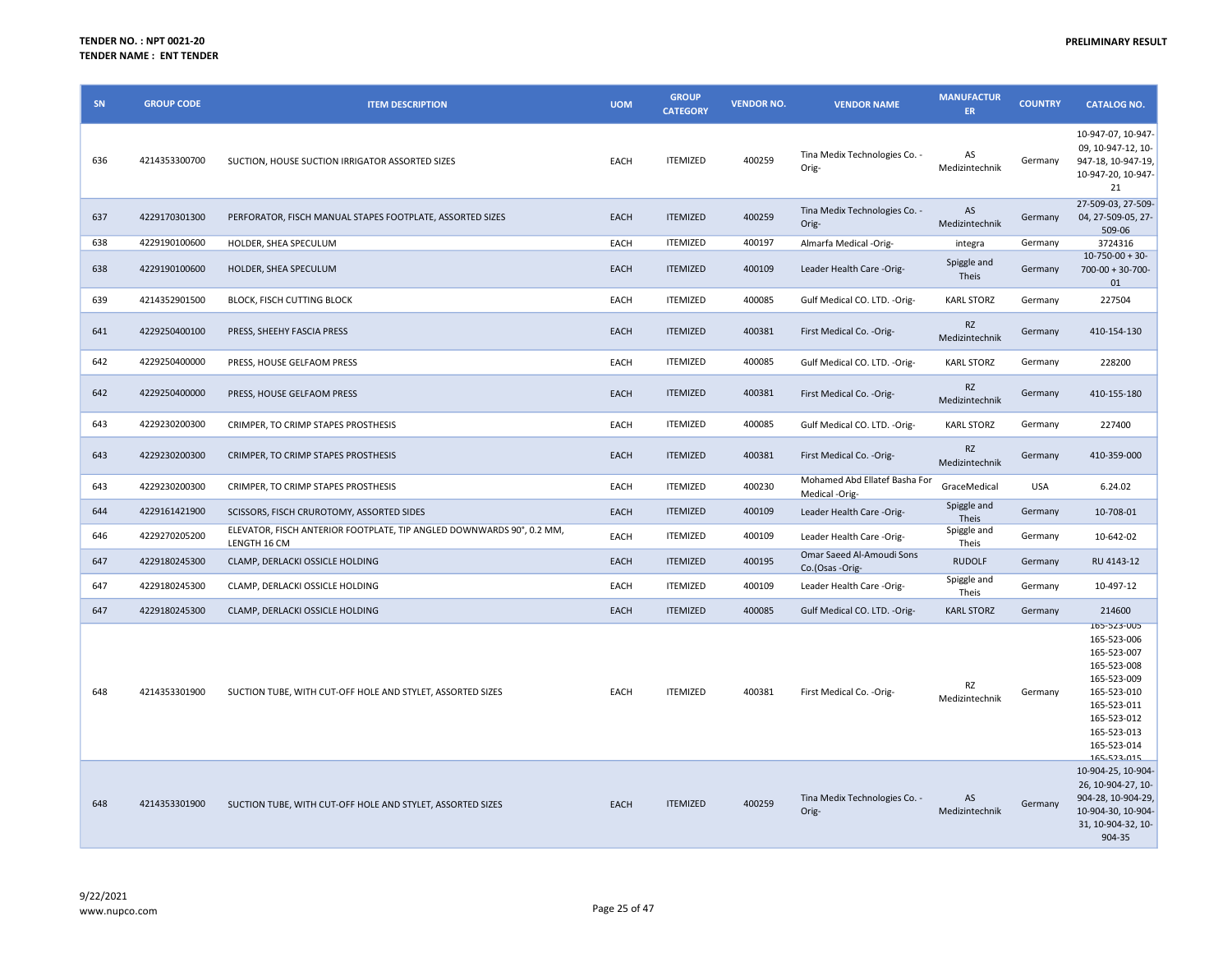| SN  | <b>GROUP CODE</b> | <b>ITEM DESCRIPTION</b>                                                               | <b>UOM</b> | <b>GROUP</b><br><b>CATEGORY</b> | <b>VENDOR NO.</b> | <b>VENDOR NAME</b>                              | <b>MANUFACTUR</b><br>ER.    | <b>COUNTRY</b> | <b>CATALOG NO.</b>                                                                                                                                                |
|-----|-------------------|---------------------------------------------------------------------------------------|------------|---------------------------------|-------------------|-------------------------------------------------|-----------------------------|----------------|-------------------------------------------------------------------------------------------------------------------------------------------------------------------|
| 636 | 4214353300700     | SUCTION, HOUSE SUCTION IRRIGATOR ASSORTED SIZES                                       | EACH       | <b>ITEMIZED</b>                 | 400259            | Tina Medix Technologies Co. -<br>Orig-          | AS<br>Medizintechnik        | Germany        | 10-947-07, 10-947-<br>09, 10-947-12, 10-<br>947-18, 10-947-19,<br>10-947-20, 10-947-<br>21                                                                        |
| 637 | 4229170301300     | PERFORATOR, FISCH MANUAL STAPES FOOTPLATE, ASSORTED SIZES                             | EACH       | <b>ITEMIZED</b>                 | 400259            | Tina Medix Technologies Co. -<br>Orig-          | AS<br>Medizintechnik        | Germany        | 27-509-03, 27-509-<br>04, 27-509-05, 27-<br>509-06                                                                                                                |
| 638 | 4229190100600     | HOLDER, SHEA SPECULUM                                                                 | EACH       | <b>ITEMIZED</b>                 | 400197            | Almarfa Medical -Orig-                          | integra                     | Germany        | 3724316                                                                                                                                                           |
| 638 | 4229190100600     | HOLDER, SHEA SPECULUM                                                                 | EACH       | <b>ITEMIZED</b>                 | 400109            | Leader Health Care -Orig-                       | Spiggle and<br>Theis        | Germany        | $10-750-00+30-$<br>$700-00 + 30-700-$<br>01                                                                                                                       |
| 639 | 4214352901500     | <b>BLOCK, FISCH CUTTING BLOCK</b>                                                     | EACH       | <b>ITEMIZED</b>                 | 400085            | Gulf Medical CO. LTD. - Orig-                   | <b>KARL STORZ</b>           | Germany        | 227504                                                                                                                                                            |
| 641 | 4229250400100     | PRESS, SHEEHY FASCIA PRESS                                                            | EACH       | <b>ITEMIZED</b>                 | 400381            | First Medical Co. - Orig-                       | <b>RZ</b><br>Medizintechnik | Germany        | 410-154-130                                                                                                                                                       |
| 642 | 4229250400000     | PRESS, HOUSE GELFAOM PRESS                                                            | EACH       | <b>ITEMIZED</b>                 | 400085            | Gulf Medical CO. LTD. - Orig-                   | <b>KARL STORZ</b>           | Germany        | 228200                                                                                                                                                            |
| 642 | 4229250400000     | PRESS, HOUSE GELFAOM PRESS                                                            | EACH       | <b>ITEMIZED</b>                 | 400381            | First Medical Co. - Orig-                       | <b>RZ</b><br>Medizintechnik | Germany        | 410-155-180                                                                                                                                                       |
| 643 | 4229230200300     | CRIMPER, TO CRIMP STAPES PROSTHESIS                                                   | EACH       | <b>ITEMIZED</b>                 | 400085            | Gulf Medical CO. LTD. - Orig-                   | <b>KARL STORZ</b>           | Germany        | 227400                                                                                                                                                            |
| 643 | 4229230200300     | CRIMPER, TO CRIMP STAPES PROSTHESIS                                                   | EACH       | <b>ITEMIZED</b>                 | 400381            | First Medical Co. - Orig-                       | <b>RZ</b><br>Medizintechnik | Germany        | 410-359-000                                                                                                                                                       |
| 643 | 4229230200300     | CRIMPER, TO CRIMP STAPES PROSTHESIS                                                   | EACH       | <b>ITEMIZED</b>                 | 400230            | Mohamed Abd Ellatef Basha For<br>Medical -Orig- | GraceMedical                | <b>USA</b>     | 6.24.02                                                                                                                                                           |
| 644 | 4229161421900     | SCISSORS, FISCH CRUROTOMY, ASSORTED SIDES                                             | EACH       | <b>ITEMIZED</b>                 | 400109            | Leader Health Care -Orig-                       | Spiggle and<br>Theis        | Germany        | 10-708-01                                                                                                                                                         |
| 646 | 4229270205200     | ELEVATOR, FISCH ANTERIOR FOOTPLATE, TIP ANGLED DOWNWARDS 90°, 0.2 MM,<br>LENGTH 16 CM | EACH       | <b>ITEMIZED</b>                 | 400109            | Leader Health Care -Orig-                       | Spiggle and<br>Theis        | Germany        | 10-642-02                                                                                                                                                         |
| 647 | 4229180245300     | CLAMP, DERLACKI OSSICLE HOLDING                                                       | EACH       | <b>ITEMIZED</b>                 | 400195            | Omar Saeed Al-Amoudi Sons<br>Co.(Osas -Orig-    | <b>RUDOLF</b>               | Germany        | RU 4143-12                                                                                                                                                        |
| 647 | 4229180245300     | CLAMP, DERLACKI OSSICLE HOLDING                                                       | EACH       | <b>ITEMIZED</b>                 | 400109            | Leader Health Care -Orig-                       | Spiggle and<br>Theis        | Germany        | 10-497-12                                                                                                                                                         |
| 647 | 4229180245300     | CLAMP, DERLACKI OSSICLE HOLDING                                                       | EACH       | <b>ITEMIZED</b>                 | 400085            | Gulf Medical CO. LTD. - Orig-                   | <b>KARL STORZ</b>           | Germany        | 214600                                                                                                                                                            |
| 648 | 4214353301900     | SUCTION TUBE, WITH CUT-OFF HOLE AND STYLET, ASSORTED SIZES                            | EACH       | <b>ITEMIZED</b>                 | 400381            | First Medical Co. - Orig-                       | RZ<br>Medizintechnik        | Germany        | 165-523-005<br>165-523-006<br>165-523-007<br>165-523-008<br>165-523-009<br>165-523-010<br>165-523-011<br>165-523-012<br>165-523-013<br>165-523-014<br>165-523-015 |
| 648 | 4214353301900     | SUCTION TUBE, WITH CUT-OFF HOLE AND STYLET, ASSORTED SIZES                            | EACH       | <b>ITEMIZED</b>                 | 400259            | Tina Medix Technologies Co. -<br>Orig-          | AS<br>Medizintechnik        | Germany        | 10-904-25, 10-904-<br>26, 10-904-27, 10-<br>904-28, 10-904-29,<br>10-904-30, 10-904-<br>31, 10-904-32, 10-<br>904-35                                              |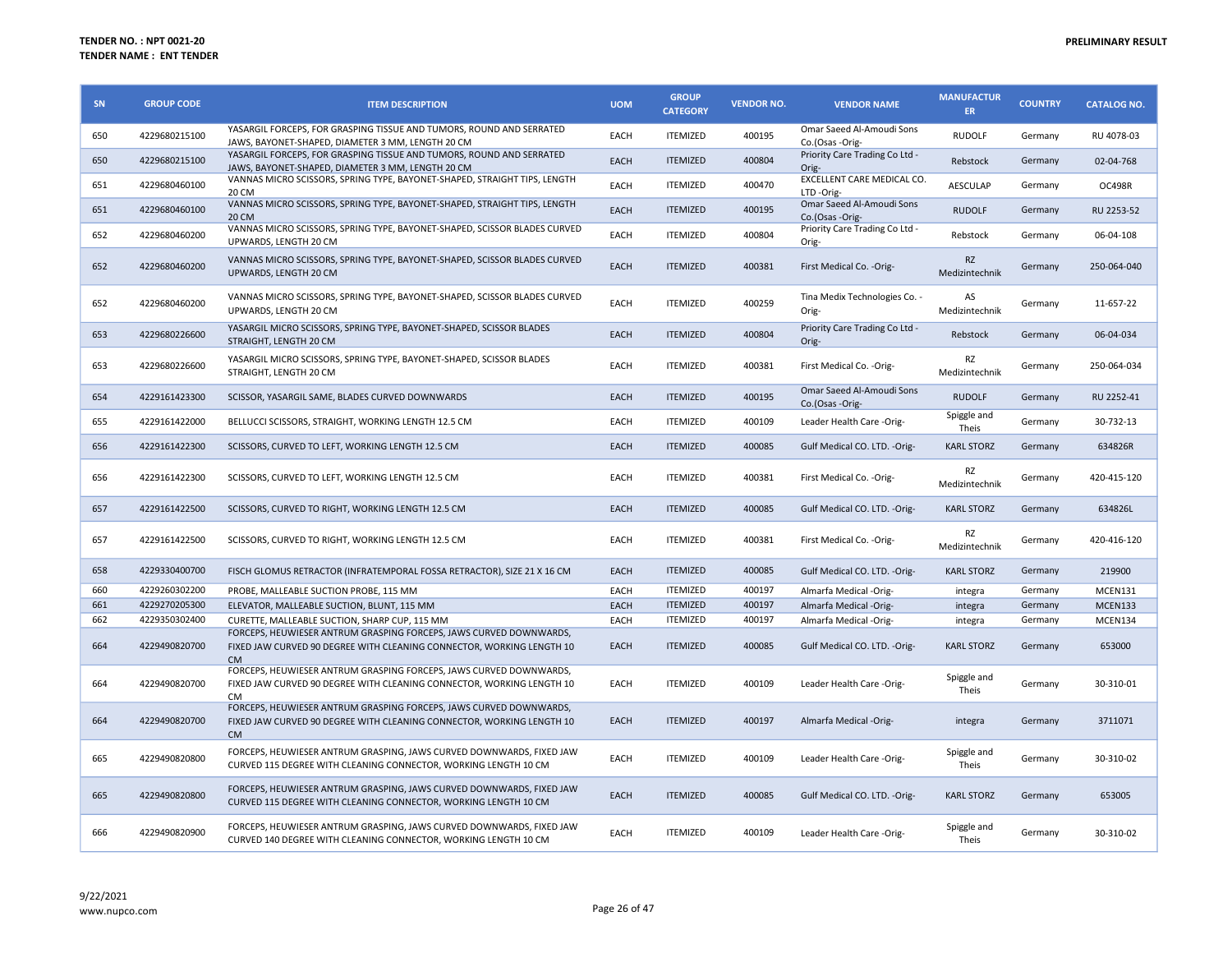| SN  | <b>GROUP CODE</b> | <b>ITEM DESCRIPTION</b>                                                                                                                                       | <b>UOM</b>  | <b>GROUP</b><br><b>CATEGORY</b> | <b>VENDOR NO.</b> | <b>VENDOR NAME</b>                           | <b>MANUFACTUR</b><br><b>ER</b> | <b>COUNTRY</b> | <b>CATALOG NO.</b> |
|-----|-------------------|---------------------------------------------------------------------------------------------------------------------------------------------------------------|-------------|---------------------------------|-------------------|----------------------------------------------|--------------------------------|----------------|--------------------|
| 650 | 4229680215100     | YASARGIL FORCEPS, FOR GRASPING TISSUE AND TUMORS, ROUND AND SERRATED<br>JAWS, BAYONET-SHAPED, DIAMETER 3 MM, LENGTH 20 CM                                     | EACH        | <b>ITEMIZED</b>                 | 400195            | Omar Saeed Al-Amoudi Sons<br>Co.(Osas -Orig- | <b>RUDOLF</b>                  | Germany        | RU 4078-03         |
| 650 | 4229680215100     | YASARGIL FORCEPS, FOR GRASPING TISSUE AND TUMORS, ROUND AND SERRATED<br>JAWS, BAYONET-SHAPED, DIAMETER 3 MM, LENGTH 20 CM                                     | EACH        | <b>ITEMIZED</b>                 | 400804            | Priority Care Trading Co Ltd -<br>Orig-      | Rebstock                       | Germany        | 02-04-768          |
| 651 | 4229680460100     | VANNAS MICRO SCISSORS, SPRING TYPE, BAYONET-SHAPED, STRAIGHT TIPS, LENGTH<br>20 CM                                                                            | EACH        | <b>ITEMIZED</b>                 | 400470            | EXCELLENT CARE MEDICAL CO.<br>LTD-Orig-      | <b>AESCULAP</b>                | Germany        | <b>OC498R</b>      |
| 651 | 4229680460100     | VANNAS MICRO SCISSORS, SPRING TYPE, BAYONET-SHAPED, STRAIGHT TIPS, LENGTH<br>20 CM                                                                            | EACH        | <b>ITEMIZED</b>                 | 400195            | Omar Saeed Al-Amoudi Sons<br>Co.(Osas -Orig- | <b>RUDOLF</b>                  | Germany        | RU 2253-52         |
| 652 | 4229680460200     | VANNAS MICRO SCISSORS, SPRING TYPE, BAYONET-SHAPED, SCISSOR BLADES CURVED<br>UPWARDS, LENGTH 20 CM                                                            | EACH        | <b>ITEMIZED</b>                 | 400804            | Priority Care Trading Co Ltd -<br>Orig-      | Rebstock                       | Germany        | 06-04-108          |
| 652 | 4229680460200     | VANNAS MICRO SCISSORS, SPRING TYPE, BAYONET-SHAPED, SCISSOR BLADES CURVED<br>UPWARDS, LENGTH 20 CM                                                            | EACH        | <b>ITEMIZED</b>                 | 400381            | First Medical Co. - Orig-                    | <b>RZ</b><br>Medizintechnik    | Germany        | 250-064-040        |
| 652 | 4229680460200     | VANNAS MICRO SCISSORS, SPRING TYPE, BAYONET-SHAPED, SCISSOR BLADES CURVED<br>UPWARDS, LENGTH 20 CM                                                            | EACH        | <b>ITEMIZED</b>                 | 400259            | Tina Medix Technologies Co. -<br>Orig-       | AS<br>Medizintechnik           | Germany        | 11-657-22          |
| 653 | 4229680226600     | YASARGIL MICRO SCISSORS, SPRING TYPE, BAYONET-SHAPED, SCISSOR BLADES<br>STRAIGHT, LENGTH 20 CM                                                                | EACH        | <b>ITEMIZED</b>                 | 400804            | Priority Care Trading Co Ltd -<br>Orig-      | Rebstock                       | Germany        | 06-04-034          |
| 653 | 4229680226600     | YASARGIL MICRO SCISSORS, SPRING TYPE, BAYONET-SHAPED, SCISSOR BLADES<br>STRAIGHT, LENGTH 20 CM                                                                | EACH        | <b>ITEMIZED</b>                 | 400381            | First Medical Co. - Orig-                    | RZ<br>Medizintechnik           | Germany        | 250-064-034        |
| 654 | 4229161423300     | SCISSOR, YASARGIL SAME, BLADES CURVED DOWNWARDS                                                                                                               | EACH        | <b>ITEMIZED</b>                 | 400195            | Omar Saeed Al-Amoudi Sons<br>Co.(Osas -Orig- | <b>RUDOLF</b>                  | Germany        | RU 2252-41         |
| 655 | 4229161422000     | BELLUCCI SCISSORS, STRAIGHT, WORKING LENGTH 12.5 CM                                                                                                           | <b>EACH</b> | <b>ITEMIZED</b>                 | 400109            | Leader Health Care -Orig-                    | Spiggle and<br>Theis           | Germany        | 30-732-13          |
| 656 | 4229161422300     | SCISSORS, CURVED TO LEFT, WORKING LENGTH 12.5 CM                                                                                                              | EACH        | <b>ITEMIZED</b>                 | 400085            | Gulf Medical CO. LTD. - Orig-                | <b>KARL STORZ</b>              | Germany        | 634826R            |
| 656 | 4229161422300     | SCISSORS, CURVED TO LEFT, WORKING LENGTH 12.5 CM                                                                                                              | EACH        | <b>ITEMIZED</b>                 | 400381            | First Medical Co. - Orig-                    | RZ<br>Medizintechnik           | Germany        | 420-415-120        |
| 657 | 4229161422500     | SCISSORS, CURVED TO RIGHT, WORKING LENGTH 12.5 CM                                                                                                             | EACH        | <b>ITEMIZED</b>                 | 400085            | Gulf Medical CO. LTD. - Orig-                | <b>KARL STORZ</b>              | Germany        | 634826L            |
| 657 | 4229161422500     | SCISSORS, CURVED TO RIGHT, WORKING LENGTH 12.5 CM                                                                                                             | EACH        | <b>ITEMIZED</b>                 | 400381            | First Medical Co. - Orig-                    | RZ<br>Medizintechnik           | Germany        | 420-416-120        |
| 658 | 4229330400700     | FISCH GLOMUS RETRACTOR (INFRATEMPORAL FOSSA RETRACTOR), SIZE 21 X 16 CM                                                                                       | EACH        | <b>ITEMIZED</b>                 | 400085            | Gulf Medical CO. LTD. - Orig-                | <b>KARL STORZ</b>              | Germany        | 219900             |
| 660 | 4229260302200     | PROBE, MALLEABLE SUCTION PROBE, 115 MM                                                                                                                        | EACH        | <b>ITEMIZED</b>                 | 400197            | Almarfa Medical -Orig-                       | integra                        | Germany        | MCEN131            |
| 661 | 4229270205300     | ELEVATOR, MALLEABLE SUCTION, BLUNT, 115 MM                                                                                                                    | <b>EACH</b> | <b>ITEMIZED</b>                 | 400197            | Almarfa Medical -Orig-                       | integra                        | Germany        | MCEN133            |
| 662 | 4229350302400     | CURETTE, MALLEABLE SUCTION, SHARP CUP, 115 MM                                                                                                                 | EACH        | <b>ITEMIZED</b>                 | 400197            | Almarfa Medical -Orig-                       | integra                        | Germany        | MCEN134            |
| 664 | 4229490820700     | FORCEPS, HEUWIESER ANTRUM GRASPING FORCEPS, JAWS CURVED DOWNWARDS,<br>FIXED JAW CURVED 90 DEGREE WITH CLEANING CONNECTOR, WORKING LENGTH 10<br><b>CM</b>      | EACH        | <b>ITEMIZED</b>                 | 400085            | Gulf Medical CO. LTD. - Orig-                | <b>KARL STORZ</b>              | Germany        | 653000             |
| 664 | 4229490820700     | FORCEPS, HEUWIESER ANTRUM GRASPING FORCEPS, JAWS CURVED DOWNWARDS,<br>FIXED JAW CURVED 90 DEGREE WITH CLEANING CONNECTOR, WORKING LENGTH 10<br>C <sub>M</sub> | EACH        | <b>ITEMIZED</b>                 | 400109            | Leader Health Care -Orig-                    | Spiggle and<br>Theis           | Germany        | 30-310-01          |
| 664 | 4229490820700     | FORCEPS, HEUWIESER ANTRUM GRASPING FORCEPS, JAWS CURVED DOWNWARDS,<br>FIXED JAW CURVED 90 DEGREE WITH CLEANING CONNECTOR, WORKING LENGTH 10<br><b>CM</b>      | EACH        | <b>ITEMIZED</b>                 | 400197            | Almarfa Medical -Orig-                       | integra                        | Germany        | 3711071            |
| 665 | 4229490820800     | FORCEPS, HEUWIESER ANTRUM GRASPING, JAWS CURVED DOWNWARDS, FIXED JAW<br>CURVED 115 DEGREE WITH CLEANING CONNECTOR, WORKING LENGTH 10 CM                       | EACH        | <b>ITEMIZED</b>                 | 400109            | Leader Health Care -Orig-                    | Spiggle and<br>Theis           | Germany        | 30-310-02          |
| 665 | 4229490820800     | FORCEPS, HEUWIESER ANTRUM GRASPING, JAWS CURVED DOWNWARDS, FIXED JAW<br>CURVED 115 DEGREE WITH CLEANING CONNECTOR, WORKING LENGTH 10 CM                       | EACH        | <b>ITEMIZED</b>                 | 400085            | Gulf Medical CO. LTD. - Orig-                | <b>KARL STORZ</b>              | Germany        | 653005             |
| 666 | 4229490820900     | FORCEPS, HEUWIESER ANTRUM GRASPING, JAWS CURVED DOWNWARDS, FIXED JAW<br>CURVED 140 DEGREE WITH CLEANING CONNECTOR, WORKING LENGTH 10 CM                       | EACH        | <b>ITEMIZED</b>                 | 400109            | Leader Health Care -Orig-                    | Spiggle and<br>Theis           | Germany        | 30-310-02          |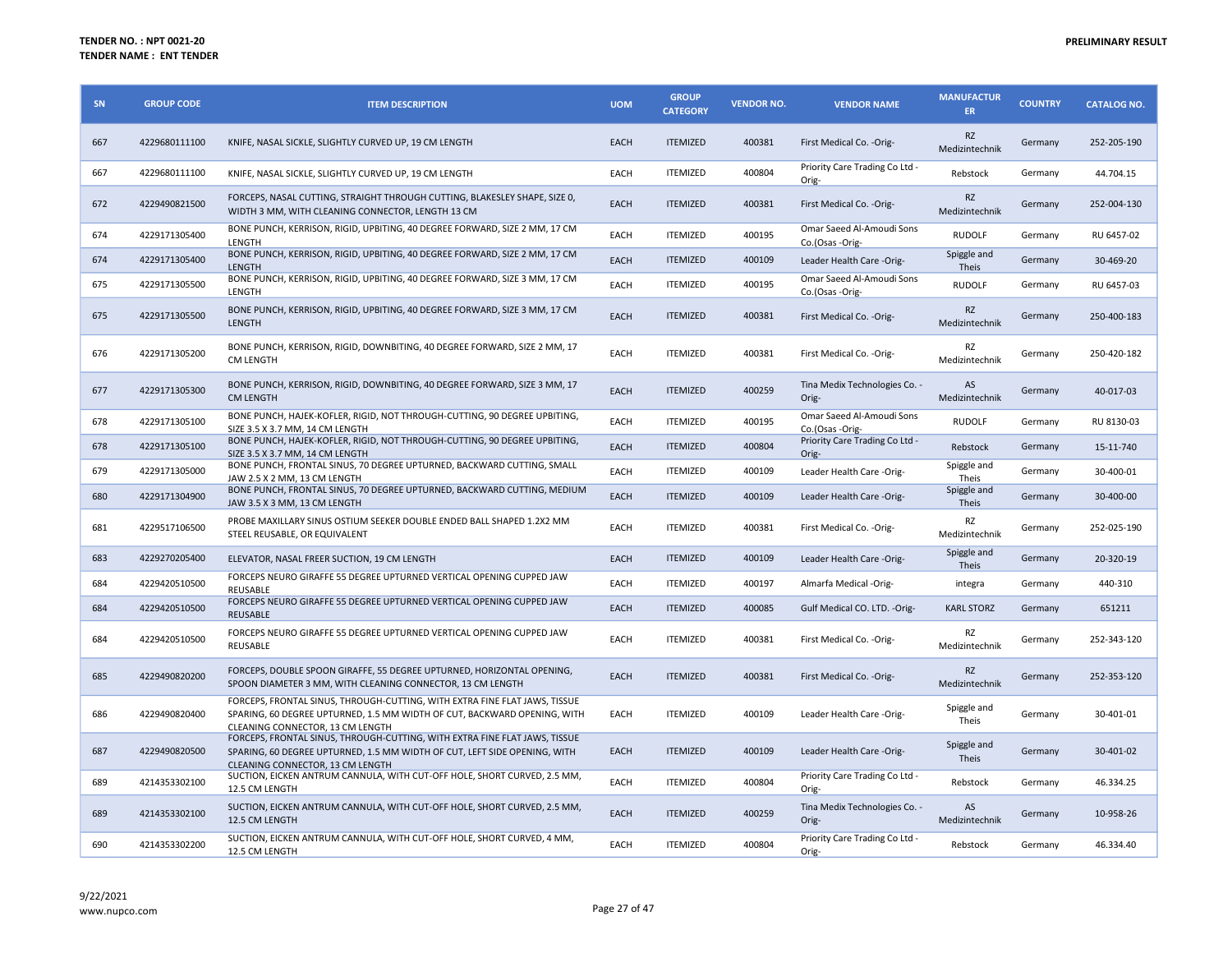| SN  | <b>GROUP CODE</b> | <b>ITEM DESCRIPTION</b>                                                                                                                                                                     | <b>UOM</b>  | <b>GROUP</b><br><b>CATEGORY</b> | <b>VENDOR NO.</b> | <b>VENDOR NAME</b>                           | <b>MANUFACTUR</b><br><b>ER</b> | <b>COUNTRY</b> | <b>CATALOG NO.</b> |
|-----|-------------------|---------------------------------------------------------------------------------------------------------------------------------------------------------------------------------------------|-------------|---------------------------------|-------------------|----------------------------------------------|--------------------------------|----------------|--------------------|
| 667 | 4229680111100     | KNIFE, NASAL SICKLE, SLIGHTLY CURVED UP, 19 CM LENGTH                                                                                                                                       | EACH        | <b>ITEMIZED</b>                 | 400381            | First Medical Co. - Orig-                    | <b>RZ</b><br>Medizintechnik    | Germany        | 252-205-190        |
| 667 | 4229680111100     | KNIFE, NASAL SICKLE, SLIGHTLY CURVED UP, 19 CM LENGTH                                                                                                                                       | EACH        | <b>ITEMIZED</b>                 | 400804            | Priority Care Trading Co Ltd -<br>Orig-      | Rebstock                       | Germany        | 44.704.15          |
| 672 | 4229490821500     | FORCEPS, NASAL CUTTING, STRAIGHT THROUGH CUTTING, BLAKESLEY SHAPE, SIZE 0,<br>WIDTH 3 MM, WITH CLEANING CONNECTOR, LENGTH 13 CM                                                             | EACH        | <b>ITEMIZED</b>                 | 400381            | First Medical Co. - Orig-                    | <b>RZ</b><br>Medizintechnik    | Germany        | 252-004-130        |
| 674 | 4229171305400     | BONE PUNCH, KERRISON, RIGID, UPBITING, 40 DEGREE FORWARD, SIZE 2 MM, 17 CM<br>LENGTH                                                                                                        | EACH        | <b>ITEMIZED</b>                 | 400195            | Omar Saeed Al-Amoudi Sons<br>Co.(Osas -Orig- | <b>RUDOLF</b>                  | Germany        | RU 6457-02         |
| 674 | 4229171305400     | BONE PUNCH, KERRISON, RIGID, UPBITING, 40 DEGREE FORWARD, SIZE 2 MM, 17 CM<br>LENGTH                                                                                                        | <b>EACH</b> | <b>ITEMIZED</b>                 | 400109            | Leader Health Care -Orig-                    | Spiggle and<br>Theis           | Germany        | 30-469-20          |
| 675 | 4229171305500     | BONE PUNCH, KERRISON, RIGID, UPBITING, 40 DEGREE FORWARD, SIZE 3 MM, 17 CM<br>LENGTH                                                                                                        | EACH        | <b>ITEMIZED</b>                 | 400195            | Omar Saeed Al-Amoudi Sons<br>Co.(Osas -Orig- | <b>RUDOLF</b>                  | Germany        | RU 6457-03         |
| 675 | 4229171305500     | BONE PUNCH, KERRISON, RIGID, UPBITING, 40 DEGREE FORWARD, SIZE 3 MM, 17 CM<br>LENGTH                                                                                                        | EACH        | <b>ITEMIZED</b>                 | 400381            | First Medical Co. - Orig-                    | <b>RZ</b><br>Medizintechnik    | Germany        | 250-400-183        |
| 676 | 4229171305200     | BONE PUNCH, KERRISON, RIGID, DOWNBITING, 40 DEGREE FORWARD, SIZE 2 MM, 17<br>CM LENGTH                                                                                                      | EACH        | <b>ITEMIZED</b>                 | 400381            | First Medical Co. - Orig-                    | RZ<br>Medizintechnik           | Germany        | 250-420-182        |
| 677 | 4229171305300     | BONE PUNCH, KERRISON, RIGID, DOWNBITING, 40 DEGREE FORWARD, SIZE 3 MM, 17<br><b>CM LENGTH</b>                                                                                               | EACH        | <b>ITEMIZED</b>                 | 400259            | Tina Medix Technologies Co. -<br>Orig-       | AS<br>Medizintechnik           | Germany        | 40-017-03          |
| 678 | 4229171305100     | BONE PUNCH, HAJEK-KOFLER, RIGID, NOT THROUGH-CUTTING, 90 DEGREE UPBITING,<br>SIZE 3.5 X 3.7 MM, 14 CM LENGTH                                                                                | EACH        | <b>ITEMIZED</b>                 | 400195            | Omar Saeed Al-Amoudi Sons<br>Co.(Osas -Orig- | <b>RUDOLF</b>                  | Germany        | RU 8130-03         |
| 678 | 4229171305100     | BONE PUNCH, HAJEK-KOFLER, RIGID, NOT THROUGH-CUTTING, 90 DEGREE UPBITING,<br>SIZE 3.5 X 3.7 MM, 14 CM LENGTH                                                                                | EACH        | <b>ITEMIZED</b>                 | 400804            | Priority Care Trading Co Ltd -<br>Orig-      | Rebstock                       | Germany        | 15-11-740          |
| 679 | 4229171305000     | BONE PUNCH, FRONTAL SINUS, 70 DEGREE UPTURNED, BACKWARD CUTTING, SMALL<br>JAW 2.5 X 2 MM, 13 CM LENGTH                                                                                      | EACH        | <b>ITEMIZED</b>                 | 400109            | Leader Health Care -Orig-                    | Spiggle and<br>Theis           | Germany        | 30-400-01          |
| 680 | 4229171304900     | BONE PUNCH, FRONTAL SINUS, 70 DEGREE UPTURNED, BACKWARD CUTTING, MEDIUM<br>JAW 3.5 X 3 MM, 13 CM LENGTH                                                                                     | EACH        | <b>ITEMIZED</b>                 | 400109            | Leader Health Care -Orig-                    | Spiggle and<br>Theis           | Germany        | 30-400-00          |
| 681 | 4229517106500     | PROBE MAXILLARY SINUS OSTIUM SEEKER DOUBLE ENDED BALL SHAPED 1.2X2 MM<br>STEEL REUSABLE, OR EQUIVALENT                                                                                      | EACH        | <b>ITEMIZED</b>                 | 400381            | First Medical Co. - Orig-                    | RZ<br>Medizintechnik           | Germany        | 252-025-190        |
| 683 | 4229270205400     | ELEVATOR, NASAL FREER SUCTION, 19 CM LENGTH                                                                                                                                                 | EACH        | <b>ITEMIZED</b>                 | 400109            | Leader Health Care -Orig-                    | Spiggle and<br>Theis           | Germany        | 20-320-19          |
| 684 | 4229420510500     | FORCEPS NEURO GIRAFFE 55 DEGREE UPTURNED VERTICAL OPENING CUPPED JAW<br>REUSABLE                                                                                                            | EACH        | <b>ITEMIZED</b>                 | 400197            | Almarfa Medical -Orig-                       | integra                        | Germany        | 440-310            |
| 684 | 4229420510500     | FORCEPS NEURO GIRAFFE 55 DEGREE UPTURNED VERTICAL OPENING CUPPED JAW<br><b>REUSABLE</b>                                                                                                     | EACH        | <b>ITEMIZED</b>                 | 400085            | Gulf Medical CO. LTD. - Orig-                | <b>KARL STORZ</b>              | Germany        | 651211             |
| 684 | 4229420510500     | FORCEPS NEURO GIRAFFE 55 DEGREE UPTURNED VERTICAL OPENING CUPPED JAW<br><b>REUSABLE</b>                                                                                                     | EACH        | <b>ITEMIZED</b>                 | 400381            | First Medical Co. - Orig-                    | RZ<br>Medizintechnik           | Germany        | 252-343-120        |
| 685 | 4229490820200     | FORCEPS, DOUBLE SPOON GIRAFFE, 55 DEGREE UPTURNED, HORIZONTAL OPENING,<br>SPOON DIAMETER 3 MM, WITH CLEANING CONNECTOR, 13 CM LENGTH                                                        | EACH        | <b>ITEMIZED</b>                 | 400381            | First Medical Co. - Orig-                    | <b>RZ</b><br>Medizintechnik    | Germany        | 252-353-120        |
| 686 | 4229490820400     | FORCEPS, FRONTAL SINUS, THROUGH-CUTTING, WITH EXTRA FINE FLAT JAWS, TISSUE<br>SPARING, 60 DEGREE UPTURNED, 1.5 MM WIDTH OF CUT, BACKWARD OPENING, WITH<br>CLEANING CONNECTOR, 13 CM LENGTH  | EACH        | <b>ITEMIZED</b>                 | 400109            | Leader Health Care -Orig-                    | Spiggle and<br>Theis           | Germany        | 30-401-01          |
| 687 | 4229490820500     | FORCEPS, FRONTAL SINUS, THROUGH-CUTTING, WITH EXTRA FINE FLAT JAWS, TISSUE<br>SPARING, 60 DEGREE UPTURNED, 1.5 MM WIDTH OF CUT, LEFT SIDE OPENING, WITH<br>CLEANING CONNECTOR, 13 CM LENGTH | EACH        | <b>ITEMIZED</b>                 | 400109            | Leader Health Care -Orig-                    | Spiggle and<br>Theis           | Germany        | 30-401-02          |
| 689 | 4214353302100     | SUCTION, EICKEN ANTRUM CANNULA, WITH CUT-OFF HOLE, SHORT CURVED, 2.5 MM,<br>12.5 CM LENGTH                                                                                                  | EACH        | <b>ITEMIZED</b>                 | 400804            | Priority Care Trading Co Ltd -<br>Orig-      | Rebstock                       | Germany        | 46.334.25          |
| 689 | 4214353302100     | SUCTION, EICKEN ANTRUM CANNULA, WITH CUT-OFF HOLE, SHORT CURVED, 2.5 MM,<br>12.5 CM LENGTH                                                                                                  | EACH        | <b>ITEMIZED</b>                 | 400259            | Tina Medix Technologies Co. -<br>Orig-       | AS<br>Medizintechnik           | Germany        | 10-958-26          |
| 690 | 4214353302200     | SUCTION, EICKEN ANTRUM CANNULA, WITH CUT-OFF HOLE, SHORT CURVED, 4 MM,<br>12.5 CM LENGTH                                                                                                    | EACH        | <b>ITEMIZED</b>                 | 400804            | Priority Care Trading Co Ltd -<br>Orig-      | Rebstock                       | Germany        | 46.334.40          |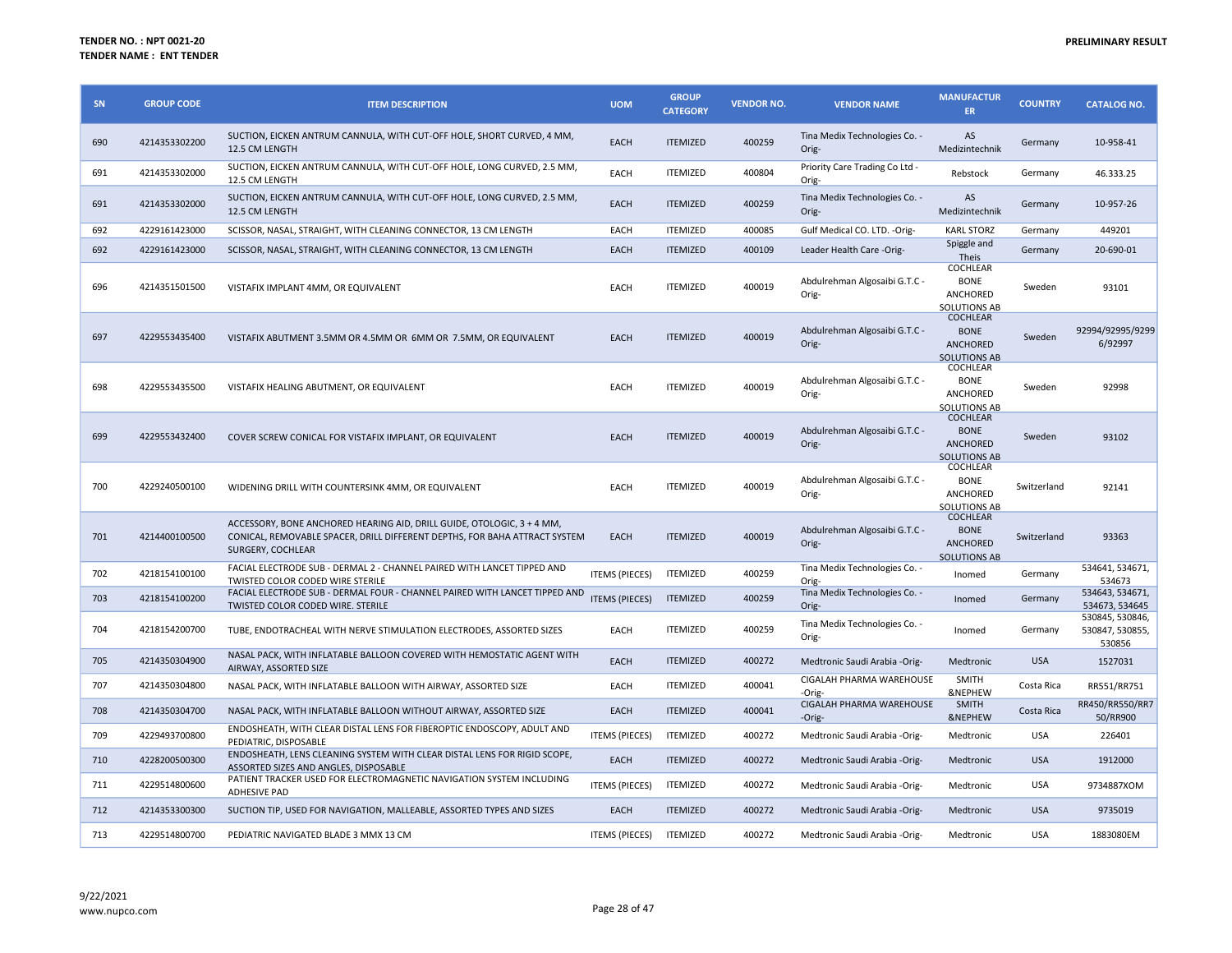| SN  | <b>GROUP CODE</b> | <b>ITEM DESCRIPTION</b>                                                                                                                                                   | <b>UOM</b>            | <b>GROUP</b><br><b>CATEGORY</b> | <b>VENDOR NO.</b> | <b>VENDOR NAME</b>                      | <b>MANUFACTUR</b><br>ER                                                  | <b>COUNTRY</b> | <b>CATALOG NO.</b>                           |
|-----|-------------------|---------------------------------------------------------------------------------------------------------------------------------------------------------------------------|-----------------------|---------------------------------|-------------------|-----------------------------------------|--------------------------------------------------------------------------|----------------|----------------------------------------------|
| 690 | 4214353302200     | SUCTION, EICKEN ANTRUM CANNULA, WITH CUT-OFF HOLE, SHORT CURVED, 4 MM,<br>12.5 CM LENGTH                                                                                  | EACH                  | <b>ITEMIZED</b>                 | 400259            | Tina Medix Technologies Co. -<br>Orig-  | AS<br>Medizintechnik                                                     | Germany        | 10-958-41                                    |
| 691 | 4214353302000     | SUCTION, EICKEN ANTRUM CANNULA, WITH CUT-OFF HOLE, LONG CURVED, 2.5 MM,<br>12.5 CM LENGTH                                                                                 | EACH                  | <b>ITEMIZED</b>                 | 400804            | Priority Care Trading Co Ltd -<br>Orig- | Rebstock                                                                 | Germany        | 46.333.25                                    |
| 691 | 4214353302000     | SUCTION, EICKEN ANTRUM CANNULA, WITH CUT-OFF HOLE, LONG CURVED, 2.5 MM,<br>12.5 CM LENGTH                                                                                 | EACH                  | <b>ITEMIZED</b>                 | 400259            | Tina Medix Technologies Co. -<br>Orig-  | AS<br>Medizintechnik                                                     | Germany        | 10-957-26                                    |
| 692 | 4229161423000     | SCISSOR, NASAL, STRAIGHT, WITH CLEANING CONNECTOR, 13 CM LENGTH                                                                                                           | EACH                  | <b>ITEMIZED</b>                 | 400085            | Gulf Medical CO. LTD. - Orig-           | <b>KARL STORZ</b>                                                        | Germany        | 449201                                       |
| 692 | 4229161423000     | SCISSOR, NASAL, STRAIGHT, WITH CLEANING CONNECTOR, 13 CM LENGTH                                                                                                           | EACH                  | <b>ITEMIZED</b>                 | 400109            | Leader Health Care -Orig-               | Spiggle and<br>Theis                                                     | Germany        | 20-690-01                                    |
| 696 | 4214351501500     | VISTAFIX IMPLANT 4MM, OR EQUIVALENT                                                                                                                                       | EACH                  | <b>ITEMIZED</b>                 | 400019            | Abdulrehman Algosaibi G.T.C -<br>Orig-  | COCHLEAR<br><b>BONE</b><br>ANCHORED<br>SOLUTIONS AB                      | Sweden         | 93101                                        |
| 697 | 4229553435400     | VISTAFIX ABUTMENT 3.5MM OR 4.5MM OR 6MM OR 7.5MM, OR EQUIVALENT                                                                                                           | EACH                  | <b>ITEMIZED</b>                 | 400019            | Abdulrehman Algosaibi G.T.C -<br>Orig-  | <b>COCHLEAR</b><br><b>BONE</b><br>ANCHORED<br><b>SOLUTIONS AB</b>        | Sweden         | 92994/92995/9299<br>6/92997                  |
| 698 | 4229553435500     | VISTAFIX HEALING ABUTMENT, OR EQUIVALENT                                                                                                                                  | <b>EACH</b>           | <b>ITEMIZED</b>                 | 400019            | Abdulrehman Algosaibi G.T.C -<br>Orig-  | COCHLEAR<br><b>BONE</b><br>ANCHORED<br><b>SOLUTIONS AB</b>               | Sweden         | 92998                                        |
| 699 | 4229553432400     | COVER SCREW CONICAL FOR VISTAFIX IMPLANT, OR EQUIVALENT                                                                                                                   | EACH                  | <b>ITEMIZED</b>                 | 400019            | Abdulrehman Algosaibi G.T.C -<br>Orig-  | <b>COCHLEAR</b><br><b>BONE</b><br><b>ANCHORED</b><br><b>SOLUTIONS AB</b> | Sweden         | 93102                                        |
| 700 | 4229240500100     | WIDENING DRILL WITH COUNTERSINK 4MM, OR EQUIVALENT                                                                                                                        | EACH                  | <b>ITEMIZED</b>                 | 400019            | Abdulrehman Algosaibi G.T.C -<br>Orig-  | COCHLEAR<br><b>BONE</b><br>ANCHORED<br><b>SOLUTIONS AB</b>               | Switzerland    | 92141                                        |
| 701 | 4214400100500     | ACCESSORY, BONE ANCHORED HEARING AID, DRILL GUIDE, OTOLOGIC, 3 + 4 MM,<br>CONICAL, REMOVABLE SPACER, DRILL DIFFERENT DEPTHS, FOR BAHA ATTRACT SYSTEM<br>SURGERY, COCHLEAR | EACH                  | <b>ITEMIZED</b>                 | 400019            | Abdulrehman Algosaibi G.T.C -<br>Orig-  | COCHLEAR<br><b>BONE</b><br>ANCHORED<br><b>SOLUTIONS AB</b>               | Switzerland    | 93363                                        |
| 702 | 4218154100100     | FACIAL ELECTRODE SUB - DERMAL 2 - CHANNEL PAIRED WITH LANCET TIPPED AND<br><b>TWISTED COLOR CODED WIRE STERILE</b>                                                        | <b>ITEMS (PIECES)</b> | <b>ITEMIZED</b>                 | 400259            | Tina Medix Technologies Co. -<br>Orig-  | Inomed                                                                   | Germany        | 534641, 534671,<br>534673                    |
| 703 | 4218154100200     | FACIAL ELECTRODE SUB - DERMAL FOUR - CHANNEL PAIRED WITH LANCET TIPPED AND<br>TWISTED COLOR CODED WIRE. STERILE                                                           | <b>ITEMS (PIECES)</b> | <b>ITEMIZED</b>                 | 400259            | Tina Medix Technologies Co. -<br>Orig-  | Inomed                                                                   | Germany        | 534643, 534671,<br>534673, 534645            |
| 704 | 4218154200700     | TUBE, ENDOTRACHEAL WITH NERVE STIMULATION ELECTRODES, ASSORTED SIZES                                                                                                      | EACH                  | <b>ITEMIZED</b>                 | 400259            | Tina Medix Technologies Co. -<br>Orig-  | Inomed                                                                   | Germany        | 530845, 530846,<br>530847, 530855,<br>530856 |
| 705 | 4214350304900     | NASAL PACK, WITH INFLATABLE BALLOON COVERED WITH HEMOSTATIC AGENT WITH<br>AIRWAY, ASSORTED SIZE                                                                           | EACH                  | <b>ITEMIZED</b>                 | 400272            | Medtronic Saudi Arabia -Orig-           | Medtronic                                                                | <b>USA</b>     | 1527031                                      |
| 707 | 4214350304800     | NASAL PACK, WITH INFLATABLE BALLOON WITH AIRWAY, ASSORTED SIZE                                                                                                            | EACH                  | <b>ITEMIZED</b>                 | 400041            | CIGALAH PHARMA WAREHOUSE<br>-Orig-      | SMITH<br>&NEPHEW                                                         | Costa Rica     | RR551/RR751                                  |
| 708 | 4214350304700     | NASAL PACK, WITH INFLATABLE BALLOON WITHOUT AIRWAY, ASSORTED SIZE                                                                                                         | EACH                  | <b>ITEMIZED</b>                 | 400041            | CIGALAH PHARMA WAREHOUSE<br>-Orig-      | <b>SMITH</b><br><b>&amp;NEPHEW</b>                                       | Costa Rica     | RR450/RR550/RR7<br>50/RR900                  |
| 709 | 4229493700800     | ENDOSHEATH, WITH CLEAR DISTAL LENS FOR FIBEROPTIC ENDOSCOPY, ADULT AND<br>PEDIATRIC, DISPOSABLE                                                                           | <b>ITEMS (PIECES)</b> | <b>ITEMIZED</b>                 | 400272            | Medtronic Saudi Arabia -Orig-           | Medtronic                                                                | <b>USA</b>     | 226401                                       |
| 710 | 4228200500300     | ENDOSHEATH, LENS CLEANING SYSTEM WITH CLEAR DISTAL LENS FOR RIGID SCOPE,<br>ASSORTED SIZES AND ANGLES, DISPOSABLE                                                         | <b>EACH</b>           | <b>ITEMIZED</b>                 | 400272            | Medtronic Saudi Arabia - Orig-          | Medtronic                                                                | <b>USA</b>     | 1912000                                      |
| 711 | 4229514800600     | PATIENT TRACKER USED FOR ELECTROMAGNETIC NAVIGATION SYSTEM INCLUDING<br><b>ADHESIVE PAD</b>                                                                               | <b>ITEMS (PIECES)</b> | <b>ITEMIZED</b>                 | 400272            | Medtronic Saudi Arabia - Orig-          | Medtronic                                                                | <b>USA</b>     | 9734887XOM                                   |
| 712 | 4214353300300     | SUCTION TIP, USED FOR NAVIGATION, MALLEABLE, ASSORTED TYPES AND SIZES                                                                                                     | EACH                  | <b>ITEMIZED</b>                 | 400272            | Medtronic Saudi Arabia - Orig-          | Medtronic                                                                | <b>USA</b>     | 9735019                                      |
| 713 | 4229514800700     | PEDIATRIC NAVIGATED BLADE 3 MMX 13 CM                                                                                                                                     | ITEMS (PIECES)        | <b>ITEMIZED</b>                 | 400272            | Medtronic Saudi Arabia -Orig-           | Medtronic                                                                | <b>USA</b>     | 1883080EM                                    |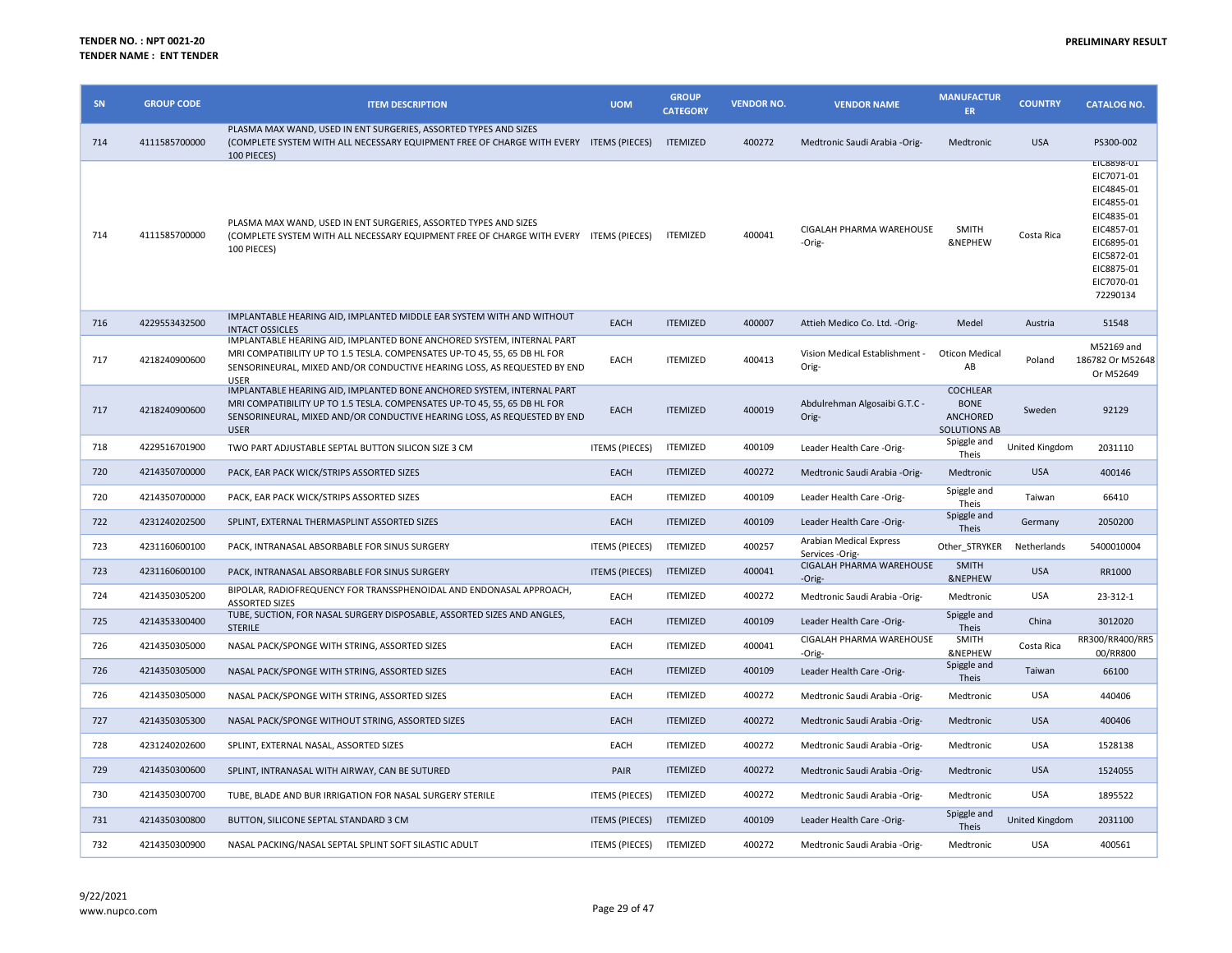| SN  | <b>GROUP CODE</b> | <b>ITEM DESCRIPTION</b>                                                                                                                                                                                                                        | <b>UOM</b>            | <b>GROUP</b><br><b>CATEGORY</b> | <b>VENDOR NO.</b> | <b>VENDOR NAME</b>                         | <b>MANUFACTUR</b><br>ER.                                                 | <b>COUNTRY</b> | <b>CATALOG NO.</b>                                                                                                                                          |
|-----|-------------------|------------------------------------------------------------------------------------------------------------------------------------------------------------------------------------------------------------------------------------------------|-----------------------|---------------------------------|-------------------|--------------------------------------------|--------------------------------------------------------------------------|----------------|-------------------------------------------------------------------------------------------------------------------------------------------------------------|
| 714 | 4111585700000     | PLASMA MAX WAND, USED IN ENT SURGERIES, ASSORTED TYPES AND SIZES<br>(COMPLETE SYSTEM WITH ALL NECESSARY EQUIPMENT FREE OF CHARGE WITH EVERY ITEMS (PIECES)<br>100 PIECES)                                                                      |                       | <b>ITEMIZED</b>                 | 400272            | Medtronic Saudi Arabia -Orig-              | Medtronic                                                                | <b>USA</b>     | PS300-002                                                                                                                                                   |
| 714 | 4111585700000     | PLASMA MAX WAND, USED IN ENT SURGERIES, ASSORTED TYPES AND SIZES<br>(COMPLETE SYSTEM WITH ALL NECESSARY EQUIPMENT FREE OF CHARGE WITH EVERY ITEMS (PIECES)<br>100 PIECES)                                                                      |                       | <b>ITEMIZED</b>                 | 400041            | CIGALAH PHARMA WAREHOUSE<br>-Orig-         | <b>SMITH</b><br>&NEPHEW                                                  | Costa Rica     | <b>EIC8898-01</b><br>EIC7071-01<br>EIC4845-01<br>EIC4855-01<br>EIC4835-01<br>EIC4857-01<br>EIC6895-01<br>EIC5872-01<br>EIC8875-01<br>EIC7070-01<br>72290134 |
| 716 | 4229553432500     | IMPLANTABLE HEARING AID, IMPLANTED MIDDLE EAR SYSTEM WITH AND WITHOUT<br><b>INTACT OSSICLES</b>                                                                                                                                                | <b>EACH</b>           | <b>ITEMIZED</b>                 | 400007            | Attieh Medico Co. Ltd. - Orig-             | Medel                                                                    | Austria        | 51548                                                                                                                                                       |
| 717 | 4218240900600     | IMPLANTABLE HEARING AID, IMPLANTED BONE ANCHORED SYSTEM, INTERNAL PART<br>MRI COMPATIBILITY UP TO 1.5 TESLA. COMPENSATES UP-TO 45, 55, 65 DB HL FOR<br>SENSORINEURAL, MIXED AND/OR CONDUCTIVE HEARING LOSS, AS REQUESTED BY END<br><b>USER</b> | EACH                  | <b>ITEMIZED</b>                 | 400413            | Vision Medical Establishment -<br>Orig-    | Oticon Medical<br>AB                                                     | Poland         | M52169 and<br>186782 Or M52648<br>Or M52649                                                                                                                 |
| 717 | 4218240900600     | IMPLANTABLE HEARING AID, IMPLANTED BONE ANCHORED SYSTEM, INTERNAL PART<br>MRI COMPATIBILITY UP TO 1.5 TESLA. COMPENSATES UP-TO 45, 55, 65 DB HL FOR<br>SENSORINEURAL, MIXED AND/OR CONDUCTIVE HEARING LOSS, AS REQUESTED BY END<br><b>USER</b> | <b>EACH</b>           | <b>ITEMIZED</b>                 | 400019            | Abdulrehman Algosaibi G.T.C -<br>Orig-     | <b>COCHLEAR</b><br><b>BONE</b><br><b>ANCHORED</b><br><b>SOLUTIONS AB</b> | Sweden         | 92129                                                                                                                                                       |
| 718 | 4229516701900     | TWO PART ADJUSTABLE SEPTAL BUTTON SILICON SIZE 3 CM                                                                                                                                                                                            | <b>ITEMS (PIECES)</b> | <b>ITEMIZED</b>                 | 400109            | Leader Health Care -Orig-                  | Spiggle and<br>Theis                                                     | United Kingdom | 2031110                                                                                                                                                     |
| 720 | 4214350700000     | PACK, EAR PACK WICK/STRIPS ASSORTED SIZES                                                                                                                                                                                                      | <b>EACH</b>           | <b>ITEMIZED</b>                 | 400272            | Medtronic Saudi Arabia -Orig-              | Medtronic                                                                | <b>USA</b>     | 400146                                                                                                                                                      |
| 720 | 4214350700000     | PACK, EAR PACK WICK/STRIPS ASSORTED SIZES                                                                                                                                                                                                      | EACH                  | <b>ITEMIZED</b>                 | 400109            | Leader Health Care -Orig-                  | Spiggle and<br>Theis                                                     | Taiwan         | 66410                                                                                                                                                       |
| 722 | 4231240202500     | SPLINT, EXTERNAL THERMASPLINT ASSORTED SIZES                                                                                                                                                                                                   | EACH                  | <b>ITEMIZED</b>                 | 400109            | Leader Health Care -Orig-                  | Spiggle and<br>Theis                                                     | Germany        | 2050200                                                                                                                                                     |
| 723 | 4231160600100     | PACK, INTRANASAL ABSORBABLE FOR SINUS SURGERY                                                                                                                                                                                                  | <b>ITEMS (PIECES)</b> | <b>ITEMIZED</b>                 | 400257            | Arabian Medical Express<br>Services -Orig- | Other_STRYKER                                                            | Netherlands    | 5400010004                                                                                                                                                  |
| 723 | 4231160600100     | PACK, INTRANASAL ABSORBABLE FOR SINUS SURGERY                                                                                                                                                                                                  | <b>ITEMS (PIECES)</b> | <b>ITEMIZED</b>                 | 400041            | CIGALAH PHARMA WAREHOUSE<br>-Orig-         | <b>SMITH</b><br><b>&amp;NEPHEW</b>                                       | <b>USA</b>     | RR1000                                                                                                                                                      |
| 724 | 4214350305200     | BIPOLAR, RADIOFREQUENCY FOR TRANSSPHENOIDAL AND ENDONASAL APPROACH,<br><b>ASSORTED SIZES</b>                                                                                                                                                   | EACH                  | <b>ITEMIZED</b>                 | 400272            | Medtronic Saudi Arabia -Orig-              | Medtronic                                                                | USA            | 23-312-1                                                                                                                                                    |
| 725 | 4214353300400     | TUBE, SUCTION, FOR NASAL SURGERY DISPOSABLE, ASSORTED SIZES AND ANGLES,<br><b>STERILE</b>                                                                                                                                                      | <b>EACH</b>           | <b>ITEMIZED</b>                 | 400109            | Leader Health Care -Orig-                  | Spiggle and<br>Theis                                                     | China          | 3012020                                                                                                                                                     |
| 726 | 4214350305000     | NASAL PACK/SPONGE WITH STRING, ASSORTED SIZES                                                                                                                                                                                                  | EACH                  | <b>ITEMIZED</b>                 | 400041            | CIGALAH PHARMA WAREHOUSE<br>-Orig-         | <b>SMITH</b><br>&NEPHEW                                                  | Costa Rica     | RR300/RR400/RR5<br>00/RR800                                                                                                                                 |
| 726 | 4214350305000     | NASAL PACK/SPONGE WITH STRING, ASSORTED SIZES                                                                                                                                                                                                  | <b>EACH</b>           | <b>ITEMIZED</b>                 | 400109            | Leader Health Care -Orig-                  | Spiggle and<br>Theis                                                     | Taiwan         | 66100                                                                                                                                                       |
| 726 | 4214350305000     | NASAL PACK/SPONGE WITH STRING, ASSORTED SIZES                                                                                                                                                                                                  | EACH                  | <b>ITEMIZED</b>                 | 400272            | Medtronic Saudi Arabia - Orig-             | Medtronic                                                                | USA            | 440406                                                                                                                                                      |
| 727 | 4214350305300     | NASAL PACK/SPONGE WITHOUT STRING, ASSORTED SIZES                                                                                                                                                                                               | EACH                  | <b>ITEMIZED</b>                 | 400272            | Medtronic Saudi Arabia -Orig-              | Medtronic                                                                | <b>USA</b>     | 400406                                                                                                                                                      |
| 728 | 4231240202600     | SPLINT, EXTERNAL NASAL, ASSORTED SIZES                                                                                                                                                                                                         | EACH                  | <b>ITEMIZED</b>                 | 400272            | Medtronic Saudi Arabia -Orig-              | Medtronic                                                                | <b>USA</b>     | 1528138                                                                                                                                                     |
| 729 | 4214350300600     | SPLINT, INTRANASAL WITH AIRWAY, CAN BE SUTURED                                                                                                                                                                                                 | PAIR                  | <b>ITEMIZED</b>                 | 400272            | Medtronic Saudi Arabia -Orig-              | Medtronic                                                                | <b>USA</b>     | 1524055                                                                                                                                                     |
| 730 | 4214350300700     | TUBE, BLADE AND BUR IRRIGATION FOR NASAL SURGERY STERILE                                                                                                                                                                                       | <b>ITEMS (PIECES)</b> | <b>ITEMIZED</b>                 | 400272            | Medtronic Saudi Arabia -Orig-              | Medtronic                                                                | <b>USA</b>     | 1895522                                                                                                                                                     |
| 731 | 4214350300800     | BUTTON, SILICONE SEPTAL STANDARD 3 CM                                                                                                                                                                                                          | <b>ITEMS (PIECES)</b> | <b>ITEMIZED</b>                 | 400109            | Leader Health Care -Orig-                  | Spiggle and<br>Theis                                                     | United Kingdom | 2031100                                                                                                                                                     |
| 732 | 4214350300900     | NASAL PACKING/NASAL SEPTAL SPLINT SOFT SILASTIC ADULT                                                                                                                                                                                          | ITEMS (PIECES)        | <b>ITEMIZED</b>                 | 400272            | Medtronic Saudi Arabia -Orig-              | Medtronic                                                                | USA            | 400561                                                                                                                                                      |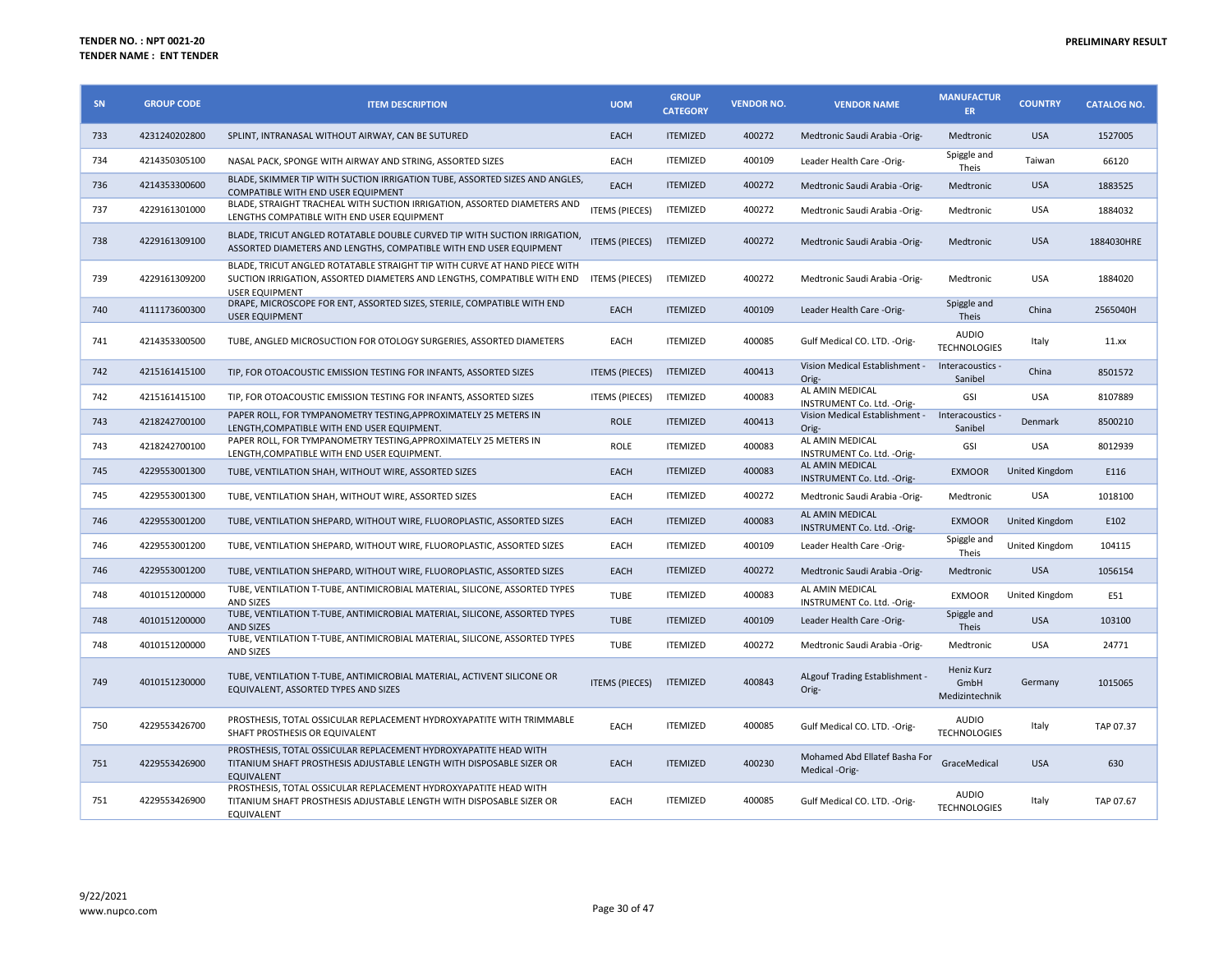| SN  | <b>GROUP CODE</b> | <b>ITEM DESCRIPTION</b>                                                                                                                                                                      | <b>UOM</b>            | <b>GROUP</b><br><b>CATEGORY</b> | <b>VENDOR NO.</b> | <b>VENDOR NAME</b>                              | <b>MANUFACTUR</b><br>ER.             | <b>COUNTRY</b> | <b>CATALOG NO.</b> |
|-----|-------------------|----------------------------------------------------------------------------------------------------------------------------------------------------------------------------------------------|-----------------------|---------------------------------|-------------------|-------------------------------------------------|--------------------------------------|----------------|--------------------|
| 733 | 4231240202800     | SPLINT, INTRANASAL WITHOUT AIRWAY, CAN BE SUTURED                                                                                                                                            | <b>EACH</b>           | <b>ITEMIZED</b>                 | 400272            | Medtronic Saudi Arabia -Orig-                   | Medtronic                            | <b>USA</b>     | 1527005            |
| 734 | 4214350305100     | NASAL PACK, SPONGE WITH AIRWAY AND STRING, ASSORTED SIZES                                                                                                                                    | EACH                  | <b>ITEMIZED</b>                 | 400109            | Leader Health Care -Orig-                       | Spiggle and<br>Theis                 | Taiwan         | 66120              |
| 736 | 4214353300600     | BLADE, SKIMMER TIP WITH SUCTION IRRIGATION TUBE, ASSORTED SIZES AND ANGLES,<br>COMPATIBLE WITH END USER EQUIPMENT                                                                            | <b>EACH</b>           | <b>ITEMIZED</b>                 | 400272            | Medtronic Saudi Arabia -Orig-                   | Medtronic                            | <b>USA</b>     | 1883525            |
| 737 | 4229161301000     | BLADE, STRAIGHT TRACHEAL WITH SUCTION IRRIGATION, ASSORTED DIAMETERS AND<br>LENGTHS COMPATIBLE WITH END USER EQUIPMENT                                                                       | <b>ITEMS (PIECES)</b> | <b>ITEMIZED</b>                 | 400272            | Medtronic Saudi Arabia -Orig-                   | Medtronic                            | <b>USA</b>     | 1884032            |
| 738 | 4229161309100     | BLADE, TRICUT ANGLED ROTATABLE DOUBLE CURVED TIP WITH SUCTION IRRIGATION,<br>ASSORTED DIAMETERS AND LENGTHS, COMPATIBLE WITH END USER EQUIPMENT                                              | <b>ITEMS (PIECES)</b> | <b>ITEMIZED</b>                 | 400272            | Medtronic Saudi Arabia -Orig-                   | Medtronic                            | <b>USA</b>     | 1884030HRE         |
| 739 | 4229161309200     | BLADE, TRICUT ANGLED ROTATABLE STRAIGHT TIP WITH CURVE AT HAND PIECE WITH<br>SUCTION IRRIGATION, ASSORTED DIAMETERS AND LENGTHS, COMPATIBLE WITH END ITEMS (PIECES)<br><b>USER EQUIPMENT</b> |                       | <b>ITEMIZED</b>                 | 400272            | Medtronic Saudi Arabia -Orig-                   | Medtronic                            | <b>USA</b>     | 1884020            |
| 740 | 4111173600300     | DRAPE, MICROSCOPE FOR ENT, ASSORTED SIZES, STERILE, COMPATIBLE WITH END<br><b>USER EQUIPMENT</b>                                                                                             | <b>EACH</b>           | <b>ITEMIZED</b>                 | 400109            | Leader Health Care -Orig-                       | Spiggle and<br>Theis                 | China          | 2565040H           |
| 741 | 4214353300500     | TUBE, ANGLED MICROSUCTION FOR OTOLOGY SURGERIES, ASSORTED DIAMETERS                                                                                                                          | EACH                  | <b>ITEMIZED</b>                 | 400085            | Gulf Medical CO. LTD. -Orig-                    | <b>AUDIO</b><br><b>TECHNOLOGIES</b>  | Italy          | 11.xx              |
| 742 | 4215161415100     | TIP, FOR OTOACOUSTIC EMISSION TESTING FOR INFANTS, ASSORTED SIZES                                                                                                                            | <b>ITEMS (PIECES)</b> | <b>ITEMIZED</b>                 | 400413            | Vision Medical Establishment -<br>Orig-         | Interacoustics -<br>Sanibel          | China          | 8501572            |
| 742 | 4215161415100     | TIP, FOR OTOACOUSTIC EMISSION TESTING FOR INFANTS, ASSORTED SIZES                                                                                                                            | <b>ITEMS (PIECES)</b> | <b>ITEMIZED</b>                 | 400083            | AL AMIN MEDICAL<br>INSTRUMENT Co. Ltd. - Orig-  | GSI                                  | <b>USA</b>     | 8107889            |
| 743 | 4218242700100     | PAPER ROLL, FOR TYMPANOMETRY TESTING, APPROXIMATELY 25 METERS IN<br>LENGTH, COMPATIBLE WITH END USER EQUIPMENT.                                                                              | <b>ROLE</b>           | <b>ITEMIZED</b>                 | 400413            | Vision Medical Establishment -<br>Orig-         | Interacoustics -<br>Sanibel          | Denmark        | 8500210            |
| 743 | 4218242700100     | PAPER ROLL, FOR TYMPANOMETRY TESTING, APPROXIMATELY 25 METERS IN<br>LENGTH, COMPATIBLE WITH END USER EQUIPMENT.                                                                              | <b>ROLE</b>           | <b>ITEMIZED</b>                 | 400083            | AL AMIN MEDICAL<br>INSTRUMENT Co. Ltd. - Orig-  | GSI                                  | <b>USA</b>     | 8012939            |
| 745 | 4229553001300     | TUBE, VENTILATION SHAH, WITHOUT WIRE, ASSORTED SIZES                                                                                                                                         | <b>EACH</b>           | <b>ITEMIZED</b>                 | 400083            | AL AMIN MEDICAL<br>INSTRUMENT Co. Ltd. - Orig-  | <b>EXMOOR</b>                        | United Kingdom | E116               |
| 745 | 4229553001300     | TUBE, VENTILATION SHAH, WITHOUT WIRE, ASSORTED SIZES                                                                                                                                         | EACH                  | <b>ITEMIZED</b>                 | 400272            | Medtronic Saudi Arabia -Orig-                   | Medtronic                            | <b>USA</b>     | 1018100            |
| 746 | 4229553001200     | TUBE, VENTILATION SHEPARD, WITHOUT WIRE, FLUOROPLASTIC, ASSORTED SIZES                                                                                                                       | <b>EACH</b>           | <b>ITEMIZED</b>                 | 400083            | AL AMIN MEDICAL<br>INSTRUMENT Co. Ltd. - Orig-  | <b>EXMOOR</b>                        | United Kingdom | E102               |
| 746 | 4229553001200     | TUBE, VENTILATION SHEPARD, WITHOUT WIRE, FLUOROPLASTIC, ASSORTED SIZES                                                                                                                       | EACH                  | <b>ITEMIZED</b>                 | 400109            | Leader Health Care -Orig-                       | Spiggle and<br>Theis                 | United Kingdom | 104115             |
| 746 | 4229553001200     | TUBE, VENTILATION SHEPARD, WITHOUT WIRE, FLUOROPLASTIC, ASSORTED SIZES                                                                                                                       | EACH                  | <b>ITEMIZED</b>                 | 400272            | Medtronic Saudi Arabia - Orig-                  | Medtronic                            | <b>USA</b>     | 1056154            |
| 748 | 4010151200000     | TUBE, VENTILATION T-TUBE, ANTIMICROBIAL MATERIAL, SILICONE, ASSORTED TYPES<br><b>AND SIZES</b>                                                                                               | <b>TUBE</b>           | <b>ITEMIZED</b>                 | 400083            | AL AMIN MEDICAL<br>INSTRUMENT Co. Ltd. - Orig-  | <b>EXMOOR</b>                        | United Kingdom | E51                |
| 748 | 4010151200000     | TUBE, VENTILATION T-TUBE, ANTIMICROBIAL MATERIAL, SILICONE, ASSORTED TYPES<br><b>AND SIZES</b>                                                                                               | <b>TUBE</b>           | <b>ITEMIZED</b>                 | 400109            | Leader Health Care -Orig-                       | Spiggle and<br><b>Theis</b>          | <b>USA</b>     | 103100             |
| 748 | 4010151200000     | TUBE, VENTILATION T-TUBE, ANTIMICROBIAL MATERIAL, SILICONE, ASSORTED TYPES<br>AND SIZES                                                                                                      | <b>TUBE</b>           | <b>ITEMIZED</b>                 | 400272            | Medtronic Saudi Arabia -Orig-                   | Medtronic                            | <b>USA</b>     | 24771              |
| 749 | 4010151230000     | TUBE, VENTILATION T-TUBE, ANTIMICROBIAL MATERIAL, ACTIVENT SILICONE OR<br>EQUIVALENT, ASSORTED TYPES AND SIZES                                                                               | <b>ITEMS (PIECES)</b> | <b>ITEMIZED</b>                 | 400843            | ALgouf Trading Establishment -<br>Orig-         | Heniz Kurz<br>GmbH<br>Medizintechnik | Germany        | 1015065            |
| 750 | 4229553426700     | PROSTHESIS, TOTAL OSSICULAR REPLACEMENT HYDROXYAPATITE WITH TRIMMABLE<br>SHAFT PROSTHESIS OR EQUIVALENT                                                                                      | EACH                  | <b>ITEMIZED</b>                 | 400085            | Gulf Medical CO. LTD. - Orig-                   | <b>AUDIO</b><br><b>TECHNOLOGIES</b>  | Italy          | TAP 07.37          |
| 751 | 4229553426900     | PROSTHESIS, TOTAL OSSICULAR REPLACEMENT HYDROXYAPATITE HEAD WITH<br>TITANIUM SHAFT PROSTHESIS ADJUSTABLE LENGTH WITH DISPOSABLE SIZER OR<br><b>EQUIVALENT</b>                                | EACH                  | <b>ITEMIZED</b>                 | 400230            | Mohamed Abd Ellatef Basha For<br>Medical -Orig- | GraceMedical                         | <b>USA</b>     | 630                |
| 751 | 4229553426900     | PROSTHESIS, TOTAL OSSICULAR REPLACEMENT HYDROXYAPATITE HEAD WITH<br>TITANIUM SHAFT PROSTHESIS ADJUSTABLE LENGTH WITH DISPOSABLE SIZER OR<br>EQUIVALENT                                       | EACH                  | <b>ITEMIZED</b>                 | 400085            | Gulf Medical CO. LTD. -Orig-                    | <b>AUDIO</b><br><b>TECHNOLOGIES</b>  | Italy          | TAP 07.67          |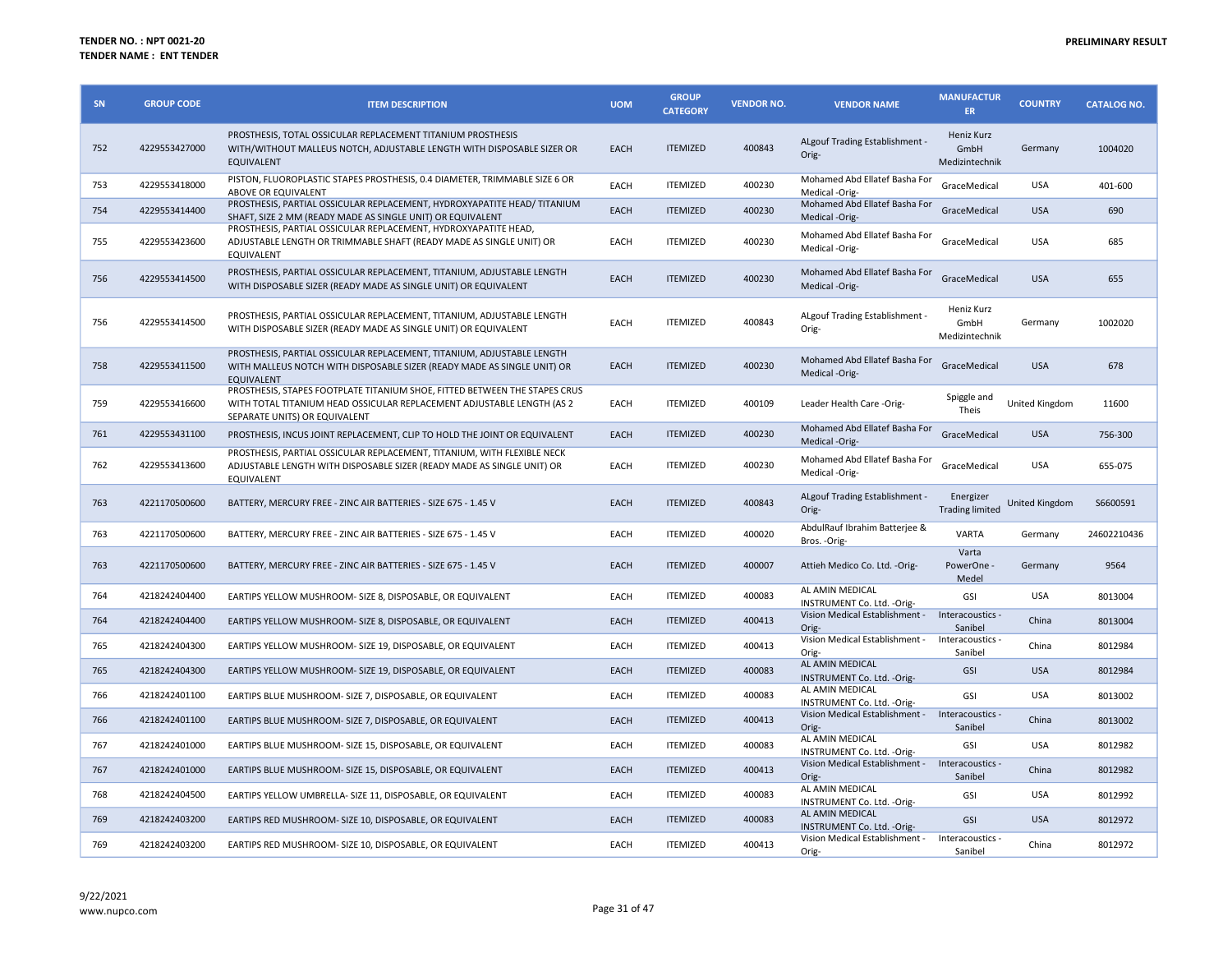| SN  | <b>GROUP CODE</b> | <b>ITEM DESCRIPTION</b>                                                                                                                                                               | <b>UOM</b> | <b>GROUP</b><br><b>CATEGORY</b> | <b>VENDOR NO.</b> | <b>VENDOR NAME</b>                                       | <b>MANUFACTUR</b><br><b>ER</b>       | <b>COUNTRY</b> | <b>CATALOG NO.</b> |
|-----|-------------------|---------------------------------------------------------------------------------------------------------------------------------------------------------------------------------------|------------|---------------------------------|-------------------|----------------------------------------------------------|--------------------------------------|----------------|--------------------|
| 752 | 4229553427000     | PROSTHESIS, TOTAL OSSICULAR REPLACEMENT TITANIUM PROSTHESIS<br>WITH/WITHOUT MALLEUS NOTCH, ADJUSTABLE LENGTH WITH DISPOSABLE SIZER OR<br>EQUIVALENT                                   | EACH       | <b>ITEMIZED</b>                 | 400843            | ALgouf Trading Establishment -<br>Orig-                  | Heniz Kurz<br>GmbH<br>Medizintechnik | Germany        | 1004020            |
| 753 | 4229553418000     | PISTON, FLUOROPLASTIC STAPES PROSTHESIS, 0.4 DIAMETER, TRIMMABLE SIZE 6 OR<br>ABOVE OR EQUIVALENT                                                                                     | EACH       | <b>ITEMIZED</b>                 | 400230            | Mohamed Abd Ellatef Basha For<br>Medical -Orig-          | GraceMedical                         | <b>USA</b>     | 401-600            |
| 754 | 4229553414400     | PROSTHESIS, PARTIAL OSSICULAR REPLACEMENT, HYDROXYAPATITE HEAD/TITANIUM<br>SHAFT, SIZE 2 MM (READY MADE AS SINGLE UNIT) OR EQUIVALENT                                                 | EACH       | <b>ITEMIZED</b>                 | 400230            | Mohamed Abd Ellatef Basha For<br>Medical -Orig-          | GraceMedical                         | <b>USA</b>     | 690                |
| 755 | 4229553423600     | PROSTHESIS, PARTIAL OSSICULAR REPLACEMENT, HYDROXYAPATITE HEAD,<br>ADJUSTABLE LENGTH OR TRIMMABLE SHAFT (READY MADE AS SINGLE UNIT) OR<br>EQUIVALENT                                  | EACH       | <b>ITEMIZED</b>                 | 400230            | Mohamed Abd Ellatef Basha For<br>Medical -Orig-          | GraceMedical                         | <b>USA</b>     | 685                |
| 756 | 4229553414500     | PROSTHESIS, PARTIAL OSSICULAR REPLACEMENT, TITANIUM, ADJUSTABLE LENGTH<br>WITH DISPOSABLE SIZER (READY MADE AS SINGLE UNIT) OR EQUIVALENT                                             | EACH       | <b>ITEMIZED</b>                 | 400230            | Mohamed Abd Ellatef Basha For<br>Medical -Orig-          | GraceMedical                         | <b>USA</b>     | 655                |
| 756 | 4229553414500     | PROSTHESIS, PARTIAL OSSICULAR REPLACEMENT, TITANIUM, ADJUSTABLE LENGTH<br>WITH DISPOSABLE SIZER (READY MADE AS SINGLE UNIT) OR EQUIVALENT                                             | EACH       | <b>ITEMIZED</b>                 | 400843            | ALgouf Trading Establishment -<br>Orig-                  | Heniz Kurz<br>GmbH<br>Medizintechnik | Germany        | 1002020            |
| 758 | 4229553411500     | PROSTHESIS, PARTIAL OSSICULAR REPLACEMENT, TITANIUM, ADJUSTABLE LENGTH<br>WITH MALLEUS NOTCH WITH DISPOSABLE SIZER (READY MADE AS SINGLE UNIT) OR<br><b>EQUIVALENT</b>                | EACH       | <b>ITEMIZED</b>                 | 400230            | Mohamed Abd Ellatef Basha For<br>Medical -Orig-          | GraceMedical                         | <b>USA</b>     | 678                |
| 759 | 4229553416600     | PROSTHESIS, STAPES FOOTPLATE TITANIUM SHOE, FITTED BETWEEN THE STAPES CRUS<br>WITH TOTAL TITANIUM HEAD OSSICULAR REPLACEMENT ADJUSTABLE LENGTH (AS 2<br>SEPARATE UNITS) OR EQUIVALENT | EACH       | <b>ITEMIZED</b>                 | 400109            | Leader Health Care -Orig-                                | Spiggle and<br>Theis                 | United Kingdom | 11600              |
| 761 | 4229553431100     | PROSTHESIS, INCUS JOINT REPLACEMENT, CLIP TO HOLD THE JOINT OR EQUIVALENT                                                                                                             | EACH       | <b>ITEMIZED</b>                 | 400230            | Mohamed Abd Ellatef Basha For<br>Medical -Orig-          | GraceMedical                         | <b>USA</b>     | 756-300            |
| 762 | 4229553413600     | PROSTHESIS, PARTIAL OSSICULAR REPLACEMENT, TITANIUM, WITH FLEXIBLE NECK<br>ADJUSTABLE LENGTH WITH DISPOSABLE SIZER (READY MADE AS SINGLE UNIT) OR<br>EQUIVALENT                       | EACH       | <b>ITEMIZED</b>                 | 400230            | Mohamed Abd Ellatef Basha For<br>Medical -Orig-          | GraceMedical                         | <b>USA</b>     | 655-075            |
| 763 | 4221170500600     | BATTERY, MERCURY FREE - ZINC AIR BATTERIES - SIZE 675 - 1.45 V                                                                                                                        | EACH       | <b>ITEMIZED</b>                 | 400843            | ALgouf Trading Establishment -<br>Orig-                  | Energizer<br><b>Trading limited</b>  | United Kingdom | S6600591           |
| 763 | 4221170500600     | BATTERY, MERCURY FREE - ZINC AIR BATTERIES - SIZE 675 - 1.45 V                                                                                                                        | EACH       | <b>ITEMIZED</b>                 | 400020            | AbdulRauf Ibrahim Batterjee &<br>Bros. - Orig-           | <b>VARTA</b>                         | Germany        | 24602210436        |
| 763 | 4221170500600     | BATTERY, MERCURY FREE - ZINC AIR BATTERIES - SIZE 675 - 1.45 V                                                                                                                        | EACH       | <b>ITEMIZED</b>                 | 400007            | Attieh Medico Co. Ltd. - Orig-                           | Varta<br>PowerOne -<br>Medel         | Germany        | 9564               |
| 764 | 4218242404400     | EARTIPS YELLOW MUSHROOM- SIZE 8, DISPOSABLE, OR EQUIVALENT                                                                                                                            | EACH       | <b>ITEMIZED</b>                 | 400083            | AL AMIN MEDICAL<br>INSTRUMENT Co. Ltd. - Orig-           | GSI                                  | <b>USA</b>     | 8013004            |
| 764 | 4218242404400     | EARTIPS YELLOW MUSHROOM- SIZE 8, DISPOSABLE, OR EQUIVALENT                                                                                                                            | EACH       | <b>ITEMIZED</b>                 | 400413            | Vision Medical Establishment - Interacoustics -<br>Orig- | Sanibel                              | China          | 8013004            |
| 765 | 4218242404300     | EARTIPS YELLOW MUSHROOM- SIZE 19, DISPOSABLE, OR EQUIVALENT                                                                                                                           | EACH       | <b>ITEMIZED</b>                 | 400413            | Vision Medical Establishment -<br>Orig-                  | Interacoustics -<br>Sanibel          | China          | 8012984            |
| 765 | 4218242404300     | EARTIPS YELLOW MUSHROOM- SIZE 19, DISPOSABLE, OR EQUIVALENT                                                                                                                           | EACH       | <b>ITEMIZED</b>                 | 400083            | AL AMIN MEDICAL<br>INSTRUMENT Co. Ltd. - Orig-           | GSI                                  | <b>USA</b>     | 8012984            |
| 766 | 4218242401100     | EARTIPS BLUE MUSHROOM- SIZE 7, DISPOSABLE, OR EQUIVALENT                                                                                                                              | EACH       | <b>ITEMIZED</b>                 | 400083            | AL AMIN MEDICAL<br>INSTRUMENT Co. Ltd. - Orig-           | GSI                                  | <b>USA</b>     | 8013002            |
| 766 | 4218242401100     | EARTIPS BLUE MUSHROOM- SIZE 7, DISPOSABLE, OR EQUIVALENT                                                                                                                              | EACH       | <b>ITEMIZED</b>                 | 400413            | Vision Medical Establishment - Interacoustics -<br>Orig- | Sanibel                              | China          | 8013002            |
| 767 | 4218242401000     | EARTIPS BLUE MUSHROOM- SIZE 15, DISPOSABLE, OR EQUIVALENT                                                                                                                             | EACH       | <b>ITEMIZED</b>                 | 400083            | AL AMIN MEDICAL<br>INSTRUMENT Co. Ltd. - Orig-           | GSI                                  | <b>USA</b>     | 8012982            |
| 767 | 4218242401000     | EARTIPS BLUE MUSHROOM- SIZE 15, DISPOSABLE, OR EQUIVALENT                                                                                                                             | EACH       | <b>ITEMIZED</b>                 | 400413            | Vision Medical Establishment - Interacoustics -<br>Orig- | Sanibel                              | China          | 8012982            |
| 768 | 4218242404500     | EARTIPS YELLOW UMBRELLA- SIZE 11, DISPOSABLE, OR EQUIVALENT                                                                                                                           | EACH       | <b>ITEMIZED</b>                 | 400083            | AL AMIN MEDICAL<br>INSTRUMENT Co. Ltd. - Orig-           | GSI                                  | <b>USA</b>     | 8012992            |
| 769 | 4218242403200     | EARTIPS RED MUSHROOM- SIZE 10, DISPOSABLE, OR EQUIVALENT                                                                                                                              | EACH       | <b>ITEMIZED</b>                 | 400083            | AL AMIN MEDICAL<br>INSTRUMENT Co. Ltd. - Orig-           | GSI                                  | <b>USA</b>     | 8012972            |
| 769 | 4218242403200     | EARTIPS RED MUSHROOM- SIZE 10, DISPOSABLE, OR EQUIVALENT                                                                                                                              | EACH       | <b>ITEMIZED</b>                 | 400413            | Vision Medical Establishment -<br>Orig-                  | Interacoustics -<br>Sanibel          | China          | 8012972            |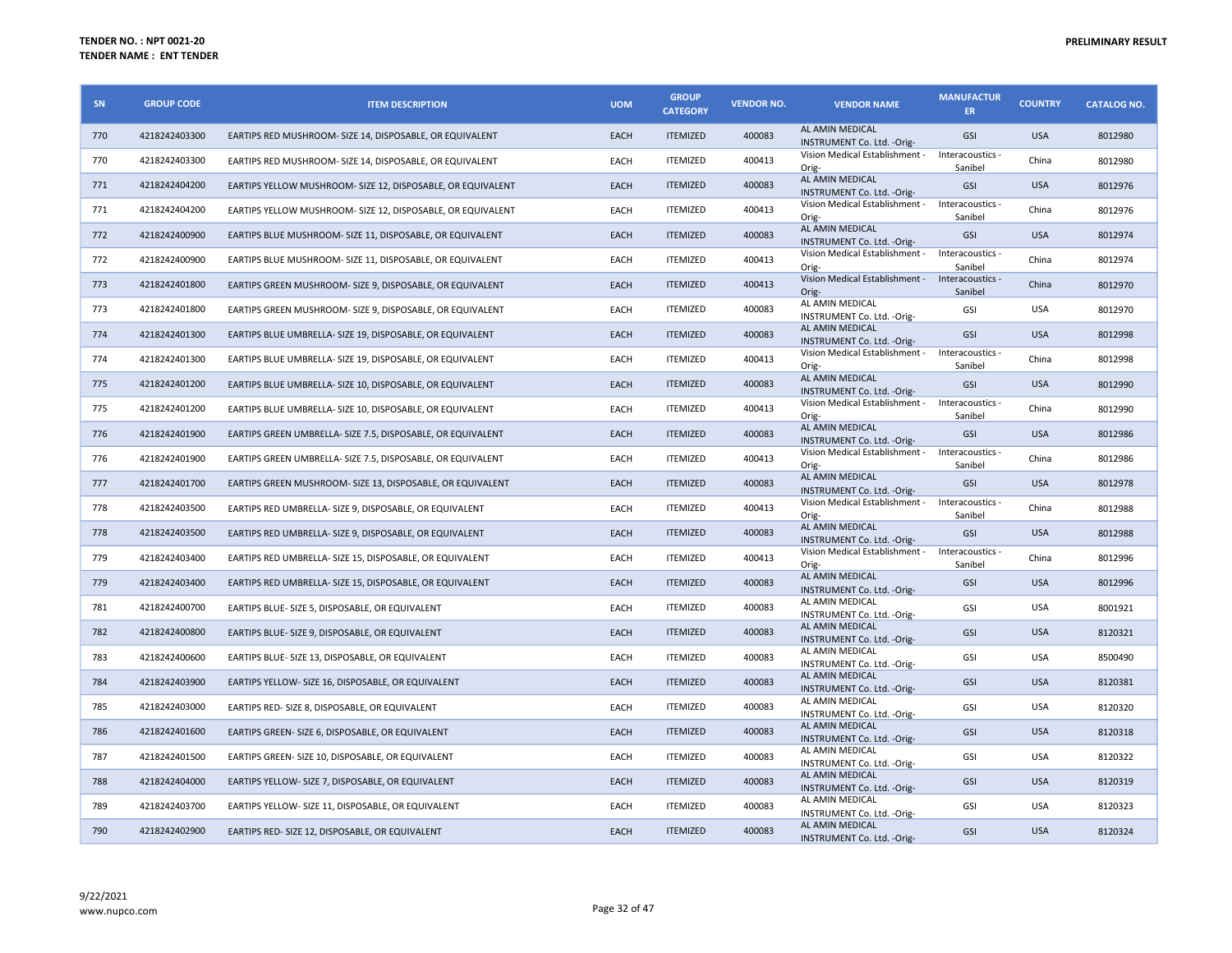| SN  | <b>GROUP CODE</b> | <b>ITEM DESCRIPTION</b>                                     | <b>UOM</b>  | <b>GROUP</b><br><b>CATEGORY</b> | <b>VENDOR NO.</b> | <b>VENDOR NAME</b>                                       | <b>MANUFACTUR</b><br><b>ER</b> | <b>COUNTRY</b> | <b>CATALOG NO.</b> |
|-----|-------------------|-------------------------------------------------------------|-------------|---------------------------------|-------------------|----------------------------------------------------------|--------------------------------|----------------|--------------------|
| 770 | 4218242403300     | EARTIPS RED MUSHROOM- SIZE 14, DISPOSABLE, OR EQUIVALENT    | EACH        | <b>ITEMIZED</b>                 | 400083            | AL AMIN MEDICAL<br>INSTRUMENT Co. Ltd. - Orig-           | GSI                            | <b>USA</b>     | 8012980            |
| 770 | 4218242403300     | EARTIPS RED MUSHROOM- SIZE 14, DISPOSABLE, OR EQUIVALENT    | EACH        | <b>ITEMIZED</b>                 | 400413            | Vision Medical Establishment -<br>Orig-                  | Interacoustics -<br>Sanibel    | China          | 8012980            |
| 771 | 4218242404200     | EARTIPS YELLOW MUSHROOM- SIZE 12, DISPOSABLE, OR EQUIVALENT | EACH        | <b>ITEMIZED</b>                 | 400083            | AL AMIN MEDICAL<br>INSTRUMENT Co. Ltd. - Orig-           | <b>GSI</b>                     | <b>USA</b>     | 8012976            |
| 771 | 4218242404200     | EARTIPS YELLOW MUSHROOM- SIZE 12, DISPOSABLE, OR EQUIVALENT | EACH        | <b>ITEMIZED</b>                 | 400413            | Vision Medical Establishment -<br>Orig-                  | Interacoustics -<br>Sanibel    | China          | 8012976            |
| 772 | 4218242400900     | EARTIPS BLUE MUSHROOM- SIZE 11, DISPOSABLE, OR EQUIVALENT   | EACH        | <b>ITEMIZED</b>                 | 400083            | AL AMIN MEDICAL<br>INSTRUMENT Co. Ltd. - Orig-           | GSI                            | <b>USA</b>     | 8012974            |
| 772 | 4218242400900     | EARTIPS BLUE MUSHROOM- SIZE 11, DISPOSABLE, OR EQUIVALENT   | EACH        | <b>ITEMIZED</b>                 | 400413            | Vision Medical Establishment -<br>Orig-                  | Interacoustics -<br>Sanibel    | China          | 8012974            |
| 773 | 4218242401800     | EARTIPS GREEN MUSHROOM- SIZE 9, DISPOSABLE, OR EQUIVALENT   | <b>EACH</b> | <b>ITEMIZED</b>                 | 400413            | Vision Medical Establishment - Interacoustics -<br>Orig- | Sanibel                        | China          | 8012970            |
| 773 | 4218242401800     | EARTIPS GREEN MUSHROOM- SIZE 9, DISPOSABLE, OR EQUIVALENT   | EACH        | <b>ITEMIZED</b>                 | 400083            | AL AMIN MEDICAL<br>INSTRUMENT Co. Ltd. - Orig-           | GSI                            | <b>USA</b>     | 8012970            |
| 774 | 4218242401300     | EARTIPS BLUE UMBRELLA- SIZE 19, DISPOSABLE, OR EQUIVALENT   | EACH        | <b>ITEMIZED</b>                 | 400083            | AL AMIN MEDICAL<br>INSTRUMENT Co. Ltd. - Orig-           | <b>GSI</b>                     | <b>USA</b>     | 8012998            |
| 774 | 4218242401300     | EARTIPS BLUE UMBRELLA- SIZE 19, DISPOSABLE, OR EQUIVALENT   | EACH        | <b>ITEMIZED</b>                 | 400413            | Vision Medical Establishment -<br>Orig-                  | Interacoustics -<br>Sanibel    | China          | 8012998            |
| 775 | 4218242401200     | EARTIPS BLUE UMBRELLA- SIZE 10, DISPOSABLE, OR EQUIVALENT   | EACH        | <b>ITEMIZED</b>                 | 400083            | AL AMIN MEDICAL<br>INSTRUMENT Co. Ltd. - Orig-           | <b>GSI</b>                     | <b>USA</b>     | 8012990            |
| 775 | 4218242401200     | EARTIPS BLUE UMBRELLA- SIZE 10, DISPOSABLE, OR EQUIVALENT   | EACH        | <b>ITEMIZED</b>                 | 400413            | Vision Medical Establishment -<br>Orig-                  | Interacoustics -<br>Sanibel    | China          | 8012990            |
| 776 | 4218242401900     | EARTIPS GREEN UMBRELLA- SIZE 7.5, DISPOSABLE, OR EQUIVALENT | EACH        | <b>ITEMIZED</b>                 | 400083            | AL AMIN MEDICAL<br>INSTRUMENT Co. Ltd. - Orig-           | <b>GSI</b>                     | <b>USA</b>     | 8012986            |
| 776 | 4218242401900     | EARTIPS GREEN UMBRELLA- SIZE 7.5, DISPOSABLE, OR EQUIVALENT | EACH        | <b>ITEMIZED</b>                 | 400413            | Vision Medical Establishment - Interacoustics -<br>Orig- | Sanibel                        | China          | 8012986            |
| 777 | 4218242401700     | EARTIPS GREEN MUSHROOM- SIZE 13, DISPOSABLE, OR EQUIVALENT  | EACH        | <b>ITEMIZED</b>                 | 400083            | AL AMIN MEDICAL<br>INSTRUMENT Co. Ltd. - Orig-           | GSI                            | <b>USA</b>     | 8012978            |
| 778 | 4218242403500     | EARTIPS RED UMBRELLA- SIZE 9, DISPOSABLE, OR EQUIVALENT     | EACH        | <b>ITEMIZED</b>                 | 400413            | Vision Medical Establishment -<br>Orig-                  | Interacoustics -<br>Sanibel    | China          | 8012988            |
| 778 | 4218242403500     | EARTIPS RED UMBRELLA- SIZE 9, DISPOSABLE, OR EQUIVALENT     | EACH        | <b>ITEMIZED</b>                 | 400083            | AL AMIN MEDICAL<br>INSTRUMENT Co. Ltd. - Orig-           | GSI                            | <b>USA</b>     | 8012988            |
| 779 | 4218242403400     | EARTIPS RED UMBRELLA- SIZE 15, DISPOSABLE, OR EQUIVALENT    | EACH        | <b>ITEMIZED</b>                 | 400413            | Vision Medical Establishment -<br>Orig-                  | Interacoustics -<br>Sanibel    | China          | 8012996            |
| 779 | 4218242403400     | EARTIPS RED UMBRELLA- SIZE 15, DISPOSABLE, OR EQUIVALENT    | EACH        | <b>ITEMIZED</b>                 | 400083            | AL AMIN MEDICAL<br>INSTRUMENT Co. Ltd. - Orig-           | <b>GSI</b>                     | <b>USA</b>     | 8012996            |
| 781 | 4218242400700     | EARTIPS BLUE- SIZE 5, DISPOSABLE, OR EQUIVALENT             | EACH        | <b>ITEMIZED</b>                 | 400083            | AL AMIN MEDICAL<br>INSTRUMENT Co. Ltd. - Orig-           | GSI                            | <b>USA</b>     | 8001921            |
| 782 | 4218242400800     | EARTIPS BLUE- SIZE 9, DISPOSABLE, OR EQUIVALENT             | EACH        | <b>ITEMIZED</b>                 | 400083            | AL AMIN MEDICAL<br>INSTRUMENT Co. Ltd. - Orig-           | GSI                            | <b>USA</b>     | 8120321            |
| 783 | 4218242400600     | EARTIPS BLUE- SIZE 13, DISPOSABLE, OR EQUIVALENT            | EACH        | <b>ITEMIZED</b>                 | 400083            | AL AMIN MEDICAL<br>INSTRUMENT Co. Ltd. - Orig-           | GSI                            | USA            | 8500490            |
| 784 | 4218242403900     | EARTIPS YELLOW- SIZE 16, DISPOSABLE, OR EQUIVALENT          | EACH        | <b>ITEMIZED</b>                 | 400083            | AL AMIN MEDICAL<br>INSTRUMENT Co. Ltd. - Orig-           | GSI                            | <b>USA</b>     | 8120381            |
| 785 | 4218242403000     | EARTIPS RED- SIZE 8, DISPOSABLE, OR EQUIVALENT              | EACH        | <b>ITEMIZED</b>                 | 400083            | AL AMIN MEDICAL<br>INSTRUMENT Co. Ltd. - Orig-           | GSI                            | <b>USA</b>     | 8120320            |
| 786 | 4218242401600     | EARTIPS GREEN- SIZE 6, DISPOSABLE, OR EQUIVALENT            | EACH        | <b>ITEMIZED</b>                 | 400083            | AL AMIN MEDICAL<br>INSTRUMENT Co. Ltd. - Orig-           | <b>GSI</b>                     | <b>USA</b>     | 8120318            |
| 787 | 4218242401500     | EARTIPS GREEN- SIZE 10, DISPOSABLE, OR EQUIVALENT           | EACH        | <b>ITEMIZED</b>                 | 400083            | AL AMIN MEDICAL<br>INSTRUMENT Co. Ltd. - Orig-           | GSI                            | <b>USA</b>     | 8120322            |
| 788 | 4218242404000     | EARTIPS YELLOW- SIZE 7, DISPOSABLE, OR EQUIVALENT           | EACH        | <b>ITEMIZED</b>                 | 400083            | AL AMIN MEDICAL<br>INSTRUMENT Co. Ltd. - Orig-           | GSI                            | <b>USA</b>     | 8120319            |
| 789 | 4218242403700     | EARTIPS YELLOW- SIZE 11, DISPOSABLE, OR EQUIVALENT          | EACH        | <b>ITEMIZED</b>                 | 400083            | AL AMIN MEDICAL<br>INSTRUMENT Co. Ltd. - Orig-           | GSI                            | <b>USA</b>     | 8120323            |
| 790 | 4218242402900     | EARTIPS RED- SIZE 12, DISPOSABLE, OR EQUIVALENT             | <b>EACH</b> | <b>ITEMIZED</b>                 | 400083            | AL AMIN MEDICAL<br>INSTRUMENT Co. Ltd. - Orig-           | <b>GSI</b>                     | <b>USA</b>     | 8120324            |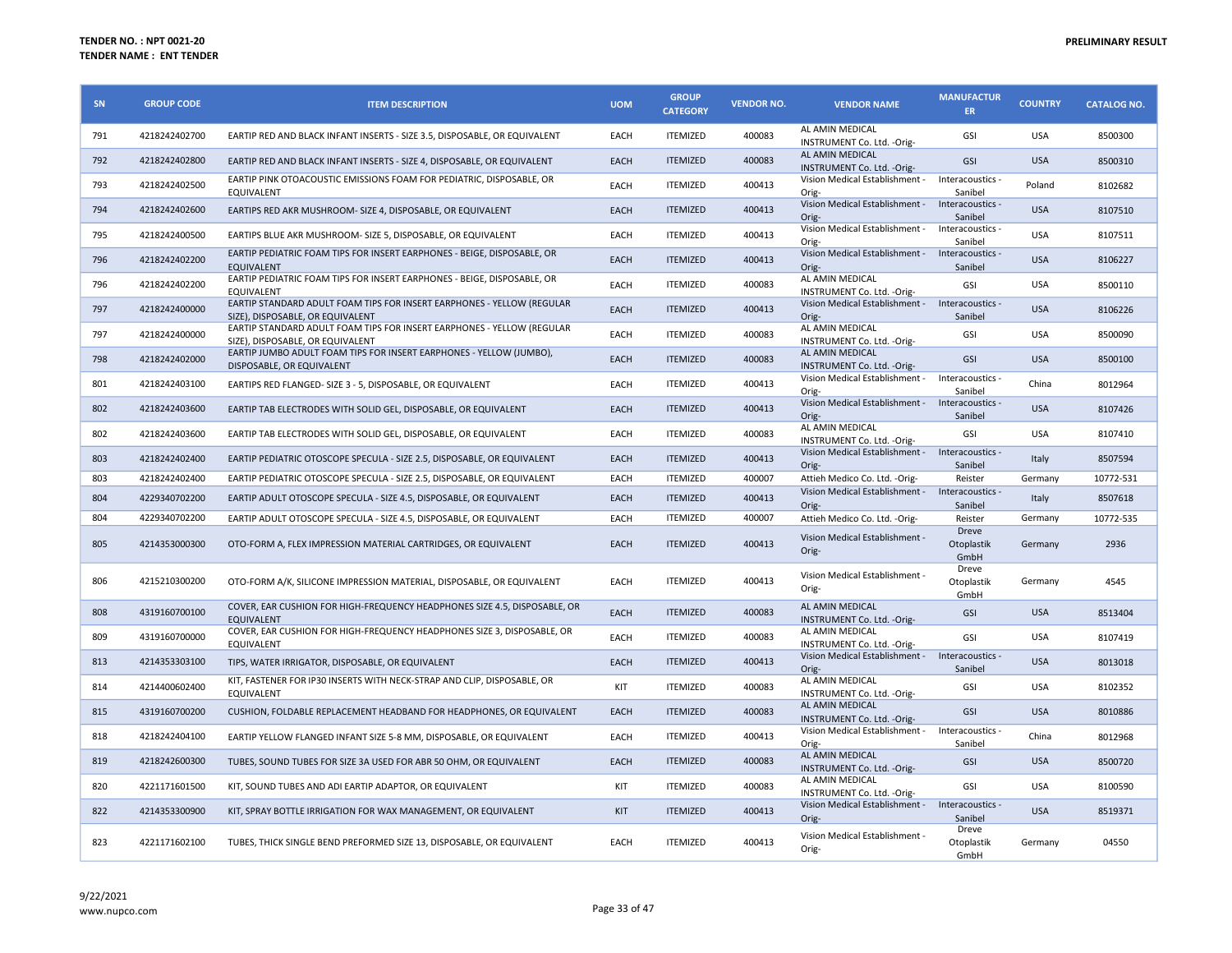| SN  | <b>GROUP CODE</b> | <b>ITEM DESCRIPTION</b>                                                                                    | <b>UOM</b> | <b>GROUP</b><br><b>CATEGORY</b> | <b>VENDOR NO.</b> | <b>VENDOR NAME</b>                                       | <b>MANUFACTUR</b><br>ER.    | <b>COUNTRY</b> | <b>CATALOG NO.</b> |
|-----|-------------------|------------------------------------------------------------------------------------------------------------|------------|---------------------------------|-------------------|----------------------------------------------------------|-----------------------------|----------------|--------------------|
| 791 | 4218242402700     | EARTIP RED AND BLACK INFANT INSERTS - SIZE 3.5, DISPOSABLE, OR EQUIVALENT                                  | EACH       | <b>ITEMIZED</b>                 | 400083            | AL AMIN MEDICAL<br>INSTRUMENT Co. Ltd. - Orig-           | GSI                         | <b>USA</b>     | 8500300            |
| 792 | 4218242402800     | EARTIP RED AND BLACK INFANT INSERTS - SIZE 4, DISPOSABLE, OR EQUIVALENT                                    | EACH       | <b>ITEMIZED</b>                 | 400083            | AL AMIN MEDICAL<br>INSTRUMENT Co. Ltd. - Orig-           | GSI                         | <b>USA</b>     | 8500310            |
| 793 | 4218242402500     | EARTIP PINK OTOACOUSTIC EMISSIONS FOAM FOR PEDIATRIC, DISPOSABLE, OR<br>EQUIVALENT                         | EACH       | <b>ITEMIZED</b>                 | 400413            | Vision Medical Establishment -<br>Orig-                  | Interacoustics -<br>Sanibel | Poland         | 8102682            |
| 794 | 4218242402600     | EARTIPS RED AKR MUSHROOM- SIZE 4, DISPOSABLE, OR EQUIVALENT                                                | EACH       | <b>ITEMIZED</b>                 | 400413            | Vision Medical Establishment - Interacoustics -<br>Orig- | Sanibel                     | <b>USA</b>     | 8107510            |
| 795 | 4218242400500     | EARTIPS BLUE AKR MUSHROOM- SIZE 5, DISPOSABLE, OR EQUIVALENT                                               | EACH       | <b>ITEMIZED</b>                 | 400413            | Vision Medical Establishment -<br>Orig-                  | Interacoustics -<br>Sanibel | <b>USA</b>     | 8107511            |
| 796 | 4218242402200     | EARTIP PEDIATRIC FOAM TIPS FOR INSERT EARPHONES - BEIGE, DISPOSABLE, OR<br><b>EOUIVALENT</b>               | EACH       | <b>ITEMIZED</b>                 | 400413            | Vision Medical Establishment - Interacoustics -<br>Orig- | Sanibel                     | <b>USA</b>     | 8106227            |
| 796 | 4218242402200     | EARTIP PEDIATRIC FOAM TIPS FOR INSERT EARPHONES - BEIGE, DISPOSABLE, OR<br><b>EQUIVALENT</b>               | EACH       | <b>ITEMIZED</b>                 | 400083            | AL AMIN MEDICAL<br>INSTRUMENT Co. Ltd. - Orig-           | GSI                         | <b>USA</b>     | 8500110            |
| 797 | 4218242400000     | EARTIP STANDARD ADULT FOAM TIPS FOR INSERT EARPHONES - YELLOW (REGULAR<br>SIZE), DISPOSABLE, OR EQUIVALENT | EACH       | <b>ITEMIZED</b>                 | 400413            | Vision Medical Establishment - Interacoustics -<br>Orig- | Sanibel                     | <b>USA</b>     | 8106226            |
| 797 | 4218242400000     | EARTIP STANDARD ADULT FOAM TIPS FOR INSERT EARPHONES - YELLOW (REGULAR<br>SIZE), DISPOSABLE, OR EQUIVALENT | EACH       | <b>ITEMIZED</b>                 | 400083            | AL AMIN MEDICAL<br>INSTRUMENT Co. Ltd. - Orig-           | GSI                         | <b>USA</b>     | 8500090            |
| 798 | 4218242402000     | EARTIP JUMBO ADULT FOAM TIPS FOR INSERT EARPHONES - YELLOW (JUMBO),<br>DISPOSABLE, OR EQUIVALENT           | EACH       | <b>ITEMIZED</b>                 | 400083            | AL AMIN MEDICAL<br>INSTRUMENT Co. Ltd. - Orig-           | GSI                         | <b>USA</b>     | 8500100            |
| 801 | 4218242403100     | EARTIPS RED FLANGED- SIZE 3 - 5, DISPOSABLE, OR EQUIVALENT                                                 | EACH       | <b>ITEMIZED</b>                 | 400413            | Vision Medical Establishment -<br>Orig-                  | Interacoustics -<br>Sanibel | China          | 8012964            |
| 802 | 4218242403600     | EARTIP TAB ELECTRODES WITH SOLID GEL. DISPOSABLE, OR EQUIVALENT                                            | EACH       | <b>ITEMIZED</b>                 | 400413            | Vision Medical Establishment -<br>Orig-                  | Interacoustics -<br>Sanibel | <b>USA</b>     | 8107426            |
| 802 | 4218242403600     | EARTIP TAB ELECTRODES WITH SOLID GEL, DISPOSABLE, OR EQUIVALENT                                            | EACH       | <b>ITEMIZED</b>                 | 400083            | AL AMIN MEDICAL<br>INSTRUMENT Co. Ltd. - Orig-           | GSI                         | <b>USA</b>     | 8107410            |
| 803 | 4218242402400     | EARTIP PEDIATRIC OTOSCOPE SPECULA - SIZE 2.5, DISPOSABLE, OR EQUIVALENT                                    | EACH       | <b>ITEMIZED</b>                 | 400413            | Vision Medical Establishment -<br>Orig-                  | Interacoustics -<br>Sanibel | Italy          | 8507594            |
| 803 | 4218242402400     | EARTIP PEDIATRIC OTOSCOPE SPECULA - SIZE 2.5, DISPOSABLE, OR EQUIVALENT                                    | EACH       | <b>ITEMIZED</b>                 | 400007            | Attieh Medico Co. Ltd. - Orig-                           | Reister                     | Germany        | 10772-531          |
| 804 | 4229340702200     | EARTIP ADULT OTOSCOPE SPECULA - SIZE 4.5, DISPOSABLE, OR EQUIVALENT                                        | EACH       | <b>ITEMIZED</b>                 | 400413            | Vision Medical Establishment - Interacoustics -<br>Orig- | Sanibel                     | Italy          | 8507618            |
| 804 | 4229340702200     | EARTIP ADULT OTOSCOPE SPECULA - SIZE 4.5, DISPOSABLE, OR EQUIVALENT                                        | EACH       | <b>ITEMIZED</b>                 | 400007            | Attieh Medico Co. Ltd. - Orig-                           | Reister                     | Germany        | 10772-535          |
| 805 | 4214353000300     | OTO-FORM A, FLEX IMPRESSION MATERIAL CARTRIDGES, OR EQUIVALENT                                             | EACH       | <b>ITEMIZED</b>                 | 400413            | Vision Medical Establishment -<br>Orig-                  | Dreve<br>Otoplastik<br>GmbH | Germany        | 2936               |
| 806 | 4215210300200     | OTO-FORM A/K, SILICONE IMPRESSION MATERIAL, DISPOSABLE, OR EQUIVALENT                                      | EACH       | <b>ITEMIZED</b>                 | 400413            | Vision Medical Establishment -<br>Orig-                  | Dreve<br>Otoplastik<br>GmbH | Germany        | 4545               |
| 808 | 4319160700100     | COVER, EAR CUSHION FOR HIGH-FREQUENCY HEADPHONES SIZE 4.5, DISPOSABLE, OR<br><b>EQUIVALENT</b>             | EACH       | <b>ITEMIZED</b>                 | 400083            | AL AMIN MEDICAL<br>INSTRUMENT Co. Ltd. - Orig-           | GSI                         | <b>USA</b>     | 8513404            |
| 809 | 4319160700000     | COVER, EAR CUSHION FOR HIGH-FREQUENCY HEADPHONES SIZE 3, DISPOSABLE, OR<br>EQUIVALENT                      | EACH       | <b>ITEMIZED</b>                 | 400083            | AL AMIN MEDICAL<br>INSTRUMENT Co. Ltd. - Orig-           | GSI                         | <b>USA</b>     | 8107419            |
| 813 | 4214353303100     | TIPS, WATER IRRIGATOR, DISPOSABLE, OR EQUIVALENT                                                           | EACH       | <b>ITEMIZED</b>                 | 400413            | Vision Medical Establishment - Interacoustics -<br>Orig- | Sanibel                     | <b>USA</b>     | 8013018            |
| 814 | 4214400602400     | KIT, FASTENER FOR IP30 INSERTS WITH NECK-STRAP AND CLIP, DISPOSABLE, OR<br>EQUIVALENT                      | KIT        | <b>ITEMIZED</b>                 | 400083            | AL AMIN MEDICAL<br>INSTRUMENT Co. Ltd. - Orig-           | GSI                         | <b>USA</b>     | 8102352            |
| 815 | 4319160700200     | CUSHION, FOLDABLE REPLACEMENT HEADBAND FOR HEADPHONES, OR EQUIVALENT                                       | EACH       | <b>ITEMIZED</b>                 | 400083            | AL AMIN MEDICAL<br>INSTRUMENT Co. Ltd. - Orig-           | GSI                         | <b>USA</b>     | 8010886            |
| 818 | 4218242404100     | EARTIP YELLOW FLANGED INFANT SIZE 5-8 MM, DISPOSABLE, OR EQUIVALENT                                        | EACH       | <b>ITEMIZED</b>                 | 400413            | Vision Medical Establishment -<br>Orig-                  | Interacoustics -<br>Sanibel | China          | 8012968            |
| 819 | 4218242600300     | TUBES, SOUND TUBES FOR SIZE 3A USED FOR ABR 50 OHM, OR EQUIVALENT                                          | EACH       | <b>ITEMIZED</b>                 | 400083            | AL AMIN MEDICAL<br>INSTRUMENT Co. Ltd. - Orig-           | GSI                         | <b>USA</b>     | 8500720            |
| 820 | 4221171601500     | KIT, SOUND TUBES AND ADI EARTIP ADAPTOR, OR EQUIVALENT                                                     | KIT        | <b>ITEMIZED</b>                 | 400083            | AL AMIN MEDICAL<br>INSTRUMENT Co. Ltd. - Orig-           | GSI                         | <b>USA</b>     | 8100590            |
| 822 | 4214353300900     | KIT, SPRAY BOTTLE IRRIGATION FOR WAX MANAGEMENT, OR EQUIVALENT                                             | KIT        | <b>ITEMIZED</b>                 | 400413            | Vision Medical Establishment - Interacoustics -<br>Orig- | Sanibel                     | <b>USA</b>     | 8519371            |
| 823 | 4221171602100     | TUBES, THICK SINGLE BEND PREFORMED SIZE 13, DISPOSABLE, OR EQUIVALENT                                      | EACH       | <b>ITEMIZED</b>                 | 400413            | Vision Medical Establishment -<br>Orig-                  | Dreve<br>Otoplastik<br>GmbH | Germany        | 04550              |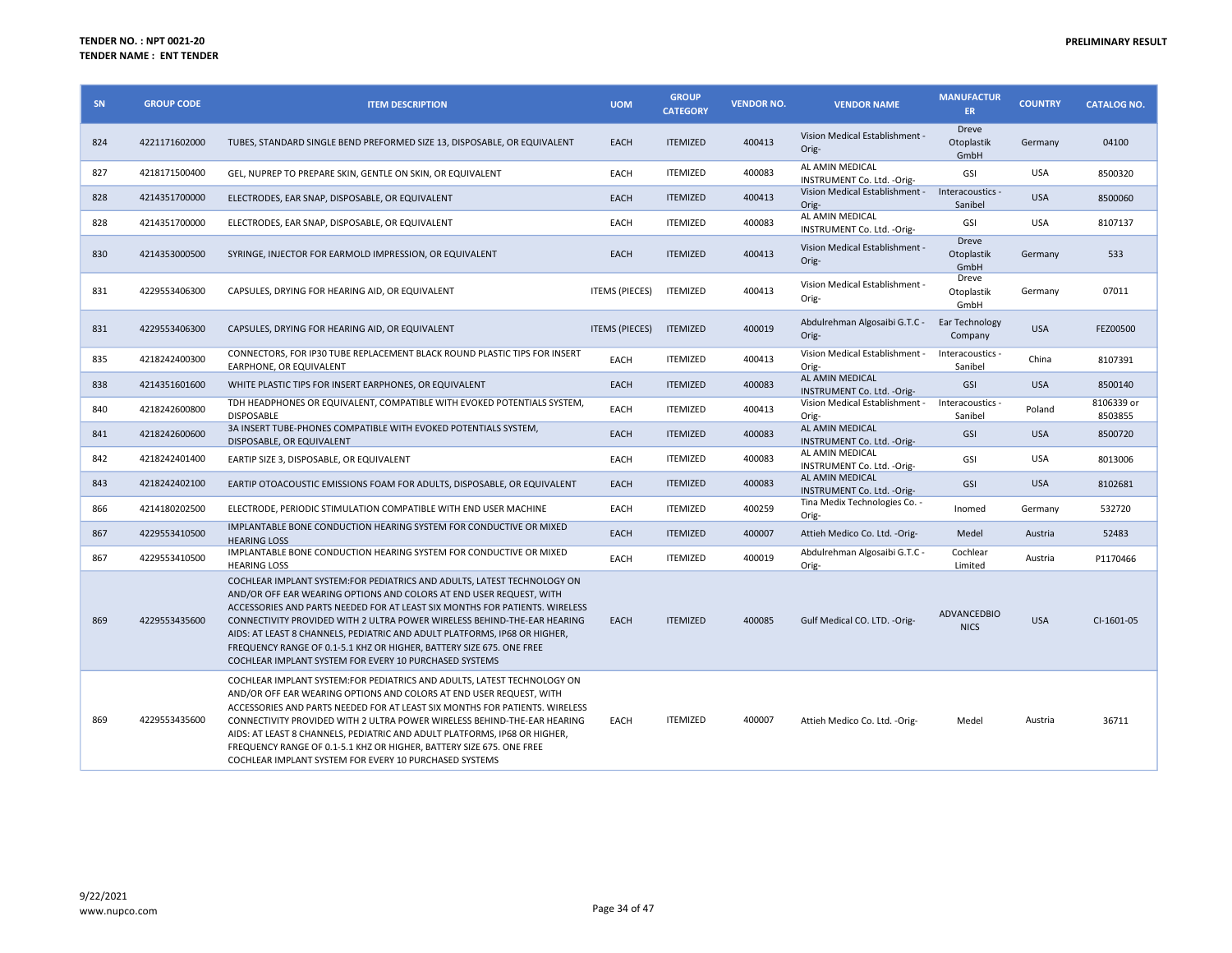| SN  | <b>GROUP CODE</b> | <b>ITEM DESCRIPTION</b>                                                                                                                                                                                                                                                                                                                                                                                                                                                                                                  | <b>UOM</b>            | <b>GROUP</b><br><b>CATEGORY</b> | <b>VENDOR NO.</b> | <b>VENDOR NAME</b>                                       | <b>MANUFACTUR</b><br>ER.           | <b>COUNTRY</b> | <b>CATALOG NO.</b>    |
|-----|-------------------|--------------------------------------------------------------------------------------------------------------------------------------------------------------------------------------------------------------------------------------------------------------------------------------------------------------------------------------------------------------------------------------------------------------------------------------------------------------------------------------------------------------------------|-----------------------|---------------------------------|-------------------|----------------------------------------------------------|------------------------------------|----------------|-----------------------|
| 824 | 4221171602000     | TUBES, STANDARD SINGLE BEND PREFORMED SIZE 13, DISPOSABLE, OR EQUIVALENT                                                                                                                                                                                                                                                                                                                                                                                                                                                 | EACH                  | <b>ITEMIZED</b>                 | 400413            | Vision Medical Establishment -<br>Orig-                  | Dreve<br>Otoplastik<br>GmbH        | Germany        | 04100                 |
| 827 | 4218171500400     | GEL, NUPREP TO PREPARE SKIN, GENTLE ON SKIN, OR EQUIVALENT                                                                                                                                                                                                                                                                                                                                                                                                                                                               | EACH                  | <b>ITEMIZED</b>                 | 400083            | AL AMIN MEDICAL<br>INSTRUMENT Co. Ltd. - Orig-           | GSI                                | <b>USA</b>     | 8500320               |
| 828 | 4214351700000     | ELECTRODES, EAR SNAP, DISPOSABLE, OR EQUIVALENT                                                                                                                                                                                                                                                                                                                                                                                                                                                                          | EACH                  | <b>ITEMIZED</b>                 | 400413            | Vision Medical Establishment - Interacoustics -<br>Orig- | Sanibel                            | <b>USA</b>     | 8500060               |
| 828 | 4214351700000     | ELECTRODES, EAR SNAP, DISPOSABLE, OR EQUIVALENT                                                                                                                                                                                                                                                                                                                                                                                                                                                                          | EACH                  | <b>ITEMIZED</b>                 | 400083            | AL AMIN MEDICAL<br>INSTRUMENT Co. Ltd. - Orig-           | GSI                                | <b>USA</b>     | 8107137               |
| 830 | 4214353000500     | SYRINGE, INJECTOR FOR EARMOLD IMPRESSION, OR EQUIVALENT                                                                                                                                                                                                                                                                                                                                                                                                                                                                  | EACH                  | <b>ITEMIZED</b>                 | 400413            | Vision Medical Establishment -<br>Orig-                  | <b>Dreve</b><br>Otoplastik<br>GmbH | Germany        | 533                   |
| 831 | 4229553406300     | CAPSULES, DRYING FOR HEARING AID, OR EQUIVALENT                                                                                                                                                                                                                                                                                                                                                                                                                                                                          | <b>ITEMS (PIECES)</b> | <b>ITEMIZED</b>                 | 400413            | Vision Medical Establishment -<br>Orig-                  | Dreve<br>Otoplastik<br>GmbH        | Germany        | 07011                 |
| 831 | 4229553406300     | CAPSULES, DRYING FOR HEARING AID, OR EQUIVALENT                                                                                                                                                                                                                                                                                                                                                                                                                                                                          | <b>ITEMS (PIECES)</b> | <b>ITEMIZED</b>                 | 400019            | Abdulrehman Algosaibi G.T.C -<br>Orig-                   | Ear Technology<br>Company          | <b>USA</b>     | FEZ00500              |
| 835 | 4218242400300     | CONNECTORS, FOR IP30 TUBE REPLACEMENT BLACK ROUND PLASTIC TIPS FOR INSERT<br>EARPHONE, OR EQUIVALENT                                                                                                                                                                                                                                                                                                                                                                                                                     | EACH                  | <b>ITEMIZED</b>                 | 400413            | Vision Medical Establishment -<br>Orig-                  | Interacoustics -<br>Sanibel        | China          | 8107391               |
| 838 | 4214351601600     | WHITE PLASTIC TIPS FOR INSERT EARPHONES, OR EQUIVALENT                                                                                                                                                                                                                                                                                                                                                                                                                                                                   | EACH                  | <b>ITEMIZED</b>                 | 400083            | AL AMIN MEDICAL<br>INSTRUMENT Co. Ltd. - Orig-           | GSI                                | <b>USA</b>     | 8500140               |
| 840 | 4218242600800     | TDH HEADPHONES OR EQUIVALENT, COMPATIBLE WITH EVOKED POTENTIALS SYSTEM,<br><b>DISPOSABLE</b>                                                                                                                                                                                                                                                                                                                                                                                                                             | EACH                  | <b>ITEMIZED</b>                 | 400413            | Vision Medical Establishment -<br>Orig-                  | Interacoustics -<br>Sanibel        | Poland         | 8106339 or<br>8503855 |
| 841 | 4218242600600     | 3A INSERT TUBE-PHONES COMPATIBLE WITH EVOKED POTENTIALS SYSTEM,<br>DISPOSABLE, OR EQUIVALENT                                                                                                                                                                                                                                                                                                                                                                                                                             | EACH                  | <b>ITEMIZED</b>                 | 400083            | AL AMIN MEDICAL<br>INSTRUMENT Co. Ltd. - Orig-           | GSI                                | <b>USA</b>     | 8500720               |
| 842 | 4218242401400     | EARTIP SIZE 3, DISPOSABLE, OR EQUIVALENT                                                                                                                                                                                                                                                                                                                                                                                                                                                                                 | EACH                  | <b>ITEMIZED</b>                 | 400083            | AL AMIN MEDICAL<br>INSTRUMENT Co. Ltd. - Orig-           | GSI                                | <b>USA</b>     | 8013006               |
| 843 | 4218242402100     | EARTIP OTOACOUSTIC EMISSIONS FOAM FOR ADULTS, DISPOSABLE, OR EQUIVALENT                                                                                                                                                                                                                                                                                                                                                                                                                                                  | EACH                  | <b>ITEMIZED</b>                 | 400083            | AL AMIN MEDICAL<br>INSTRUMENT Co. Ltd. - Orig-           | <b>GSI</b>                         | <b>USA</b>     | 8102681               |
| 866 | 4214180202500     | ELECTRODE, PERIODIC STIMULATION COMPATIBLE WITH END USER MACHINE                                                                                                                                                                                                                                                                                                                                                                                                                                                         | EACH                  | <b>ITEMIZED</b>                 | 400259            | Tina Medix Technologies Co. -<br>Orig-                   | Inomed                             | Germany        | 532720                |
| 867 | 4229553410500     | IMPLANTABLE BONE CONDUCTION HEARING SYSTEM FOR CONDUCTIVE OR MIXED<br><b>HEARING LOSS</b>                                                                                                                                                                                                                                                                                                                                                                                                                                | EACH                  | <b>ITEMIZED</b>                 | 400007            | Attieh Medico Co. Ltd. - Orig-                           | Medel                              | Austria        | 52483                 |
| 867 | 4229553410500     | IMPLANTABLE BONE CONDUCTION HEARING SYSTEM FOR CONDUCTIVE OR MIXED<br><b>HEARING LOSS</b>                                                                                                                                                                                                                                                                                                                                                                                                                                | EACH                  | <b>ITEMIZED</b>                 | 400019            | Abdulrehman Algosaibi G.T.C -<br>Orig-                   | Cochlear<br>Limited                | Austria        | P1170466              |
| 869 | 4229553435600     | COCHLEAR IMPLANT SYSTEM:FOR PEDIATRICS AND ADULTS, LATEST TECHNOLOGY ON<br>AND/OR OFF EAR WEARING OPTIONS AND COLORS AT END USER REQUEST, WITH<br>ACCESSORIES AND PARTS NEEDED FOR AT LEAST SIX MONTHS FOR PATIENTS. WIRELESS<br>CONNECTIVITY PROVIDED WITH 2 ULTRA POWER WIRELESS BEHIND-THE-EAR HEARING<br>AIDS: AT LEAST 8 CHANNELS, PEDIATRIC AND ADULT PLATFORMS, IP68 OR HIGHER,<br>FREQUENCY RANGE OF 0.1-5.1 KHZ OR HIGHER, BATTERY SIZE 675. ONE FREE<br>COCHLEAR IMPLANT SYSTEM FOR EVERY 10 PURCHASED SYSTEMS | EACH                  | <b>ITEMIZED</b>                 | 400085            | Gulf Medical CO. LTD. - Orig-                            | ADVANCEDBIO<br><b>NICS</b>         | <b>USA</b>     | CI-1601-05            |
| 869 | 4229553435600     | COCHLEAR IMPLANT SYSTEM:FOR PEDIATRICS AND ADULTS, LATEST TECHNOLOGY ON<br>AND/OR OFF EAR WEARING OPTIONS AND COLORS AT END USER REQUEST, WITH<br>ACCESSORIES AND PARTS NEEDED FOR AT LEAST SIX MONTHS FOR PATIENTS. WIRELESS<br>CONNECTIVITY PROVIDED WITH 2 ULTRA POWER WIRELESS BEHIND-THE-EAR HEARING<br>AIDS: AT LEAST 8 CHANNELS, PEDIATRIC AND ADULT PLATFORMS, IP68 OR HIGHER,<br>FREQUENCY RANGE OF 0.1-5.1 KHZ OR HIGHER, BATTERY SIZE 675. ONE FREE<br>COCHLEAR IMPLANT SYSTEM FOR EVERY 10 PURCHASED SYSTEMS | EACH                  | <b>ITEMIZED</b>                 | 400007            | Attieh Medico Co. Ltd. - Orig-                           | Medel                              | Austria        | 36711                 |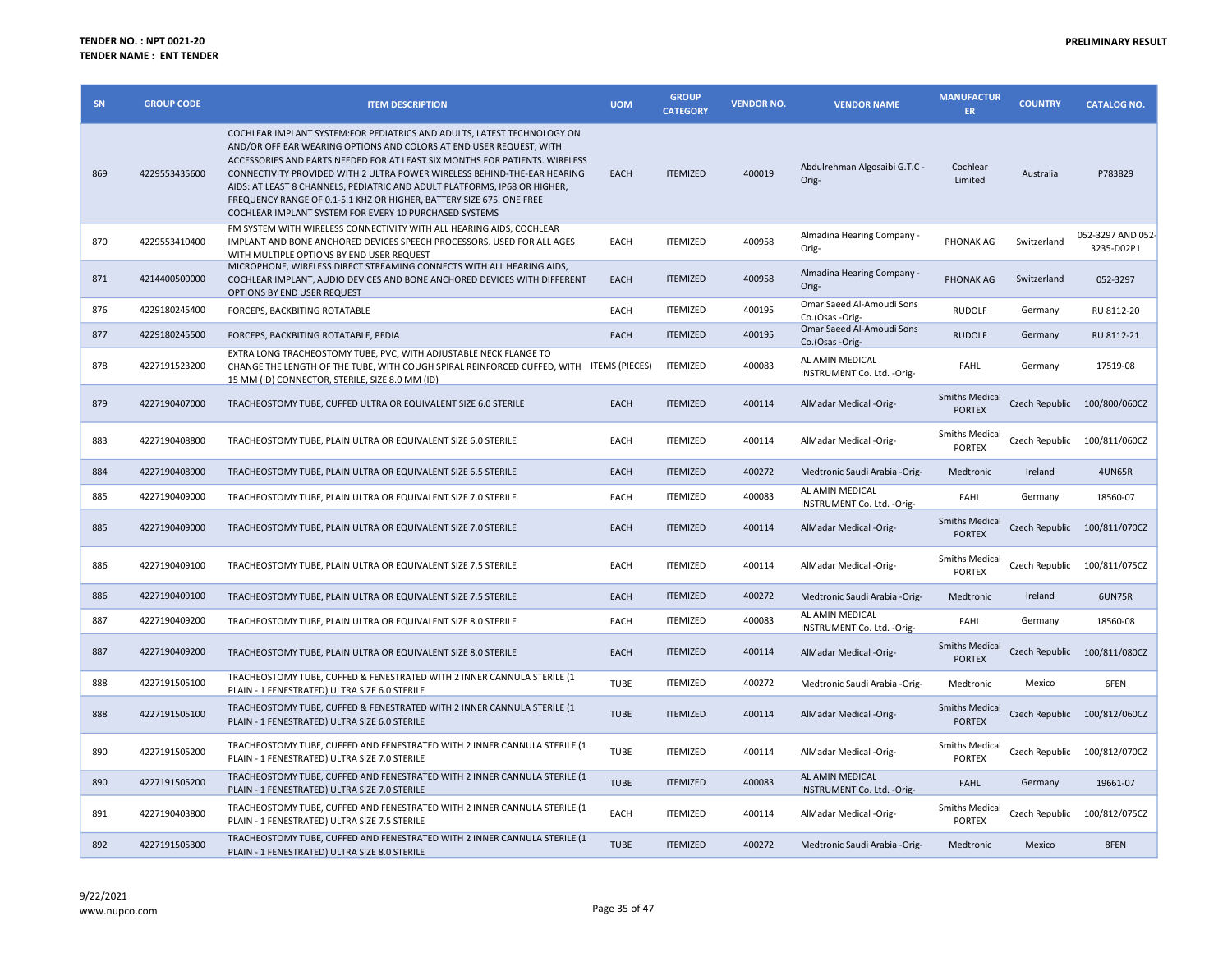| SN  | <b>GROUP CODE</b> | <b>ITEM DESCRIPTION</b>                                                                                                                                                                                                                                                                                                                                                                                                                                                                                                  | <b>UOM</b>  | <b>GROUP</b><br><b>CATEGORY</b> | <b>VENDOR NO.</b> | <b>VENDOR NAME</b>                             | <b>MANUFACTUR</b><br><b>ER</b>         | <b>COUNTRY</b> | <b>CATALOG NO.</b>              |
|-----|-------------------|--------------------------------------------------------------------------------------------------------------------------------------------------------------------------------------------------------------------------------------------------------------------------------------------------------------------------------------------------------------------------------------------------------------------------------------------------------------------------------------------------------------------------|-------------|---------------------------------|-------------------|------------------------------------------------|----------------------------------------|----------------|---------------------------------|
| 869 | 4229553435600     | COCHLEAR IMPLANT SYSTEM:FOR PEDIATRICS AND ADULTS, LATEST TECHNOLOGY ON<br>AND/OR OFF EAR WEARING OPTIONS AND COLORS AT END USER REQUEST, WITH<br>ACCESSORIES AND PARTS NEEDED FOR AT LEAST SIX MONTHS FOR PATIENTS. WIRELESS<br>CONNECTIVITY PROVIDED WITH 2 ULTRA POWER WIRELESS BEHIND-THE-EAR HEARING<br>AIDS: AT LEAST 8 CHANNELS, PEDIATRIC AND ADULT PLATFORMS, IP68 OR HIGHER,<br>FREQUENCY RANGE OF 0.1-5.1 KHZ OR HIGHER, BATTERY SIZE 675. ONE FREE<br>COCHLEAR IMPLANT SYSTEM FOR EVERY 10 PURCHASED SYSTEMS | EACH        | <b>ITEMIZED</b>                 | 400019            | Abdulrehman Algosaibi G.T.C -<br>Orig-         | Cochlear<br>Limited                    | Australia      | P783829                         |
| 870 | 4229553410400     | FM SYSTEM WITH WIRELESS CONNECTIVITY WITH ALL HEARING AIDS, COCHLEAR<br>IMPLANT AND BONE ANCHORED DEVICES SPEECH PROCESSORS. USED FOR ALL AGES<br>WITH MULTIPLE OPTIONS BY END USER REQUEST                                                                                                                                                                                                                                                                                                                              | EACH        | <b>ITEMIZED</b>                 | 400958            | Almadina Hearing Company -<br>Orig-            | PHONAK AG                              | Switzerland    | 052-3297 AND 052-<br>3235-D02P1 |
| 871 | 4214400500000     | MICROPHONE, WIRELESS DIRECT STREAMING CONNECTS WITH ALL HEARING AIDS,<br>COCHLEAR IMPLANT, AUDIO DEVICES AND BONE ANCHORED DEVICES WITH DIFFERENT<br>OPTIONS BY END USER REQUEST                                                                                                                                                                                                                                                                                                                                         | EACH        | <b>ITEMIZED</b>                 | 400958            | Almadina Hearing Company -<br>Orig-            | PHONAK AG                              | Switzerland    | 052-3297                        |
| 876 | 4229180245400     | FORCEPS, BACKBITING ROTATABLE                                                                                                                                                                                                                                                                                                                                                                                                                                                                                            | EACH        | <b>ITEMIZED</b>                 | 400195            | Omar Saeed Al-Amoudi Sons<br>Co.(Osas -Orig-   | <b>RUDOLF</b>                          | Germany        | RU 8112-20                      |
| 877 | 4229180245500     | FORCEPS, BACKBITING ROTATABLE, PEDIA                                                                                                                                                                                                                                                                                                                                                                                                                                                                                     | EACH        | <b>ITEMIZED</b>                 | 400195            | Omar Saeed Al-Amoudi Sons<br>Co.(Osas -Orig-   | <b>RUDOLF</b>                          | Germany        | RU 8112-21                      |
| 878 | 4227191523200     | EXTRA LONG TRACHEOSTOMY TUBE, PVC, WITH ADJUSTABLE NECK FLANGE TO<br>CHANGE THE LENGTH OF THE TUBE, WITH COUGH SPIRAL REINFORCED CUFFED, WITH ITEMS (PIECES)<br>15 MM (ID) CONNECTOR, STERILE, SIZE 8.0 MM (ID)                                                                                                                                                                                                                                                                                                          |             | <b>ITEMIZED</b>                 | 400083            | AL AMIN MEDICAL<br>INSTRUMENT Co. Ltd. - Orig- | FAHL                                   | Germany        | 17519-08                        |
| 879 | 4227190407000     | TRACHEOSTOMY TUBE, CUFFED ULTRA OR EQUIVALENT SIZE 6.0 STERILE                                                                                                                                                                                                                                                                                                                                                                                                                                                           | EACH        | <b>ITEMIZED</b>                 | 400114            | AlMadar Medical -Orig-                         | <b>Smiths Medical</b><br><b>PORTEX</b> |                | Czech Republic 100/800/060CZ    |
| 883 | 4227190408800     | TRACHEOSTOMY TUBE, PLAIN ULTRA OR EQUIVALENT SIZE 6.0 STERILE                                                                                                                                                                                                                                                                                                                                                                                                                                                            | EACH        | <b>ITEMIZED</b>                 | 400114            | AlMadar Medical -Orig-                         | <b>Smiths Medical</b><br><b>PORTEX</b> | Czech Republic | 100/811/060CZ                   |
| 884 | 4227190408900     | TRACHEOSTOMY TUBE, PLAIN ULTRA OR EQUIVALENT SIZE 6.5 STERILE                                                                                                                                                                                                                                                                                                                                                                                                                                                            | EACH        | <b>ITEMIZED</b>                 | 400272            | Medtronic Saudi Arabia - Orig-                 | Medtronic                              | Ireland        | <b>4UN65R</b>                   |
| 885 | 4227190409000     | TRACHEOSTOMY TUBE, PLAIN ULTRA OR EQUIVALENT SIZE 7.0 STERILE                                                                                                                                                                                                                                                                                                                                                                                                                                                            | EACH        | <b>ITEMIZED</b>                 | 400083            | AL AMIN MEDICAL<br>INSTRUMENT Co. Ltd. - Orig- | <b>FAHL</b>                            | Germany        | 18560-07                        |
| 885 | 4227190409000     | TRACHEOSTOMY TUBE, PLAIN ULTRA OR EQUIVALENT SIZE 7.0 STERILE                                                                                                                                                                                                                                                                                                                                                                                                                                                            | EACH        | <b>ITEMIZED</b>                 | 400114            | AlMadar Medical -Orig-                         | <b>Smiths Medical</b><br><b>PORTEX</b> |                | Czech Republic 100/811/070CZ    |
| 886 | 4227190409100     | TRACHEOSTOMY TUBE, PLAIN ULTRA OR EQUIVALENT SIZE 7.5 STERILE                                                                                                                                                                                                                                                                                                                                                                                                                                                            | EACH        | <b>ITEMIZED</b>                 | 400114            | AlMadar Medical -Orig-                         | <b>Smiths Medical</b><br><b>PORTEX</b> | Czech Republic | 100/811/075CZ                   |
| 886 | 4227190409100     | TRACHEOSTOMY TUBE, PLAIN ULTRA OR EQUIVALENT SIZE 7.5 STERILE                                                                                                                                                                                                                                                                                                                                                                                                                                                            | EACH        | <b>ITEMIZED</b>                 | 400272            | Medtronic Saudi Arabia -Orig-                  | Medtronic                              | Ireland        | 6UN75R                          |
| 887 | 4227190409200     | TRACHEOSTOMY TUBE, PLAIN ULTRA OR EQUIVALENT SIZE 8.0 STERILE                                                                                                                                                                                                                                                                                                                                                                                                                                                            | EACH        | <b>ITEMIZED</b>                 | 400083            | AL AMIN MEDICAL<br>INSTRUMENT Co. Ltd. - Orig- | <b>FAHL</b>                            | Germany        | 18560-08                        |
| 887 | 4227190409200     | TRACHEOSTOMY TUBE. PLAIN ULTRA OR EQUIVALENT SIZE 8.0 STERILE                                                                                                                                                                                                                                                                                                                                                                                                                                                            | EACH        | <b>ITEMIZED</b>                 | 400114            | AlMadar Medical -Orig-                         | <b>Smiths Medical</b><br><b>PORTEX</b> |                | Czech Republic 100/811/080CZ    |
| 888 | 4227191505100     | TRACHEOSTOMY TUBE, CUFFED & FENESTRATED WITH 2 INNER CANNULA STERILE (1<br>PLAIN - 1 FENESTRATED) ULTRA SIZE 6.0 STERILE                                                                                                                                                                                                                                                                                                                                                                                                 | TUBE        | <b>ITEMIZED</b>                 | 400272            | Medtronic Saudi Arabia -Orig-                  | Medtronic                              | Mexico         | 6FEN                            |
| 888 | 4227191505100     | TRACHEOSTOMY TUBE, CUFFED & FENESTRATED WITH 2 INNER CANNULA STERILE (1<br>PLAIN - 1 FENESTRATED) ULTRA SIZE 6.0 STERILE                                                                                                                                                                                                                                                                                                                                                                                                 | <b>TUBE</b> | <b>ITEMIZED</b>                 | 400114            | AlMadar Medical -Orig-                         | <b>Smiths Medical</b><br><b>PORTEX</b> |                | Czech Republic 100/812/060CZ    |
| 890 | 4227191505200     | TRACHEOSTOMY TUBE, CUFFED AND FENESTRATED WITH 2 INNER CANNULA STERILE (1<br>PLAIN - 1 FENESTRATED) ULTRA SIZE 7.0 STERILE                                                                                                                                                                                                                                                                                                                                                                                               | TUBE        | <b>ITEMIZED</b>                 | 400114            | AlMadar Medical -Orig-                         | <b>Smiths Medical</b><br><b>PORTEX</b> | Czech Republic | 100/812/070CZ                   |
| 890 | 4227191505200     | TRACHEOSTOMY TUBE, CUFFED AND FENESTRATED WITH 2 INNER CANNULA STERILE (1<br>PLAIN - 1 FENESTRATED) ULTRA SIZE 7.0 STERILE                                                                                                                                                                                                                                                                                                                                                                                               | <b>TUBE</b> | <b>ITEMIZED</b>                 | 400083            | AL AMIN MEDICAL<br>INSTRUMENT Co. Ltd. - Orig- | <b>FAHL</b>                            | Germany        | 19661-07                        |
| 891 | 4227190403800     | TRACHEOSTOMY TUBE, CUFFED AND FENESTRATED WITH 2 INNER CANNULA STERILE (1<br>PLAIN - 1 FENESTRATED) ULTRA SIZE 7.5 STERILE                                                                                                                                                                                                                                                                                                                                                                                               | EACH        | <b>ITEMIZED</b>                 | 400114            | AlMadar Medical -Orig-                         | <b>Smiths Medical</b><br><b>PORTEX</b> | Czech Republic | 100/812/075CZ                   |
| 892 | 4227191505300     | TRACHEOSTOMY TUBE, CUFFED AND FENESTRATED WITH 2 INNER CANNULA STERILE (1<br>PLAIN - 1 FENESTRATED) ULTRA SIZE 8.0 STERILE                                                                                                                                                                                                                                                                                                                                                                                               | <b>TUBE</b> | <b>ITEMIZED</b>                 | 400272            | Medtronic Saudi Arabia -Orig-                  | Medtronic                              | Mexico         | 8FEN                            |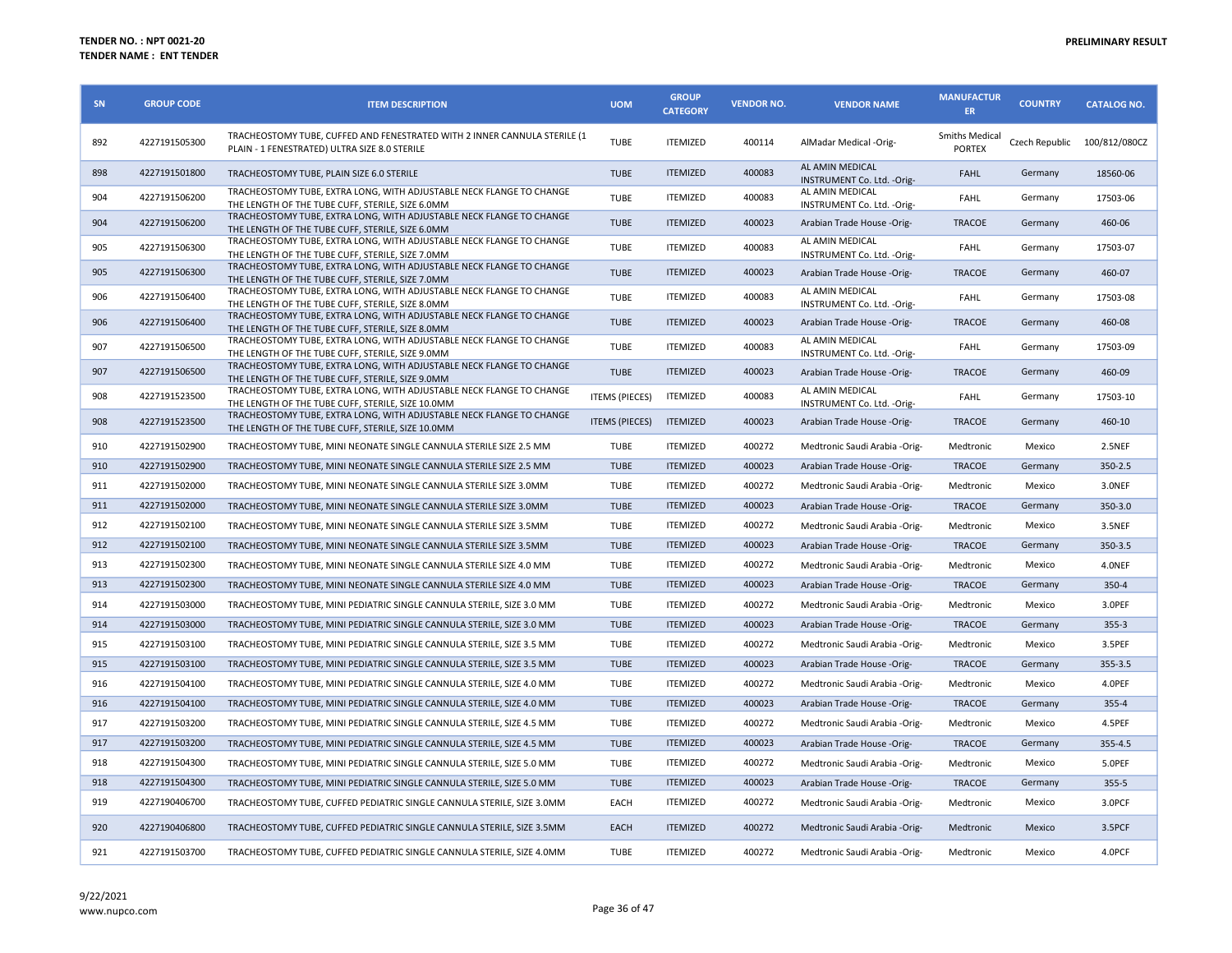| SN  | <b>GROUP CODE</b> | <b>ITEM DESCRIPTION</b>                                                                                                    | <b>UOM</b>            | <b>GROUP</b><br><b>CATEGORY</b> | <b>VENDOR NO.</b> | <b>VENDOR NAME</b>                             | <b>MANUFACTUR</b><br><b>ER</b>         | <b>COUNTRY</b> | <b>CATALOG NO.</b> |
|-----|-------------------|----------------------------------------------------------------------------------------------------------------------------|-----------------------|---------------------------------|-------------------|------------------------------------------------|----------------------------------------|----------------|--------------------|
| 892 | 4227191505300     | TRACHEOSTOMY TUBE, CUFFED AND FENESTRATED WITH 2 INNER CANNULA STERILE (1<br>PLAIN - 1 FENESTRATED) ULTRA SIZE 8.0 STERILE | <b>TUBE</b>           | <b>ITEMIZED</b>                 | 400114            | AlMadar Medical -Orig-                         | <b>Smiths Medical</b><br><b>PORTEX</b> | Czech Republic | 100/812/080CZ      |
| 898 | 4227191501800     | TRACHEOSTOMY TUBE, PLAIN SIZE 6.0 STERILE                                                                                  | <b>TUBE</b>           | <b>ITEMIZED</b>                 | 400083            | AL AMIN MEDICAL<br>INSTRUMENT Co. Ltd. - Orig- | <b>FAHL</b>                            | Germany        | 18560-06           |
| 904 | 4227191506200     | TRACHEOSTOMY TUBE, EXTRA LONG, WITH ADJUSTABLE NECK FLANGE TO CHANGE<br>THE LENGTH OF THE TUBE CUFF, STERILE, SIZE 6.0MM   | <b>TUBE</b>           | <b>ITEMIZED</b>                 | 400083            | AL AMIN MEDICAL<br>INSTRUMENT Co. Ltd. - Orig- | FAHL                                   | Germany        | 17503-06           |
| 904 | 4227191506200     | TRACHEOSTOMY TUBE, EXTRA LONG, WITH ADJUSTABLE NECK FLANGE TO CHANGE<br>THE LENGTH OF THE TUBE CUFF, STERILE, SIZE 6.0MM   | <b>TUBE</b>           | <b>ITEMIZED</b>                 | 400023            | Arabian Trade House -Orig-                     | <b>TRACOE</b>                          | Germany        | 460-06             |
| 905 | 4227191506300     | TRACHEOSTOMY TUBE, EXTRA LONG, WITH ADJUSTABLE NECK FLANGE TO CHANGE<br>THE LENGTH OF THE TUBE CUFF, STERILE, SIZE 7.0MM   | <b>TUBE</b>           | <b>ITEMIZED</b>                 | 400083            | AL AMIN MEDICAL<br>INSTRUMENT Co. Ltd. - Orig- | FAHL                                   | Germany        | 17503-07           |
| 905 | 4227191506300     | TRACHEOSTOMY TUBE, EXTRA LONG, WITH ADJUSTABLE NECK FLANGE TO CHANGE<br>THE LENGTH OF THE TUBE CUFF, STERILE, SIZE 7.0MM   | <b>TUBE</b>           | <b>ITEMIZED</b>                 | 400023            | Arabian Trade House -Orig-                     | <b>TRACOE</b>                          | Germany        | 460-07             |
| 906 | 4227191506400     | TRACHEOSTOMY TUBE, EXTRA LONG, WITH ADJUSTABLE NECK FLANGE TO CHANGE<br>THE LENGTH OF THE TUBE CUFF, STERILE, SIZE 8.0MM   | <b>TUBE</b>           | <b>ITEMIZED</b>                 | 400083            | AL AMIN MEDICAL<br>INSTRUMENT Co. Ltd. - Orig- | <b>FAHL</b>                            | Germany        | 17503-08           |
| 906 | 4227191506400     | TRACHEOSTOMY TUBE, EXTRA LONG, WITH ADJUSTABLE NECK FLANGE TO CHANGE<br>THE LENGTH OF THE TUBE CUFF, STERILE, SIZE 8.0MM   | <b>TUBE</b>           | <b>ITEMIZED</b>                 | 400023            | Arabian Trade House -Orig-                     | <b>TRACOE</b>                          | Germany        | 460-08             |
| 907 | 4227191506500     | TRACHEOSTOMY TUBE, EXTRA LONG, WITH ADJUSTABLE NECK FLANGE TO CHANGE<br>THE LENGTH OF THE TUBE CUFF, STERILE, SIZE 9.0MM   | <b>TUBE</b>           | <b>ITEMIZED</b>                 | 400083            | AL AMIN MEDICAL<br>INSTRUMENT Co. Ltd. - Orig- | <b>FAHL</b>                            | Germany        | 17503-09           |
| 907 | 4227191506500     | TRACHEOSTOMY TUBE, EXTRA LONG, WITH ADJUSTABLE NECK FLANGE TO CHANGE<br>THE LENGTH OF THE TUBE CUFF, STERILE, SIZE 9.0MM   | <b>TUBE</b>           | <b>ITEMIZED</b>                 | 400023            | Arabian Trade House -Orig-                     | <b>TRACOE</b>                          | Germany        | 460-09             |
| 908 | 4227191523500     | TRACHEOSTOMY TUBE, EXTRA LONG, WITH ADJUSTABLE NECK FLANGE TO CHANGE<br>THE LENGTH OF THE TUBE CUFF. STERILE. SIZE 10.0MM  | <b>ITEMS (PIECES)</b> | <b>ITEMIZED</b>                 | 400083            | AL AMIN MEDICAL<br>INSTRUMENT Co. Ltd. - Orig- | FAHL                                   | Germany        | 17503-10           |
| 908 | 4227191523500     | TRACHEOSTOMY TUBE, EXTRA LONG, WITH ADJUSTABLE NECK FLANGE TO CHANGE<br>THE LENGTH OF THE TUBE CUFF, STERILE, SIZE 10.0MM  | <b>ITEMS (PIECES)</b> | <b>ITEMIZED</b>                 | 400023            | Arabian Trade House -Orig-                     | <b>TRACOE</b>                          | Germany        | 460-10             |
| 910 | 4227191502900     | TRACHEOSTOMY TUBE, MINI NEONATE SINGLE CANNULA STERILE SIZE 2.5 MM                                                         | <b>TUBE</b>           | <b>ITEMIZED</b>                 | 400272            | Medtronic Saudi Arabia -Orig-                  | Medtronic                              | Mexico         | 2.5NEF             |
| 910 | 4227191502900     | TRACHEOSTOMY TUBE, MINI NEONATE SINGLE CANNULA STERILE SIZE 2.5 MM                                                         | <b>TUBE</b>           | <b>ITEMIZED</b>                 | 400023            | Arabian Trade House -Orig-                     | <b>TRACOE</b>                          | Germany        | 350-2.5            |
| 911 | 4227191502000     | TRACHEOSTOMY TUBE, MINI NEONATE SINGLE CANNULA STERILE SIZE 3.0MM                                                          | <b>TUBE</b>           | <b>ITEMIZED</b>                 | 400272            | Medtronic Saudi Arabia -Orig-                  | Medtronic                              | Mexico         | 3.0NEF             |
| 911 | 4227191502000     | TRACHEOSTOMY TUBE, MINI NEONATE SINGLE CANNULA STERILE SIZE 3.0MM                                                          | <b>TUBE</b>           | <b>ITEMIZED</b>                 | 400023            | Arabian Trade House -Orig-                     | <b>TRACOE</b>                          | Germany        | 350-3.0            |
| 912 | 4227191502100     | TRACHEOSTOMY TUBE, MINI NEONATE SINGLE CANNULA STERILE SIZE 3.5MM                                                          | <b>TUBE</b>           | <b>ITEMIZED</b>                 | 400272            | Medtronic Saudi Arabia -Orig-                  | Medtronic                              | Mexico         | 3.5NEF             |
| 912 | 4227191502100     | TRACHEOSTOMY TUBE, MINI NEONATE SINGLE CANNULA STERILE SIZE 3.5MM                                                          | <b>TUBE</b>           | <b>ITEMIZED</b>                 | 400023            | Arabian Trade House -Orig-                     | <b>TRACOE</b>                          | Germany        | 350-3.5            |
| 913 | 4227191502300     | TRACHEOSTOMY TUBE, MINI NEONATE SINGLE CANNULA STERILE SIZE 4.0 MM                                                         | <b>TUBE</b>           | <b>ITEMIZED</b>                 | 400272            | Medtronic Saudi Arabia - Orig-                 | Medtronic                              | Mexico         | 4.0NEF             |
| 913 | 4227191502300     | TRACHEOSTOMY TUBE, MINI NEONATE SINGLE CANNULA STERILE SIZE 4.0 MM                                                         | <b>TUBE</b>           | <b>ITEMIZED</b>                 | 400023            | Arabian Trade House -Orig-                     | <b>TRACOE</b>                          | Germany        | 350-4              |
| 914 | 4227191503000     | TRACHEOSTOMY TUBE, MINI PEDIATRIC SINGLE CANNULA STERILE, SIZE 3.0 MM                                                      | <b>TUBE</b>           | <b>ITEMIZED</b>                 | 400272            | Medtronic Saudi Arabia -Orig-                  | Medtronic                              | Mexico         | 3.OPEF             |
| 914 | 4227191503000     | TRACHEOSTOMY TUBE, MINI PEDIATRIC SINGLE CANNULA STERILE, SIZE 3.0 MM                                                      | <b>TUBE</b>           | <b>ITEMIZED</b>                 | 400023            | Arabian Trade House -Orig-                     | <b>TRACOE</b>                          | Germany        | $355 - 3$          |
| 915 | 4227191503100     | TRACHEOSTOMY TUBE, MINI PEDIATRIC SINGLE CANNULA STERILE, SIZE 3.5 MM                                                      | <b>TUBE</b>           | <b>ITEMIZED</b>                 | 400272            | Medtronic Saudi Arabia -Orig-                  | Medtronic                              | Mexico         | 3.5PEF             |
| 915 | 4227191503100     | TRACHEOSTOMY TUBE, MINI PEDIATRIC SINGLE CANNULA STERILE, SIZE 3.5 MM                                                      | <b>TUBE</b>           | <b>ITEMIZED</b>                 | 400023            | Arabian Trade House -Orig-                     | <b>TRACOE</b>                          | Germany        | 355-3.5            |
| 916 | 4227191504100     | TRACHEOSTOMY TUBE, MINI PEDIATRIC SINGLE CANNULA STERILE, SIZE 4.0 MM                                                      | <b>TUBE</b>           | <b>ITEMIZED</b>                 | 400272            | Medtronic Saudi Arabia -Orig-                  | Medtronic                              | Mexico         | 4.0PEF             |
| 916 | 4227191504100     | TRACHEOSTOMY TUBE, MINI PEDIATRIC SINGLE CANNULA STERILE, SIZE 4.0 MM                                                      | <b>TUBE</b>           | <b>ITEMIZED</b>                 | 400023            | Arabian Trade House -Orig-                     | <b>TRACOE</b>                          | Germany        | $355 - 4$          |
| 917 | 4227191503200     | TRACHEOSTOMY TUBE, MINI PEDIATRIC SINGLE CANNULA STERILE, SIZE 4.5 MM                                                      | <b>TUBE</b>           | <b>ITEMIZED</b>                 | 400272            | Medtronic Saudi Arabia -Orig-                  | Medtronic                              | Mexico         | 4.5PEF             |
| 917 | 4227191503200     | TRACHEOSTOMY TUBE, MINI PEDIATRIC SINGLE CANNULA STERILE, SIZE 4.5 MM                                                      | <b>TUBE</b>           | <b>ITEMIZED</b>                 | 400023            | Arabian Trade House -Orig-                     | <b>TRACOE</b>                          | Germany        | 355-4.5            |
| 918 | 4227191504300     | TRACHEOSTOMY TUBE, MINI PEDIATRIC SINGLE CANNULA STERILE, SIZE 5.0 MM                                                      | <b>TUBE</b>           | <b>ITEMIZED</b>                 | 400272            | Medtronic Saudi Arabia - Orig-                 | Medtronic                              | Mexico         | 5.OPEF             |
| 918 | 4227191504300     | TRACHEOSTOMY TUBE, MINI PEDIATRIC SINGLE CANNULA STERILE, SIZE 5.0 MM                                                      | <b>TUBE</b>           | <b>ITEMIZED</b>                 | 400023            | Arabian Trade House -Orig-                     | <b>TRACOE</b>                          | Germany        | 355-5              |
| 919 | 4227190406700     | TRACHEOSTOMY TUBE, CUFFED PEDIATRIC SINGLE CANNULA STERILE, SIZE 3.0MM                                                     | EACH                  | <b>ITEMIZED</b>                 | 400272            | Medtronic Saudi Arabia - Orig-                 | Medtronic                              | Mexico         | 3.0PCF             |
| 920 | 4227190406800     | TRACHEOSTOMY TUBE, CUFFED PEDIATRIC SINGLE CANNULA STERILE, SIZE 3.5MM                                                     | <b>EACH</b>           | <b>ITEMIZED</b>                 | 400272            | Medtronic Saudi Arabia -Orig-                  | Medtronic                              | Mexico         | 3.5PCF             |
| 921 | 4227191503700     | TRACHEOSTOMY TUBE, CUFFED PEDIATRIC SINGLE CANNULA STERILE, SIZE 4.0MM                                                     | <b>TUBE</b>           | <b>ITEMIZED</b>                 | 400272            | Medtronic Saudi Arabia -Orig-                  | Medtronic                              | Mexico         | 4.0PCF             |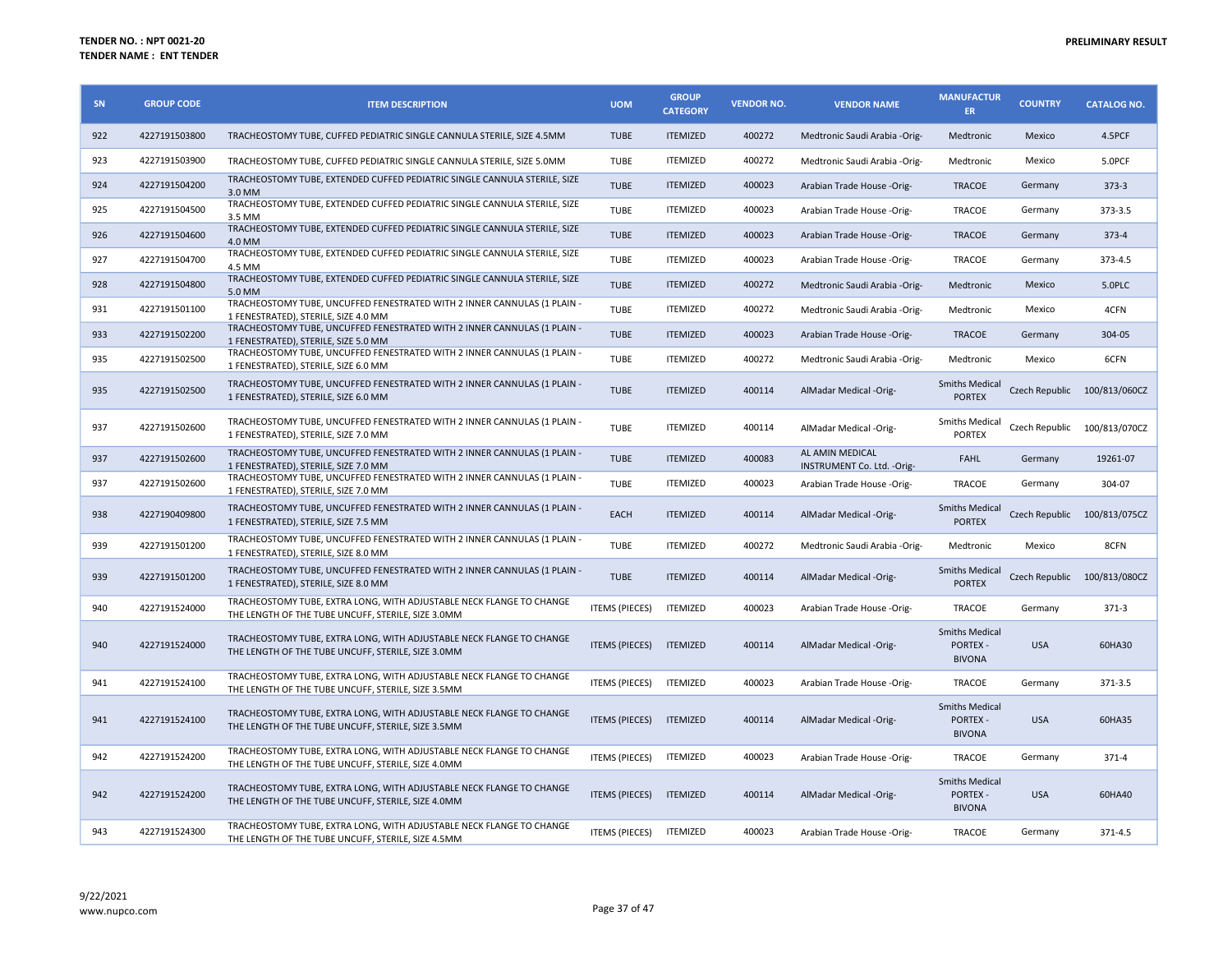| SN  | <b>GROUP CODE</b> | <b>ITEM DESCRIPTION</b>                                                                                                    | <b>UOM</b>            | <b>GROUP</b><br><b>CATEGORY</b> | <b>VENDOR NO.</b> | <b>VENDOR NAME</b>                             | <b>MANUFACTUR</b><br><b>ER</b>                            | <b>COUNTRY</b> | <b>CATALOG NO.</b>           |
|-----|-------------------|----------------------------------------------------------------------------------------------------------------------------|-----------------------|---------------------------------|-------------------|------------------------------------------------|-----------------------------------------------------------|----------------|------------------------------|
| 922 | 4227191503800     | TRACHEOSTOMY TUBE, CUFFED PEDIATRIC SINGLE CANNULA STERILE, SIZE 4.5MM                                                     | <b>TUBE</b>           | <b>ITEMIZED</b>                 | 400272            | Medtronic Saudi Arabia - Orig-                 | Medtronic                                                 | Mexico         | 4.5PCF                       |
| 923 | 4227191503900     | TRACHEOSTOMY TUBE, CUFFED PEDIATRIC SINGLE CANNULA STERILE, SIZE 5.0MM                                                     | <b>TUBE</b>           | <b>ITEMIZED</b>                 | 400272            | Medtronic Saudi Arabia -Orig-                  | Medtronic                                                 | Mexico         | 5.0PCF                       |
| 924 | 4227191504200     | TRACHEOSTOMY TUBE, EXTENDED CUFFED PEDIATRIC SINGLE CANNULA STERILE, SIZE<br>3.0 MM                                        | <b>TUBE</b>           | <b>ITEMIZED</b>                 | 400023            | Arabian Trade House -Orig-                     | <b>TRACOE</b>                                             | Germany        | $373-3$                      |
| 925 | 4227191504500     | TRACHEOSTOMY TUBE, EXTENDED CUFFED PEDIATRIC SINGLE CANNULA STERILE, SIZE<br>3.5 MM                                        | <b>TUBE</b>           | <b>ITEMIZED</b>                 | 400023            | Arabian Trade House -Orig-                     | TRACOE                                                    | Germany        | 373-3.5                      |
| 926 | 4227191504600     | TRACHEOSTOMY TUBE, EXTENDED CUFFED PEDIATRIC SINGLE CANNULA STERILE, SIZE<br>4.0 MM                                        | <b>TUBE</b>           | <b>ITEMIZED</b>                 | 400023            | Arabian Trade House -Orig-                     | <b>TRACOE</b>                                             | Germany        | $373 - 4$                    |
| 927 | 4227191504700     | TRACHEOSTOMY TUBE, EXTENDED CUFFED PEDIATRIC SINGLE CANNULA STERILE, SIZE<br>4.5 MM                                        | <b>TUBE</b>           | <b>ITEMIZED</b>                 | 400023            | Arabian Trade House -Orig-                     | TRACOE                                                    | Germany        | 373-4.5                      |
| 928 | 4227191504800     | TRACHEOSTOMY TUBE, EXTENDED CUFFED PEDIATRIC SINGLE CANNULA STERILE, SIZE<br>5.0 MM                                        | <b>TUBE</b>           | <b>ITEMIZED</b>                 | 400272            | Medtronic Saudi Arabia - Orig-                 | Medtronic                                                 | Mexico         | 5.0PLC                       |
| 931 | 4227191501100     | TRACHEOSTOMY TUBE, UNCUFFED FENESTRATED WITH 2 INNER CANNULAS (1 PLAIN -<br>1 FENESTRATED), STERILE, SIZE 4.0 MM           | <b>TUBE</b>           | <b>ITEMIZED</b>                 | 400272            | Medtronic Saudi Arabia -Orig-                  | Medtronic                                                 | Mexico         | 4CFN                         |
| 933 | 4227191502200     | TRACHEOSTOMY TUBE, UNCUFFED FENESTRATED WITH 2 INNER CANNULAS (1 PLAIN -<br>1 FENESTRATED), STERILE, SIZE 5.0 MM           | <b>TUBE</b>           | <b>ITEMIZED</b>                 | 400023            | Arabian Trade House -Orig-                     | <b>TRACOE</b>                                             | Germany        | 304-05                       |
| 935 | 4227191502500     | TRACHEOSTOMY TUBE, UNCUFFED FENESTRATED WITH 2 INNER CANNULAS (1 PLAIN -<br>1 FENESTRATED), STERILE, SIZE 6.0 MM           | <b>TUBE</b>           | <b>ITEMIZED</b>                 | 400272            | Medtronic Saudi Arabia -Orig-                  | Medtronic                                                 | Mexico         | 6CFN                         |
| 935 | 4227191502500     | TRACHEOSTOMY TUBE, UNCUFFED FENESTRATED WITH 2 INNER CANNULAS (1 PLAIN -<br>1 FENESTRATED), STERILE, SIZE 6.0 MM           | <b>TUBE</b>           | <b>ITEMIZED</b>                 | 400114            | AlMadar Medical -Orig-                         | <b>Smiths Medical</b><br><b>PORTEX</b>                    |                | Czech Republic 100/813/060CZ |
| 937 | 4227191502600     | TRACHEOSTOMY TUBE, UNCUFFED FENESTRATED WITH 2 INNER CANNULAS (1 PLAIN -<br>1 FENESTRATED), STERILE, SIZE 7.0 MM           | <b>TUBE</b>           | <b>ITEMIZED</b>                 | 400114            | AlMadar Medical -Orig-                         | <b>Smiths Medical</b><br><b>PORTEX</b>                    | Czech Republic | 100/813/070CZ                |
| 937 | 4227191502600     | TRACHEOSTOMY TUBE, UNCUFFED FENESTRATED WITH 2 INNER CANNULAS (1 PLAIN -<br>1 FENESTRATED). STERILE, SIZE 7.0 MM           | <b>TUBE</b>           | <b>ITEMIZED</b>                 | 400083            | AL AMIN MEDICAL<br>INSTRUMENT Co. Ltd. - Orig- | <b>FAHL</b>                                               | Germany        | 19261-07                     |
| 937 | 4227191502600     | TRACHEOSTOMY TUBE, UNCUFFED FENESTRATED WITH 2 INNER CANNULAS (1 PLAIN -<br>1 FENESTRATED), STERILE, SIZE 7.0 MM           | <b>TUBE</b>           | <b>ITEMIZED</b>                 | 400023            | Arabian Trade House -Orig-                     | TRACOE                                                    | Germany        | 304-07                       |
| 938 | 4227190409800     | TRACHEOSTOMY TUBE, UNCUFFED FENESTRATED WITH 2 INNER CANNULAS (1 PLAIN -<br>1 FENESTRATED), STERILE, SIZE 7.5 MM           | <b>EACH</b>           | <b>ITEMIZED</b>                 | 400114            | AlMadar Medical -Orig-                         | Smiths Medical<br><b>PORTEX</b>                           |                | Czech Republic 100/813/075CZ |
| 939 | 4227191501200     | TRACHEOSTOMY TUBE, UNCUFFED FENESTRATED WITH 2 INNER CANNULAS (1 PLAIN -<br>1 FENESTRATED), STERILE, SIZE 8.0 MM           | <b>TUBE</b>           | <b>ITEMIZED</b>                 | 400272            | Medtronic Saudi Arabia -Orig-                  | Medtronic                                                 | Mexico         | 8CFN                         |
| 939 | 4227191501200     | TRACHEOSTOMY TUBE, UNCUFFED FENESTRATED WITH 2 INNER CANNULAS (1 PLAIN -<br>1 FENESTRATED), STERILE, SIZE 8.0 MM           | <b>TUBE</b>           | <b>ITEMIZED</b>                 | 400114            | AlMadar Medical -Orig-                         | <b>Smiths Medical</b><br><b>PORTEX</b>                    |                | Czech Republic 100/813/080CZ |
| 940 | 4227191524000     | TRACHEOSTOMY TUBE, EXTRA LONG, WITH ADJUSTABLE NECK FLANGE TO CHANGE<br>THE LENGTH OF THE TUBE UNCUFF, STERILE, SIZE 3.0MM | <b>ITEMS (PIECES)</b> | <b>ITEMIZED</b>                 | 400023            | Arabian Trade House -Orig-                     | TRACOE                                                    | Germany        | $371-3$                      |
| 940 | 4227191524000     | TRACHEOSTOMY TUBE, EXTRA LONG, WITH ADJUSTABLE NECK FLANGE TO CHANGE<br>THE LENGTH OF THE TUBE UNCUFF, STERILE, SIZE 3.0MM | <b>ITEMS (PIECES)</b> | <b>ITEMIZED</b>                 | 400114            | AlMadar Medical -Orig-                         | <b>Smiths Medical</b><br><b>PORTEX -</b><br><b>BIVONA</b> | <b>USA</b>     | 60HA30                       |
| 941 | 4227191524100     | TRACHEOSTOMY TUBE, EXTRA LONG, WITH ADJUSTABLE NECK FLANGE TO CHANGE<br>THE LENGTH OF THE TUBE UNCUFF, STERILE, SIZE 3.5MM | ITEMS (PIECES)        | <b>ITEMIZED</b>                 | 400023            | Arabian Trade House -Orig-                     | TRACOE                                                    | Germany        | 371-3.5                      |
| 941 | 4227191524100     | TRACHEOSTOMY TUBE, EXTRA LONG, WITH ADJUSTABLE NECK FLANGE TO CHANGE<br>THE LENGTH OF THE TUBE UNCUFF, STERILE, SIZE 3.5MM | <b>ITEMS (PIECES)</b> | <b>ITEMIZED</b>                 | 400114            | AlMadar Medical -Orig-                         | <b>Smiths Medical</b><br><b>PORTEX -</b><br><b>BIVONA</b> | <b>USA</b>     | 60HA35                       |
| 942 | 4227191524200     | TRACHEOSTOMY TUBE, EXTRA LONG, WITH ADJUSTABLE NECK FLANGE TO CHANGE<br>THE LENGTH OF THE TUBE UNCUFF, STERILE, SIZE 4.0MM | ITEMS (PIECES)        | <b>ITEMIZED</b>                 | 400023            | Arabian Trade House -Orig-                     | TRACOE                                                    | Germany        | 371-4                        |
| 942 | 4227191524200     | TRACHEOSTOMY TUBE, EXTRA LONG, WITH ADJUSTABLE NECK FLANGE TO CHANGE<br>THE LENGTH OF THE TUBE UNCUFF, STERILE, SIZE 4.0MM | <b>ITEMS (PIECES)</b> | <b>ITEMIZED</b>                 | 400114            | AlMadar Medical -Orig-                         | <b>Smiths Medical</b><br><b>PORTEX -</b><br><b>BIVONA</b> | <b>USA</b>     | 60HA40                       |
| 943 | 4227191524300     | TRACHEOSTOMY TUBE, EXTRA LONG, WITH ADJUSTABLE NECK FLANGE TO CHANGE<br>THE LENGTH OF THE TUBE UNCUFF, STERILE, SIZE 4.5MM | ITEMS (PIECES)        | <b>ITEMIZED</b>                 | 400023            | Arabian Trade House -Orig-                     | TRACOE                                                    | Germany        | 371-4.5                      |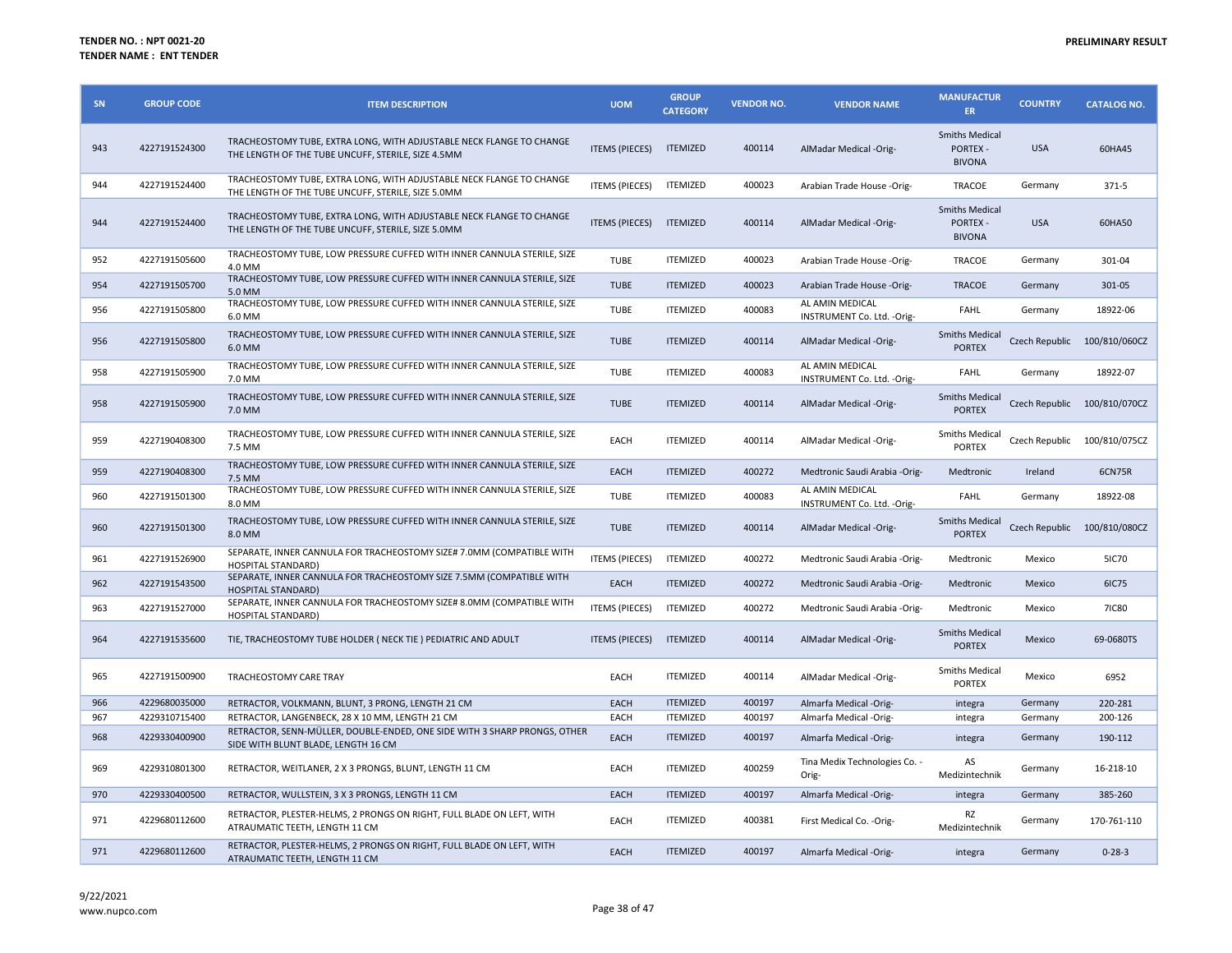| SN  | <b>GROUP CODE</b> | <b>ITEM DESCRIPTION</b>                                                                                                    | <b>UOM</b>            | <b>GROUP</b><br><b>CATEGORY</b> | <b>VENDOR NO.</b> | <b>VENDOR NAME</b>                             | <b>MANUFACTUR</b><br><b>ER</b>                            | <b>COUNTRY</b> | <b>CATALOG NO.</b>           |
|-----|-------------------|----------------------------------------------------------------------------------------------------------------------------|-----------------------|---------------------------------|-------------------|------------------------------------------------|-----------------------------------------------------------|----------------|------------------------------|
| 943 | 4227191524300     | TRACHEOSTOMY TUBE, EXTRA LONG, WITH ADJUSTABLE NECK FLANGE TO CHANGE<br>THE LENGTH OF THE TUBE UNCUFF, STERILE, SIZE 4.5MM | <b>ITEMS (PIECES)</b> | <b>ITEMIZED</b>                 | 400114            | AlMadar Medical -Orig-                         | <b>Smiths Medical</b><br><b>PORTEX -</b><br><b>BIVONA</b> | <b>USA</b>     | 60HA45                       |
| 944 | 4227191524400     | TRACHEOSTOMY TUBE, EXTRA LONG, WITH ADJUSTABLE NECK FLANGE TO CHANGE<br>THE LENGTH OF THE TUBE UNCUFF, STERILE, SIZE 5.0MM | ITEMS (PIECES)        | <b>ITEMIZED</b>                 | 400023            | Arabian Trade House -Orig-                     | TRACOE                                                    | Germany        | 371-5                        |
| 944 | 4227191524400     | TRACHEOSTOMY TUBE, EXTRA LONG, WITH ADJUSTABLE NECK FLANGE TO CHANGE<br>THE LENGTH OF THE TUBE UNCUFF, STERILE, SIZE 5.0MM | <b>ITEMS (PIECES)</b> | <b>ITEMIZED</b>                 | 400114            | AlMadar Medical -Orig-                         | <b>Smiths Medical</b><br><b>PORTEX -</b><br><b>BIVONA</b> | <b>USA</b>     | 60HA50                       |
| 952 | 4227191505600     | TRACHEOSTOMY TUBE, LOW PRESSURE CUFFED WITH INNER CANNULA STERILE, SIZE<br>4.0 MM                                          | <b>TUBE</b>           | <b>ITEMIZED</b>                 | 400023            | Arabian Trade House -Orig-                     | TRACOE                                                    | Germany        | 301-04                       |
| 954 | 4227191505700     | TRACHEOSTOMY TUBE, LOW PRESSURE CUFFED WITH INNER CANNULA STERILE, SIZE<br>5.0 MM                                          | <b>TUBE</b>           | <b>ITEMIZED</b>                 | 400023            | Arabian Trade House -Orig-                     | <b>TRACOE</b>                                             | Germany        | 301-05                       |
| 956 | 4227191505800     | TRACHEOSTOMY TUBE, LOW PRESSURE CUFFED WITH INNER CANNULA STERILE, SIZE<br>6.0 MM                                          | <b>TUBE</b>           | <b>ITEMIZED</b>                 | 400083            | AL AMIN MEDICAL<br>INSTRUMENT Co. Ltd. - Orig- | <b>FAHL</b>                                               | Germany        | 18922-06                     |
| 956 | 4227191505800     | TRACHEOSTOMY TUBE, LOW PRESSURE CUFFED WITH INNER CANNULA STERILE, SIZE<br>6.0 MM                                          | <b>TUBE</b>           | <b>ITEMIZED</b>                 | 400114            | AlMadar Medical -Orig-                         | <b>Smiths Medical</b><br><b>PORTEX</b>                    | Czech Republic | 100/810/060CZ                |
| 958 | 4227191505900     | TRACHEOSTOMY TUBE, LOW PRESSURE CUFFED WITH INNER CANNULA STERILE, SIZE<br>7.0 MM                                          | <b>TUBE</b>           | <b>ITEMIZED</b>                 | 400083            | AL AMIN MEDICAL<br>INSTRUMENT Co. Ltd. - Orig- | FAHL                                                      | Germany        | 18922-07                     |
| 958 | 4227191505900     | TRACHEOSTOMY TUBE, LOW PRESSURE CUFFED WITH INNER CANNULA STERILE, SIZE<br>7.0 MM                                          | <b>TUBE</b>           | <b>ITEMIZED</b>                 | 400114            | AlMadar Medical -Orig-                         | <b>Smiths Medical</b><br><b>PORTEX</b>                    |                | Czech Republic 100/810/070CZ |
| 959 | 4227190408300     | TRACHEOSTOMY TUBE, LOW PRESSURE CUFFED WITH INNER CANNULA STERILE, SIZE<br>7.5 MM                                          | EACH                  | <b>ITEMIZED</b>                 | 400114            | AlMadar Medical -Orig-                         | <b>Smiths Medical</b><br><b>PORTEX</b>                    |                | Czech Republic 100/810/075CZ |
| 959 | 4227190408300     | TRACHEOSTOMY TUBE, LOW PRESSURE CUFFED WITH INNER CANNULA STERILE, SIZE<br>7.5 MM                                          | EACH                  | <b>ITEMIZED</b>                 | 400272            | Medtronic Saudi Arabia -Orig-                  | Medtronic                                                 | Ireland        | 6CN75R                       |
| 960 | 4227191501300     | TRACHEOSTOMY TUBE, LOW PRESSURE CUFFED WITH INNER CANNULA STERILE, SIZE<br>8.0 MM                                          | <b>TUBE</b>           | <b>ITEMIZED</b>                 | 400083            | AL AMIN MEDICAL<br>INSTRUMENT Co. Ltd. - Orig- | <b>FAHL</b>                                               | Germany        | 18922-08                     |
| 960 | 4227191501300     | TRACHEOSTOMY TUBE, LOW PRESSURE CUFFED WITH INNER CANNULA STERILE, SIZE<br>8.0 MM                                          | <b>TUBE</b>           | <b>ITEMIZED</b>                 | 400114            | AlMadar Medical -Orig-                         | <b>Smiths Medical</b><br><b>PORTEX</b>                    |                | Czech Republic 100/810/080CZ |
| 961 | 4227191526900     | SEPARATE, INNER CANNULA FOR TRACHEOSTOMY SIZE# 7.0MM (COMPATIBLE WITH<br><b>HOSPITAL STANDARD)</b>                         | <b>ITEMS (PIECES)</b> | <b>ITEMIZED</b>                 | 400272            | Medtronic Saudi Arabia -Orig-                  | Medtronic                                                 | Mexico         | <b>5IC70</b>                 |
| 962 | 4227191543500     | SEPARATE, INNER CANNULA FOR TRACHEOSTOMY SIZE 7.5MM (COMPATIBLE WITH<br><b>HOSPITAL STANDARD)</b>                          | EACH                  | <b>ITEMIZED</b>                 | 400272            | Medtronic Saudi Arabia -Orig-                  | Medtronic                                                 | Mexico         | 6IC75                        |
| 963 | 4227191527000     | SEPARATE, INNER CANNULA FOR TRACHEOSTOMY SIZE# 8.0MM (COMPATIBLE WITH<br><b>HOSPITAL STANDARD)</b>                         | <b>ITEMS (PIECES)</b> | <b>ITEMIZED</b>                 | 400272            | Medtronic Saudi Arabia -Orig-                  | Medtronic                                                 | Mexico         | <b>7IC80</b>                 |
| 964 | 4227191535600     | TIE, TRACHEOSTOMY TUBE HOLDER ( NECK TIE ) PEDIATRIC AND ADULT                                                             | <b>ITEMS (PIECES)</b> | <b>ITEMIZED</b>                 | 400114            | AlMadar Medical -Orig-                         | <b>Smiths Medical</b><br><b>PORTEX</b>                    | Mexico         | 69-0680TS                    |
| 965 | 4227191500900     | TRACHEOSTOMY CARE TRAY                                                                                                     | EACH                  | <b>ITEMIZED</b>                 | 400114            | AlMadar Medical -Orig-                         | Smiths Medical<br><b>PORTEX</b>                           | Mexico         | 6952                         |
| 966 | 4229680035000     | RETRACTOR, VOLKMANN, BLUNT, 3 PRONG, LENGTH 21 CM                                                                          | EACH                  | <b>ITEMIZED</b>                 | 400197            | Almarfa Medical -Orig-                         | integra                                                   | Germany        | 220-281                      |
| 967 | 4229310715400     | RETRACTOR, LANGENBECK, 28 X 10 MM, LENGTH 21 CM                                                                            | EACH                  | <b>ITEMIZED</b>                 | 400197            | Almarfa Medical -Orig-                         | integra                                                   | Germany        | 200-126                      |
| 968 | 4229330400900     | RETRACTOR, SENN-MÜLLER, DOUBLE-ENDED, ONE SIDE WITH 3 SHARP PRONGS, OTHER<br>SIDE WITH BLUNT BLADE, LENGTH 16 CM           | <b>EACH</b>           | <b>ITEMIZED</b>                 | 400197            | Almarfa Medical -Orig-                         | integra                                                   | Germany        | 190-112                      |
| 969 | 4229310801300     | RETRACTOR, WEITLANER, 2 X 3 PRONGS, BLUNT, LENGTH 11 CM                                                                    | EACH                  | <b>ITEMIZED</b>                 | 400259            | Tina Medix Technologies Co. -<br>Orig-         | AS<br>Medizintechnik                                      | Germany        | 16-218-10                    |
| 970 | 4229330400500     | RETRACTOR, WULLSTEIN, 3 X 3 PRONGS, LENGTH 11 CM                                                                           | EACH                  | <b>ITEMIZED</b>                 | 400197            | Almarfa Medical -Orig-                         | integra                                                   | Germany        | 385-260                      |
| 971 | 4229680112600     | RETRACTOR, PLESTER-HELMS, 2 PRONGS ON RIGHT, FULL BLADE ON LEFT, WITH<br>ATRAUMATIC TEETH, LENGTH 11 CM                    | EACH                  | <b>ITEMIZED</b>                 | 400381            | First Medical Co. - Orig-                      | RZ<br>Medizintechnik                                      | Germany        | 170-761-110                  |
| 971 | 4229680112600     | RETRACTOR, PLESTER-HELMS, 2 PRONGS ON RIGHT, FULL BLADE ON LEFT, WITH<br>ATRAUMATIC TEETH, LENGTH 11 CM                    | EACH                  | <b>ITEMIZED</b>                 | 400197            | Almarfa Medical -Orig-                         | integra                                                   | Germany        | $0 - 28 - 3$                 |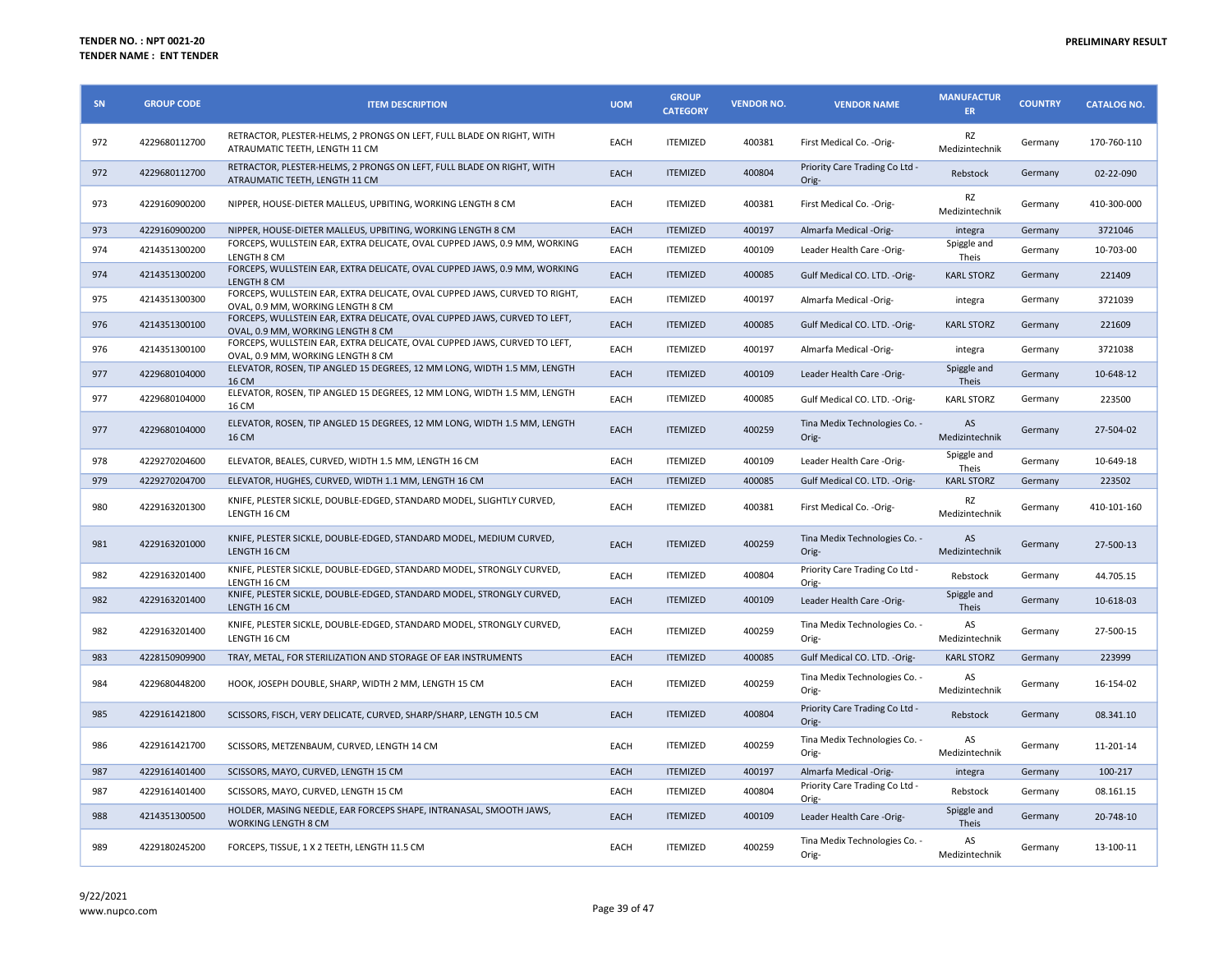| SN  | <b>GROUP CODE</b> | <b>ITEM DESCRIPTION</b>                                                                                         | <b>UOM</b>  | <b>GROUP</b><br><b>CATEGORY</b> | <b>VENDOR NO.</b> | <b>VENDOR NAME</b>                      | <b>MANUFACTUR</b><br><b>ER</b> | <b>COUNTRY</b> | <b>CATALOG NO.</b> |
|-----|-------------------|-----------------------------------------------------------------------------------------------------------------|-------------|---------------------------------|-------------------|-----------------------------------------|--------------------------------|----------------|--------------------|
| 972 | 4229680112700     | RETRACTOR, PLESTER-HELMS, 2 PRONGS ON LEFT, FULL BLADE ON RIGHT, WITH<br>ATRAUMATIC TEETH, LENGTH 11 CM         | EACH        | <b>ITEMIZED</b>                 | 400381            | First Medical Co. - Orig-               | RZ<br>Medizintechnik           | Germany        | 170-760-110        |
| 972 | 4229680112700     | RETRACTOR, PLESTER-HELMS, 2 PRONGS ON LEFT, FULL BLADE ON RIGHT, WITH<br>ATRAUMATIC TEETH, LENGTH 11 CM         | EACH        | <b>ITEMIZED</b>                 | 400804            | Priority Care Trading Co Ltd -<br>Orig- | Rebstock                       | Germany        | 02-22-090          |
| 973 | 4229160900200     | NIPPER, HOUSE-DIETER MALLEUS, UPBITING, WORKING LENGTH 8 CM                                                     | EACH        | <b>ITEMIZED</b>                 | 400381            | First Medical Co. -Orig-                | RZ<br>Medizintechnik           | Germany        | 410-300-000        |
| 973 | 4229160900200     | NIPPER, HOUSE-DIETER MALLEUS, UPBITING, WORKING LENGTH 8 CM                                                     | EACH        | <b>ITEMIZED</b>                 | 400197            | Almarfa Medical -Orig-                  | integra                        | Germany        | 3721046            |
| 974 | 4214351300200     | FORCEPS, WULLSTEIN EAR, EXTRA DELICATE, OVAL CUPPED JAWS, 0.9 MM, WORKING<br>LENGTH 8 CM                        | EACH        | <b>ITEMIZED</b>                 | 400109            | Leader Health Care -Orig-               | Spiggle and<br>Theis           | Germany        | 10-703-00          |
| 974 | 4214351300200     | FORCEPS, WULLSTEIN EAR, EXTRA DELICATE, OVAL CUPPED JAWS, 0.9 MM, WORKING<br>LENGTH 8 CM                        | EACH        | <b>ITEMIZED</b>                 | 400085            | Gulf Medical CO. LTD. - Orig-           | <b>KARL STORZ</b>              | Germany        | 221409             |
| 975 | 4214351300300     | FORCEPS, WULLSTEIN EAR, EXTRA DELICATE, OVAL CUPPED JAWS, CURVED TO RIGHT,<br>OVAL, 0.9 MM, WORKING LENGTH 8 CM | EACH        | <b>ITEMIZED</b>                 | 400197            | Almarfa Medical -Orig-                  | integra                        | Germany        | 3721039            |
| 976 | 4214351300100     | FORCEPS, WULLSTEIN EAR, EXTRA DELICATE, OVAL CUPPED JAWS, CURVED TO LEFT,<br>OVAL, 0.9 MM, WORKING LENGTH 8 CM  | EACH        | <b>ITEMIZED</b>                 | 400085            | Gulf Medical CO. LTD. - Orig-           | <b>KARL STORZ</b>              | Germany        | 221609             |
| 976 | 4214351300100     | FORCEPS, WULLSTEIN EAR, EXTRA DELICATE, OVAL CUPPED JAWS, CURVED TO LEFT,<br>OVAL, 0.9 MM, WORKING LENGTH 8 CM  | EACH        | <b>ITEMIZED</b>                 | 400197            | Almarfa Medical -Orig-                  | integra                        | Germany        | 3721038            |
| 977 | 4229680104000     | ELEVATOR, ROSEN, TIP ANGLED 15 DEGREES, 12 MM LONG, WIDTH 1.5 MM, LENGTH<br><b>16 CM</b>                        | EACH        | <b>ITEMIZED</b>                 | 400109            | Leader Health Care -Orig-               | Spiggle and<br>Theis           | Germany        | 10-648-12          |
| 977 | 4229680104000     | ELEVATOR, ROSEN, TIP ANGLED 15 DEGREES, 12 MM LONG, WIDTH 1.5 MM, LENGTH<br>16 CM                               | EACH        | <b>ITEMIZED</b>                 | 400085            | Gulf Medical CO. LTD. -Orig-            | <b>KARL STORZ</b>              | Germany        | 223500             |
| 977 | 4229680104000     | ELEVATOR, ROSEN, TIP ANGLED 15 DEGREES, 12 MM LONG, WIDTH 1.5 MM, LENGTH<br><b>16 CM</b>                        | EACH        | <b>ITEMIZED</b>                 | 400259            | Tina Medix Technologies Co. -<br>Orig-  | AS<br>Medizintechnik           | Germany        | 27-504-02          |
| 978 | 4229270204600     | ELEVATOR, BEALES, CURVED, WIDTH 1.5 MM, LENGTH 16 CM                                                            | <b>EACH</b> | <b>ITEMIZED</b>                 | 400109            | Leader Health Care -Orig-               | Spiggle and<br>Theis           | Germany        | 10-649-18          |
| 979 | 4229270204700     | ELEVATOR, HUGHES, CURVED, WIDTH 1.1 MM, LENGTH 16 CM                                                            | EACH        | <b>ITEMIZED</b>                 | 400085            | Gulf Medical CO. LTD. - Orig-           | <b>KARL STORZ</b>              | Germany        | 223502             |
| 980 | 4229163201300     | KNIFE, PLESTER SICKLE, DOUBLE-EDGED, STANDARD MODEL, SLIGHTLY CURVED,<br>LENGTH 16 CM                           | EACH        | <b>ITEMIZED</b>                 | 400381            | First Medical Co. - Orig-               | RZ<br>Medizintechnik           | Germany        | 410-101-160        |
| 981 | 4229163201000     | KNIFE, PLESTER SICKLE, DOUBLE-EDGED, STANDARD MODEL, MEDIUM CURVED,<br>LENGTH 16 CM                             | EACH        | <b>ITEMIZED</b>                 | 400259            | Tina Medix Technologies Co. -<br>Orig-  | AS<br>Medizintechnik           | Germany        | 27-500-13          |
| 982 | 4229163201400     | KNIFE, PLESTER SICKLE, DOUBLE-EDGED, STANDARD MODEL, STRONGLY CURVED,                                           |             |                                 |                   |                                         |                                |                |                    |
| 982 |                   | LENGTH 16 CM                                                                                                    | EACH        | <b>ITEMIZED</b>                 | 400804            | Priority Care Trading Co Ltd -<br>Orig- | Rebstock                       | Germany        | 44.705.15          |
|     | 4229163201400     | KNIFE, PLESTER SICKLE, DOUBLE-EDGED, STANDARD MODEL, STRONGLY CURVED,<br>LENGTH 16 CM                           | EACH        | <b>ITEMIZED</b>                 | 400109            | Leader Health Care -Orig-               | Spiggle and<br>Theis           | Germany        | 10-618-03          |
| 982 | 4229163201400     | KNIFE, PLESTER SICKLE, DOUBLE-EDGED, STANDARD MODEL, STRONGLY CURVED,<br>LENGTH 16 CM                           | EACH        | <b>ITEMIZED</b>                 | 400259            | Tina Medix Technologies Co. -<br>Orig-  | AS<br>Medizintechnik           | Germany        | 27-500-15          |
| 983 | 4228150909900     | TRAY, METAL, FOR STERILIZATION AND STORAGE OF EAR INSTRUMENTS                                                   | EACH        | <b>ITEMIZED</b>                 | 400085            | Gulf Medical CO. LTD. - Orig-           | <b>KARL STORZ</b>              | Germany        | 223999             |
| 984 | 4229680448200     | HOOK, JOSEPH DOUBLE, SHARP, WIDTH 2 MM, LENGTH 15 CM                                                            | <b>EACH</b> | <b>ITEMIZED</b>                 | 400259            | Tina Medix Technologies Co. -<br>Orig-  | AS<br>Medizintechnik           | Germany        | 16-154-02          |
| 985 | 4229161421800     | SCISSORS, FISCH, VERY DELICATE, CURVED, SHARP/SHARP, LENGTH 10.5 CM                                             | EACH        | <b>ITEMIZED</b>                 | 400804            | Priority Care Trading Co Ltd -<br>Orig- | Rebstock                       | Germany        | 08.341.10          |
| 986 | 4229161421700     | SCISSORS, METZENBAUM, CURVED, LENGTH 14 CM                                                                      | EACH        | <b>ITEMIZED</b>                 | 400259            | Tina Medix Technologies Co. -<br>Orig-  | AS<br>Medizintechnik           | Germany        | 11-201-14          |
| 987 | 4229161401400     | SCISSORS, MAYO, CURVED, LENGTH 15 CM                                                                            | EACH        | <b>ITEMIZED</b>                 | 400197            | Almarfa Medical -Orig-                  | integra                        | Germany        | 100-217            |
| 987 | 4229161401400     | SCISSORS, MAYO, CURVED, LENGTH 15 CM                                                                            | EACH        | <b>ITEMIZED</b>                 | 400804            | Priority Care Trading Co Ltd -<br>Orig- | Rebstock                       | Germany        | 08.161.15          |
| 988 | 4214351300500     | HOLDER, MASING NEEDLE, EAR FORCEPS SHAPE, INTRANASAL, SMOOTH JAWS,<br><b>WORKING LENGTH 8 CM</b>                | EACH        | <b>ITEMIZED</b>                 | 400109            | Leader Health Care -Orig-               | Spiggle and<br><b>Theis</b>    | Germany        | 20-748-10          |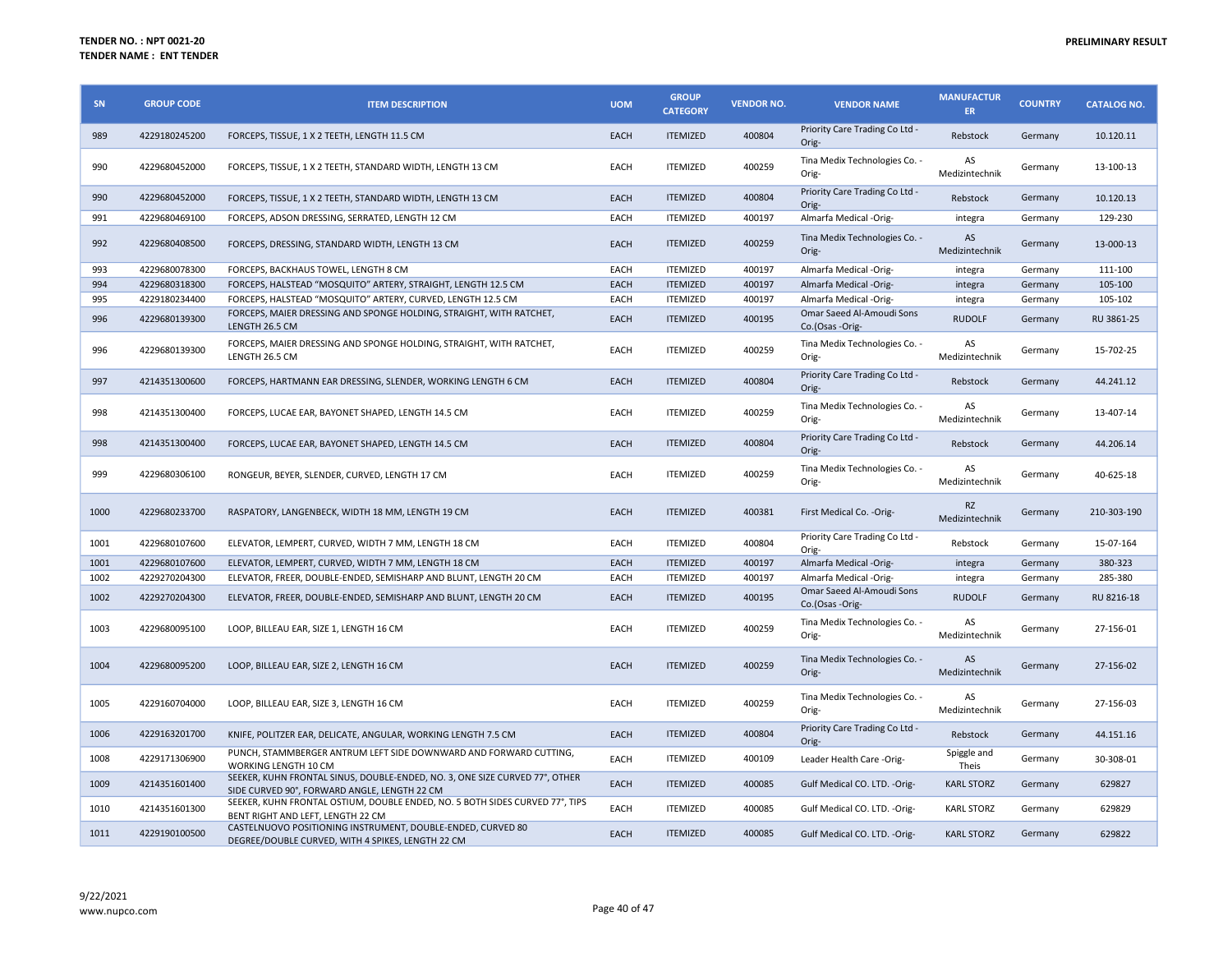| SN   | <b>GROUP CODE</b> | <b>ITEM DESCRIPTION</b>                                                                                                     | <b>UOM</b>  | <b>GROUP</b><br><b>CATEGORY</b> | <b>VENDOR NO.</b> | <b>VENDOR NAME</b>                           | <b>MANUFACTUR</b><br>ER.    | <b>COUNTRY</b> | <b>CATALOG NO.</b> |
|------|-------------------|-----------------------------------------------------------------------------------------------------------------------------|-------------|---------------------------------|-------------------|----------------------------------------------|-----------------------------|----------------|--------------------|
| 989  | 4229180245200     | FORCEPS, TISSUE, 1 X 2 TEETH, LENGTH 11.5 CM                                                                                | EACH        | <b>ITEMIZED</b>                 | 400804            | Priority Care Trading Co Ltd -<br>Orig-      | Rebstock                    | Germany        | 10.120.11          |
| 990  | 4229680452000     | FORCEPS, TISSUE, 1 X 2 TEETH, STANDARD WIDTH, LENGTH 13 CM                                                                  | EACH        | <b>ITEMIZED</b>                 | 400259            | Tina Medix Technologies Co. -<br>Orig-       | AS<br>Medizintechnik        | Germany        | 13-100-13          |
| 990  | 4229680452000     | FORCEPS, TISSUE, 1 X 2 TEETH, STANDARD WIDTH, LENGTH 13 CM                                                                  | <b>EACH</b> | <b>ITEMIZED</b>                 | 400804            | Priority Care Trading Co Ltd -<br>Orig-      | Rebstock                    | Germany        | 10.120.13          |
| 991  | 4229680469100     | FORCEPS, ADSON DRESSING, SERRATED, LENGTH 12 CM                                                                             | EACH        | <b>ITEMIZED</b>                 | 400197            | Almarfa Medical -Orig-                       | integra                     | Germany        | 129-230            |
| 992  | 4229680408500     | FORCEPS, DRESSING, STANDARD WIDTH, LENGTH 13 CM                                                                             | EACH        | <b>ITEMIZED</b>                 | 400259            | Tina Medix Technologies Co. -<br>Orig-       | AS<br>Medizintechnik        | Germany        | 13-000-13          |
| 993  | 4229680078300     | FORCEPS, BACKHAUS TOWEL, LENGTH 8 CM                                                                                        | EACH        | <b>ITEMIZED</b>                 | 400197            | Almarfa Medical -Orig-                       | integra                     | Germany        | 111-100            |
| 994  | 4229680318300     | FORCEPS, HALSTEAD "MOSQUITO" ARTERY, STRAIGHT, LENGTH 12.5 CM                                                               | <b>EACH</b> | <b>ITEMIZED</b>                 | 400197            | Almarfa Medical -Orig-                       | integra                     | Germany        | 105-100            |
| 995  | 4229180234400     | FORCEPS. HALSTEAD "MOSQUITO" ARTERY, CURVED, LENGTH 12.5 CM                                                                 | EACH        | <b>ITEMIZED</b>                 | 400197            | Almarfa Medical -Orig-                       | integra                     | Germany        | 105-102            |
| 996  | 4229680139300     | FORCEPS, MAIER DRESSING AND SPONGE HOLDING, STRAIGHT, WITH RATCHET,<br>LENGTH 26.5 CM                                       | EACH        | <b>ITEMIZED</b>                 | 400195            | Omar Saeed Al-Amoudi Sons<br>Co.(Osas -Orig- | <b>RUDOLF</b>               | Germany        | RU 3861-25         |
| 996  | 4229680139300     | FORCEPS, MAIER DRESSING AND SPONGE HOLDING, STRAIGHT, WITH RATCHET,<br>LENGTH 26.5 CM                                       | EACH        | <b>ITEMIZED</b>                 | 400259            | Tina Medix Technologies Co. -<br>Orig-       | AS<br>Medizintechnik        | Germany        | 15-702-25          |
| 997  | 4214351300600     | FORCEPS, HARTMANN EAR DRESSING, SLENDER, WORKING LENGTH 6 CM                                                                | <b>EACH</b> | <b>ITEMIZED</b>                 | 400804            | Priority Care Trading Co Ltd -<br>Orig-      | Rebstock                    | Germany        | 44.241.12          |
| 998  | 4214351300400     | FORCEPS, LUCAE EAR, BAYONET SHAPED, LENGTH 14.5 CM                                                                          | EACH        | <b>ITEMIZED</b>                 | 400259            | Tina Medix Technologies Co. -<br>Orig-       | <b>AS</b><br>Medizintechnik | Germany        | 13-407-14          |
| 998  | 4214351300400     | FORCEPS, LUCAE EAR, BAYONET SHAPED, LENGTH 14.5 CM                                                                          | <b>EACH</b> | <b>ITEMIZED</b>                 | 400804            | Priority Care Trading Co Ltd -<br>Orig-      | Rebstock                    | Germany        | 44.206.14          |
| 999  | 4229680306100     | RONGEUR, BEYER, SLENDER, CURVED, LENGTH 17 CM                                                                               | EACH        | <b>ITEMIZED</b>                 | 400259            | Tina Medix Technologies Co. -<br>Orig-       | AS<br>Medizintechnik        | Germany        | 40-625-18          |
| 1000 | 4229680233700     | RASPATORY, LANGENBECK, WIDTH 18 MM, LENGTH 19 CM                                                                            | EACH        | <b>ITEMIZED</b>                 | 400381            | First Medical Co. - Orig-                    | <b>RZ</b><br>Medizintechnik | Germany        | 210-303-190        |
| 1001 | 4229680107600     | ELEVATOR, LEMPERT, CURVED, WIDTH 7 MM, LENGTH 18 CM                                                                         | EACH        | <b>ITEMIZED</b>                 | 400804            | Priority Care Trading Co Ltd -<br>Orig-      | Rebstock                    | Germany        | 15-07-164          |
| 1001 | 4229680107600     | ELEVATOR, LEMPERT, CURVED, WIDTH 7 MM, LENGTH 18 CM                                                                         | EACH        | <b>ITEMIZED</b>                 | 400197            | Almarfa Medical -Orig-                       | integra                     | Germany        | 380-323            |
| 1002 | 4229270204300     | ELEVATOR, FREER, DOUBLE-ENDED, SEMISHARP AND BLUNT, LENGTH 20 CM                                                            | EACH        | <b>ITEMIZED</b>                 | 400197            | Almarfa Medical -Orig-                       | integra                     | Germany        | 285-380            |
| 1002 | 4229270204300     | ELEVATOR, FREER, DOUBLE-ENDED, SEMISHARP AND BLUNT, LENGTH 20 CM                                                            | <b>EACH</b> | <b>ITEMIZED</b>                 | 400195            | Omar Saeed Al-Amoudi Sons<br>Co.(Osas -Orig- | <b>RUDOLF</b>               | Germany        | RU 8216-18         |
| 1003 | 4229680095100     | LOOP, BILLEAU EAR, SIZE 1, LENGTH 16 CM                                                                                     | EACH        | <b>ITEMIZED</b>                 | 400259            | Tina Medix Technologies Co. -<br>Orig-       | AS<br>Medizintechnik        | Germany        | 27-156-01          |
| 1004 | 4229680095200     | LOOP, BILLEAU EAR, SIZE 2, LENGTH 16 CM                                                                                     | EACH        | <b>ITEMIZED</b>                 | 400259            | Tina Medix Technologies Co. -<br>Orig-       | AS<br>Medizintechnik        | Germany        | 27-156-02          |
| 1005 | 4229160704000     | LOOP, BILLEAU EAR, SIZE 3, LENGTH 16 CM                                                                                     | EACH        | <b>ITEMIZED</b>                 | 400259            | Tina Medix Technologies Co. -<br>Orig-       | AS<br>Medizintechnik        | Germany        | 27-156-03          |
| 1006 | 4229163201700     | KNIFE, POLITZER EAR, DELICATE, ANGULAR, WORKING LENGTH 7.5 CM                                                               | <b>EACH</b> | <b>ITEMIZED</b>                 | 400804            | Priority Care Trading Co Ltd -<br>Orig-      | Rebstock                    | Germany        | 44.151.16          |
| 1008 | 4229171306900     | PUNCH, STAMMBERGER ANTRUM LEFT SIDE DOWNWARD AND FORWARD CUTTING,<br>WORKING LENGTH 10 CM                                   | EACH        | <b>ITEMIZED</b>                 | 400109            | Leader Health Care -Orig-                    | Spiggle and<br>Theis        | Germany        | 30-308-01          |
| 1009 | 4214351601400     | SEEKER, KUHN FRONTAL SINUS, DOUBLE-ENDED, NO. 3, ONE SIZE CURVED 77°, OTHER<br>SIDE CURVED 90°, FORWARD ANGLE, LENGTH 22 CM | EACH        | <b>ITEMIZED</b>                 | 400085            | Gulf Medical CO. LTD. - Orig-                | <b>KARL STORZ</b>           | Germany        | 629827             |
| 1010 | 4214351601300     | SEEKER, KUHN FRONTAL OSTIUM, DOUBLE ENDED, NO. 5 BOTH SIDES CURVED 77°, TIPS<br>BENT RIGHT AND LEFT. LENGTH 22 CM           | EACH        | <b>ITEMIZED</b>                 | 400085            | Gulf Medical CO. LTD. - Orig-                | <b>KARL STORZ</b>           | Germany        | 629829             |
| 1011 | 4229190100500     | CASTELNUOVO POSITIONING INSTRUMENT, DOUBLE-ENDED, CURVED 80<br>DEGREE/DOUBLE CURVED, WITH 4 SPIKES, LENGTH 22 CM            | <b>EACH</b> | <b>ITEMIZED</b>                 | 400085            | Gulf Medical CO. LTD. - Orig-                | <b>KARL STORZ</b>           | Germany        | 629822             |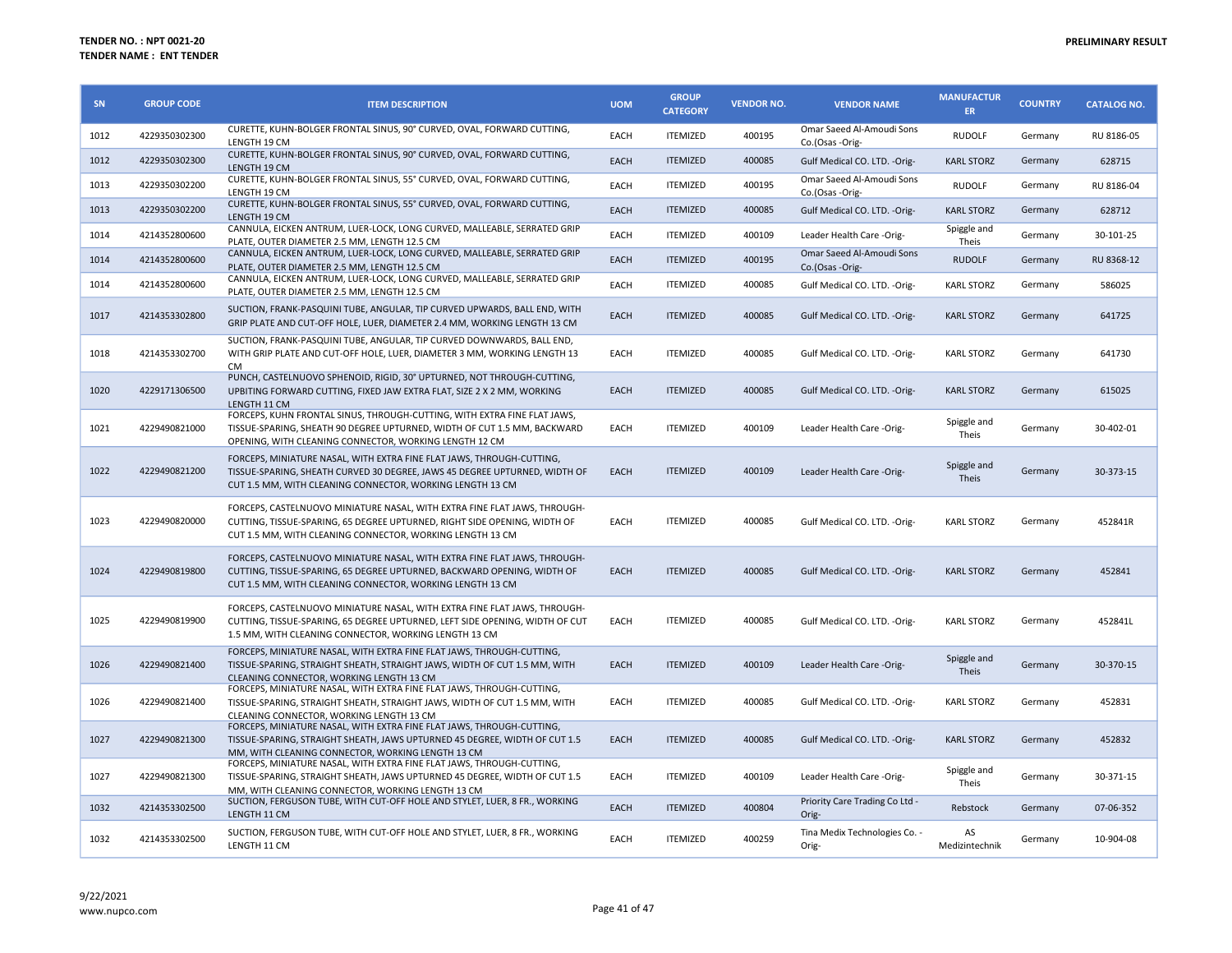| SN   | <b>GROUP CODE</b> | <b>ITEM DESCRIPTION</b>                                                                                                                                                                                             | <b>UOM</b>  | <b>GROUP</b><br><b>CATEGORY</b> | <b>VENDOR NO.</b> | <b>VENDOR NAME</b>                           | <b>MANUFACTUR</b><br>ER. | <b>COUNTRY</b> | <b>CATALOG NO.</b> |
|------|-------------------|---------------------------------------------------------------------------------------------------------------------------------------------------------------------------------------------------------------------|-------------|---------------------------------|-------------------|----------------------------------------------|--------------------------|----------------|--------------------|
| 1012 | 4229350302300     | CURETTE, KUHN-BOLGER FRONTAL SINUS, 90° CURVED, OVAL, FORWARD CUTTING,<br>LENGTH 19 CM                                                                                                                              | EACH        | <b>ITEMIZED</b>                 | 400195            | Omar Saeed Al-Amoudi Sons<br>Co.(Osas -Orig- | <b>RUDOLF</b>            | Germany        | RU 8186-05         |
| 1012 | 4229350302300     | CURETTE, KUHN-BOLGER FRONTAL SINUS, 90° CURVED, OVAL, FORWARD CUTTING,<br>LENGTH 19 CM                                                                                                                              | EACH        | <b>ITEMIZED</b>                 | 400085            | Gulf Medical CO. LTD. - Orig-                | <b>KARL STORZ</b>        | Germany        | 628715             |
| 1013 | 4229350302200     | CURETTE, KUHN-BOLGER FRONTAL SINUS, 55° CURVED, OVAL, FORWARD CUTTING,<br>LENGTH 19 CM                                                                                                                              | EACH        | <b>ITEMIZED</b>                 | 400195            | Omar Saeed Al-Amoudi Sons<br>Co.(Osas -Orig- | <b>RUDOLF</b>            | Germany        | RU 8186-04         |
| 1013 | 4229350302200     | CURETTE, KUHN-BOLGER FRONTAL SINUS, 55° CURVED, OVAL, FORWARD CUTTING,<br>LENGTH 19 CM                                                                                                                              | EACH        | <b>ITEMIZED</b>                 | 400085            | Gulf Medical CO. LTD. - Orig-                | <b>KARL STORZ</b>        | Germany        | 628712             |
| 1014 | 4214352800600     | CANNULA, EICKEN ANTRUM, LUER-LOCK, LONG CURVED, MALLEABLE, SERRATED GRIP<br>PLATE, OUTER DIAMETER 2.5 MM, LENGTH 12.5 CM                                                                                            | EACH        | <b>ITEMIZED</b>                 | 400109            | Leader Health Care -Orig-                    | Spiggle and<br>Theis     | Germany        | 30-101-25          |
| 1014 | 4214352800600     | CANNULA, EICKEN ANTRUM, LUER-LOCK, LONG CURVED, MALLEABLE, SERRATED GRIP<br>PLATE, OUTER DIAMETER 2.5 MM, LENGTH 12.5 CM                                                                                            | EACH        | <b>ITEMIZED</b>                 | 400195            | Omar Saeed Al-Amoudi Sons<br>Co.(Osas -Orig- | <b>RUDOLF</b>            | Germany        | RU 8368-12         |
| 1014 | 4214352800600     | CANNULA, EICKEN ANTRUM, LUER-LOCK, LONG CURVED, MALLEABLE, SERRATED GRIP<br>PLATE, OUTER DIAMETER 2.5 MM, LENGTH 12.5 CM                                                                                            | EACH        | <b>ITEMIZED</b>                 | 400085            | Gulf Medical CO. LTD. - Orig-                | <b>KARL STORZ</b>        | Germany        | 586025             |
| 1017 | 4214353302800     | SUCTION, FRANK-PASQUINI TUBE, ANGULAR, TIP CURVED UPWARDS, BALL END, WITH<br>GRIP PLATE AND CUT-OFF HOLE, LUER, DIAMETER 2.4 MM, WORKING LENGTH 13 CM                                                               | EACH        | <b>ITEMIZED</b>                 | 400085            | Gulf Medical CO. LTD. - Orig-                | <b>KARL STORZ</b>        | Germany        | 641725             |
| 1018 | 4214353302700     | SUCTION, FRANK-PASQUINI TUBE, ANGULAR, TIP CURVED DOWNWARDS, BALL END,<br>WITH GRIP PLATE AND CUT-OFF HOLE, LUER, DIAMETER 3 MM, WORKING LENGTH 13<br><b>CM</b>                                                     | EACH        | <b>ITEMIZED</b>                 | 400085            | Gulf Medical CO. LTD. - Orig-                | <b>KARL STORZ</b>        | Germany        | 641730             |
| 1020 | 4229171306500     | PUNCH, CASTELNUOVO SPHENOID, RIGID, 30° UPTURNED, NOT THROUGH-CUTTING,<br>UPBITING FORWARD CUTTING, FIXED JAW EXTRA FLAT, SIZE 2 X 2 MM, WORKING<br>LENGTH 11 CM                                                    | EACH        | <b>ITEMIZED</b>                 | 400085            | Gulf Medical CO. LTD. - Orig-                | <b>KARL STORZ</b>        | Germany        | 615025             |
| 1021 | 4229490821000     | FORCEPS, KUHN FRONTAL SINUS, THROUGH-CUTTING, WITH EXTRA FINE FLAT JAWS,<br>TISSUE-SPARING, SHEATH 90 DEGREE UPTURNED, WIDTH OF CUT 1.5 MM, BACKWARD<br>OPENING, WITH CLEANING CONNECTOR, WORKING LENGTH 12 CM      | EACH        | <b>ITEMIZED</b>                 | 400109            | Leader Health Care -Orig-                    | Spiggle and<br>Theis     | Germany        | 30-402-01          |
| 1022 | 4229490821200     | FORCEPS, MINIATURE NASAL, WITH EXTRA FINE FLAT JAWS, THROUGH-CUTTING,<br>TISSUE-SPARING, SHEATH CURVED 30 DEGREE, JAWS 45 DEGREE UPTURNED, WIDTH OF<br>CUT 1.5 MM, WITH CLEANING CONNECTOR, WORKING LENGTH 13 CM    | EACH        | <b>ITEMIZED</b>                 | 400109            | Leader Health Care -Orig-                    | Spiggle and<br>Theis     | Germany        | 30-373-15          |
| 1023 | 4229490820000     | FORCEPS, CASTELNUOVO MINIATURE NASAL, WITH EXTRA FINE FLAT JAWS, THROUGH-<br>CUTTING, TISSUE-SPARING, 65 DEGREE UPTURNED, RIGHT SIDE OPENING, WIDTH OF<br>CUT 1.5 MM, WITH CLEANING CONNECTOR, WORKING LENGTH 13 CM | EACH        | <b>ITEMIZED</b>                 | 400085            | Gulf Medical CO. LTD. -Orig-                 | <b>KARL STORZ</b>        | Germany        | 452841R            |
| 1024 | 4229490819800     | FORCEPS, CASTELNUOVO MINIATURE NASAL, WITH EXTRA FINE FLAT JAWS, THROUGH-<br>CUTTING, TISSUE-SPARING, 65 DEGREE UPTURNED, BACKWARD OPENING, WIDTH OF<br>CUT 1.5 MM, WITH CLEANING CONNECTOR, WORKING LENGTH 13 CM   | EACH        | <b>ITEMIZED</b>                 | 400085            | Gulf Medical CO. LTD. - Orig-                | <b>KARL STORZ</b>        | Germany        | 452841             |
| 1025 | 4229490819900     | FORCEPS, CASTELNUOVO MINIATURE NASAL, WITH EXTRA FINE FLAT JAWS, THROUGH-<br>CUTTING, TISSUE-SPARING, 65 DEGREE UPTURNED, LEFT SIDE OPENING, WIDTH OF CUT<br>1.5 MM, WITH CLEANING CONNECTOR, WORKING LENGTH 13 CM  | EACH        | <b>ITEMIZED</b>                 | 400085            | Gulf Medical CO. LTD. - Orig-                | <b>KARL STORZ</b>        | Germany        | 452841L            |
| 1026 | 4229490821400     | FORCEPS, MINIATURE NASAL, WITH EXTRA FINE FLAT JAWS, THROUGH-CUTTING,<br>TISSUE-SPARING, STRAIGHT SHEATH, STRAIGHT JAWS, WIDTH OF CUT 1.5 MM, WITH<br>CLEANING CONNECTOR, WORKING LENGTH 13 CM                      | EACH        | <b>ITEMIZED</b>                 | 400109            | Leader Health Care -Orig-                    | Spiggle and<br>Theis     | Germany        | 30-370-15          |
| 1026 | 4229490821400     | FORCEPS, MINIATURE NASAL, WITH EXTRA FINE FLAT JAWS, THROUGH-CUTTING,<br>TISSUE-SPARING, STRAIGHT SHEATH, STRAIGHT JAWS, WIDTH OF CUT 1.5 MM, WITH<br>CLEANING CONNECTOR, WORKING LENGTH 13 CM                      | EACH        | <b>ITEMIZED</b>                 | 400085            | Gulf Medical CO. LTD. -Orig-                 | <b>KARL STORZ</b>        | Germany        | 452831             |
| 1027 | 4229490821300     | FORCEPS, MINIATURE NASAL, WITH EXTRA FINE FLAT JAWS, THROUGH-CUTTING,<br>TISSUE-SPARING, STRAIGHT SHEATH, JAWS UPTURNED 45 DEGREE, WIDTH OF CUT 1.5<br>MM, WITH CLEANING CONNECTOR, WORKING LENGTH 13 CM            | EACH        | <b>ITEMIZED</b>                 | 400085            | Gulf Medical CO. LTD. - Orig-                | <b>KARL STORZ</b>        | Germany        | 452832             |
| 1027 | 4229490821300     | FORCEPS, MINIATURE NASAL, WITH EXTRA FINE FLAT JAWS, THROUGH-CUTTING,<br>TISSUE-SPARING, STRAIGHT SHEATH, JAWS UPTURNED 45 DEGREE, WIDTH OF CUT 1.5<br>MM. WITH CLEANING CONNECTOR, WORKING LENGTH 13 CM            | EACH        | <b>ITEMIZED</b>                 | 400109            | Leader Health Care -Orig-                    | Spiggle and<br>Theis     | Germany        | 30-371-15          |
| 1032 | 4214353302500     | SUCTION, FERGUSON TUBE, WITH CUT-OFF HOLE AND STYLET, LUER, 8 FR., WORKING<br>LENGTH 11 CM                                                                                                                          | <b>EACH</b> | <b>ITEMIZED</b>                 | 400804            | Priority Care Trading Co Ltd -<br>Orig-      | Rebstock                 | Germany        | 07-06-352          |
| 1032 | 4214353302500     | SUCTION, FERGUSON TUBE, WITH CUT-OFF HOLE AND STYLET, LUER, 8 FR., WORKING<br>LENGTH 11 CM                                                                                                                          | EACH        | <b>ITEMIZED</b>                 | 400259            | Tina Medix Technologies Co. -<br>Orig-       | AS<br>Medizintechnik     | Germany        | 10-904-08          |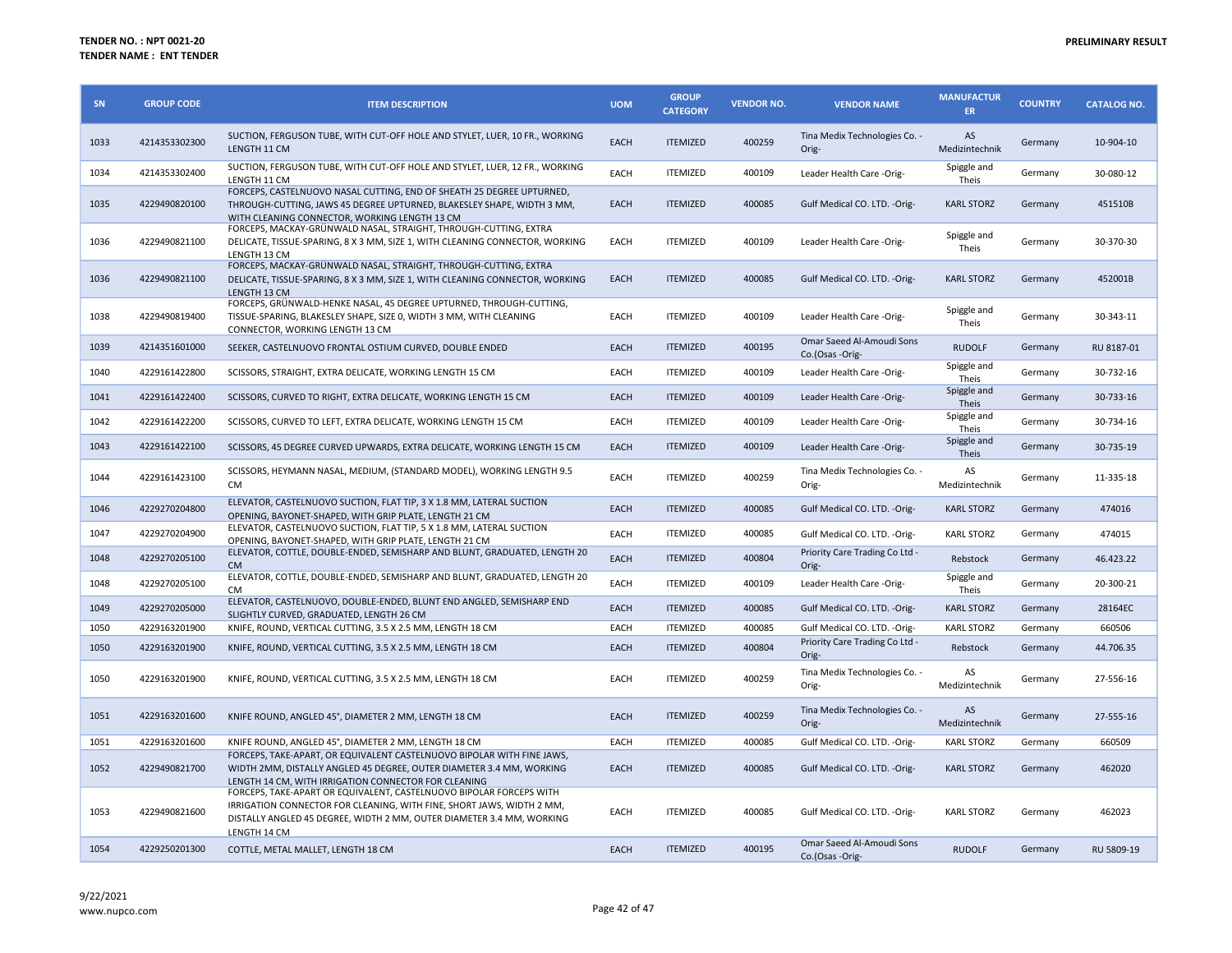| SN   | <b>GROUP CODE</b> | <b>ITEM DESCRIPTION</b>                                                                                                                                                                                                               | <b>UOM</b>  | <b>GROUP</b><br><b>CATEGORY</b> | <b>VENDOR NO.</b> | <b>VENDOR NAME</b>                           | <b>MANUFACTUR</b><br><b>ER</b> | <b>COUNTRY</b> | <b>CATALOG NO.</b> |
|------|-------------------|---------------------------------------------------------------------------------------------------------------------------------------------------------------------------------------------------------------------------------------|-------------|---------------------------------|-------------------|----------------------------------------------|--------------------------------|----------------|--------------------|
| 1033 | 4214353302300     | SUCTION, FERGUSON TUBE, WITH CUT-OFF HOLE AND STYLET, LUER, 10 FR., WORKING<br>LENGTH 11 CM                                                                                                                                           | <b>EACH</b> | <b>ITEMIZED</b>                 | 400259            | Tina Medix Technologies Co. -<br>Orig-       | AS<br>Medizintechnik           | Germany        | 10-904-10          |
| 1034 | 4214353302400     | SUCTION, FERGUSON TUBE, WITH CUT-OFF HOLE AND STYLET, LUER, 12 FR., WORKING<br>LENGTH 11 CM                                                                                                                                           | EACH        | <b>ITEMIZED</b>                 | 400109            | Leader Health Care -Orig-                    | Spiggle and<br>Theis           | Germany        | 30-080-12          |
| 1035 | 4229490820100     | FORCEPS, CASTELNUOVO NASAL CUTTING, END OF SHEATH 25 DEGREE UPTURNED,<br>THROUGH-CUTTING, JAWS 45 DEGREE UPTURNED, BLAKESLEY SHAPE, WIDTH 3 MM,<br>WITH CLEANING CONNECTOR, WORKING LENGTH 13 CM                                      | <b>EACH</b> | <b>ITEMIZED</b>                 | 400085            | Gulf Medical CO. LTD. - Orig-                | <b>KARL STORZ</b>              | Germany        | 451510B            |
| 1036 | 4229490821100     | FORCEPS, MACKAY-GRÜNWALD NASAL, STRAIGHT, THROUGH-CUTTING, EXTRA<br>DELICATE, TISSUE-SPARING, 8 X 3 MM, SIZE 1, WITH CLEANING CONNECTOR, WORKING<br>LENGTH 13 CM                                                                      | EACH        | <b>ITEMIZED</b>                 | 400109            | Leader Health Care -Orig-                    | Spiggle and<br>Theis           | Germany        | 30-370-30          |
| 1036 | 4229490821100     | FORCEPS, MACKAY-GRÜNWALD NASAL, STRAIGHT, THROUGH-CUTTING, EXTRA<br>DELICATE, TISSUE-SPARING, 8 X 3 MM, SIZE 1, WITH CLEANING CONNECTOR, WORKING<br>LENGTH 13 CM                                                                      | EACH        | <b>ITEMIZED</b>                 | 400085            | Gulf Medical CO. LTD. - Orig-                | <b>KARL STORZ</b>              | Germany        | 452001B            |
| 1038 | 4229490819400     | FORCEPS, GRÜNWALD-HENKE NASAL, 45 DEGREE UPTURNED, THROUGH-CUTTING,<br>TISSUE-SPARING, BLAKESLEY SHAPE, SIZE 0, WIDTH 3 MM, WITH CLEANING<br>CONNECTOR, WORKING LENGTH 13 CM                                                          | EACH        | <b>ITEMIZED</b>                 | 400109            | Leader Health Care -Orig-                    | Spiggle and<br>Theis           | Germany        | 30-343-11          |
| 1039 | 4214351601000     | SEEKER, CASTELNUOVO FRONTAL OSTIUM CURVED, DOUBLE ENDED                                                                                                                                                                               | <b>EACH</b> | <b>ITEMIZED</b>                 | 400195            | Omar Saeed Al-Amoudi Sons<br>Co.(Osas -Orig- | <b>RUDOLF</b>                  | Germany        | RU 8187-01         |
| 1040 | 4229161422800     | SCISSORS, STRAIGHT, EXTRA DELICATE, WORKING LENGTH 15 CM                                                                                                                                                                              | EACH        | <b>ITEMIZED</b>                 | 400109            | Leader Health Care -Orig-                    | Spiggle and<br>Theis           | Germany        | 30-732-16          |
| 1041 | 4229161422400     | SCISSORS, CURVED TO RIGHT, EXTRA DELICATE, WORKING LENGTH 15 CM                                                                                                                                                                       | <b>EACH</b> | <b>ITEMIZED</b>                 | 400109            | Leader Health Care -Orig-                    | Spiggle and<br>Theis           | Germany        | 30-733-16          |
| 1042 | 4229161422200     | SCISSORS, CURVED TO LEFT, EXTRA DELICATE, WORKING LENGTH 15 CM                                                                                                                                                                        | EACH        | <b>ITEMIZED</b>                 | 400109            | Leader Health Care -Orig-                    | Spiggle and<br>Theis           | Germany        | 30-734-16          |
| 1043 | 4229161422100     | SCISSORS, 45 DEGREE CURVED UPWARDS, EXTRA DELICATE, WORKING LENGTH 15 CM                                                                                                                                                              | EACH        | <b>ITEMIZED</b>                 | 400109            | Leader Health Care -Orig-                    | Spiggle and<br>Theis           | Germany        | 30-735-19          |
| 1044 | 4229161423100     | SCISSORS, HEYMANN NASAL, MEDIUM, (STANDARD MODEL), WORKING LENGTH 9.5<br><b>CM</b>                                                                                                                                                    | EACH        | <b>ITEMIZED</b>                 | 400259            | Tina Medix Technologies Co. -<br>Orig-       | AS<br>Medizintechnik           | Germany        | 11-335-18          |
| 1046 | 4229270204800     | ELEVATOR, CASTELNUOVO SUCTION, FLAT TIP, 3 X 1.8 MM, LATERAL SUCTION<br>OPENING, BAYONET-SHAPED, WITH GRIP PLATE, LENGTH 21 CM                                                                                                        | <b>EACH</b> | <b>ITEMIZED</b>                 | 400085            | Gulf Medical CO. LTD. - Orig-                | <b>KARL STORZ</b>              | Germany        | 474016             |
| 1047 | 4229270204900     | ELEVATOR, CASTELNUOVO SUCTION, FLAT TIP, 5 X 1.8 MM, LATERAL SUCTION<br>OPENING, BAYONET-SHAPED, WITH GRIP PLATE, LENGTH 21 CM                                                                                                        | EACH        | <b>ITEMIZED</b>                 | 400085            | Gulf Medical CO. LTD. - Orig-                | <b>KARL STORZ</b>              | Germany        | 474015             |
| 1048 | 4229270205100     | ELEVATOR, COTTLE, DOUBLE-ENDED, SEMISHARP AND BLUNT, GRADUATED, LENGTH 20<br><b>CM</b>                                                                                                                                                | <b>EACH</b> | <b>ITEMIZED</b>                 | 400804            | Priority Care Trading Co Ltd -<br>Orig-      | Rebstock                       | Germany        | 46.423.22          |
| 1048 | 4229270205100     | ELEVATOR, COTTLE, DOUBLE-ENDED, SEMISHARP AND BLUNT, GRADUATED, LENGTH 20<br><b>CM</b>                                                                                                                                                | EACH        | <b>ITEMIZED</b>                 | 400109            | Leader Health Care -Orig-                    | Spiggle and<br>Theis           | Germany        | 20-300-21          |
| 1049 | 4229270205000     | ELEVATOR, CASTELNUOVO, DOUBLE-ENDED, BLUNT END ANGLED, SEMISHARP END<br>SLIGHTLY CURVED, GRADUATED, LENGTH 26 CM                                                                                                                      | <b>EACH</b> | <b>ITEMIZED</b>                 | 400085            | Gulf Medical CO. LTD. - Orig-                | <b>KARL STORZ</b>              | Germany        | 28164EC            |
| 1050 | 4229163201900     | KNIFE, ROUND, VERTICAL CUTTING, 3.5 X 2.5 MM, LENGTH 18 CM                                                                                                                                                                            | EACH        | <b>ITEMIZED</b>                 | 400085            | Gulf Medical CO. LTD. - Orig-                | <b>KARL STORZ</b>              | Germany        | 660506             |
| 1050 | 4229163201900     | KNIFE, ROUND, VERTICAL CUTTING, 3.5 X 2.5 MM, LENGTH 18 CM                                                                                                                                                                            | <b>EACH</b> | <b>ITEMIZED</b>                 | 400804            | Priority Care Trading Co Ltd -<br>Orig-      | Rebstock                       | Germany        | 44.706.35          |
| 1050 | 4229163201900     | KNIFE, ROUND, VERTICAL CUTTING, 3.5 X 2.5 MM, LENGTH 18 CM                                                                                                                                                                            | EACH        | <b>ITEMIZED</b>                 | 400259            | Tina Medix Technologies Co. -<br>Orig-       | AS<br>Medizintechnik           | Germany        | 27-556-16          |
| 1051 | 4229163201600     | KNIFE ROUND, ANGLED 45°, DIAMETER 2 MM, LENGTH 18 CM                                                                                                                                                                                  | <b>EACH</b> | <b>ITEMIZED</b>                 | 400259            | Tina Medix Technologies Co. -<br>Orig-       | AS<br>Medizintechnik           | Germany        | 27-555-16          |
| 1051 | 4229163201600     | KNIFE ROUND, ANGLED 45°, DIAMETER 2 MM, LENGTH 18 CM                                                                                                                                                                                  | EACH        | <b>ITEMIZED</b>                 | 400085            | Gulf Medical CO. LTD. - Orig-                | <b>KARL STORZ</b>              | Germany        | 660509             |
| 1052 | 4229490821700     | FORCEPS, TAKE-APART, OR EQUIVALENT CASTELNUOVO BIPOLAR WITH FINE JAWS,<br>WIDTH 2MM, DISTALLY ANGLED 45 DEGREE, OUTER DIAMETER 3.4 MM, WORKING<br>LENGTH 14 CM, WITH IRRIGATION CONNECTOR FOR CLEANING                                | <b>EACH</b> | <b>ITEMIZED</b>                 | 400085            | Gulf Medical CO. LTD. -Orig-                 | <b>KARL STORZ</b>              | Germany        | 462020             |
| 1053 | 4229490821600     | FORCEPS, TAKE-APART OR EQUIVALENT, CASTELNUOVO BIPOLAR FORCEPS WITH<br>IRRIGATION CONNECTOR FOR CLEANING, WITH FINE, SHORT JAWS, WIDTH 2 MM,<br>DISTALLY ANGLED 45 DEGREE, WIDTH 2 MM, OUTER DIAMETER 3.4 MM, WORKING<br>LENGTH 14 CM | EACH        | <b>ITEMIZED</b>                 | 400085            | Gulf Medical CO. LTD. - Orig-                | <b>KARL STORZ</b>              | Germany        | 462023             |
| 1054 | 4229250201300     | COTTLE, METAL MALLET, LENGTH 18 CM                                                                                                                                                                                                    | <b>EACH</b> | <b>ITEMIZED</b>                 | 400195            | Omar Saeed Al-Amoudi Sons<br>Co.(Osas -Orig- | <b>RUDOLF</b>                  | Germany        | RU 5809-19         |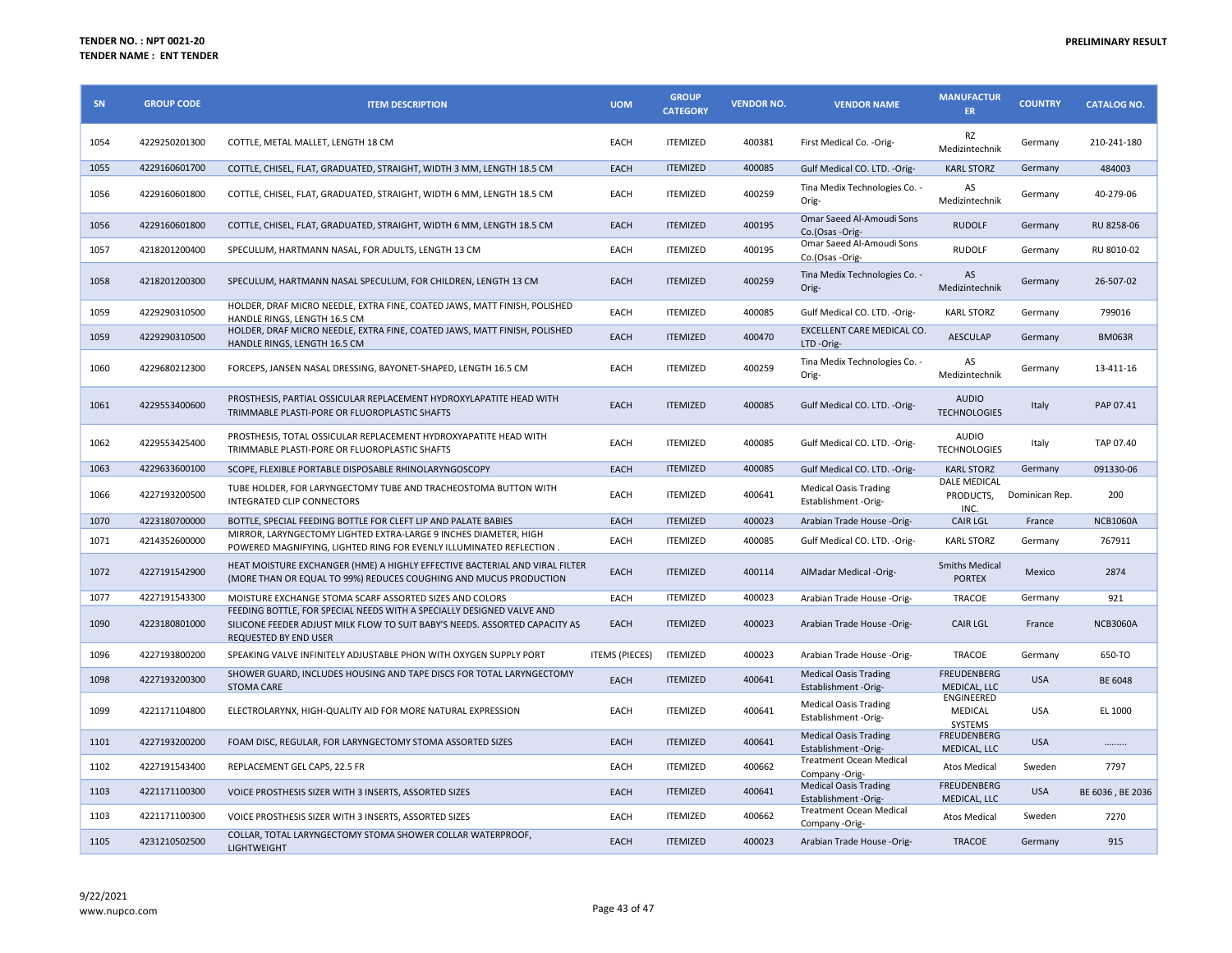| SN   | <b>GROUP CODE</b> | <b>ITEM DESCRIPTION</b>                                                                                                                                                              | <b>UOM</b>            | <b>GROUP</b><br><b>CATEGORY</b> | <b>VENDOR NO.</b> | <b>VENDOR NAME</b>                                   | <b>MANUFACTUR</b><br>ER.                 | <b>COUNTRY</b> | <b>CATALOG NO.</b> |
|------|-------------------|--------------------------------------------------------------------------------------------------------------------------------------------------------------------------------------|-----------------------|---------------------------------|-------------------|------------------------------------------------------|------------------------------------------|----------------|--------------------|
| 1054 | 4229250201300     | COTTLE, METAL MALLET, LENGTH 18 CM                                                                                                                                                   | EACH                  | <b>ITEMIZED</b>                 | 400381            | First Medical Co. - Orig-                            | RZ<br>Medizintechnik                     | Germany        | 210-241-180        |
| 1055 | 4229160601700     | COTTLE, CHISEL, FLAT, GRADUATED, STRAIGHT, WIDTH 3 MM, LENGTH 18.5 CM                                                                                                                | EACH                  | <b>ITEMIZED</b>                 | 400085            | Gulf Medical CO. LTD. - Orig-                        | <b>KARL STORZ</b>                        | Germany        | 484003             |
| 1056 | 4229160601800     | COTTLE, CHISEL, FLAT, GRADUATED, STRAIGHT, WIDTH 6 MM, LENGTH 18.5 CM                                                                                                                | EACH                  | <b>ITEMIZED</b>                 | 400259            | Tina Medix Technologies Co. -<br>Orig-               | AS<br>Medizintechnik                     | Germany        | 40-279-06          |
| 1056 | 4229160601800     | COTTLE, CHISEL, FLAT, GRADUATED, STRAIGHT, WIDTH 6 MM, LENGTH 18.5 CM                                                                                                                | EACH                  | <b>ITEMIZED</b>                 | 400195            | Omar Saeed Al-Amoudi Sons<br>Co.(Osas -Orig-         | <b>RUDOLF</b>                            | Germany        | RU 8258-06         |
| 1057 | 4218201200400     | SPECULUM, HARTMANN NASAL, FOR ADULTS, LENGTH 13 CM                                                                                                                                   | EACH                  | <b>ITEMIZED</b>                 | 400195            | Omar Saeed Al-Amoudi Sons<br>Co.(Osas -Orig-         | <b>RUDOLF</b>                            | Germany        | RU 8010-02         |
| 1058 | 4218201200300     | SPECULUM, HARTMANN NASAL SPECULUM, FOR CHILDREN, LENGTH 13 CM                                                                                                                        | EACH                  | <b>ITEMIZED</b>                 | 400259            | Tina Medix Technologies Co. -<br>Orig-               | AS<br>Medizintechnik                     | Germany        | 26-507-02          |
| 1059 | 4229290310500     | HOLDER, DRAF MICRO NEEDLE, EXTRA FINE, COATED JAWS, MATT FINISH, POLISHED<br>HANDLE RINGS, LENGTH 16.5 CM                                                                            | EACH                  | <b>ITEMIZED</b>                 | 400085            | Gulf Medical CO. LTD. - Orig-                        | <b>KARL STORZ</b>                        | Germany        | 799016             |
| 1059 | 4229290310500     | HOLDER, DRAF MICRO NEEDLE, EXTRA FINE, COATED JAWS, MATT FINISH, POLISHED<br>HANDLE RINGS, LENGTH 16.5 CM                                                                            | EACH                  | <b>ITEMIZED</b>                 | 400470            | EXCELLENT CARE MEDICAL CO.<br>LTD-Orig-              | <b>AESCULAP</b>                          | Germany        | <b>BM063R</b>      |
| 1060 | 4229680212300     | FORCEPS, JANSEN NASAL DRESSING, BAYONET-SHAPED, LENGTH 16.5 CM                                                                                                                       | EACH                  | <b>ITEMIZED</b>                 | 400259            | Tina Medix Technologies Co. -<br>Orig-               | AS<br>Medizintechnik                     | Germany        | 13-411-16          |
| 1061 | 4229553400600     | PROSTHESIS, PARTIAL OSSICULAR REPLACEMENT HYDROXYLAPATITE HEAD WITH<br>TRIMMABLE PLASTI-PORE OR FLUOROPLASTIC SHAFTS                                                                 | EACH                  | <b>ITEMIZED</b>                 | 400085            | Gulf Medical CO. LTD. - Orig-                        | <b>AUDIO</b><br><b>TECHNOLOGIES</b>      | Italy          | PAP 07.41          |
| 1062 | 4229553425400     | PROSTHESIS, TOTAL OSSICULAR REPLACEMENT HYDROXYAPATITE HEAD WITH<br>TRIMMABLE PLASTI-PORE OR FLUOROPLASTIC SHAFTS                                                                    | EACH                  | <b>ITEMIZED</b>                 | 400085            | Gulf Medical CO. LTD. - Orig-                        | <b>AUDIO</b><br><b>TECHNOLOGIES</b>      | Italy          | TAP 07.40          |
| 1063 | 4229633600100     | SCOPE, FLEXIBLE PORTABLE DISPOSABLE RHINOLARYNGOSCOPY                                                                                                                                | EACH                  | <b>ITEMIZED</b>                 | 400085            | Gulf Medical CO. LTD. - Orig-                        | <b>KARL STORZ</b>                        | Germany        | 091330-06          |
| 1066 | 4227193200500     | TUBE HOLDER, FOR LARYNGECTOMY TUBE AND TRACHEOSTOMA BUTTON WITH<br>INTEGRATED CLIP CONNECTORS                                                                                        | EACH                  | <b>ITEMIZED</b>                 | 400641            | <b>Medical Oasis Trading</b><br>Establishment -Orig- | <b>DALE MEDICAL</b><br>PRODUCTS,<br>INC. | Dominican Rep. | 200                |
| 1070 | 4223180700000     | BOTTLE, SPECIAL FEEDING BOTTLE FOR CLEFT LIP AND PALATE BABIES                                                                                                                       | EACH                  | <b>ITEMIZED</b>                 | 400023            | Arabian Trade House -Orig-                           | <b>CAIR LGL</b>                          | France         | <b>NCB1060A</b>    |
| 1071 | 4214352600000     | MIRROR, LARYNGECTOMY LIGHTED EXTRA-LARGE 9 INCHES DIAMETER, HIGH<br>POWERED MAGNIFYING, LIGHTED RING FOR EVENLY ILLUMINATED REFLECTION.                                              | EACH                  | <b>ITEMIZED</b>                 | 400085            | Gulf Medical CO. LTD. - Orig-                        | <b>KARL STORZ</b>                        | Germany        | 767911             |
| 1072 | 4227191542900     | HEAT MOISTURE EXCHANGER (HME) A HIGHLY EFFECTIVE BACTERIAL AND VIRAL FILTER<br>(MORE THAN OR EQUAL TO 99%) REDUCES COUGHING AND MUCUS PRODUCTION                                     | EACH                  | <b>ITEMIZED</b>                 | 400114            | AlMadar Medical -Orig-                               | <b>Smiths Medical</b><br><b>PORTEX</b>   | Mexico         | 2874               |
| 1077 | 4227191543300     | MOISTURE EXCHANGE STOMA SCARF ASSORTED SIZES AND COLORS                                                                                                                              | EACH                  | <b>ITEMIZED</b>                 | 400023            | Arabian Trade House -Orig-                           | TRACOE                                   | Germany        | 921                |
| 1090 | 4223180801000     | FEEDING BOTTLE, FOR SPECIAL NEEDS WITH A SPECIALLY DESIGNED VALVE AND<br>SILICONE FEEDER ADJUST MILK FLOW TO SUIT BABY'S NEEDS. ASSORTED CAPACITY AS<br><b>REQUESTED BY END USER</b> | EACH                  | <b>ITEMIZED</b>                 | 400023            | Arabian Trade House -Orig-                           | <b>CAIR LGL</b>                          | France         | <b>NCB3060A</b>    |
| 1096 | 4227193800200     | SPEAKING VALVE INFINITELY ADJUSTABLE PHON WITH OXYGEN SUPPLY PORT                                                                                                                    | <b>ITEMS (PIECES)</b> | <b>ITEMIZED</b>                 | 400023            | Arabian Trade House -Orig-                           | <b>TRACOE</b>                            | Germany        | 650-TO             |
| 1098 | 4227193200300     | SHOWER GUARD, INCLUDES HOUSING AND TAPE DISCS FOR TOTAL LARYNGECTOMY<br><b>STOMA CARE</b>                                                                                            | EACH                  | <b>ITEMIZED</b>                 | 400641            | <b>Medical Oasis Trading</b><br>Establishment -Orig- | <b>FREUDENBERG</b><br>MEDICAL, LLC       | <b>USA</b>     | <b>BE 6048</b>     |
| 1099 | 4221171104800     | ELECTROLARYNX, HIGH-QUALITY AID FOR MORE NATURAL EXPRESSION                                                                                                                          | EACH                  | <b>ITEMIZED</b>                 | 400641            | <b>Medical Oasis Trading</b><br>Establishment -Orig- | ENGINEERED<br>MEDICAL<br><b>SYSTEMS</b>  | <b>USA</b>     | EL 1000            |
| 1101 | 4227193200200     | FOAM DISC, REGULAR, FOR LARYNGECTOMY STOMA ASSORTED SIZES                                                                                                                            | EACH                  | <b>ITEMIZED</b>                 | 400641            | <b>Medical Oasis Trading</b><br>Establishment -Orig- | <b>FREUDENBERG</b><br>MEDICAL, LLC       | <b>USA</b>     |                    |
| 1102 | 4227191543400     | REPLACEMENT GEL CAPS, 22.5 FR                                                                                                                                                        | EACH                  | <b>ITEMIZED</b>                 | 400662            | <b>Treatment Ocean Medical</b><br>Company -Orig-     | Atos Medical                             | Sweden         | 7797               |
| 1103 | 4221171100300     | VOICE PROSTHESIS SIZER WITH 3 INSERTS, ASSORTED SIZES                                                                                                                                | EACH                  | <b>ITEMIZED</b>                 | 400641            | <b>Medical Oasis Trading</b><br>Establishment -Orig- | <b>FREUDENBERG</b><br>MEDICAL, LLC       | <b>USA</b>     | BE 6036, BE 2036   |
| 1103 | 4221171100300     | VOICE PROSTHESIS SIZER WITH 3 INSERTS, ASSORTED SIZES                                                                                                                                | EACH                  | <b>ITEMIZED</b>                 | 400662            | <b>Treatment Ocean Medical</b><br>Company -Orig-     | <b>Atos Medical</b>                      | Sweden         | 7270               |
| 1105 | 4231210502500     | COLLAR, TOTAL LARYNGECTOMY STOMA SHOWER COLLAR WATERPROOF,<br><b>LIGHTWEIGHT</b>                                                                                                     | EACH                  | <b>ITEMIZED</b>                 | 400023            | Arabian Trade House -Orig-                           | <b>TRACOE</b>                            | Germany        | 915                |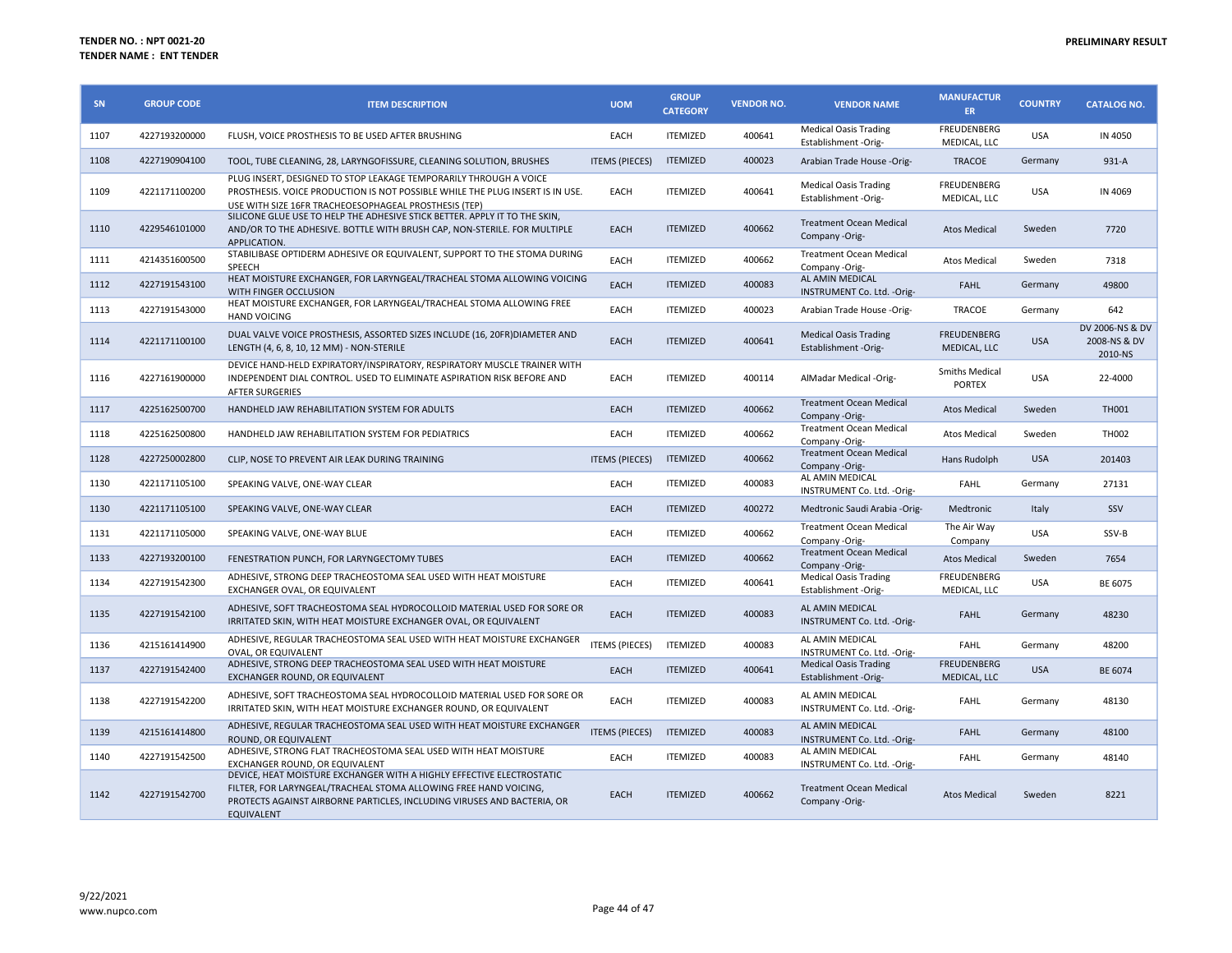| SN   | <b>GROUP CODE</b> | <b>ITEM DESCRIPTION</b>                                                                                                                                                                                                                   | <b>UOM</b>            | <b>GROUP</b><br><b>CATEGORY</b> | <b>VENDOR NO.</b> | <b>VENDOR NAME</b>                                   | <b>MANUFACTUR</b><br>ER            | <b>COUNTRY</b> | <b>CATALOG NO.</b>                         |
|------|-------------------|-------------------------------------------------------------------------------------------------------------------------------------------------------------------------------------------------------------------------------------------|-----------------------|---------------------------------|-------------------|------------------------------------------------------|------------------------------------|----------------|--------------------------------------------|
| 1107 | 4227193200000     | FLUSH, VOICE PROSTHESIS TO BE USED AFTER BRUSHING                                                                                                                                                                                         | EACH                  | <b>ITEMIZED</b>                 | 400641            | <b>Medical Oasis Trading</b><br>Establishment -Orig- | <b>FREUDENBERG</b><br>MEDICAL, LLC | <b>USA</b>     | IN 4050                                    |
| 1108 | 4227190904100     | TOOL, TUBE CLEANING, 28, LARYNGOFISSURE, CLEANING SOLUTION, BRUSHES                                                                                                                                                                       | <b>ITEMS (PIECES)</b> | <b>ITEMIZED</b>                 | 400023            | Arabian Trade House -Orig-                           | <b>TRACOE</b>                      | Germany        | 931-A                                      |
| 1109 | 4221171100200     | PLUG INSERT. DESIGNED TO STOP LEAKAGE TEMPORARILY THROUGH A VOICE<br>PROSTHESIS. VOICE PRODUCTION IS NOT POSSIBLE WHILE THE PLUG INSERT IS IN USE.<br>USE WITH SIZE 16FR TRACHEOESOPHAGEAL PROSTHESIS (TEP)                               | EACH                  | <b>ITEMIZED</b>                 | 400641            | <b>Medical Oasis Trading</b><br>Establishment -Orig- | FREUDENBERG<br>MEDICAL, LLC        | <b>USA</b>     | IN 4069                                    |
| 1110 | 4229546101000     | SILICONE GLUE USE TO HELP THE ADHESIVE STICK BETTER. APPLY IT TO THE SKIN,<br>AND/OR TO THE ADHESIVE. BOTTLE WITH BRUSH CAP, NON-STERILE. FOR MULTIPLE<br>APPLICATION.                                                                    | EACH                  | <b>ITEMIZED</b>                 | 400662            | <b>Treatment Ocean Medical</b><br>Company -Orig-     | <b>Atos Medical</b>                | Sweden         | 7720                                       |
| 1111 | 4214351600500     | STABILIBASE OPTIDERM ADHESIVE OR EQUIVALENT, SUPPORT TO THE STOMA DURING<br><b>SPEECH</b>                                                                                                                                                 | EACH                  | <b>ITEMIZED</b>                 | 400662            | Treatment Ocean Medical<br>Company -Orig-            | <b>Atos Medical</b>                | Sweden         | 7318                                       |
| 1112 | 4227191543100     | HEAT MOISTURE EXCHANGER, FOR LARYNGEAL/TRACHEAL STOMA ALLOWING VOICING<br>WITH FINGER OCCLUSION                                                                                                                                           | EACH                  | <b>ITEMIZED</b>                 | 400083            | AL AMIN MEDICAL<br>INSTRUMENT Co. Ltd. - Orig-       | <b>FAHL</b>                        | Germany        | 49800                                      |
| 1113 | 4227191543000     | HEAT MOISTURE EXCHANGER, FOR LARYNGEAL/TRACHEAL STOMA ALLOWING FREE<br><b>HAND VOICING</b>                                                                                                                                                | EACH                  | <b>ITEMIZED</b>                 | 400023            | Arabian Trade House -Orig-                           | <b>TRACOE</b>                      | Germany        | 642                                        |
| 1114 | 4221171100100     | DUAL VALVE VOICE PROSTHESIS, ASSORTED SIZES INCLUDE (16, 20FR) DIAMETER AND<br>LENGTH (4, 6, 8, 10, 12 MM) - NON-STERILE                                                                                                                  | EACH                  | <b>ITEMIZED</b>                 | 400641            | <b>Medical Oasis Trading</b><br>Establishment -Orig- | <b>FREUDENBERG</b><br>MEDICAL, LLC | <b>USA</b>     | DV 2006-NS & DV<br>2008-NS & DV<br>2010-NS |
| 1116 | 4227161900000     | DEVICE HAND-HELD EXPIRATORY/INSPIRATORY, RESPIRATORY MUSCLE TRAINER WITH<br>INDEPENDENT DIAL CONTROL. USED TO ELIMINATE ASPIRATION RISK BEFORE AND<br><b>AFTER SURGERIES</b>                                                              | EACH                  | <b>ITEMIZED</b>                 | 400114            | AlMadar Medical -Orig-                               | Smiths Medical<br><b>PORTEX</b>    | <b>USA</b>     | 22-4000                                    |
| 1117 | 4225162500700     | HANDHELD JAW REHABILITATION SYSTEM FOR ADULTS                                                                                                                                                                                             | EACH                  | <b>ITEMIZED</b>                 | 400662            | <b>Treatment Ocean Medical</b><br>Company -Orig-     | <b>Atos Medical</b>                | Sweden         | <b>TH001</b>                               |
| 1118 | 4225162500800     | HANDHELD JAW REHABILITATION SYSTEM FOR PEDIATRICS                                                                                                                                                                                         | EACH                  | <b>ITEMIZED</b>                 | 400662            | <b>Treatment Ocean Medical</b><br>Company -Orig-     | <b>Atos Medical</b>                | Sweden         | TH002                                      |
| 1128 | 4227250002800     | CLIP, NOSE TO PREVENT AIR LEAK DURING TRAINING                                                                                                                                                                                            | <b>ITEMS (PIECES)</b> | <b>ITEMIZED</b>                 | 400662            | <b>Treatment Ocean Medical</b><br>Company -Orig-     | Hans Rudolph                       | <b>USA</b>     | 201403                                     |
| 1130 | 4221171105100     | SPEAKING VALVE, ONE-WAY CLEAR                                                                                                                                                                                                             | EACH                  | <b>ITEMIZED</b>                 | 400083            | AL AMIN MEDICAL<br>INSTRUMENT Co. Ltd. - Orig-       | <b>FAHL</b>                        | Germany        | 27131                                      |
| 1130 | 4221171105100     | SPEAKING VALVE, ONE-WAY CLEAR                                                                                                                                                                                                             | EACH                  | <b>ITEMIZED</b>                 | 400272            | Medtronic Saudi Arabia -Orig-                        | Medtronic                          | Italy          | SSV                                        |
| 1131 | 4221171105000     | SPEAKING VALVE, ONE-WAY BLUE                                                                                                                                                                                                              | EACH                  | <b>ITEMIZED</b>                 | 400662            | <b>Treatment Ocean Medical</b><br>Company -Orig-     | The Air Way<br>Company             | <b>USA</b>     | SSV-B                                      |
| 1133 | 4227193200100     | FENESTRATION PUNCH, FOR LARYNGECTOMY TUBES                                                                                                                                                                                                | EACH                  | <b>ITEMIZED</b>                 | 400662            | <b>Treatment Ocean Medical</b><br>Company -Orig-     | <b>Atos Medical</b>                | Sweden         | 7654                                       |
| 1134 | 4227191542300     | ADHESIVE, STRONG DEEP TRACHEOSTOMA SEAL USED WITH HEAT MOISTURE<br>EXCHANGER OVAL, OR EQUIVALENT                                                                                                                                          | EACH                  | <b>ITEMIZED</b>                 | 400641            | <b>Medical Oasis Trading</b><br>Establishment -Orig- | FREUDENBERG<br>MEDICAL, LLC        | <b>USA</b>     | BE 6075                                    |
| 1135 | 4227191542100     | ADHESIVE, SOFT TRACHEOSTOMA SEAL HYDROCOLLOID MATERIAL USED FOR SORE OR<br>IRRITATED SKIN, WITH HEAT MOISTURE EXCHANGER OVAL, OR EQUIVALENT                                                                                               | EACH                  | <b>ITEMIZED</b>                 | 400083            | AL AMIN MEDICAL<br>INSTRUMENT Co. Ltd. - Orig-       | <b>FAHL</b>                        | Germany        | 48230                                      |
| 1136 | 4215161414900     | ADHESIVE, REGULAR TRACHEOSTOMA SEAL USED WITH HEAT MOISTURE EXCHANGER<br>OVAL, OR EQUIVALENT                                                                                                                                              | <b>ITEMS (PIECES)</b> | <b>ITEMIZED</b>                 | 400083            | AL AMIN MEDICAL<br>INSTRUMENT Co. Ltd. - Orig-       | <b>FAHL</b>                        | Germany        | 48200                                      |
| 1137 | 4227191542400     | ADHESIVE, STRONG DEEP TRACHEOSTOMA SEAL USED WITH HEAT MOISTURE<br>EXCHANGER ROUND, OR EQUIVALENT                                                                                                                                         | <b>EACH</b>           | <b>ITEMIZED</b>                 | 400641            | <b>Medical Oasis Trading</b><br>Establishment -Orig- | <b>FREUDENBERG</b><br>MEDICAL, LLC | <b>USA</b>     | BE 6074                                    |
| 1138 | 4227191542200     | ADHESIVE, SOFT TRACHEOSTOMA SEAL HYDROCOLLOID MATERIAL USED FOR SORE OR<br>IRRITATED SKIN, WITH HEAT MOISTURE EXCHANGER ROUND, OR EQUIVALENT                                                                                              | EACH                  | <b>ITEMIZED</b>                 | 400083            | AL AMIN MEDICAL<br>INSTRUMENT Co. Ltd. - Orig-       | <b>FAHL</b>                        | Germany        | 48130                                      |
| 1139 | 4215161414800     | ADHESIVE, REGULAR TRACHEOSTOMA SEAL USED WITH HEAT MOISTURE EXCHANGER<br>ROUND, OR EQUIVALENT                                                                                                                                             | <b>ITEMS (PIECES)</b> | <b>ITEMIZED</b>                 | 400083            | AL AMIN MEDICAL<br>INSTRUMENT Co. Ltd. - Orig-       | <b>FAHL</b>                        | Germany        | 48100                                      |
| 1140 | 4227191542500     | ADHESIVE, STRONG FLAT TRACHEOSTOMA SEAL USED WITH HEAT MOISTURE<br>EXCHANGER ROUND, OR EQUIVALENT                                                                                                                                         | EACH                  | <b>ITEMIZED</b>                 | 400083            | AL AMIN MEDICAL<br>INSTRUMENT Co. Ltd. - Orig-       | <b>FAHL</b>                        | Germany        | 48140                                      |
| 1142 | 4227191542700     | DEVICE, HEAT MOISTURE EXCHANGER WITH A HIGHLY EFFECTIVE ELECTROSTATIC<br>FILTER, FOR LARYNGEAL/TRACHEAL STOMA ALLOWING FREE HAND VOICING,<br>PROTECTS AGAINST AIRBORNE PARTICLES, INCLUDING VIRUSES AND BACTERIA, OR<br><b>EQUIVALENT</b> | <b>EACH</b>           | <b>ITEMIZED</b>                 | 400662            | <b>Treatment Ocean Medical</b><br>Company -Orig-     | <b>Atos Medical</b>                | Sweden         | 8221                                       |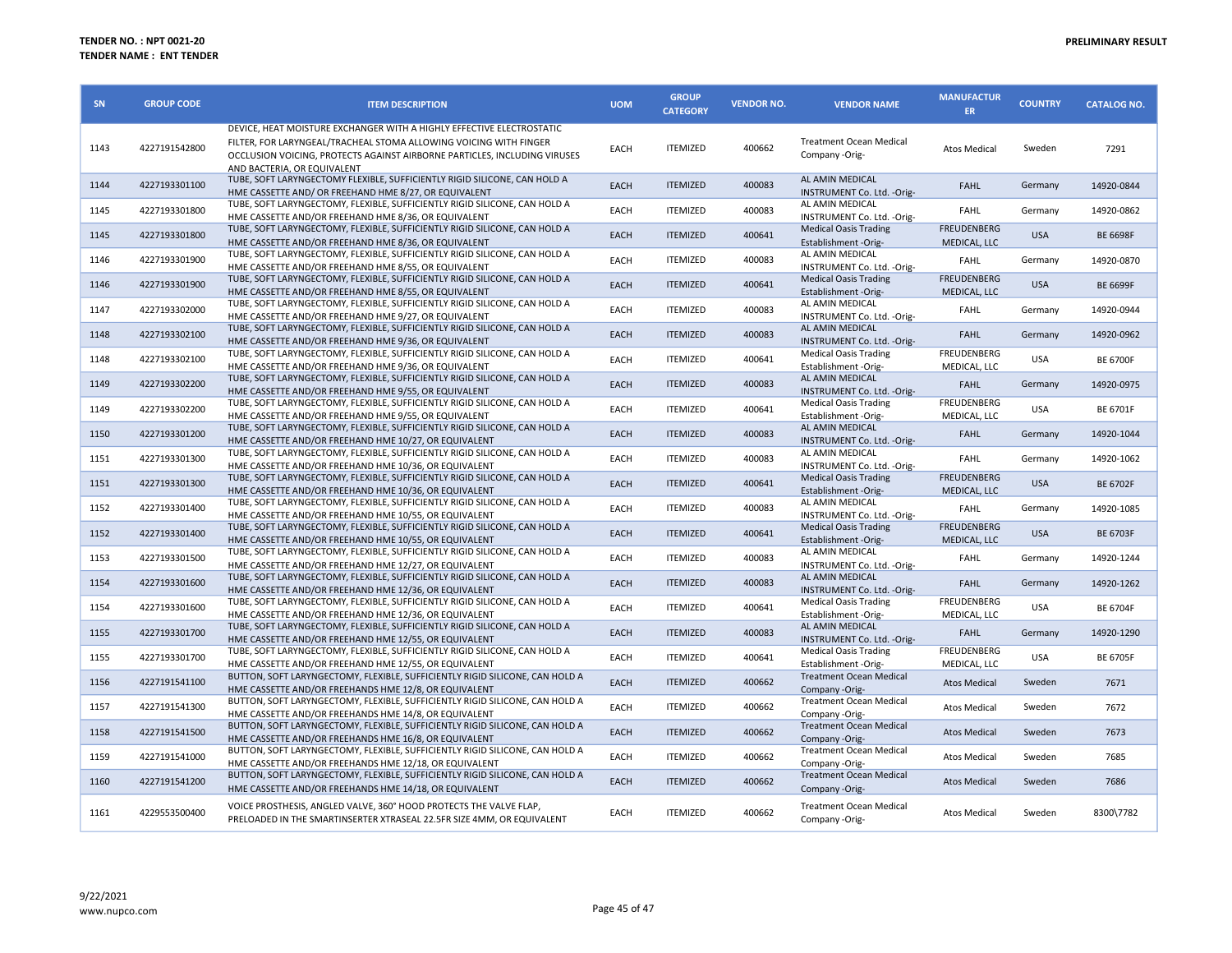| SN   | <b>GROUP CODE</b> | <b>ITEM DESCRIPTION</b>                                                                                                                                                                                                                                | <b>UOM</b> | <b>GROUP</b><br><b>CATEGORY</b> | <b>VENDOR NO.</b> | <b>VENDOR NAME</b>                                   | <b>MANUFACTUR</b><br>ER            | <b>COUNTRY</b> | <b>CATALOG NO.</b> |
|------|-------------------|--------------------------------------------------------------------------------------------------------------------------------------------------------------------------------------------------------------------------------------------------------|------------|---------------------------------|-------------------|------------------------------------------------------|------------------------------------|----------------|--------------------|
| 1143 | 4227191542800     | DEVICE, HEAT MOISTURE EXCHANGER WITH A HIGHLY EFFECTIVE ELECTROSTATIC<br>FILTER, FOR LARYNGEAL/TRACHEAL STOMA ALLOWING VOICING WITH FINGER<br>OCCLUSION VOICING, PROTECTS AGAINST AIRBORNE PARTICLES, INCLUDING VIRUSES<br>AND BACTERIA, OR EQUIVALENT | EACH       | <b>ITEMIZED</b>                 | 400662            | <b>Treatment Ocean Medical</b><br>Company -Orig-     | <b>Atos Medical</b>                | Sweden         | 7291               |
| 1144 | 4227193301100     | TUBE, SOFT LARYNGECTOMY FLEXIBLE, SUFFICIENTLY RIGID SILICONE, CAN HOLD A<br>HME CASSETTE AND/ OR FREEHAND HME 8/27, OR EQUIVALENT                                                                                                                     | EACH       | <b>ITEMIZED</b>                 | 400083            | AL AMIN MEDICAL<br>INSTRUMENT Co. Ltd. - Orig-       | <b>FAHL</b>                        | Germany        | 14920-0844         |
| 1145 | 4227193301800     | TUBE, SOFT LARYNGECTOMY, FLEXIBLE, SUFFICIENTLY RIGID SILICONE, CAN HOLD A<br>HME CASSETTE AND/OR FREEHAND HME 8/36, OR EQUIVALENT                                                                                                                     | EACH       | <b>ITEMIZED</b>                 | 400083            | AL AMIN MEDICAL<br>INSTRUMENT Co. Ltd. - Orig-       | FAHL                               | Germany        | 14920-0862         |
| 1145 | 4227193301800     | TUBE, SOFT LARYNGECTOMY, FLEXIBLE, SUFFICIENTLY RIGID SILICONE, CAN HOLD A<br>HME CASSETTE AND/OR FREEHAND HME 8/36, OR EQUIVALENT                                                                                                                     | EACH       | <b>ITEMIZED</b>                 | 400641            | <b>Medical Oasis Trading</b><br>Establishment -Orig- | <b>FREUDENBERG</b><br>MEDICAL, LLC | <b>USA</b>     | <b>BE 6698F</b>    |
| 1146 | 4227193301900     | TUBE, SOFT LARYNGECTOMY, FLEXIBLE, SUFFICIENTLY RIGID SILICONE, CAN HOLD A<br>HME CASSETTE AND/OR FREEHAND HME 8/55, OR EQUIVALENT                                                                                                                     | EACH       | <b>ITEMIZED</b>                 | 400083            | AL AMIN MEDICAL<br>INSTRUMENT Co. Ltd. - Orig-       | <b>FAHL</b>                        | Germany        | 14920-0870         |
| 1146 | 4227193301900     | TUBE, SOFT LARYNGECTOMY, FLEXIBLE, SUFFICIENTLY RIGID SILICONE, CAN HOLD A<br>HME CASSETTE AND/OR FREEHAND HME 8/55, OR EQUIVALENT                                                                                                                     | EACH       | <b>ITEMIZED</b>                 | 400641            | <b>Medical Oasis Trading</b><br>Establishment -Orig- | <b>FREUDENBERG</b><br>MEDICAL, LLC | <b>USA</b>     | <b>BE 6699F</b>    |
| 1147 | 4227193302000     | TUBE, SOFT LARYNGECTOMY, FLEXIBLE, SUFFICIENTLY RIGID SILICONE, CAN HOLD A<br>HME CASSETTE AND/OR FREEHAND HME 9/27, OR EQUIVALENT                                                                                                                     | EACH       | <b>ITEMIZED</b>                 | 400083            | AL AMIN MEDICAL<br>INSTRUMENT Co. Ltd. - Orig-       | <b>FAHL</b>                        | Germany        | 14920-0944         |
| 1148 | 4227193302100     | TUBE, SOFT LARYNGECTOMY, FLEXIBLE, SUFFICIENTLY RIGID SILICONE, CAN HOLD A<br>HME CASSETTE AND/OR FREEHAND HME 9/36, OR EQUIVALENT                                                                                                                     | EACH       | <b>ITEMIZED</b>                 | 400083            | AL AMIN MEDICAL<br>INSTRUMENT Co. Ltd. - Orig-       | <b>FAHL</b>                        | Germany        | 14920-0962         |
| 1148 | 4227193302100     | TUBE, SOFT LARYNGECTOMY, FLEXIBLE, SUFFICIENTLY RIGID SILICONE, CAN HOLD A<br>HME CASSETTE AND/OR FREEHAND HME 9/36, OR EQUIVALENT                                                                                                                     | EACH       | <b>ITEMIZED</b>                 | 400641            | <b>Medical Oasis Trading</b><br>Establishment -Orig- | FREUDENBERG<br>MEDICAL, LLC        | <b>USA</b>     | <b>BE 6700F</b>    |
| 1149 | 4227193302200     | TUBE, SOFT LARYNGECTOMY, FLEXIBLE, SUFFICIENTLY RIGID SILICONE, CAN HOLD A<br>HME CASSETTE AND/OR FREEHAND HME 9/55, OR EQUIVALENT                                                                                                                     | EACH       | <b>ITEMIZED</b>                 | 400083            | AL AMIN MEDICAL<br>INSTRUMENT Co. Ltd. - Orig-       | <b>FAHL</b>                        | Germany        | 14920-0975         |
| 1149 | 4227193302200     | TUBE, SOFT LARYNGECTOMY, FLEXIBLE, SUFFICIENTLY RIGID SILICONE, CAN HOLD A<br>HME CASSETTE AND/OR FREEHAND HME 9/55, OR EQUIVALENT                                                                                                                     | EACH       | <b>ITEMIZED</b>                 | 400641            | <b>Medical Oasis Trading</b><br>Establishment -Orig- | FREUDENBERG<br>MEDICAL, LLC        | <b>USA</b>     | <b>BE 6701F</b>    |
| 1150 | 4227193301200     | TUBE, SOFT LARYNGECTOMY, FLEXIBLE, SUFFICIENTLY RIGID SILICONE, CAN HOLD A<br>HME CASSETTE AND/OR FREEHAND HME 10/27, OR EQUIVALENT                                                                                                                    | EACH       | <b>ITEMIZED</b>                 | 400083            | AL AMIN MEDICAL<br>INSTRUMENT Co. Ltd. - Orig-       | <b>FAHL</b>                        | Germany        | 14920-1044         |
| 1151 | 4227193301300     | TUBE, SOFT LARYNGECTOMY, FLEXIBLE, SUFFICIENTLY RIGID SILICONE, CAN HOLD A<br>HME CASSETTE AND/OR FREEHAND HME 10/36, OR EQUIVALENT                                                                                                                    | EACH       | <b>ITEMIZED</b>                 | 400083            | AL AMIN MEDICAL<br>INSTRUMENT Co. Ltd. - Orig-       | FAHL                               | Germany        | 14920-1062         |
| 1151 | 4227193301300     | TUBE, SOFT LARYNGECTOMY, FLEXIBLE, SUFFICIENTLY RIGID SILICONE, CAN HOLD A<br>HME CASSETTE AND/OR FREEHAND HME 10/36, OR EQUIVALENT                                                                                                                    | EACH       | <b>ITEMIZED</b>                 | 400641            | <b>Medical Oasis Trading</b><br>Establishment -Orig- | <b>FREUDENBERG</b><br>MEDICAL, LLC | <b>USA</b>     | <b>BE 6702F</b>    |
| 1152 | 4227193301400     | TUBE, SOFT LARYNGECTOMY, FLEXIBLE, SUFFICIENTLY RIGID SILICONE, CAN HOLD A<br>HME CASSETTE AND/OR FREEHAND HME 10/55, OR EQUIVALENT                                                                                                                    | EACH       | <b>ITEMIZED</b>                 | 400083            | AL AMIN MEDICAL<br>INSTRUMENT Co. Ltd. - Orig-       | FAHL                               | Germany        | 14920-1085         |
| 1152 | 4227193301400     | TUBE, SOFT LARYNGECTOMY, FLEXIBLE, SUFFICIENTLY RIGID SILICONE, CAN HOLD A<br>HME CASSETTE AND/OR FREEHAND HME 10/55, OR EQUIVALENT                                                                                                                    | EACH       | <b>ITEMIZED</b>                 | 400641            | <b>Medical Oasis Trading</b><br>Establishment -Orig- | <b>FREUDENBERG</b><br>MEDICAL, LLC | <b>USA</b>     | <b>BE 6703F</b>    |
| 1153 | 4227193301500     | TUBE, SOFT LARYNGECTOMY, FLEXIBLE, SUFFICIENTLY RIGID SILICONE, CAN HOLD A<br>HME CASSETTE AND/OR FREEHAND HME 12/27, OR EQUIVALENT                                                                                                                    | EACH       | <b>ITEMIZED</b>                 | 400083            | AL AMIN MEDICAL<br>INSTRUMENT Co. Ltd. - Orig-       | <b>FAHL</b>                        | Germany        | 14920-1244         |
| 1154 | 4227193301600     | TUBE, SOFT LARYNGECTOMY, FLEXIBLE, SUFFICIENTLY RIGID SILICONE, CAN HOLD A<br>HME CASSETTE AND/OR FREEHAND HME 12/36, OR EQUIVALENT                                                                                                                    | EACH       | <b>ITEMIZED</b>                 | 400083            | AL AMIN MEDICAL<br>INSTRUMENT Co. Ltd. - Orig-       | <b>FAHL</b>                        | Germany        | 14920-1262         |
| 1154 | 4227193301600     | TUBE, SOFT LARYNGECTOMY, FLEXIBLE, SUFFICIENTLY RIGID SILICONE, CAN HOLD A<br>HME CASSETTE AND/OR FREEHAND HME 12/36. OR EQUIVALENT                                                                                                                    | EACH       | <b>ITEMIZED</b>                 | 400641            | <b>Medical Oasis Trading</b><br>Establishment -Orig- | FREUDENBERG<br>MEDICAL, LLC        | <b>USA</b>     | <b>BE 6704F</b>    |
| 1155 | 4227193301700     | TUBE, SOFT LARYNGECTOMY, FLEXIBLE, SUFFICIENTLY RIGID SILICONE, CAN HOLD A<br>HME CASSETTE AND/OR FREEHAND HME 12/55, OR EQUIVALENT                                                                                                                    | EACH       | <b>ITEMIZED</b>                 | 400083            | AL AMIN MEDICAL<br>INSTRUMENT Co. Ltd. - Orig-       | <b>FAHL</b>                        | Germany        | 14920-1290         |
| 1155 | 4227193301700     | TUBE, SOFT LARYNGECTOMY, FLEXIBLE, SUFFICIENTLY RIGID SILICONE, CAN HOLD A<br>HME CASSETTE AND/OR FREEHAND HME 12/55, OR EQUIVALENT                                                                                                                    | EACH       | <b>ITEMIZED</b>                 | 400641            | <b>Medical Oasis Trading</b><br>Establishment -Orig- | FREUDENBERG<br>MEDICAL, LLC        | <b>USA</b>     | <b>BE 6705F</b>    |
| 1156 | 4227191541100     | BUTTON, SOFT LARYNGECTOMY, FLEXIBLE, SUFFICIENTLY RIGID SILICONE, CAN HOLD A<br>HME CASSETTE AND/OR FREEHANDS HME 12/8, OR EQUIVALENT                                                                                                                  | EACH       | <b>ITEMIZED</b>                 | 400662            | Treatment Ocean Medical<br>Company -Orig-            | <b>Atos Medical</b>                | Sweden         | 7671               |
| 1157 | 4227191541300     | BUTTON, SOFT LARYNGECTOMY, FLEXIBLE, SUFFICIENTLY RIGID SILICONE, CAN HOLD A<br>HME CASSETTE AND/OR FREEHANDS HME 14/8, OR EQUIVALENT                                                                                                                  | EACH       | <b>ITEMIZED</b>                 | 400662            | <b>Treatment Ocean Medical</b><br>Company -Orig-     | <b>Atos Medical</b>                | Sweden         | 7672               |
| 1158 | 4227191541500     | BUTTON, SOFT LARYNGECTOMY, FLEXIBLE, SUFFICIENTLY RIGID SILICONE, CAN HOLD A<br>HME CASSETTE AND/OR FREEHANDS HME 16/8, OR EQUIVALENT                                                                                                                  | EACH       | <b>ITEMIZED</b>                 | 400662            | <b>Treatment Ocean Medical</b><br>Company -Orig-     | <b>Atos Medical</b>                | Sweden         | 7673               |
| 1159 | 4227191541000     | BUTTON, SOFT LARYNGECTOMY, FLEXIBLE, SUFFICIENTLY RIGID SILICONE, CAN HOLD A<br>HME CASSETTE AND/OR FREEHANDS HME 12/18, OR EQUIVALENT                                                                                                                 | EACH       | <b>ITEMIZED</b>                 | 400662            | Treatment Ocean Medical<br>Company -Orig-            | <b>Atos Medical</b>                | Sweden         | 7685               |
| 1160 | 4227191541200     | BUTTON, SOFT LARYNGECTOMY, FLEXIBLE, SUFFICIENTLY RIGID SILICONE, CAN HOLD A<br>HME CASSETTE AND/OR FREEHANDS HME 14/18, OR EQUIVALENT                                                                                                                 | EACH       | <b>ITEMIZED</b>                 | 400662            | <b>Treatment Ocean Medical</b><br>Company -Orig-     | <b>Atos Medical</b>                | Sweden         | 7686               |
| 1161 | 4229553500400     | VOICE PROSTHESIS, ANGLED VALVE, 360° HOOD PROTECTS THE VALVE FLAP,<br>PRELOADED IN THE SMARTINSERTER XTRASEAL 22.5FR SIZE 4MM, OR EQUIVALENT                                                                                                           | EACH       | <b>ITEMIZED</b>                 | 400662            | <b>Treatment Ocean Medical</b><br>Company -Orig-     | Atos Medical                       | Sweden         | 8300\7782          |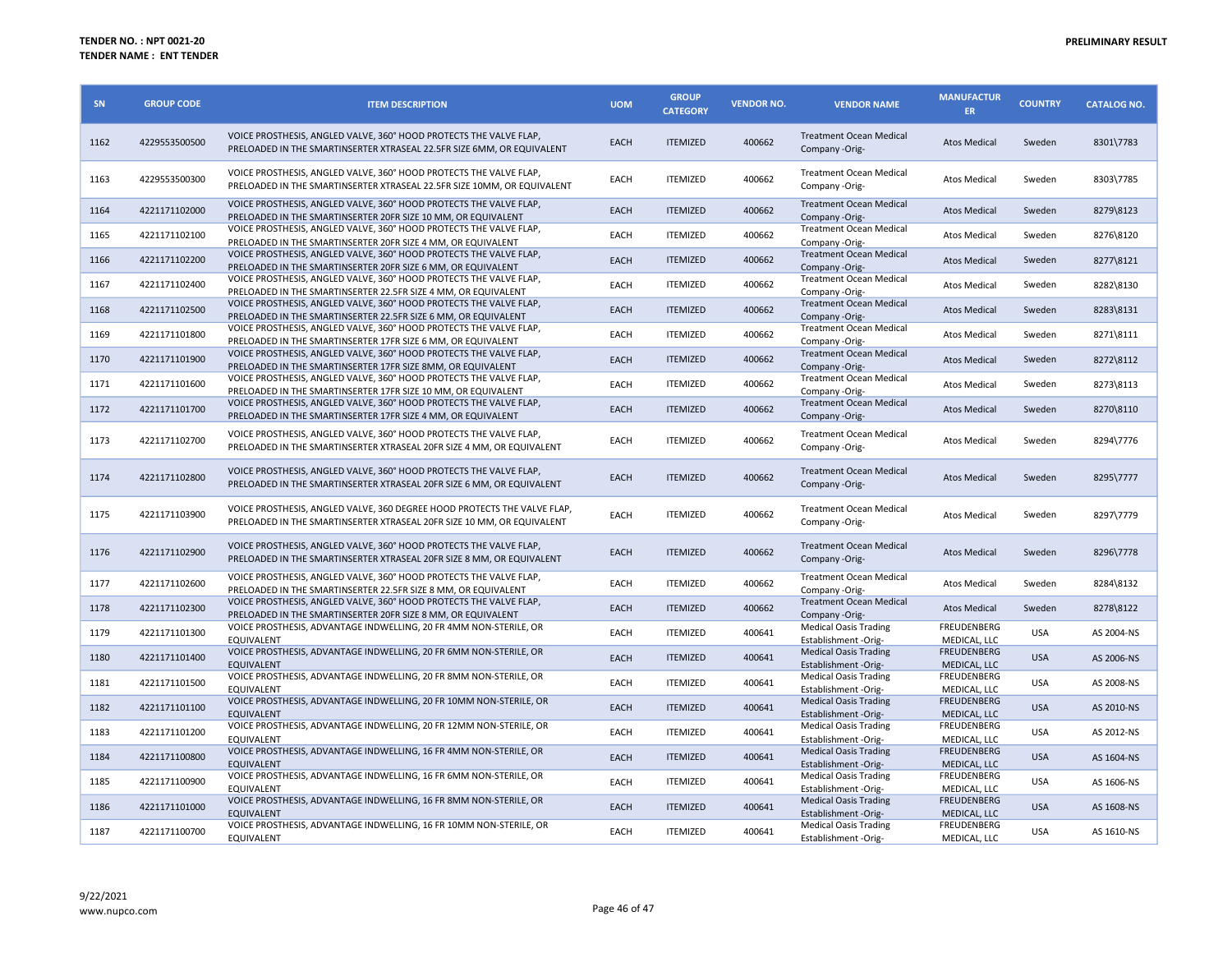| SN   | <b>GROUP CODE</b> | <b>ITEM DESCRIPTION</b>                                                                                                                            | <b>UOM</b>  | <b>GROUP</b><br><b>CATEGORY</b> | <b>VENDOR NO.</b> | <b>VENDOR NAME</b>                                   | <b>MANUFACTUR</b><br>ER     | <b>COUNTRY</b> | <b>CATALOG NO.</b> |
|------|-------------------|----------------------------------------------------------------------------------------------------------------------------------------------------|-------------|---------------------------------|-------------------|------------------------------------------------------|-----------------------------|----------------|--------------------|
| 1162 | 4229553500500     | VOICE PROSTHESIS, ANGLED VALVE, 360° HOOD PROTECTS THE VALVE FLAP,<br>PRELOADED IN THE SMARTINSERTER XTRASEAL 22.5FR SIZE 6MM, OR EQUIVALENT       | EACH        | <b>ITEMIZED</b>                 | 400662            | <b>Treatment Ocean Medical</b><br>Company -Orig-     | <b>Atos Medical</b>         | Sweden         | 8301\7783          |
| 1163 | 4229553500300     | VOICE PROSTHESIS, ANGLED VALVE, 360° HOOD PROTECTS THE VALVE FLAP,<br>PRELOADED IN THE SMARTINSERTER XTRASEAL 22.5FR SIZE 10MM, OR EQUIVALENT      | EACH        | <b>ITEMIZED</b>                 | 400662            | Treatment Ocean Medical<br>Company -Orig-            | <b>Atos Medical</b>         | Sweden         | 8303\7785          |
| 1164 | 4221171102000     | VOICE PROSTHESIS, ANGLED VALVE, 360° HOOD PROTECTS THE VALVE FLAP,<br>PRELOADED IN THE SMARTINSERTER 20FR SIZE 10 MM, OR EQUIVALENT                | EACH        | <b>ITEMIZED</b>                 | 400662            | <b>Treatment Ocean Medical</b><br>Company -Orig-     | <b>Atos Medical</b>         | Sweden         | 8279\8123          |
| 1165 | 4221171102100     | VOICE PROSTHESIS, ANGLED VALVE, 360° HOOD PROTECTS THE VALVE FLAP,<br>PRELOADED IN THE SMARTINSERTER 20FR SIZE 4 MM, OR EQUIVALENT                 | EACH        | <b>ITEMIZED</b>                 | 400662            | <b>Treatment Ocean Medical</b><br>Company -Orig-     | Atos Medical                | Sweden         | 8276\8120          |
| 1166 | 4221171102200     | VOICE PROSTHESIS, ANGLED VALVE, 360° HOOD PROTECTS THE VALVE FLAP,<br>PRELOADED IN THE SMARTINSERTER 20FR SIZE 6 MM, OR EQUIVALENT                 | EACH        | <b>ITEMIZED</b>                 | 400662            | <b>Treatment Ocean Medical</b><br>Company -Orig-     | <b>Atos Medical</b>         | Sweden         | 8277\8121          |
| 1167 | 4221171102400     | VOICE PROSTHESIS, ANGLED VALVE, 360° HOOD PROTECTS THE VALVE FLAP,<br>PRELOADED IN THE SMARTINSERTER 22.5FR SIZE 4 MM, OR EQUIVALENT               | EACH        | <b>ITEMIZED</b>                 | 400662            | Treatment Ocean Medical<br>Company -Orig-            | Atos Medical                | Sweden         | 8282\8130          |
| 1168 | 4221171102500     | VOICE PROSTHESIS, ANGLED VALVE, 360° HOOD PROTECTS THE VALVE FLAP,<br>PRELOADED IN THE SMARTINSERTER 22.5FR SIZE 6 MM, OR EQUIVALENT               | EACH        | <b>ITEMIZED</b>                 | 400662            | <b>Treatment Ocean Medical</b><br>Company -Orig-     | <b>Atos Medical</b>         | Sweden         | 8283\8131          |
| 1169 | 4221171101800     | VOICE PROSTHESIS, ANGLED VALVE, 360° HOOD PROTECTS THE VALVE FLAP,<br>PRELOADED IN THE SMARTINSERTER 17FR SIZE 6 MM, OR EQUIVALENT                 | EACH        | <b>ITEMIZED</b>                 | 400662            | <b>Treatment Ocean Medical</b><br>Company -Orig-     | <b>Atos Medical</b>         | Sweden         | 8271\8111          |
| 1170 | 4221171101900     | VOICE PROSTHESIS, ANGLED VALVE, 360° HOOD PROTECTS THE VALVE FLAP,<br>PRELOADED IN THE SMARTINSERTER 17FR SIZE 8MM, OR EQUIVALENT                  | <b>EACH</b> | <b>ITEMIZED</b>                 | 400662            | Treatment Ocean Medical<br>Company -Orig-            | <b>Atos Medical</b>         | Sweden         | 8272\8112          |
| 1171 | 4221171101600     | VOICE PROSTHESIS, ANGLED VALVE, 360° HOOD PROTECTS THE VALVE FLAP,<br>PRELOADED IN THE SMARTINSERTER 17FR SIZE 10 MM, OR EQUIVALENT                | EACH        | <b>ITEMIZED</b>                 | 400662            | <b>Treatment Ocean Medical</b><br>Company -Orig-     | <b>Atos Medical</b>         | Sweden         | 8273\8113          |
| 1172 | 4221171101700     | VOICE PROSTHESIS, ANGLED VALVE, 360° HOOD PROTECTS THE VALVE FLAP,<br>PRELOADED IN THE SMARTINSERTER 17FR SIZE 4 MM, OR EQUIVALENT                 | EACH        | <b>ITEMIZED</b>                 | 400662            | <b>Treatment Ocean Medical</b><br>Company -Orig-     | <b>Atos Medical</b>         | Sweden         | 8270\8110          |
| 1173 | 4221171102700     | VOICE PROSTHESIS, ANGLED VALVE, 360° HOOD PROTECTS THE VALVE FLAP,<br>PRELOADED IN THE SMARTINSERTER XTRASEAL 20FR SIZE 4 MM, OR EQUIVALENT        | EACH        | <b>ITEMIZED</b>                 | 400662            | Treatment Ocean Medical<br>Company -Orig-            | <b>Atos Medical</b>         | Sweden         | 8294\7776          |
| 1174 | 4221171102800     | VOICE PROSTHESIS, ANGLED VALVE, 360° HOOD PROTECTS THE VALVE FLAP,<br>PRELOADED IN THE SMARTINSERTER XTRASEAL 20FR SIZE 6 MM, OR EQUIVALENT        | EACH        | <b>ITEMIZED</b>                 | 400662            | <b>Treatment Ocean Medical</b><br>Company -Orig-     | <b>Atos Medical</b>         | Sweden         | 8295\7777          |
| 1175 | 4221171103900     | VOICE PROSTHESIS, ANGLED VALVE, 360 DEGREE HOOD PROTECTS THE VALVE FLAP,<br>PRELOADED IN THE SMARTINSERTER XTRASEAL 20FR SIZE 10 MM, OR EQUIVALENT | EACH        | <b>ITEMIZED</b>                 | 400662            | Treatment Ocean Medical<br>Company -Orig-            | <b>Atos Medical</b>         | Sweden         | 8297\7779          |
| 1176 | 4221171102900     | VOICE PROSTHESIS, ANGLED VALVE, 360° HOOD PROTECTS THE VALVE FLAP,<br>PRELOADED IN THE SMARTINSERTER XTRASEAL 20FR SIZE 8 MM, OR EQUIVALENT        | EACH        | <b>ITEMIZED</b>                 | 400662            | <b>Treatment Ocean Medical</b><br>Company -Orig-     | <b>Atos Medical</b>         | Sweden         | 8296\7778          |
| 1177 | 4221171102600     | VOICE PROSTHESIS, ANGLED VALVE, 360° HOOD PROTECTS THE VALVE FLAP,<br>PRELOADED IN THE SMARTINSERTER 22.5FR SIZE 8 MM, OR EQUIVALENT               | EACH        | <b>ITEMIZED</b>                 | 400662            | <b>Treatment Ocean Medical</b><br>Company -Orig-     | Atos Medical                | Sweden         | 8284\8132          |
| 1178 | 4221171102300     | VOICE PROSTHESIS, ANGLED VALVE, 360° HOOD PROTECTS THE VALVE FLAP,<br>PRELOADED IN THE SMARTINSERTER 20FR SIZE 8 MM, OR EQUIVALENT                 | EACH        | <b>ITEMIZED</b>                 | 400662            | <b>Treatment Ocean Medical</b><br>Company -Orig-     | <b>Atos Medical</b>         | Sweden         | 8278\8122          |
| 1179 | 4221171101300     | VOICE PROSTHESIS, ADVANTAGE INDWELLING, 20 FR 4MM NON-STERILE, OR<br>EQUIVALENT                                                                    | EACH        | <b>ITEMIZED</b>                 | 400641            | <b>Medical Oasis Trading</b><br>Establishment -Orig- | FREUDENBERG<br>MEDICAL, LLC | <b>USA</b>     | AS 2004-NS         |
| 1180 | 4221171101400     | VOICE PROSTHESIS, ADVANTAGE INDWELLING, 20 FR 6MM NON-STERILE, OR<br>EQUIVALENT                                                                    | EACH        | <b>ITEMIZED</b>                 | 400641            | <b>Medical Oasis Trading</b><br>Establishment -Orig- | FREUDENBERG<br>MEDICAL, LLC | <b>USA</b>     | AS 2006-NS         |
| 1181 | 4221171101500     | VOICE PROSTHESIS, ADVANTAGE INDWELLING, 20 FR 8MM NON-STERILE, OR<br>EQUIVALENT                                                                    | EACH        | <b>ITEMIZED</b>                 | 400641            | <b>Medical Oasis Trading</b><br>Establishment -Orig- | FREUDENBERG<br>MEDICAL, LLC | <b>USA</b>     | AS 2008-NS         |
| 1182 | 4221171101100     | VOICE PROSTHESIS, ADVANTAGE INDWELLING, 20 FR 10MM NON-STERILE, OR<br>EQUIVALENT                                                                   | EACH        | <b>ITEMIZED</b>                 | 400641            | <b>Medical Oasis Trading</b><br>Establishment -Orig- | FREUDENBERG<br>MEDICAL, LLC | <b>USA</b>     | AS 2010-NS         |
| 1183 | 4221171101200     | VOICE PROSTHESIS, ADVANTAGE INDWELLING, 20 FR 12MM NON-STERILE, OR<br>EQUIVALENT                                                                   | EACH        | <b>ITEMIZED</b>                 | 400641            | <b>Medical Oasis Trading</b><br>Establishment -Orig- | FREUDENBERG<br>MEDICAL, LLC | <b>USA</b>     | AS 2012-NS         |
| 1184 | 4221171100800     | VOICE PROSTHESIS, ADVANTAGE INDWELLING, 16 FR 4MM NON-STERILE, OR<br><b>EQUIVALENT</b>                                                             | EACH        | <b>ITEMIZED</b>                 | 400641            | <b>Medical Oasis Trading</b><br>Establishment -Orig- | FREUDENBERG<br>MEDICAL, LLC | <b>USA</b>     | AS 1604-NS         |
| 1185 | 4221171100900     | VOICE PROSTHESIS, ADVANTAGE INDWELLING, 16 FR 6MM NON-STERILE, OR<br>EQUIVALENT                                                                    | EACH        | <b>ITEMIZED</b>                 | 400641            | <b>Medical Oasis Trading</b><br>Establishment -Orig- | FREUDENBERG<br>MEDICAL, LLC | <b>USA</b>     | AS 1606-NS         |
| 1186 | 4221171101000     | VOICE PROSTHESIS, ADVANTAGE INDWELLING, 16 FR 8MM NON-STERILE, OR<br><b>EQUIVALENT</b>                                                             | EACH        | <b>ITEMIZED</b>                 | 400641            | <b>Medical Oasis Trading</b><br>Establishment -Orig- | FREUDENBERG<br>MEDICAL, LLC | <b>USA</b>     | AS 1608-NS         |
| 1187 | 4221171100700     | VOICE PROSTHESIS, ADVANTAGE INDWELLING, 16 FR 10MM NON-STERILE, OR<br>EQUIVALENT                                                                   | EACH        | <b>ITEMIZED</b>                 | 400641            | <b>Medical Oasis Trading</b><br>Establishment -Orig- | FREUDENBERG<br>MEDICAL, LLC | <b>USA</b>     | AS 1610-NS         |